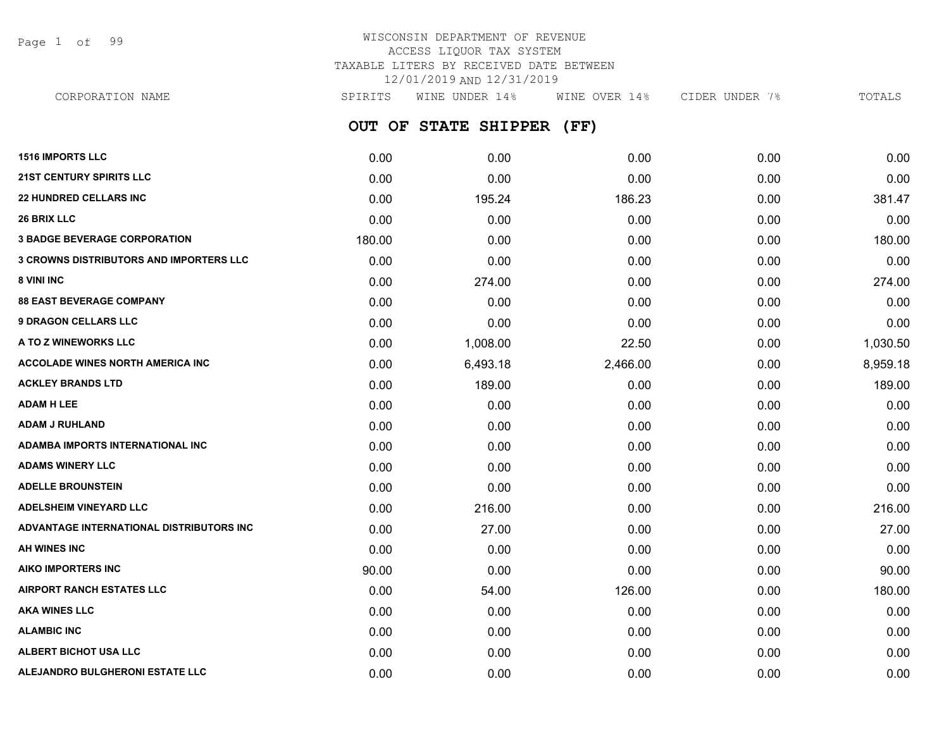Page 1 of 99

| CORPORATION NAME                               | SPIRITS | WINE UNDER 14%       | WINE OVER 14% | CIDER UNDER 7% | TOTALS   |
|------------------------------------------------|---------|----------------------|---------------|----------------|----------|
|                                                |         | OUT OF STATE SHIPPER | (FF)          |                |          |
| <b>1516 IMPORTS LLC</b>                        | 0.00    | 0.00                 | 0.00          | 0.00           | 0.00     |
| <b>21ST CENTURY SPIRITS LLC</b>                | 0.00    | 0.00                 | 0.00          | 0.00           | 0.00     |
| <b>22 HUNDRED CELLARS INC</b>                  | 0.00    | 195.24               | 186.23        | 0.00           | 381.47   |
| <b>26 BRIX LLC</b>                             | 0.00    | 0.00                 | 0.00          | 0.00           | 0.00     |
| <b>3 BADGE BEVERAGE CORPORATION</b>            | 180.00  | 0.00                 | 0.00          | 0.00           | 180.00   |
| <b>3 CROWNS DISTRIBUTORS AND IMPORTERS LLC</b> | 0.00    | 0.00                 | 0.00          | 0.00           | 0.00     |
| <b>8 VINI INC</b>                              | 0.00    | 274.00               | 0.00          | 0.00           | 274.00   |
| <b>88 EAST BEVERAGE COMPANY</b>                | 0.00    | 0.00                 | 0.00          | 0.00           | 0.00     |
| <b>9 DRAGON CELLARS LLC</b>                    | 0.00    | 0.00                 | 0.00          | 0.00           | 0.00     |
| <b>A TO Z WINEWORKS LLC</b>                    | 0.00    | 1,008.00             | 22.50         | 0.00           | 1,030.50 |
| <b>ACCOLADE WINES NORTH AMERICA INC</b>        | 0.00    | 6,493.18             | 2,466.00      | 0.00           | 8,959.18 |
| <b>ACKLEY BRANDS LTD</b>                       | 0.00    | 189.00               | 0.00          | 0.00           | 189.00   |
| <b>ADAM H LEE</b>                              | 0.00    | 0.00                 | 0.00          | 0.00           | 0.00     |
| <b>ADAM J RUHLAND</b>                          | 0.00    | 0.00                 | 0.00          | 0.00           | 0.00     |
| <b>ADAMBA IMPORTS INTERNATIONAL INC</b>        | 0.00    | 0.00                 | 0.00          | 0.00           | 0.00     |
| <b>ADAMS WINERY LLC</b>                        | 0.00    | 0.00                 | 0.00          | 0.00           | 0.00     |

| <b>ADELLE BROUNSTEIN</b>                 | 0.00  | 0.00   | 0.00   | 0.00 | 0.00   |
|------------------------------------------|-------|--------|--------|------|--------|
| <b>ADELSHEIM VINEYARD LLC</b>            | 0.00  | 216.00 | 0.00   | 0.00 | 216.00 |
| ADVANTAGE INTERNATIONAL DISTRIBUTORS INC | 0.00  | 27.00  | 0.00   | 0.00 | 27.00  |
| AH WINES INC                             | 0.00  | 0.00   | 0.00   | 0.00 | 0.00   |
| AIKO IMPORTERS INC                       | 90.00 | 0.00   | 0.00   | 0.00 | 90.00  |
| <b>AIRPORT RANCH ESTATES LLC</b>         | 0.00  | 54.00  | 126.00 | 0.00 | 180.00 |
| <b>AKA WINES LLC</b>                     | 0.00  | 0.00   | 0.00   | 0.00 | 0.00   |
| <b>ALAMBIC INC</b>                       | 0.00  | 0.00   | 0.00   | 0.00 | 0.00   |
| ALBERT BICHOT USA LLC                    | 0.00  | 0.00   | 0.00   | 0.00 | 0.00   |
| ALEJANDRO BULGHERONI ESTATE LLC          | 0.00  | 0.00   | 0.00   | 0.00 | 0.00   |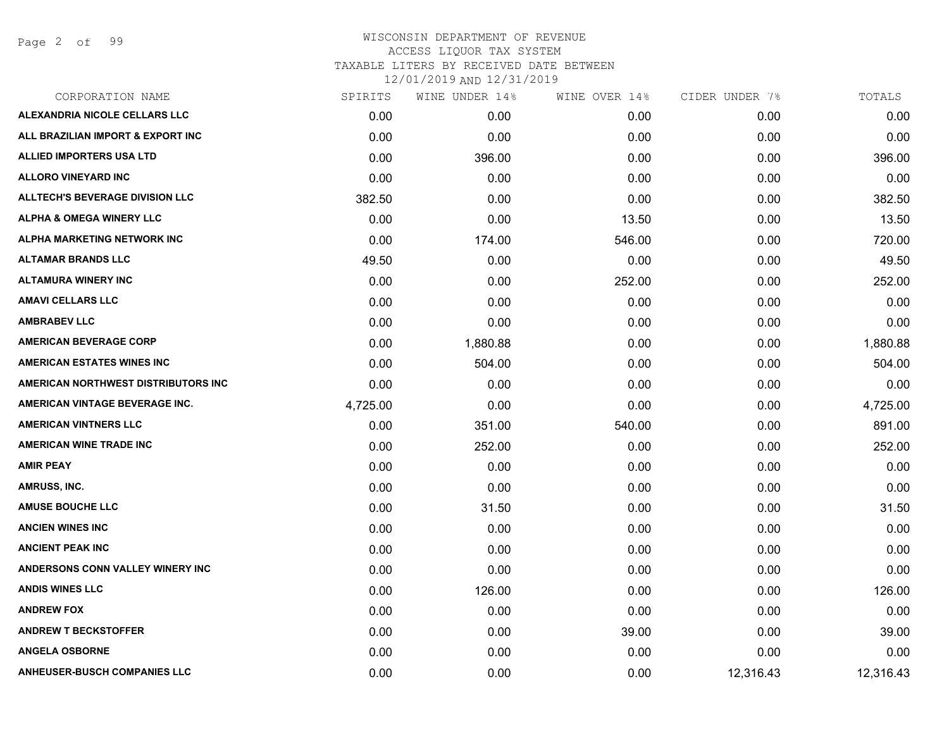| CORPORATION NAME                       | SPIRITS  | WINE UNDER 14% | WINE OVER 14% | CIDER UNDER 7% | TOTALS    |
|----------------------------------------|----------|----------------|---------------|----------------|-----------|
| ALEXANDRIA NICOLE CELLARS LLC          | 0.00     | 0.00           | 0.00          | 0.00           | 0.00      |
| ALL BRAZILIAN IMPORT & EXPORT INC      | 0.00     | 0.00           | 0.00          | 0.00           | 0.00      |
| ALLIED IMPORTERS USA LTD               | 0.00     | 396.00         | 0.00          | 0.00           | 396.00    |
| <b>ALLORO VINEYARD INC</b>             | 0.00     | 0.00           | 0.00          | 0.00           | 0.00      |
| <b>ALLTECH'S BEVERAGE DIVISION LLC</b> | 382.50   | 0.00           | 0.00          | 0.00           | 382.50    |
| <b>ALPHA &amp; OMEGA WINERY LLC</b>    | 0.00     | 0.00           | 13.50         | 0.00           | 13.50     |
| <b>ALPHA MARKETING NETWORK INC</b>     | 0.00     | 174.00         | 546.00        | 0.00           | 720.00    |
| <b>ALTAMAR BRANDS LLC</b>              | 49.50    | 0.00           | 0.00          | 0.00           | 49.50     |
| <b>ALTAMURA WINERY INC</b>             | 0.00     | 0.00           | 252.00        | 0.00           | 252.00    |
| <b>AMAVI CELLARS LLC</b>               | 0.00     | 0.00           | 0.00          | 0.00           | 0.00      |
| <b>AMBRABEV LLC</b>                    | 0.00     | 0.00           | 0.00          | 0.00           | 0.00      |
| <b>AMERICAN BEVERAGE CORP</b>          | 0.00     | 1,880.88       | 0.00          | 0.00           | 1,880.88  |
| <b>AMERICAN ESTATES WINES INC</b>      | 0.00     | 504.00         | 0.00          | 0.00           | 504.00    |
| AMERICAN NORTHWEST DISTRIBUTORS INC    | 0.00     | 0.00           | 0.00          | 0.00           | 0.00      |
| AMERICAN VINTAGE BEVERAGE INC.         | 4,725.00 | 0.00           | 0.00          | 0.00           | 4,725.00  |
| <b>AMERICAN VINTNERS LLC</b>           | 0.00     | 351.00         | 540.00        | 0.00           | 891.00    |
| <b>AMERICAN WINE TRADE INC</b>         | 0.00     | 252.00         | 0.00          | 0.00           | 252.00    |
| <b>AMIR PEAY</b>                       | 0.00     | 0.00           | 0.00          | 0.00           | 0.00      |
| AMRUSS, INC.                           | 0.00     | 0.00           | 0.00          | 0.00           | 0.00      |
| <b>AMUSE BOUCHE LLC</b>                | 0.00     | 31.50          | 0.00          | 0.00           | 31.50     |
| <b>ANCIEN WINES INC</b>                | 0.00     | 0.00           | 0.00          | 0.00           | 0.00      |
| <b>ANCIENT PEAK INC</b>                | 0.00     | 0.00           | 0.00          | 0.00           | 0.00      |
| ANDERSONS CONN VALLEY WINERY INC       | 0.00     | 0.00           | 0.00          | 0.00           | 0.00      |
| <b>ANDIS WINES LLC</b>                 | 0.00     | 126.00         | 0.00          | 0.00           | 126.00    |
| <b>ANDREW FOX</b>                      | 0.00     | 0.00           | 0.00          | 0.00           | 0.00      |
| <b>ANDREW T BECKSTOFFER</b>            | 0.00     | 0.00           | 39.00         | 0.00           | 39.00     |
| <b>ANGELA OSBORNE</b>                  | 0.00     | 0.00           | 0.00          | 0.00           | 0.00      |
| <b>ANHEUSER-BUSCH COMPANIES LLC</b>    | 0.00     | 0.00           | 0.00          | 12,316.43      | 12,316.43 |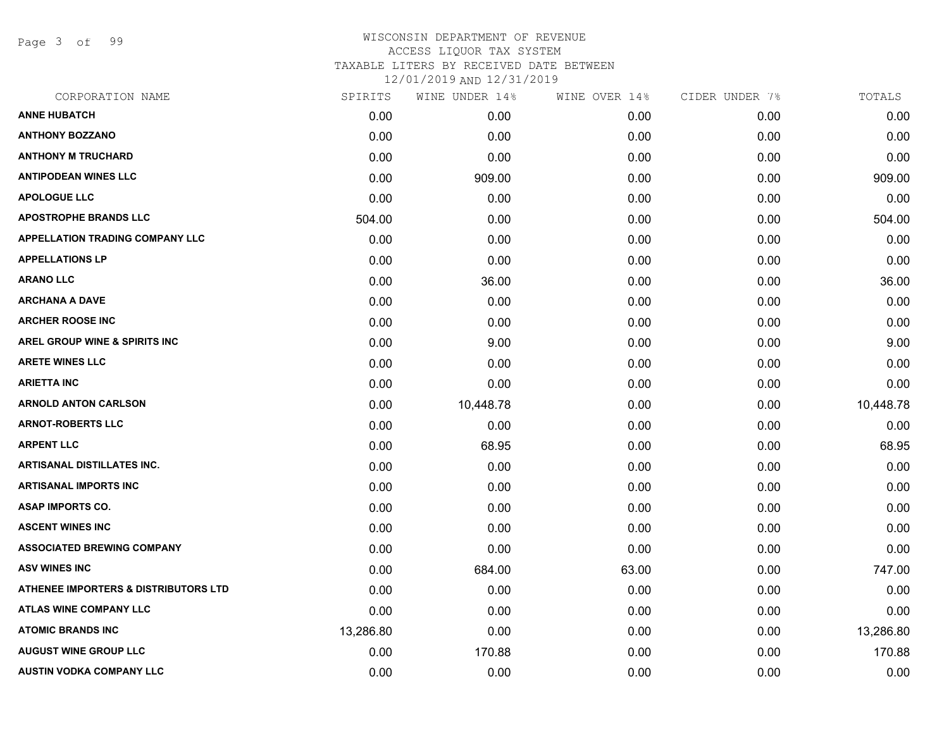Page 3 of 99

# WISCONSIN DEPARTMENT OF REVENUE ACCESS LIQUOR TAX SYSTEM TAXABLE LITERS BY RECEIVED DATE BETWEEN

| CORPORATION NAME                       | SPIRITS   | WINE UNDER 14% | WINE OVER 14% | CIDER UNDER 7% | TOTALS    |
|----------------------------------------|-----------|----------------|---------------|----------------|-----------|
| <b>ANNE HUBATCH</b>                    | 0.00      | 0.00           | 0.00          | 0.00           | 0.00      |
| <b>ANTHONY BOZZANO</b>                 | 0.00      | 0.00           | 0.00          | 0.00           | 0.00      |
| <b>ANTHONY M TRUCHARD</b>              | 0.00      | 0.00           | 0.00          | 0.00           | 0.00      |
| <b>ANTIPODEAN WINES LLC</b>            | 0.00      | 909.00         | 0.00          | 0.00           | 909.00    |
| <b>APOLOGUE LLC</b>                    | 0.00      | 0.00           | 0.00          | 0.00           | 0.00      |
| <b>APOSTROPHE BRANDS LLC</b>           | 504.00    | 0.00           | 0.00          | 0.00           | 504.00    |
| <b>APPELLATION TRADING COMPANY LLC</b> | 0.00      | 0.00           | 0.00          | 0.00           | 0.00      |
| <b>APPELLATIONS LP</b>                 | 0.00      | 0.00           | 0.00          | 0.00           | 0.00      |
| <b>ARANO LLC</b>                       | 0.00      | 36.00          | 0.00          | 0.00           | 36.00     |
| <b>ARCHANA A DAVE</b>                  | 0.00      | 0.00           | 0.00          | 0.00           | 0.00      |
| <b>ARCHER ROOSE INC</b>                | 0.00      | 0.00           | 0.00          | 0.00           | 0.00      |
| AREL GROUP WINE & SPIRITS INC          | 0.00      | 9.00           | 0.00          | 0.00           | 9.00      |
| <b>ARETE WINES LLC</b>                 | 0.00      | 0.00           | 0.00          | 0.00           | 0.00      |
| <b>ARIETTA INC</b>                     | 0.00      | 0.00           | 0.00          | 0.00           | 0.00      |
| <b>ARNOLD ANTON CARLSON</b>            | 0.00      | 10,448.78      | 0.00          | 0.00           | 10,448.78 |
| <b>ARNOT-ROBERTS LLC</b>               | 0.00      | 0.00           | 0.00          | 0.00           | 0.00      |
| <b>ARPENT LLC</b>                      | 0.00      | 68.95          | 0.00          | 0.00           | 68.95     |
| <b>ARTISANAL DISTILLATES INC.</b>      | 0.00      | 0.00           | 0.00          | 0.00           | 0.00      |
| <b>ARTISANAL IMPORTS INC</b>           | 0.00      | 0.00           | 0.00          | 0.00           | 0.00      |
| <b>ASAP IMPORTS CO.</b>                | 0.00      | 0.00           | 0.00          | 0.00           | 0.00      |
| <b>ASCENT WINES INC</b>                | 0.00      | 0.00           | 0.00          | 0.00           | 0.00      |
| <b>ASSOCIATED BREWING COMPANY</b>      | 0.00      | 0.00           | 0.00          | 0.00           | 0.00      |
| <b>ASV WINES INC</b>                   | 0.00      | 684.00         | 63.00         | 0.00           | 747.00    |
| ATHENEE IMPORTERS & DISTRIBUTORS LTD   | 0.00      | 0.00           | 0.00          | 0.00           | 0.00      |
| ATLAS WINE COMPANY LLC                 | 0.00      | 0.00           | 0.00          | 0.00           | 0.00      |
| <b>ATOMIC BRANDS INC</b>               | 13,286.80 | 0.00           | 0.00          | 0.00           | 13,286.80 |
| <b>AUGUST WINE GROUP LLC</b>           | 0.00      | 170.88         | 0.00          | 0.00           | 170.88    |
| <b>AUSTIN VODKA COMPANY LLC</b>        | 0.00      | 0.00           | 0.00          | 0.00           | 0.00      |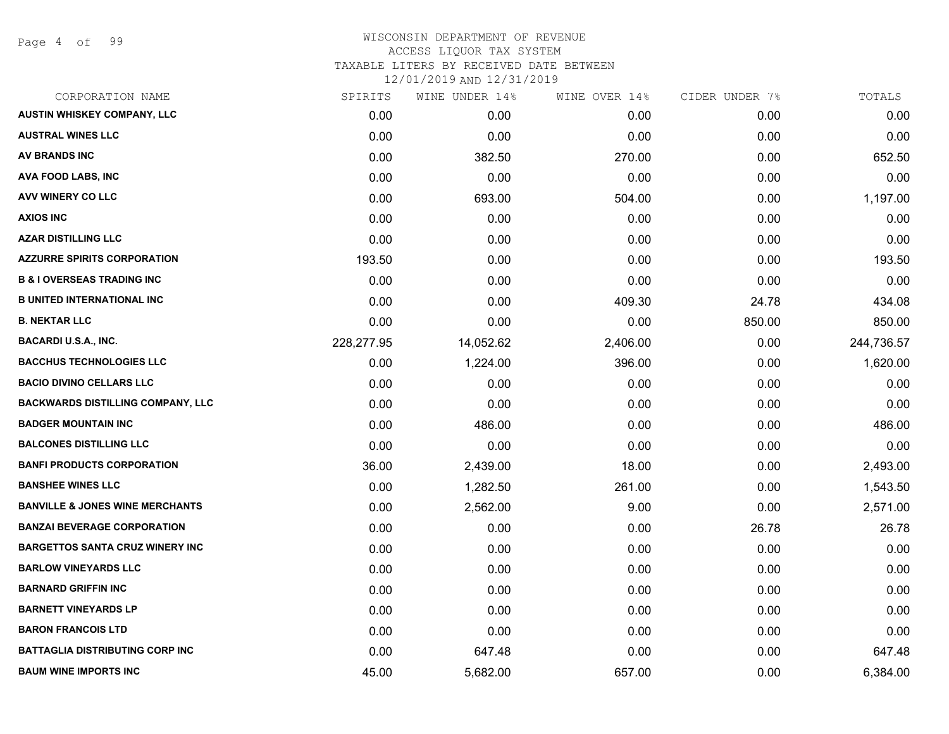Page 4 of 99

#### WISCONSIN DEPARTMENT OF REVENUE ACCESS LIQUOR TAX SYSTEM TAXABLE LITERS BY RECEIVED DATE BETWEEN

| CORPORATION NAME                           | SPIRITS    | WINE UNDER 14% | WINE OVER 14% | CIDER UNDER 7% | TOTALS     |
|--------------------------------------------|------------|----------------|---------------|----------------|------------|
| <b>AUSTIN WHISKEY COMPANY, LLC</b>         | 0.00       | 0.00           | 0.00          | 0.00           | 0.00       |
| <b>AUSTRAL WINES LLC</b>                   | 0.00       | 0.00           | 0.00          | 0.00           | 0.00       |
| <b>AV BRANDS INC</b>                       | 0.00       | 382.50         | 270.00        | 0.00           | 652.50     |
| <b>AVA FOOD LABS, INC</b>                  | 0.00       | 0.00           | 0.00          | 0.00           | 0.00       |
| <b>AVV WINERY CO LLC</b>                   | 0.00       | 693.00         | 504.00        | 0.00           | 1,197.00   |
| <b>AXIOS INC</b>                           | 0.00       | 0.00           | 0.00          | 0.00           | 0.00       |
| <b>AZAR DISTILLING LLC</b>                 | 0.00       | 0.00           | 0.00          | 0.00           | 0.00       |
| <b>AZZURRE SPIRITS CORPORATION</b>         | 193.50     | 0.00           | 0.00          | 0.00           | 193.50     |
| <b>B &amp; I OVERSEAS TRADING INC</b>      | 0.00       | 0.00           | 0.00          | 0.00           | 0.00       |
| <b>B UNITED INTERNATIONAL INC</b>          | 0.00       | 0.00           | 409.30        | 24.78          | 434.08     |
| <b>B. NEKTAR LLC</b>                       | 0.00       | 0.00           | 0.00          | 850.00         | 850.00     |
| <b>BACARDI U.S.A., INC.</b>                | 228,277.95 | 14,052.62      | 2,406.00      | 0.00           | 244,736.57 |
| <b>BACCHUS TECHNOLOGIES LLC</b>            | 0.00       | 1,224.00       | 396.00        | 0.00           | 1,620.00   |
| <b>BACIO DIVINO CELLARS LLC</b>            | 0.00       | 0.00           | 0.00          | 0.00           | 0.00       |
| <b>BACKWARDS DISTILLING COMPANY, LLC</b>   | 0.00       | 0.00           | 0.00          | 0.00           | 0.00       |
| <b>BADGER MOUNTAIN INC</b>                 | 0.00       | 486.00         | 0.00          | 0.00           | 486.00     |
| <b>BALCONES DISTILLING LLC</b>             | 0.00       | 0.00           | 0.00          | 0.00           | 0.00       |
| <b>BANFI PRODUCTS CORPORATION</b>          | 36.00      | 2,439.00       | 18.00         | 0.00           | 2,493.00   |
| <b>BANSHEE WINES LLC</b>                   | 0.00       | 1,282.50       | 261.00        | 0.00           | 1,543.50   |
| <b>BANVILLE &amp; JONES WINE MERCHANTS</b> | 0.00       | 2,562.00       | 9.00          | 0.00           | 2,571.00   |
| <b>BANZAI BEVERAGE CORPORATION</b>         | 0.00       | 0.00           | 0.00          | 26.78          | 26.78      |
| <b>BARGETTOS SANTA CRUZ WINERY INC</b>     | 0.00       | 0.00           | 0.00          | 0.00           | 0.00       |
| <b>BARLOW VINEYARDS LLC</b>                | 0.00       | 0.00           | 0.00          | 0.00           | 0.00       |
| <b>BARNARD GRIFFIN INC</b>                 | 0.00       | 0.00           | 0.00          | 0.00           | 0.00       |
| <b>BARNETT VINEYARDS LP</b>                | 0.00       | 0.00           | 0.00          | 0.00           | 0.00       |
| <b>BARON FRANCOIS LTD</b>                  | 0.00       | 0.00           | 0.00          | 0.00           | 0.00       |
| <b>BATTAGLIA DISTRIBUTING CORP INC</b>     | 0.00       | 647.48         | 0.00          | 0.00           | 647.48     |
| <b>BAUM WINE IMPORTS INC</b>               | 45.00      | 5,682.00       | 657.00        | 0.00           | 6,384.00   |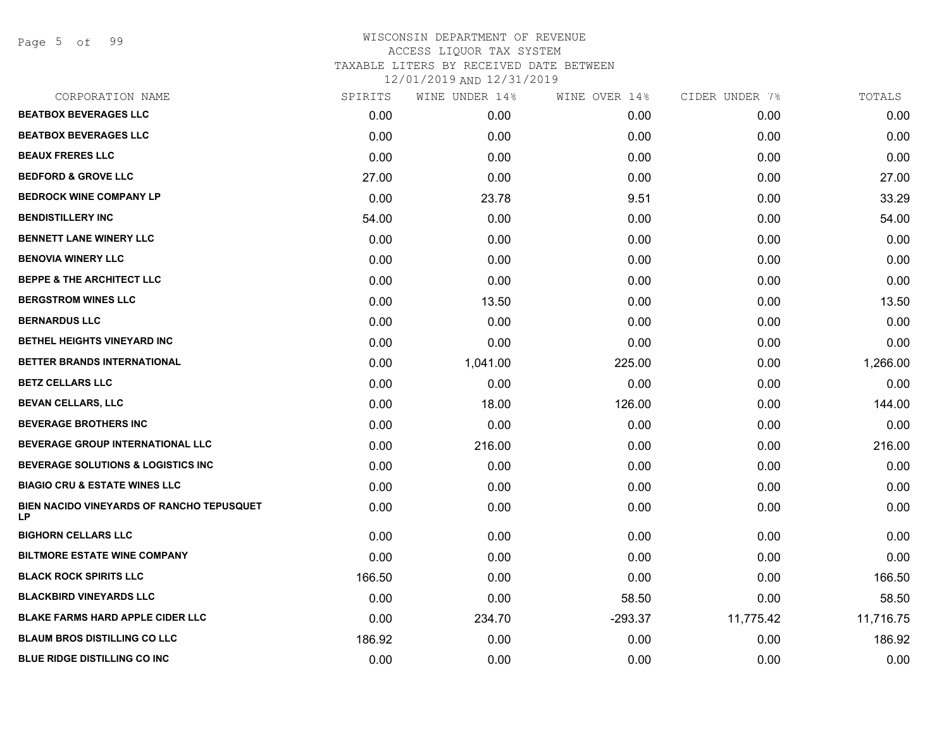Page 5 of 99

| CORPORATION NAME                                       | SPIRITS | WINE UNDER 14% | WINE OVER 14% | CIDER UNDER 7% | TOTALS    |
|--------------------------------------------------------|---------|----------------|---------------|----------------|-----------|
| <b>BEATBOX BEVERAGES LLC</b>                           | 0.00    | 0.00           | 0.00          | 0.00           | 0.00      |
| <b>BEATBOX BEVERAGES LLC</b>                           | 0.00    | 0.00           | 0.00          | 0.00           | 0.00      |
| <b>BEAUX FRERES LLC</b>                                | 0.00    | 0.00           | 0.00          | 0.00           | 0.00      |
| <b>BEDFORD &amp; GROVE LLC</b>                         | 27.00   | 0.00           | 0.00          | 0.00           | 27.00     |
| <b>BEDROCK WINE COMPANY LP</b>                         | 0.00    | 23.78          | 9.51          | 0.00           | 33.29     |
| <b>BENDISTILLERY INC</b>                               | 54.00   | 0.00           | 0.00          | 0.00           | 54.00     |
| <b>BENNETT LANE WINERY LLC</b>                         | 0.00    | 0.00           | 0.00          | 0.00           | 0.00      |
| <b>BENOVIA WINERY LLC</b>                              | 0.00    | 0.00           | 0.00          | 0.00           | 0.00      |
| <b>BEPPE &amp; THE ARCHITECT LLC</b>                   | 0.00    | 0.00           | 0.00          | 0.00           | 0.00      |
| <b>BERGSTROM WINES LLC</b>                             | 0.00    | 13.50          | 0.00          | 0.00           | 13.50     |
| <b>BERNARDUS LLC</b>                                   | 0.00    | 0.00           | 0.00          | 0.00           | 0.00      |
| <b>BETHEL HEIGHTS VINEYARD INC</b>                     | 0.00    | 0.00           | 0.00          | 0.00           | 0.00      |
| <b>BETTER BRANDS INTERNATIONAL</b>                     | 0.00    | 1,041.00       | 225.00        | 0.00           | 1,266.00  |
| <b>BETZ CELLARS LLC</b>                                | 0.00    | 0.00           | 0.00          | 0.00           | 0.00      |
| <b>BEVAN CELLARS, LLC</b>                              | 0.00    | 18.00          | 126.00        | 0.00           | 144.00    |
| <b>BEVERAGE BROTHERS INC</b>                           | 0.00    | 0.00           | 0.00          | 0.00           | 0.00      |
| <b>BEVERAGE GROUP INTERNATIONAL LLC</b>                | 0.00    | 216.00         | 0.00          | 0.00           | 216.00    |
| <b>BEVERAGE SOLUTIONS &amp; LOGISTICS INC</b>          | 0.00    | 0.00           | 0.00          | 0.00           | 0.00      |
| <b>BIAGIO CRU &amp; ESTATE WINES LLC</b>               | 0.00    | 0.00           | 0.00          | 0.00           | 0.00      |
| BIEN NACIDO VINEYARDS OF RANCHO TEPUSQUET<br><b>LP</b> | 0.00    | 0.00           | 0.00          | 0.00           | 0.00      |
| <b>BIGHORN CELLARS LLC</b>                             | 0.00    | 0.00           | 0.00          | 0.00           | 0.00      |
| <b>BILTMORE ESTATE WINE COMPANY</b>                    | 0.00    | 0.00           | 0.00          | 0.00           | 0.00      |
| <b>BLACK ROCK SPIRITS LLC</b>                          | 166.50  | 0.00           | 0.00          | 0.00           | 166.50    |
| <b>BLACKBIRD VINEYARDS LLC</b>                         | 0.00    | 0.00           | 58.50         | 0.00           | 58.50     |
| <b>BLAKE FARMS HARD APPLE CIDER LLC</b>                | 0.00    | 234.70         | $-293.37$     | 11,775.42      | 11,716.75 |
| <b>BLAUM BROS DISTILLING CO LLC</b>                    | 186.92  | 0.00           | 0.00          | 0.00           | 186.92    |
| <b>BLUE RIDGE DISTILLING CO INC</b>                    | 0.00    | 0.00           | 0.00          | 0.00           | 0.00      |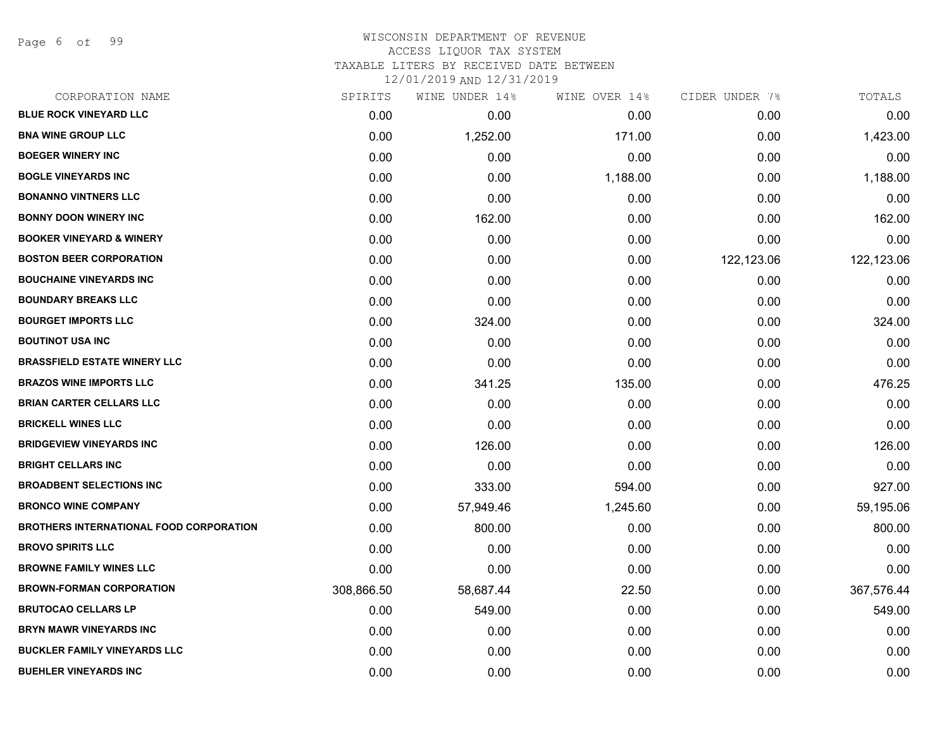Page 6 of 99

| CORPORATION NAME                               | SPIRITS    | WINE UNDER 14% | WINE OVER 14% | CIDER UNDER 7% | TOTALS     |
|------------------------------------------------|------------|----------------|---------------|----------------|------------|
| <b>BLUE ROCK VINEYARD LLC</b>                  | 0.00       | 0.00           | 0.00          | 0.00           | 0.00       |
| <b>BNA WINE GROUP LLC</b>                      | 0.00       | 1,252.00       | 171.00        | 0.00           | 1,423.00   |
| <b>BOEGER WINERY INC</b>                       | 0.00       | 0.00           | 0.00          | 0.00           | 0.00       |
| <b>BOGLE VINEYARDS INC</b>                     | 0.00       | 0.00           | 1,188.00      | 0.00           | 1,188.00   |
| <b>BONANNO VINTNERS LLC</b>                    | 0.00       | 0.00           | 0.00          | 0.00           | 0.00       |
| <b>BONNY DOON WINERY INC</b>                   | 0.00       | 162.00         | 0.00          | 0.00           | 162.00     |
| <b>BOOKER VINEYARD &amp; WINERY</b>            | 0.00       | 0.00           | 0.00          | 0.00           | 0.00       |
| <b>BOSTON BEER CORPORATION</b>                 | 0.00       | 0.00           | 0.00          | 122,123.06     | 122,123.06 |
| <b>BOUCHAINE VINEYARDS INC</b>                 | 0.00       | 0.00           | 0.00          | 0.00           | 0.00       |
| <b>BOUNDARY BREAKS LLC</b>                     | 0.00       | 0.00           | 0.00          | 0.00           | 0.00       |
| <b>BOURGET IMPORTS LLC</b>                     | 0.00       | 324.00         | 0.00          | 0.00           | 324.00     |
| <b>BOUTINOT USA INC</b>                        | 0.00       | 0.00           | 0.00          | 0.00           | 0.00       |
| <b>BRASSFIELD ESTATE WINERY LLC</b>            | 0.00       | 0.00           | 0.00          | 0.00           | 0.00       |
| <b>BRAZOS WINE IMPORTS LLC</b>                 | 0.00       | 341.25         | 135.00        | 0.00           | 476.25     |
| <b>BRIAN CARTER CELLARS LLC</b>                | 0.00       | 0.00           | 0.00          | 0.00           | 0.00       |
| <b>BRICKELL WINES LLC</b>                      | 0.00       | 0.00           | 0.00          | 0.00           | 0.00       |
| <b>BRIDGEVIEW VINEYARDS INC</b>                | 0.00       | 126.00         | 0.00          | 0.00           | 126.00     |
| <b>BRIGHT CELLARS INC</b>                      | 0.00       | 0.00           | 0.00          | 0.00           | 0.00       |
| <b>BROADBENT SELECTIONS INC</b>                | 0.00       | 333.00         | 594.00        | 0.00           | 927.00     |
| <b>BRONCO WINE COMPANY</b>                     | 0.00       | 57,949.46      | 1,245.60      | 0.00           | 59,195.06  |
| <b>BROTHERS INTERNATIONAL FOOD CORPORATION</b> | 0.00       | 800.00         | 0.00          | 0.00           | 800.00     |
| <b>BROVO SPIRITS LLC</b>                       | 0.00       | 0.00           | 0.00          | 0.00           | 0.00       |
| <b>BROWNE FAMILY WINES LLC</b>                 | 0.00       | 0.00           | 0.00          | 0.00           | 0.00       |
| <b>BROWN-FORMAN CORPORATION</b>                | 308,866.50 | 58,687.44      | 22.50         | 0.00           | 367,576.44 |
| <b>BRUTOCAO CELLARS LP</b>                     | 0.00       | 549.00         | 0.00          | 0.00           | 549.00     |
| <b>BRYN MAWR VINEYARDS INC</b>                 | 0.00       | 0.00           | 0.00          | 0.00           | 0.00       |
| <b>BUCKLER FAMILY VINEYARDS LLC</b>            | 0.00       | 0.00           | 0.00          | 0.00           | 0.00       |
| <b>BUEHLER VINEYARDS INC</b>                   | 0.00       | 0.00           | 0.00          | 0.00           | 0.00       |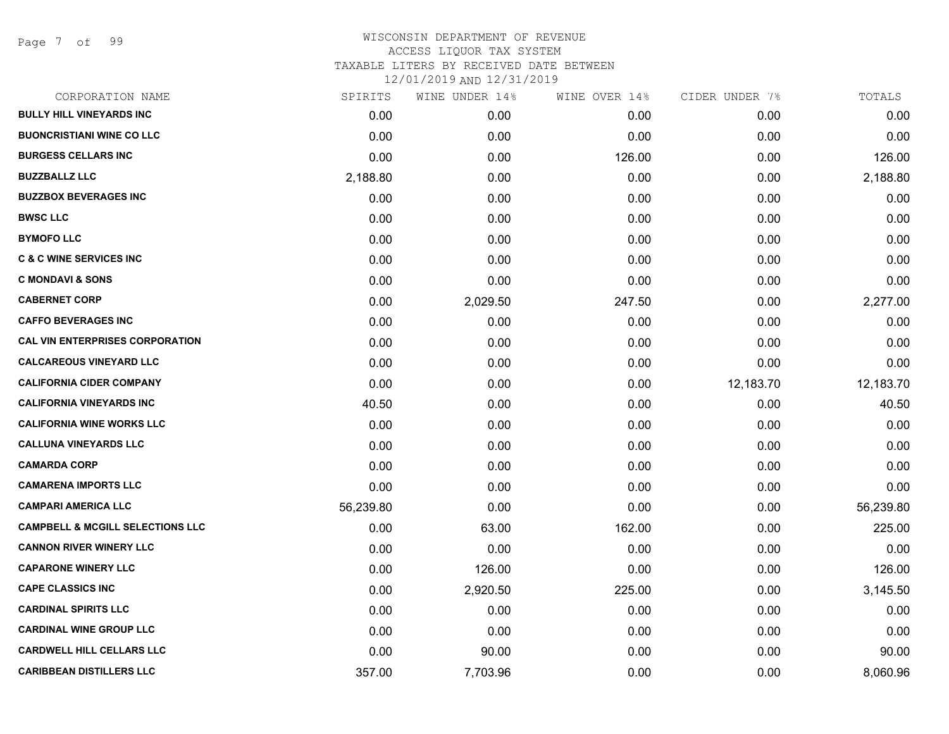Page 7 of 99

| CORPORATION NAME                            | SPIRITS   | WINE UNDER 14% | WINE OVER 14% | CIDER UNDER 7% | TOTALS    |
|---------------------------------------------|-----------|----------------|---------------|----------------|-----------|
| <b>BULLY HILL VINEYARDS INC</b>             | 0.00      | 0.00           | 0.00          | 0.00           | 0.00      |
| <b>BUONCRISTIANI WINE CO LLC</b>            | 0.00      | 0.00           | 0.00          | 0.00           | 0.00      |
| <b>BURGESS CELLARS INC</b>                  | 0.00      | 0.00           | 126.00        | 0.00           | 126.00    |
| <b>BUZZBALLZ LLC</b>                        | 2,188.80  | 0.00           | 0.00          | 0.00           | 2,188.80  |
| <b>BUZZBOX BEVERAGES INC</b>                | 0.00      | 0.00           | 0.00          | 0.00           | 0.00      |
| <b>BWSC LLC</b>                             | 0.00      | 0.00           | 0.00          | 0.00           | 0.00      |
| <b>BYMOFO LLC</b>                           | 0.00      | 0.00           | 0.00          | 0.00           | 0.00      |
| <b>C &amp; C WINE SERVICES INC</b>          | 0.00      | 0.00           | 0.00          | 0.00           | 0.00      |
| <b>C MONDAVI &amp; SONS</b>                 | 0.00      | 0.00           | 0.00          | 0.00           | 0.00      |
| <b>CABERNET CORP</b>                        | 0.00      | 2,029.50       | 247.50        | 0.00           | 2,277.00  |
| <b>CAFFO BEVERAGES INC</b>                  | 0.00      | 0.00           | 0.00          | 0.00           | 0.00      |
| <b>CAL VIN ENTERPRISES CORPORATION</b>      | 0.00      | 0.00           | 0.00          | 0.00           | 0.00      |
| <b>CALCAREOUS VINEYARD LLC</b>              | 0.00      | 0.00           | 0.00          | 0.00           | 0.00      |
| <b>CALIFORNIA CIDER COMPANY</b>             | 0.00      | 0.00           | 0.00          | 12,183.70      | 12,183.70 |
| <b>CALIFORNIA VINEYARDS INC</b>             | 40.50     | 0.00           | 0.00          | 0.00           | 40.50     |
| <b>CALIFORNIA WINE WORKS LLC</b>            | 0.00      | 0.00           | 0.00          | 0.00           | 0.00      |
| <b>CALLUNA VINEYARDS LLC</b>                | 0.00      | 0.00           | 0.00          | 0.00           | 0.00      |
| <b>CAMARDA CORP</b>                         | 0.00      | 0.00           | 0.00          | 0.00           | 0.00      |
| <b>CAMARENA IMPORTS LLC</b>                 | 0.00      | 0.00           | 0.00          | 0.00           | 0.00      |
| <b>CAMPARI AMERICA LLC</b>                  | 56,239.80 | 0.00           | 0.00          | 0.00           | 56,239.80 |
| <b>CAMPBELL &amp; MCGILL SELECTIONS LLC</b> | 0.00      | 63.00          | 162.00        | 0.00           | 225.00    |
| <b>CANNON RIVER WINERY LLC</b>              | 0.00      | 0.00           | 0.00          | 0.00           | 0.00      |
| <b>CAPARONE WINERY LLC</b>                  | 0.00      | 126.00         | 0.00          | 0.00           | 126.00    |
| <b>CAPE CLASSICS INC</b>                    | 0.00      | 2,920.50       | 225.00        | 0.00           | 3,145.50  |
| <b>CARDINAL SPIRITS LLC</b>                 | 0.00      | 0.00           | 0.00          | 0.00           | 0.00      |
| <b>CARDINAL WINE GROUP LLC</b>              | 0.00      | 0.00           | 0.00          | 0.00           | 0.00      |
| <b>CARDWELL HILL CELLARS LLC</b>            | 0.00      | 90.00          | 0.00          | 0.00           | 90.00     |
| <b>CARIBBEAN DISTILLERS LLC</b>             | 357.00    | 7,703.96       | 0.00          | 0.00           | 8,060.96  |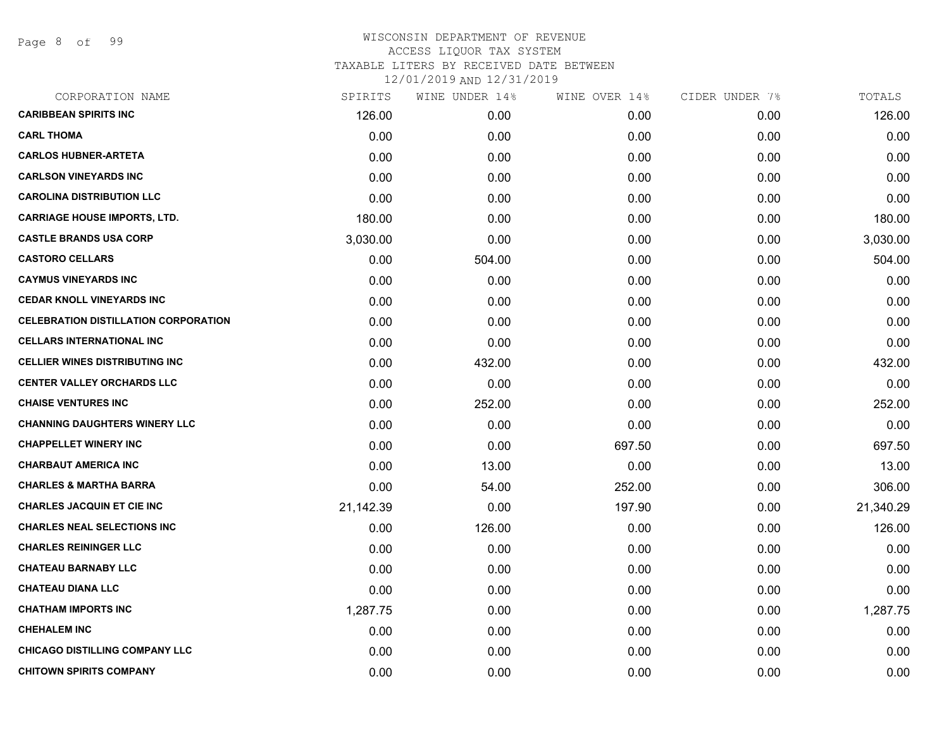Page 8 of 99

| CORPORATION NAME                            | SPIRITS   | WINE UNDER 14% | WINE OVER 14% | CIDER UNDER 7% | TOTALS    |
|---------------------------------------------|-----------|----------------|---------------|----------------|-----------|
| <b>CARIBBEAN SPIRITS INC</b>                | 126.00    | 0.00           | 0.00          | 0.00           | 126.00    |
| <b>CARL THOMA</b>                           | 0.00      | 0.00           | 0.00          | 0.00           | 0.00      |
| <b>CARLOS HUBNER-ARTETA</b>                 | 0.00      | 0.00           | 0.00          | 0.00           | 0.00      |
| <b>CARLSON VINEYARDS INC</b>                | 0.00      | 0.00           | 0.00          | 0.00           | 0.00      |
| <b>CAROLINA DISTRIBUTION LLC</b>            | 0.00      | 0.00           | 0.00          | 0.00           | 0.00      |
| <b>CARRIAGE HOUSE IMPORTS, LTD.</b>         | 180.00    | 0.00           | 0.00          | 0.00           | 180.00    |
| <b>CASTLE BRANDS USA CORP</b>               | 3,030.00  | 0.00           | 0.00          | 0.00           | 3,030.00  |
| <b>CASTORO CELLARS</b>                      | 0.00      | 504.00         | 0.00          | 0.00           | 504.00    |
| <b>CAYMUS VINEYARDS INC</b>                 | 0.00      | 0.00           | 0.00          | 0.00           | 0.00      |
| <b>CEDAR KNOLL VINEYARDS INC</b>            | 0.00      | 0.00           | 0.00          | 0.00           | 0.00      |
| <b>CELEBRATION DISTILLATION CORPORATION</b> | 0.00      | 0.00           | 0.00          | 0.00           | 0.00      |
| <b>CELLARS INTERNATIONAL INC</b>            | 0.00      | 0.00           | 0.00          | 0.00           | 0.00      |
| <b>CELLIER WINES DISTRIBUTING INC</b>       | 0.00      | 432.00         | 0.00          | 0.00           | 432.00    |
| <b>CENTER VALLEY ORCHARDS LLC</b>           | 0.00      | 0.00           | 0.00          | 0.00           | 0.00      |
| <b>CHAISE VENTURES INC</b>                  | 0.00      | 252.00         | 0.00          | 0.00           | 252.00    |
| <b>CHANNING DAUGHTERS WINERY LLC</b>        | 0.00      | 0.00           | 0.00          | 0.00           | 0.00      |
| <b>CHAPPELLET WINERY INC</b>                | 0.00      | 0.00           | 697.50        | 0.00           | 697.50    |
| <b>CHARBAUT AMERICA INC</b>                 | 0.00      | 13.00          | 0.00          | 0.00           | 13.00     |
| <b>CHARLES &amp; MARTHA BARRA</b>           | 0.00      | 54.00          | 252.00        | 0.00           | 306.00    |
| <b>CHARLES JACQUIN ET CIE INC</b>           | 21,142.39 | 0.00           | 197.90        | 0.00           | 21,340.29 |
| <b>CHARLES NEAL SELECTIONS INC</b>          | 0.00      | 126.00         | 0.00          | 0.00           | 126.00    |
| <b>CHARLES REININGER LLC</b>                | 0.00      | 0.00           | 0.00          | 0.00           | 0.00      |
| <b>CHATEAU BARNABY LLC</b>                  | 0.00      | 0.00           | 0.00          | 0.00           | 0.00      |
| <b>CHATEAU DIANA LLC</b>                    | 0.00      | 0.00           | 0.00          | 0.00           | 0.00      |
| <b>CHATHAM IMPORTS INC</b>                  | 1,287.75  | 0.00           | 0.00          | 0.00           | 1,287.75  |
| <b>CHEHALEM INC</b>                         | 0.00      | 0.00           | 0.00          | 0.00           | 0.00      |
| <b>CHICAGO DISTILLING COMPANY LLC</b>       | 0.00      | 0.00           | 0.00          | 0.00           | 0.00      |
| <b>CHITOWN SPIRITS COMPANY</b>              | 0.00      | 0.00           | 0.00          | 0.00           | 0.00      |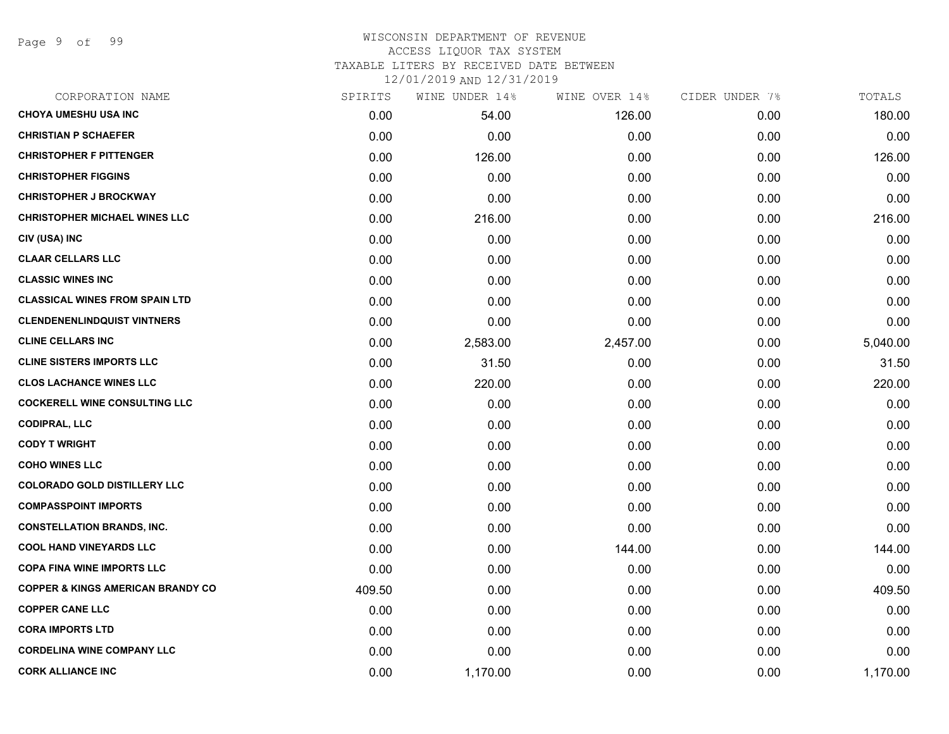Page 9 of 99

# WISCONSIN DEPARTMENT OF REVENUE ACCESS LIQUOR TAX SYSTEM TAXABLE LITERS BY RECEIVED DATE BETWEEN

| CORPORATION NAME                             | SPIRITS | WINE UNDER 14% | WINE OVER 14% | CIDER UNDER 7% | TOTALS   |
|----------------------------------------------|---------|----------------|---------------|----------------|----------|
| <b>CHOYA UMESHU USA INC</b>                  | 0.00    | 54.00          | 126.00        | 0.00           | 180.00   |
| <b>CHRISTIAN P SCHAEFER</b>                  | 0.00    | 0.00           | 0.00          | 0.00           | 0.00     |
| <b>CHRISTOPHER F PITTENGER</b>               | 0.00    | 126.00         | 0.00          | 0.00           | 126.00   |
| <b>CHRISTOPHER FIGGINS</b>                   | 0.00    | 0.00           | 0.00          | 0.00           | 0.00     |
| <b>CHRISTOPHER J BROCKWAY</b>                | 0.00    | 0.00           | 0.00          | 0.00           | 0.00     |
| <b>CHRISTOPHER MICHAEL WINES LLC</b>         | 0.00    | 216.00         | 0.00          | 0.00           | 216.00   |
| CIV (USA) INC                                | 0.00    | 0.00           | 0.00          | 0.00           | 0.00     |
| <b>CLAAR CELLARS LLC</b>                     | 0.00    | 0.00           | 0.00          | 0.00           | 0.00     |
| <b>CLASSIC WINES INC</b>                     | 0.00    | 0.00           | 0.00          | 0.00           | 0.00     |
| <b>CLASSICAL WINES FROM SPAIN LTD</b>        | 0.00    | 0.00           | 0.00          | 0.00           | 0.00     |
| <b>CLENDENENLINDQUIST VINTNERS</b>           | 0.00    | 0.00           | 0.00          | 0.00           | 0.00     |
| <b>CLINE CELLARS INC</b>                     | 0.00    | 2,583.00       | 2,457.00      | 0.00           | 5,040.00 |
| <b>CLINE SISTERS IMPORTS LLC</b>             | 0.00    | 31.50          | 0.00          | 0.00           | 31.50    |
| <b>CLOS LACHANCE WINES LLC</b>               | 0.00    | 220.00         | 0.00          | 0.00           | 220.00   |
| <b>COCKERELL WINE CONSULTING LLC</b>         | 0.00    | 0.00           | 0.00          | 0.00           | 0.00     |
| <b>CODIPRAL, LLC</b>                         | 0.00    | 0.00           | 0.00          | 0.00           | 0.00     |
| <b>CODY T WRIGHT</b>                         | 0.00    | 0.00           | 0.00          | 0.00           | 0.00     |
| <b>COHO WINES LLC</b>                        | 0.00    | 0.00           | 0.00          | 0.00           | 0.00     |
| <b>COLORADO GOLD DISTILLERY LLC</b>          | 0.00    | 0.00           | 0.00          | 0.00           | 0.00     |
| <b>COMPASSPOINT IMPORTS</b>                  | 0.00    | 0.00           | 0.00          | 0.00           | 0.00     |
| <b>CONSTELLATION BRANDS, INC.</b>            | 0.00    | 0.00           | 0.00          | 0.00           | 0.00     |
| <b>COOL HAND VINEYARDS LLC</b>               | 0.00    | 0.00           | 144.00        | 0.00           | 144.00   |
| <b>COPA FINA WINE IMPORTS LLC</b>            | 0.00    | 0.00           | 0.00          | 0.00           | 0.00     |
| <b>COPPER &amp; KINGS AMERICAN BRANDY CO</b> | 409.50  | 0.00           | 0.00          | 0.00           | 409.50   |
| <b>COPPER CANE LLC</b>                       | 0.00    | 0.00           | 0.00          | 0.00           | 0.00     |
| <b>CORA IMPORTS LTD</b>                      | 0.00    | 0.00           | 0.00          | 0.00           | 0.00     |
| <b>CORDELINA WINE COMPANY LLC</b>            | 0.00    | 0.00           | 0.00          | 0.00           | 0.00     |
| <b>CORK ALLIANCE INC</b>                     | 0.00    | 1,170.00       | 0.00          | 0.00           | 1,170.00 |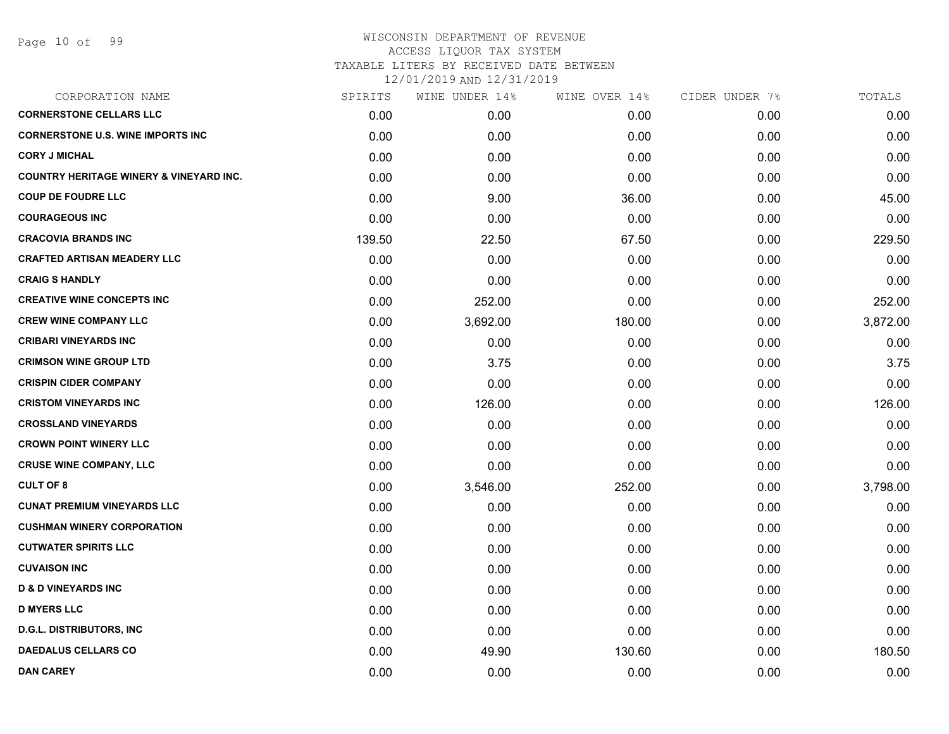| CORPORATION NAME                                   | SPIRITS | WINE UNDER 14% | WINE OVER 14% | CIDER UNDER 7% | TOTALS   |
|----------------------------------------------------|---------|----------------|---------------|----------------|----------|
| <b>CORNERSTONE CELLARS LLC</b>                     | 0.00    | 0.00           | 0.00          | 0.00           | 0.00     |
| <b>CORNERSTONE U.S. WINE IMPORTS INC</b>           | 0.00    | 0.00           | 0.00          | 0.00           | 0.00     |
| <b>CORY J MICHAL</b>                               | 0.00    | 0.00           | 0.00          | 0.00           | 0.00     |
| <b>COUNTRY HERITAGE WINERY &amp; VINEYARD INC.</b> | 0.00    | 0.00           | 0.00          | 0.00           | 0.00     |
| <b>COUP DE FOUDRE LLC</b>                          | 0.00    | 9.00           | 36.00         | 0.00           | 45.00    |
| <b>COURAGEOUS INC</b>                              | 0.00    | 0.00           | 0.00          | 0.00           | 0.00     |
| <b>CRACOVIA BRANDS INC</b>                         | 139.50  | 22.50          | 67.50         | 0.00           | 229.50   |
| <b>CRAFTED ARTISAN MEADERY LLC</b>                 | 0.00    | 0.00           | 0.00          | 0.00           | 0.00     |
| <b>CRAIG S HANDLY</b>                              | 0.00    | 0.00           | 0.00          | 0.00           | 0.00     |
| <b>CREATIVE WINE CONCEPTS INC</b>                  | 0.00    | 252.00         | 0.00          | 0.00           | 252.00   |
| <b>CREW WINE COMPANY LLC</b>                       | 0.00    | 3,692.00       | 180.00        | 0.00           | 3,872.00 |
| <b>CRIBARI VINEYARDS INC</b>                       | 0.00    | 0.00           | 0.00          | 0.00           | 0.00     |
| <b>CRIMSON WINE GROUP LTD</b>                      | 0.00    | 3.75           | 0.00          | 0.00           | 3.75     |
| <b>CRISPIN CIDER COMPANY</b>                       | 0.00    | 0.00           | 0.00          | 0.00           | 0.00     |
| <b>CRISTOM VINEYARDS INC</b>                       | 0.00    | 126.00         | 0.00          | 0.00           | 126.00   |
| <b>CROSSLAND VINEYARDS</b>                         | 0.00    | 0.00           | 0.00          | 0.00           | 0.00     |
| <b>CROWN POINT WINERY LLC</b>                      | 0.00    | 0.00           | 0.00          | 0.00           | 0.00     |
| <b>CRUSE WINE COMPANY, LLC</b>                     | 0.00    | 0.00           | 0.00          | 0.00           | 0.00     |
| <b>CULT OF 8</b>                                   | 0.00    | 3,546.00       | 252.00        | 0.00           | 3,798.00 |
| <b>CUNAT PREMIUM VINEYARDS LLC</b>                 | 0.00    | 0.00           | 0.00          | 0.00           | 0.00     |
| <b>CUSHMAN WINERY CORPORATION</b>                  | 0.00    | 0.00           | 0.00          | 0.00           | 0.00     |
| <b>CUTWATER SPIRITS LLC</b>                        | 0.00    | 0.00           | 0.00          | 0.00           | 0.00     |
| <b>CUVAISON INC</b>                                | 0.00    | 0.00           | 0.00          | 0.00           | 0.00     |
| <b>D &amp; D VINEYARDS INC</b>                     | 0.00    | 0.00           | 0.00          | 0.00           | 0.00     |
| <b>D MYERS LLC</b>                                 | 0.00    | 0.00           | 0.00          | 0.00           | 0.00     |
| <b>D.G.L. DISTRIBUTORS, INC</b>                    | 0.00    | 0.00           | 0.00          | 0.00           | 0.00     |
| <b>DAEDALUS CELLARS CO</b>                         | 0.00    | 49.90          | 130.60        | 0.00           | 180.50   |
| <b>DAN CAREY</b>                                   | 0.00    | 0.00           | 0.00          | 0.00           | 0.00     |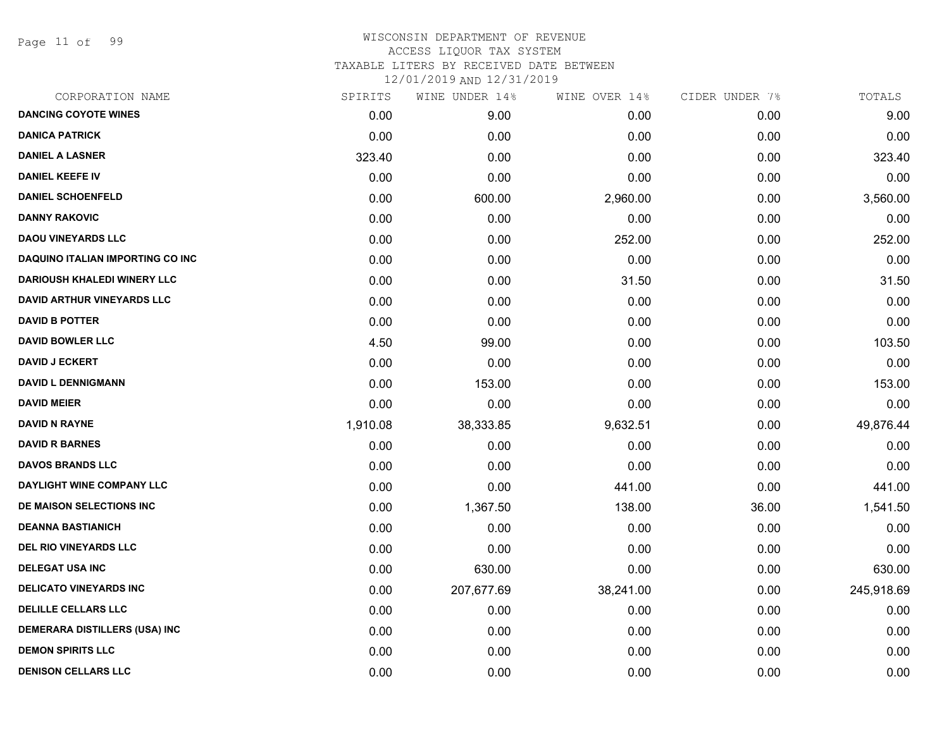Page 11 of 99

| CORPORATION NAME                        | SPIRITS  | WINE UNDER 14% | WINE OVER 14% | CIDER UNDER 7% | TOTALS     |
|-----------------------------------------|----------|----------------|---------------|----------------|------------|
| <b>DANCING COYOTE WINES</b>             | 0.00     | 9.00           | 0.00          | 0.00           | 9.00       |
| <b>DANICA PATRICK</b>                   | 0.00     | 0.00           | 0.00          | 0.00           | 0.00       |
| <b>DANIEL A LASNER</b>                  | 323.40   | 0.00           | 0.00          | 0.00           | 323.40     |
| <b>DANIEL KEEFE IV</b>                  | 0.00     | 0.00           | 0.00          | 0.00           | 0.00       |
| <b>DANIEL SCHOENFELD</b>                | 0.00     | 600.00         | 2,960.00      | 0.00           | 3,560.00   |
| <b>DANNY RAKOVIC</b>                    | 0.00     | 0.00           | 0.00          | 0.00           | 0.00       |
| <b>DAOU VINEYARDS LLC</b>               | 0.00     | 0.00           | 252.00        | 0.00           | 252.00     |
| <b>DAQUINO ITALIAN IMPORTING CO INC</b> | 0.00     | 0.00           | 0.00          | 0.00           | 0.00       |
| <b>DARIOUSH KHALEDI WINERY LLC</b>      | 0.00     | 0.00           | 31.50         | 0.00           | 31.50      |
| <b>DAVID ARTHUR VINEYARDS LLC</b>       | 0.00     | 0.00           | 0.00          | 0.00           | 0.00       |
| <b>DAVID B POTTER</b>                   | 0.00     | 0.00           | 0.00          | 0.00           | 0.00       |
| <b>DAVID BOWLER LLC</b>                 | 4.50     | 99.00          | 0.00          | 0.00           | 103.50     |
| <b>DAVID J ECKERT</b>                   | 0.00     | 0.00           | 0.00          | 0.00           | 0.00       |
| <b>DAVID L DENNIGMANN</b>               | 0.00     | 153.00         | 0.00          | 0.00           | 153.00     |
| <b>DAVID MEIER</b>                      | 0.00     | 0.00           | 0.00          | 0.00           | 0.00       |
| <b>DAVID N RAYNE</b>                    | 1,910.08 | 38,333.85      | 9,632.51      | 0.00           | 49,876.44  |
| <b>DAVID R BARNES</b>                   | 0.00     | 0.00           | 0.00          | 0.00           | 0.00       |
| <b>DAVOS BRANDS LLC</b>                 | 0.00     | 0.00           | 0.00          | 0.00           | 0.00       |
| DAYLIGHT WINE COMPANY LLC               | 0.00     | 0.00           | 441.00        | 0.00           | 441.00     |
| DE MAISON SELECTIONS INC                | 0.00     | 1,367.50       | 138.00        | 36.00          | 1,541.50   |
| <b>DEANNA BASTIANICH</b>                | 0.00     | 0.00           | 0.00          | 0.00           | 0.00       |
| <b>DEL RIO VINEYARDS LLC</b>            | 0.00     | 0.00           | 0.00          | 0.00           | 0.00       |
| <b>DELEGAT USA INC</b>                  | 0.00     | 630.00         | 0.00          | 0.00           | 630.00     |
| <b>DELICATO VINEYARDS INC</b>           | 0.00     | 207,677.69     | 38,241.00     | 0.00           | 245,918.69 |
| <b>DELILLE CELLARS LLC</b>              | 0.00     | 0.00           | 0.00          | 0.00           | 0.00       |
| <b>DEMERARA DISTILLERS (USA) INC</b>    | 0.00     | 0.00           | 0.00          | 0.00           | 0.00       |
| <b>DEMON SPIRITS LLC</b>                | 0.00     | 0.00           | 0.00          | 0.00           | 0.00       |
| <b>DENISON CELLARS LLC</b>              | 0.00     | 0.00           | 0.00          | 0.00           | 0.00       |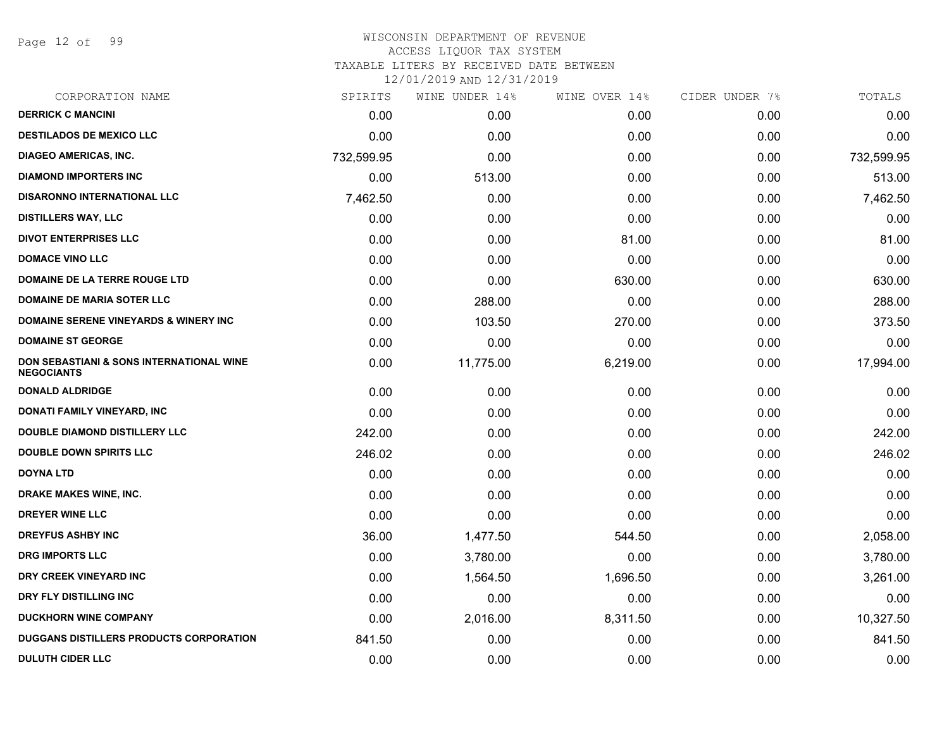Page 12 of 99

| CORPORATION NAME                                              | SPIRITS    | WINE UNDER 14% | WINE OVER 14% | CIDER UNDER 7% | TOTALS     |
|---------------------------------------------------------------|------------|----------------|---------------|----------------|------------|
| <b>DERRICK C MANCINI</b>                                      | 0.00       | 0.00           | 0.00          | 0.00           | 0.00       |
| <b>DESTILADOS DE MEXICO LLC</b>                               | 0.00       | 0.00           | 0.00          | 0.00           | 0.00       |
| <b>DIAGEO AMERICAS, INC.</b>                                  | 732,599.95 | 0.00           | 0.00          | 0.00           | 732,599.95 |
| <b>DIAMOND IMPORTERS INC</b>                                  | 0.00       | 513.00         | 0.00          | 0.00           | 513.00     |
| <b>DISARONNO INTERNATIONAL LLC</b>                            | 7,462.50   | 0.00           | 0.00          | 0.00           | 7,462.50   |
| <b>DISTILLERS WAY, LLC</b>                                    | 0.00       | 0.00           | 0.00          | 0.00           | 0.00       |
| <b>DIVOT ENTERPRISES LLC</b>                                  | 0.00       | 0.00           | 81.00         | 0.00           | 81.00      |
| <b>DOMACE VINO LLC</b>                                        | 0.00       | 0.00           | 0.00          | 0.00           | 0.00       |
| DOMAINE DE LA TERRE ROUGE LTD                                 | 0.00       | 0.00           | 630.00        | 0.00           | 630.00     |
| <b>DOMAINE DE MARIA SOTER LLC</b>                             | 0.00       | 288.00         | 0.00          | 0.00           | 288.00     |
| <b>DOMAINE SERENE VINEYARDS &amp; WINERY INC</b>              | 0.00       | 103.50         | 270.00        | 0.00           | 373.50     |
| <b>DOMAINE ST GEORGE</b>                                      | 0.00       | 0.00           | 0.00          | 0.00           | 0.00       |
| DON SEBASTIANI & SONS INTERNATIONAL WINE<br><b>NEGOCIANTS</b> | 0.00       | 11,775.00      | 6,219.00      | 0.00           | 17,994.00  |
| <b>DONALD ALDRIDGE</b>                                        | 0.00       | 0.00           | 0.00          | 0.00           | 0.00       |
| DONATI FAMILY VINEYARD, INC                                   | 0.00       | 0.00           | 0.00          | 0.00           | 0.00       |
| DOUBLE DIAMOND DISTILLERY LLC                                 | 242.00     | 0.00           | 0.00          | 0.00           | 242.00     |
| <b>DOUBLE DOWN SPIRITS LLC</b>                                | 246.02     | 0.00           | 0.00          | 0.00           | 246.02     |
| <b>DOYNA LTD</b>                                              | 0.00       | 0.00           | 0.00          | 0.00           | 0.00       |
| DRAKE MAKES WINE, INC.                                        | 0.00       | 0.00           | 0.00          | 0.00           | 0.00       |
| <b>DREYER WINE LLC</b>                                        | 0.00       | 0.00           | 0.00          | 0.00           | 0.00       |
| <b>DREYFUS ASHBY INC</b>                                      | 36.00      | 1,477.50       | 544.50        | 0.00           | 2,058.00   |
| <b>DRG IMPORTS LLC</b>                                        | 0.00       | 3,780.00       | 0.00          | 0.00           | 3,780.00   |
| DRY CREEK VINEYARD INC                                        | 0.00       | 1,564.50       | 1,696.50      | 0.00           | 3,261.00   |
| DRY FLY DISTILLING INC                                        | 0.00       | 0.00           | 0.00          | 0.00           | 0.00       |
| <b>DUCKHORN WINE COMPANY</b>                                  | 0.00       | 2,016.00       | 8,311.50      | 0.00           | 10,327.50  |
| DUGGANS DISTILLERS PRODUCTS CORPORATION                       | 841.50     | 0.00           | 0.00          | 0.00           | 841.50     |
| <b>DULUTH CIDER LLC</b>                                       | 0.00       | 0.00           | 0.00          | 0.00           | 0.00       |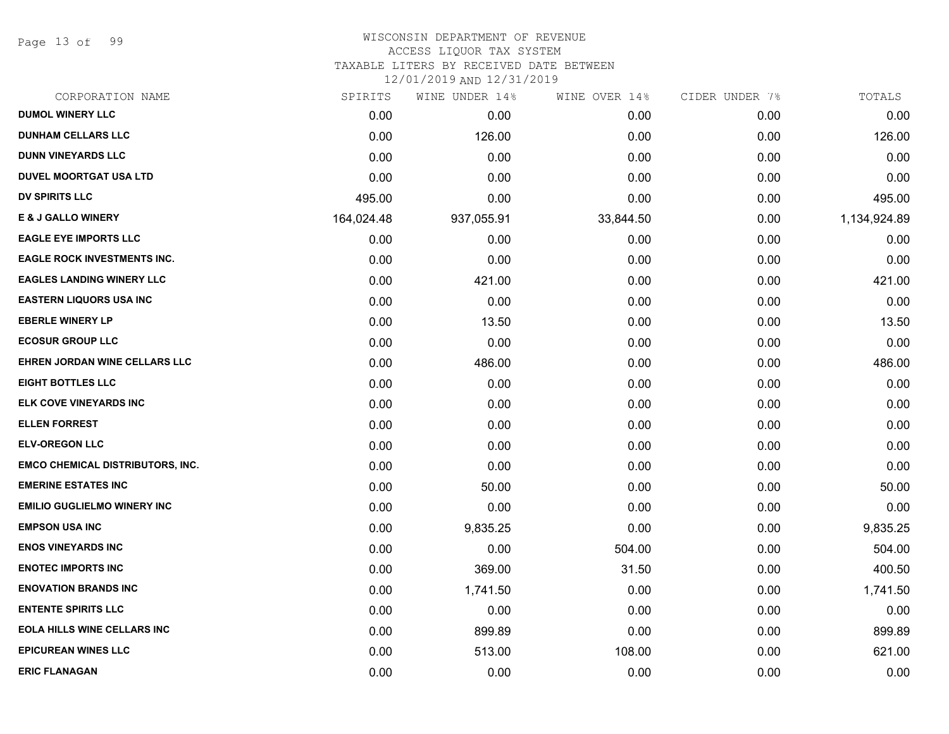Page 13 of 99

#### WISCONSIN DEPARTMENT OF REVENUE ACCESS LIQUOR TAX SYSTEM

TAXABLE LITERS BY RECEIVED DATE BETWEEN

| CORPORATION NAME                        | SPIRITS    | WINE UNDER 14% | WINE OVER 14% | CIDER UNDER 7% | TOTALS       |
|-----------------------------------------|------------|----------------|---------------|----------------|--------------|
| <b>DUMOL WINERY LLC</b>                 | 0.00       | 0.00           | 0.00          | 0.00           | 0.00         |
| <b>DUNHAM CELLARS LLC</b>               | 0.00       | 126.00         | 0.00          | 0.00           | 126.00       |
| <b>DUNN VINEYARDS LLC</b>               | 0.00       | 0.00           | 0.00          | 0.00           | 0.00         |
| <b>DUVEL MOORTGAT USA LTD</b>           | 0.00       | 0.00           | 0.00          | 0.00           | 0.00         |
| <b>DV SPIRITS LLC</b>                   | 495.00     | 0.00           | 0.00          | 0.00           | 495.00       |
| <b>E &amp; J GALLO WINERY</b>           | 164,024.48 | 937,055.91     | 33,844.50     | 0.00           | 1,134,924.89 |
| <b>EAGLE EYE IMPORTS LLC</b>            | 0.00       | 0.00           | 0.00          | 0.00           | 0.00         |
| <b>EAGLE ROCK INVESTMENTS INC.</b>      | 0.00       | 0.00           | 0.00          | 0.00           | 0.00         |
| <b>EAGLES LANDING WINERY LLC</b>        | 0.00       | 421.00         | 0.00          | 0.00           | 421.00       |
| <b>EASTERN LIQUORS USA INC</b>          | 0.00       | 0.00           | 0.00          | 0.00           | 0.00         |
| <b>EBERLE WINERY LP</b>                 | 0.00       | 13.50          | 0.00          | 0.00           | 13.50        |
| <b>ECOSUR GROUP LLC</b>                 | 0.00       | 0.00           | 0.00          | 0.00           | 0.00         |
| EHREN JORDAN WINE CELLARS LLC           | 0.00       | 486.00         | 0.00          | 0.00           | 486.00       |
| <b>EIGHT BOTTLES LLC</b>                | 0.00       | 0.00           | 0.00          | 0.00           | 0.00         |
| ELK COVE VINEYARDS INC                  | 0.00       | 0.00           | 0.00          | 0.00           | 0.00         |
| <b>ELLEN FORREST</b>                    | 0.00       | 0.00           | 0.00          | 0.00           | 0.00         |
| <b>ELV-OREGON LLC</b>                   | 0.00       | 0.00           | 0.00          | 0.00           | 0.00         |
| <b>EMCO CHEMICAL DISTRIBUTORS, INC.</b> | 0.00       | 0.00           | 0.00          | 0.00           | 0.00         |
| <b>EMERINE ESTATES INC</b>              | 0.00       | 50.00          | 0.00          | 0.00           | 50.00        |
| <b>EMILIO GUGLIELMO WINERY INC</b>      | 0.00       | 0.00           | 0.00          | 0.00           | 0.00         |
| <b>EMPSON USA INC</b>                   | 0.00       | 9,835.25       | 0.00          | 0.00           | 9,835.25     |
| <b>ENOS VINEYARDS INC</b>               | 0.00       | 0.00           | 504.00        | 0.00           | 504.00       |
| <b>ENOTEC IMPORTS INC</b>               | 0.00       | 369.00         | 31.50         | 0.00           | 400.50       |
| <b>ENOVATION BRANDS INC</b>             | 0.00       | 1,741.50       | 0.00          | 0.00           | 1,741.50     |
| <b>ENTENTE SPIRITS LLC</b>              | 0.00       | 0.00           | 0.00          | 0.00           | 0.00         |
| <b>EOLA HILLS WINE CELLARS INC</b>      | 0.00       | 899.89         | 0.00          | 0.00           | 899.89       |
| <b>EPICUREAN WINES LLC</b>              | 0.00       | 513.00         | 108.00        | 0.00           | 621.00       |
| <b>ERIC FLANAGAN</b>                    | 0.00       | 0.00           | 0.00          | 0.00           | 0.00         |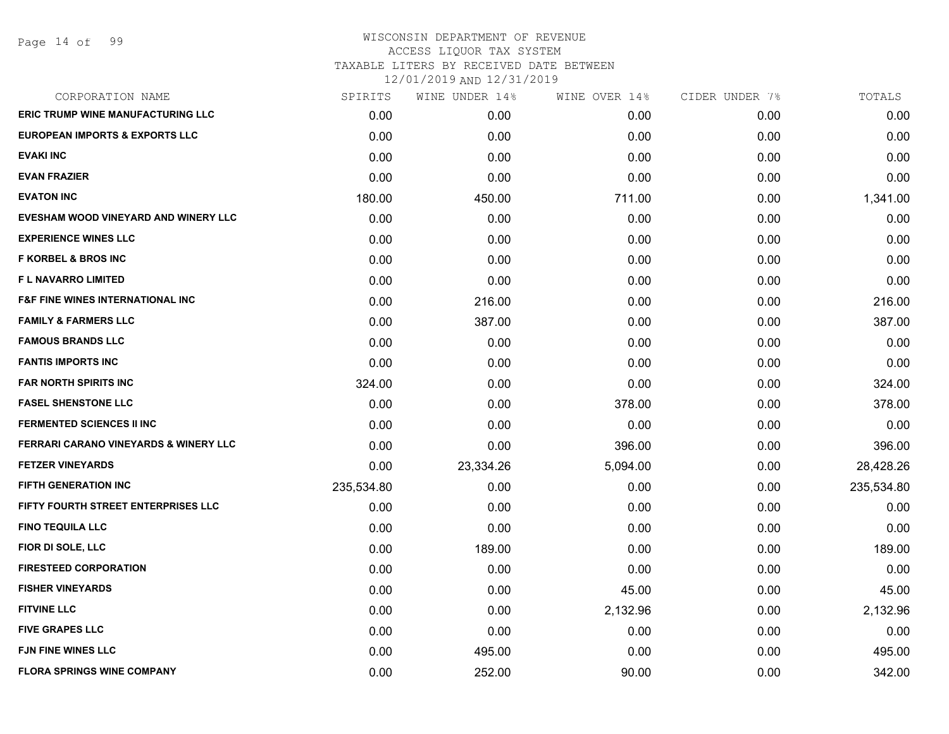Page 14 of 99

# WISCONSIN DEPARTMENT OF REVENUE ACCESS LIQUOR TAX SYSTEM TAXABLE LITERS BY RECEIVED DATE BETWEEN

| CORPORATION NAME                                 | SPIRITS    | WINE UNDER 14% | WINE OVER 14% | CIDER UNDER 7% | TOTALS     |
|--------------------------------------------------|------------|----------------|---------------|----------------|------------|
| <b>ERIC TRUMP WINE MANUFACTURING LLC</b>         | 0.00       | 0.00           | 0.00          | 0.00           | 0.00       |
| <b>EUROPEAN IMPORTS &amp; EXPORTS LLC</b>        | 0.00       | 0.00           | 0.00          | 0.00           | 0.00       |
| <b>EVAKI INC</b>                                 | 0.00       | 0.00           | 0.00          | 0.00           | 0.00       |
| <b>EVAN FRAZIER</b>                              | 0.00       | 0.00           | 0.00          | 0.00           | 0.00       |
| <b>EVATON INC</b>                                | 180.00     | 450.00         | 711.00        | 0.00           | 1,341.00   |
| EVESHAM WOOD VINEYARD AND WINERY LLC             | 0.00       | 0.00           | 0.00          | 0.00           | 0.00       |
| <b>EXPERIENCE WINES LLC</b>                      | 0.00       | 0.00           | 0.00          | 0.00           | 0.00       |
| <b>F KORBEL &amp; BROS INC</b>                   | 0.00       | 0.00           | 0.00          | 0.00           | 0.00       |
| <b>FL NAVARRO LIMITED</b>                        | 0.00       | 0.00           | 0.00          | 0.00           | 0.00       |
| <b>F&amp;F FINE WINES INTERNATIONAL INC</b>      | 0.00       | 216.00         | 0.00          | 0.00           | 216.00     |
| <b>FAMILY &amp; FARMERS LLC</b>                  | 0.00       | 387.00         | 0.00          | 0.00           | 387.00     |
| <b>FAMOUS BRANDS LLC</b>                         | 0.00       | 0.00           | 0.00          | 0.00           | 0.00       |
| <b>FANTIS IMPORTS INC</b>                        | 0.00       | 0.00           | 0.00          | 0.00           | 0.00       |
| FAR NORTH SPIRITS INC                            | 324.00     | 0.00           | 0.00          | 0.00           | 324.00     |
| <b>FASEL SHENSTONE LLC</b>                       | 0.00       | 0.00           | 378.00        | 0.00           | 378.00     |
| <b>FERMENTED SCIENCES II INC</b>                 | 0.00       | 0.00           | 0.00          | 0.00           | 0.00       |
| <b>FERRARI CARANO VINEYARDS &amp; WINERY LLC</b> | 0.00       | 0.00           | 396.00        | 0.00           | 396.00     |
| <b>FETZER VINEYARDS</b>                          | 0.00       | 23,334.26      | 5,094.00      | 0.00           | 28,428.26  |
| <b>FIFTH GENERATION INC</b>                      | 235,534.80 | 0.00           | 0.00          | 0.00           | 235,534.80 |
| FIFTY FOURTH STREET ENTERPRISES LLC              | 0.00       | 0.00           | 0.00          | 0.00           | 0.00       |
| <b>FINO TEQUILA LLC</b>                          | 0.00       | 0.00           | 0.00          | 0.00           | 0.00       |
| FIOR DI SOLE, LLC                                | 0.00       | 189.00         | 0.00          | 0.00           | 189.00     |
| <b>FIRESTEED CORPORATION</b>                     | 0.00       | 0.00           | 0.00          | 0.00           | 0.00       |
| <b>FISHER VINEYARDS</b>                          | 0.00       | 0.00           | 45.00         | 0.00           | 45.00      |
| <b>FITVINE LLC</b>                               | 0.00       | 0.00           | 2,132.96      | 0.00           | 2,132.96   |
| <b>FIVE GRAPES LLC</b>                           | 0.00       | 0.00           | 0.00          | 0.00           | 0.00       |
| <b>FJN FINE WINES LLC</b>                        | 0.00       | 495.00         | 0.00          | 0.00           | 495.00     |
| <b>FLORA SPRINGS WINE COMPANY</b>                | 0.00       | 252.00         | 90.00         | 0.00           | 342.00     |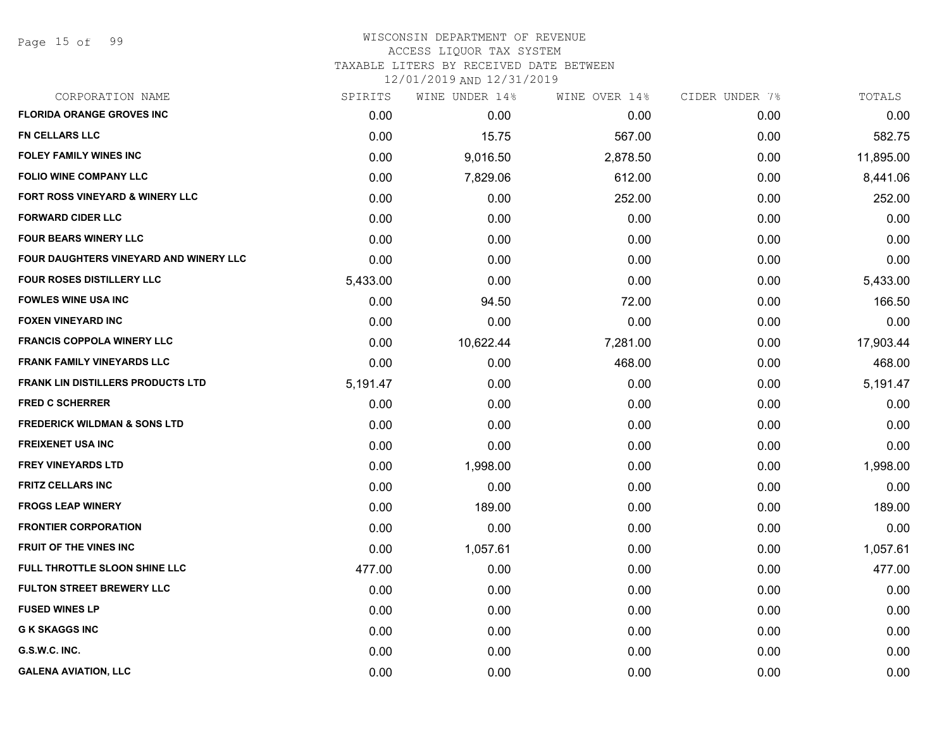# WISCONSIN DEPARTMENT OF REVENUE ACCESS LIQUOR TAX SYSTEM

TAXABLE LITERS BY RECEIVED DATE BETWEEN

| CORPORATION NAME                         | SPIRITS  | WINE UNDER 14% | WINE OVER 14% | CIDER UNDER 7% | TOTALS    |
|------------------------------------------|----------|----------------|---------------|----------------|-----------|
| <b>FLORIDA ORANGE GROVES INC</b>         | 0.00     | 0.00           | 0.00          | 0.00           | 0.00      |
| FN CELLARS LLC                           | 0.00     | 15.75          | 567.00        | 0.00           | 582.75    |
| <b>FOLEY FAMILY WINES INC</b>            | 0.00     | 9,016.50       | 2,878.50      | 0.00           | 11,895.00 |
| <b>FOLIO WINE COMPANY LLC</b>            | 0.00     | 7,829.06       | 612.00        | 0.00           | 8,441.06  |
| FORT ROSS VINEYARD & WINERY LLC          | 0.00     | 0.00           | 252.00        | 0.00           | 252.00    |
| <b>FORWARD CIDER LLC</b>                 | 0.00     | 0.00           | 0.00          | 0.00           | 0.00      |
| <b>FOUR BEARS WINERY LLC</b>             | 0.00     | 0.00           | 0.00          | 0.00           | 0.00      |
| FOUR DAUGHTERS VINEYARD AND WINERY LLC   | 0.00     | 0.00           | 0.00          | 0.00           | 0.00      |
| <b>FOUR ROSES DISTILLERY LLC</b>         | 5,433.00 | 0.00           | 0.00          | 0.00           | 5,433.00  |
| <b>FOWLES WINE USA INC</b>               | 0.00     | 94.50          | 72.00         | 0.00           | 166.50    |
| <b>FOXEN VINEYARD INC</b>                | 0.00     | 0.00           | 0.00          | 0.00           | 0.00      |
| <b>FRANCIS COPPOLA WINERY LLC</b>        | 0.00     | 10,622.44      | 7,281.00      | 0.00           | 17,903.44 |
| <b>FRANK FAMILY VINEYARDS LLC</b>        | 0.00     | 0.00           | 468.00        | 0.00           | 468.00    |
| <b>FRANK LIN DISTILLERS PRODUCTS LTD</b> | 5,191.47 | 0.00           | 0.00          | 0.00           | 5,191.47  |
| <b>FRED C SCHERRER</b>                   | 0.00     | 0.00           | 0.00          | 0.00           | 0.00      |
| <b>FREDERICK WILDMAN &amp; SONS LTD</b>  | 0.00     | 0.00           | 0.00          | 0.00           | 0.00      |
| <b>FREIXENET USA INC</b>                 | 0.00     | 0.00           | 0.00          | 0.00           | 0.00      |
| <b>FREY VINEYARDS LTD</b>                | 0.00     | 1,998.00       | 0.00          | 0.00           | 1,998.00  |
| <b>FRITZ CELLARS INC</b>                 | 0.00     | 0.00           | 0.00          | 0.00           | 0.00      |
| <b>FROGS LEAP WINERY</b>                 | 0.00     | 189.00         | 0.00          | 0.00           | 189.00    |
| <b>FRONTIER CORPORATION</b>              | 0.00     | 0.00           | 0.00          | 0.00           | 0.00      |
| FRUIT OF THE VINES INC                   | 0.00     | 1,057.61       | 0.00          | 0.00           | 1,057.61  |
| <b>FULL THROTTLE SLOON SHINE LLC</b>     | 477.00   | 0.00           | 0.00          | 0.00           | 477.00    |
| <b>FULTON STREET BREWERY LLC</b>         | 0.00     | 0.00           | 0.00          | 0.00           | 0.00      |
| <b>FUSED WINES LP</b>                    | 0.00     | 0.00           | 0.00          | 0.00           | 0.00      |
| <b>G K SKAGGS INC</b>                    | 0.00     | 0.00           | 0.00          | 0.00           | 0.00      |
| G.S.W.C. INC.                            | 0.00     | 0.00           | 0.00          | 0.00           | 0.00      |
| <b>GALENA AVIATION, LLC</b>              | 0.00     | 0.00           | 0.00          | 0.00           | 0.00      |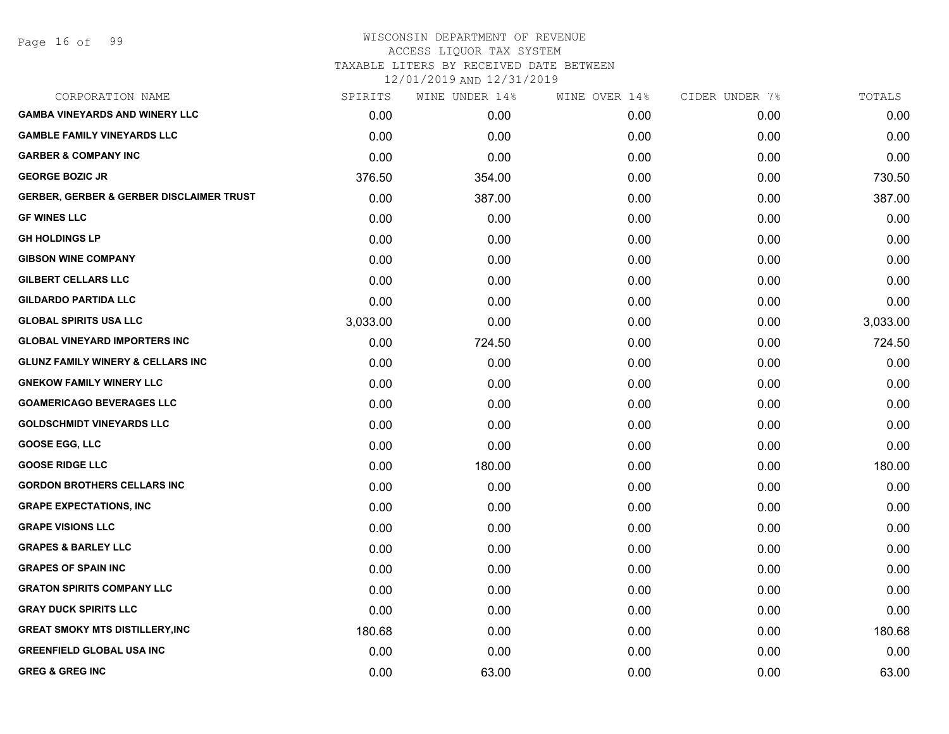#### WISCONSIN DEPARTMENT OF REVENUE ACCESS LIQUOR TAX SYSTEM TAXABLE LITERS BY RECEIVED DATE BETWEEN

| CORPORATION NAME                                    | SPIRITS  | WINE UNDER 14% | WINE OVER 14% | CIDER UNDER 7% | TOTALS   |
|-----------------------------------------------------|----------|----------------|---------------|----------------|----------|
| <b>GAMBA VINEYARDS AND WINERY LLC</b>               | 0.00     | 0.00           | 0.00          | 0.00           | 0.00     |
| <b>GAMBLE FAMILY VINEYARDS LLC</b>                  | 0.00     | 0.00           | 0.00          | 0.00           | 0.00     |
| <b>GARBER &amp; COMPANY INC</b>                     | 0.00     | 0.00           | 0.00          | 0.00           | 0.00     |
| <b>GEORGE BOZIC JR</b>                              | 376.50   | 354.00         | 0.00          | 0.00           | 730.50   |
| <b>GERBER, GERBER &amp; GERBER DISCLAIMER TRUST</b> | 0.00     | 387.00         | 0.00          | 0.00           | 387.00   |
| <b>GF WINES LLC</b>                                 | 0.00     | 0.00           | 0.00          | 0.00           | 0.00     |
| <b>GH HOLDINGS LP</b>                               | 0.00     | 0.00           | 0.00          | 0.00           | 0.00     |
| <b>GIBSON WINE COMPANY</b>                          | 0.00     | 0.00           | 0.00          | 0.00           | 0.00     |
| <b>GILBERT CELLARS LLC</b>                          | 0.00     | 0.00           | 0.00          | 0.00           | 0.00     |
| <b>GILDARDO PARTIDA LLC</b>                         | 0.00     | 0.00           | 0.00          | 0.00           | 0.00     |
| <b>GLOBAL SPIRITS USA LLC</b>                       | 3,033.00 | 0.00           | 0.00          | 0.00           | 3,033.00 |
| <b>GLOBAL VINEYARD IMPORTERS INC</b>                | 0.00     | 724.50         | 0.00          | 0.00           | 724.50   |
| <b>GLUNZ FAMILY WINERY &amp; CELLARS INC</b>        | 0.00     | 0.00           | 0.00          | 0.00           | 0.00     |
| <b>GNEKOW FAMILY WINERY LLC</b>                     | 0.00     | 0.00           | 0.00          | 0.00           | 0.00     |
| <b>GOAMERICAGO BEVERAGES LLC</b>                    | 0.00     | 0.00           | 0.00          | 0.00           | 0.00     |
| <b>GOLDSCHMIDT VINEYARDS LLC</b>                    | 0.00     | 0.00           | 0.00          | 0.00           | 0.00     |
| <b>GOOSE EGG, LLC</b>                               | 0.00     | 0.00           | 0.00          | 0.00           | 0.00     |
| <b>GOOSE RIDGE LLC</b>                              | 0.00     | 180.00         | 0.00          | 0.00           | 180.00   |
| <b>GORDON BROTHERS CELLARS INC</b>                  | 0.00     | 0.00           | 0.00          | 0.00           | 0.00     |
| <b>GRAPE EXPECTATIONS, INC</b>                      | 0.00     | 0.00           | 0.00          | 0.00           | 0.00     |
| <b>GRAPE VISIONS LLC</b>                            | 0.00     | 0.00           | 0.00          | 0.00           | 0.00     |
| <b>GRAPES &amp; BARLEY LLC</b>                      | 0.00     | 0.00           | 0.00          | 0.00           | 0.00     |
| <b>GRAPES OF SPAIN INC</b>                          | 0.00     | 0.00           | 0.00          | 0.00           | 0.00     |
| <b>GRATON SPIRITS COMPANY LLC</b>                   | 0.00     | 0.00           | 0.00          | 0.00           | 0.00     |
| <b>GRAY DUCK SPIRITS LLC</b>                        | 0.00     | 0.00           | 0.00          | 0.00           | 0.00     |
| <b>GREAT SMOKY MTS DISTILLERY, INC</b>              | 180.68   | 0.00           | 0.00          | 0.00           | 180.68   |
| <b>GREENFIELD GLOBAL USA INC</b>                    | 0.00     | 0.00           | 0.00          | 0.00           | 0.00     |
| <b>GREG &amp; GREG INC</b>                          | 0.00     | 63.00          | 0.00          | 0.00           | 63.00    |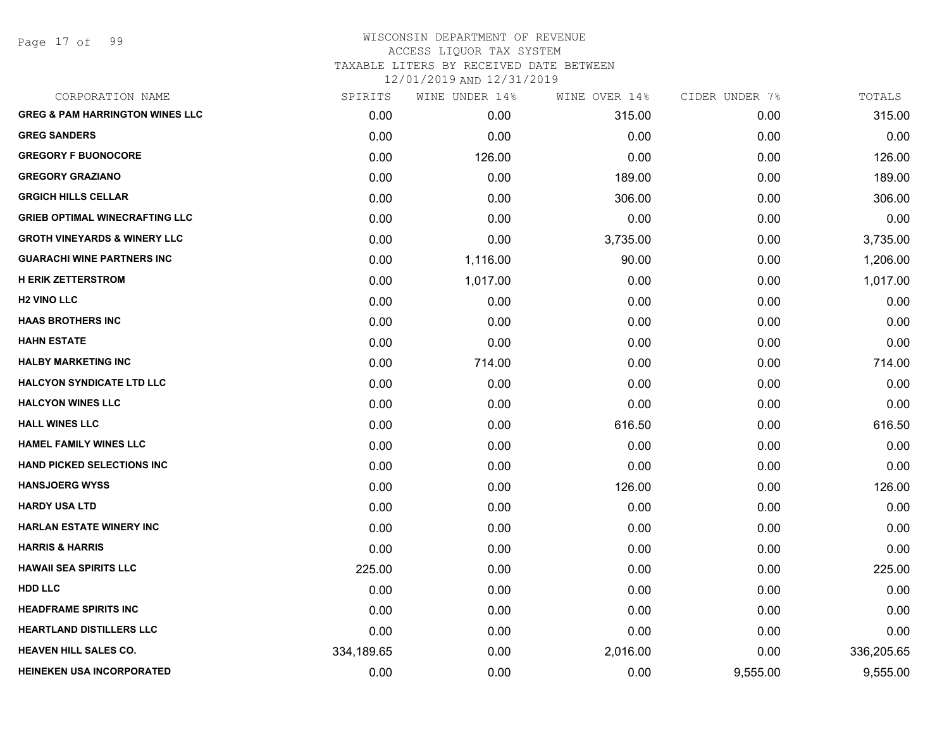Page 17 of 99

| CORPORATION NAME                           | SPIRITS    | WINE UNDER 14% | WINE OVER 14% | CIDER UNDER 7% | TOTALS     |
|--------------------------------------------|------------|----------------|---------------|----------------|------------|
| <b>GREG &amp; PAM HARRINGTON WINES LLC</b> | 0.00       | 0.00           | 315.00        | 0.00           | 315.00     |
| <b>GREG SANDERS</b>                        | 0.00       | 0.00           | 0.00          | 0.00           | 0.00       |
| <b>GREGORY F BUONOCORE</b>                 | 0.00       | 126.00         | 0.00          | 0.00           | 126.00     |
| <b>GREGORY GRAZIANO</b>                    | 0.00       | 0.00           | 189.00        | 0.00           | 189.00     |
| <b>GRGICH HILLS CELLAR</b>                 | 0.00       | 0.00           | 306.00        | 0.00           | 306.00     |
| <b>GRIEB OPTIMAL WINECRAFTING LLC</b>      | 0.00       | 0.00           | 0.00          | 0.00           | 0.00       |
| <b>GROTH VINEYARDS &amp; WINERY LLC</b>    | 0.00       | 0.00           | 3,735.00      | 0.00           | 3,735.00   |
| <b>GUARACHI WINE PARTNERS INC</b>          | 0.00       | 1,116.00       | 90.00         | 0.00           | 1,206.00   |
| <b>H ERIK ZETTERSTROM</b>                  | 0.00       | 1,017.00       | 0.00          | 0.00           | 1,017.00   |
| <b>H2 VINO LLC</b>                         | 0.00       | 0.00           | 0.00          | 0.00           | 0.00       |
| <b>HAAS BROTHERS INC</b>                   | 0.00       | 0.00           | 0.00          | 0.00           | 0.00       |
| <b>HAHN ESTATE</b>                         | 0.00       | 0.00           | 0.00          | 0.00           | 0.00       |
| <b>HALBY MARKETING INC</b>                 | 0.00       | 714.00         | 0.00          | 0.00           | 714.00     |
| <b>HALCYON SYNDICATE LTD LLC</b>           | 0.00       | 0.00           | 0.00          | 0.00           | 0.00       |
| <b>HALCYON WINES LLC</b>                   | 0.00       | 0.00           | 0.00          | 0.00           | 0.00       |
| <b>HALL WINES LLC</b>                      | 0.00       | 0.00           | 616.50        | 0.00           | 616.50     |
| <b>HAMEL FAMILY WINES LLC</b>              | 0.00       | 0.00           | 0.00          | 0.00           | 0.00       |
| <b>HAND PICKED SELECTIONS INC</b>          | 0.00       | 0.00           | 0.00          | 0.00           | 0.00       |
| <b>HANSJOERG WYSS</b>                      | 0.00       | 0.00           | 126.00        | 0.00           | 126.00     |
| <b>HARDY USA LTD</b>                       | 0.00       | 0.00           | 0.00          | 0.00           | 0.00       |
| <b>HARLAN ESTATE WINERY INC</b>            | 0.00       | 0.00           | 0.00          | 0.00           | 0.00       |
| <b>HARRIS &amp; HARRIS</b>                 | 0.00       | 0.00           | 0.00          | 0.00           | 0.00       |
| <b>HAWAII SEA SPIRITS LLC</b>              | 225.00     | 0.00           | 0.00          | 0.00           | 225.00     |
| <b>HDD LLC</b>                             | 0.00       | 0.00           | 0.00          | 0.00           | 0.00       |
| <b>HEADFRAME SPIRITS INC</b>               | 0.00       | 0.00           | 0.00          | 0.00           | 0.00       |
| <b>HEARTLAND DISTILLERS LLC</b>            | 0.00       | 0.00           | 0.00          | 0.00           | 0.00       |
| <b>HEAVEN HILL SALES CO.</b>               | 334,189.65 | 0.00           | 2,016.00      | 0.00           | 336,205.65 |
| <b>HEINEKEN USA INCORPORATED</b>           | 0.00       | 0.00           | 0.00          | 9,555.00       | 9,555.00   |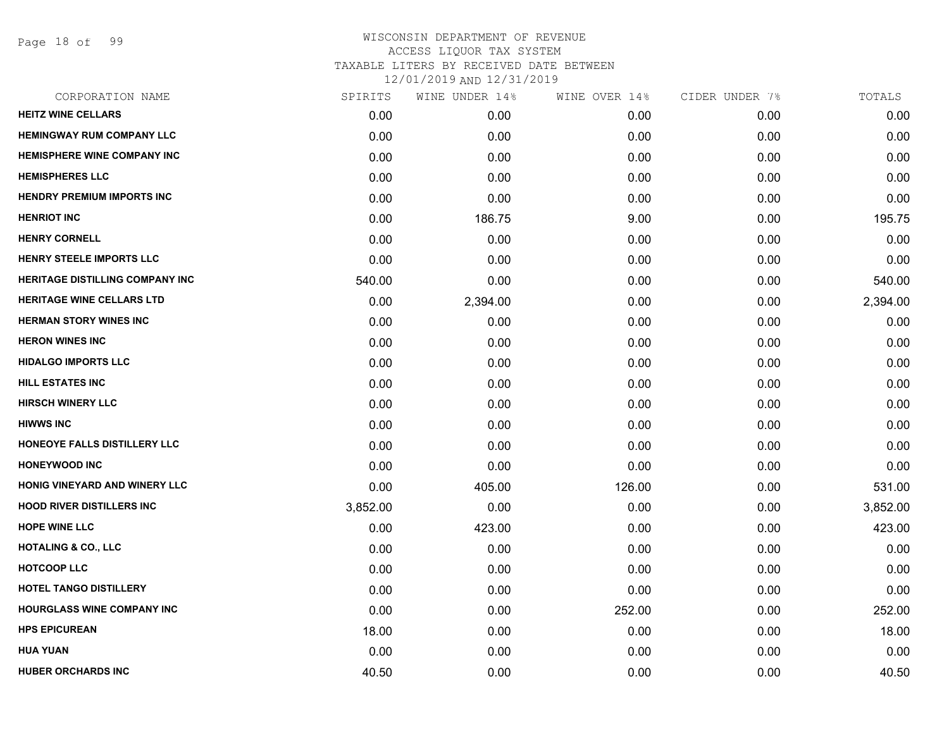Page 18 of 99

| CORPORATION NAME                       | SPIRITS  | WINE UNDER 14% | WINE OVER 14% | CIDER UNDER 7% | TOTALS   |
|----------------------------------------|----------|----------------|---------------|----------------|----------|
| <b>HEITZ WINE CELLARS</b>              | 0.00     | 0.00           | 0.00          | 0.00           | 0.00     |
| <b>HEMINGWAY RUM COMPANY LLC</b>       | 0.00     | 0.00           | 0.00          | 0.00           | 0.00     |
| <b>HEMISPHERE WINE COMPANY INC</b>     | 0.00     | 0.00           | 0.00          | 0.00           | 0.00     |
| <b>HEMISPHERES LLC</b>                 | 0.00     | 0.00           | 0.00          | 0.00           | 0.00     |
| <b>HENDRY PREMIUM IMPORTS INC</b>      | 0.00     | 0.00           | 0.00          | 0.00           | 0.00     |
| <b>HENRIOT INC</b>                     | 0.00     | 186.75         | 9.00          | 0.00           | 195.75   |
| <b>HENRY CORNELL</b>                   | 0.00     | 0.00           | 0.00          | 0.00           | 0.00     |
| <b>HENRY STEELE IMPORTS LLC</b>        | 0.00     | 0.00           | 0.00          | 0.00           | 0.00     |
| <b>HERITAGE DISTILLING COMPANY INC</b> | 540.00   | 0.00           | 0.00          | 0.00           | 540.00   |
| HERITAGE WINE CELLARS LTD              | 0.00     | 2,394.00       | 0.00          | 0.00           | 2,394.00 |
| <b>HERMAN STORY WINES INC</b>          | 0.00     | 0.00           | 0.00          | 0.00           | 0.00     |
| <b>HERON WINES INC</b>                 | 0.00     | 0.00           | 0.00          | 0.00           | 0.00     |
| <b>HIDALGO IMPORTS LLC</b>             | 0.00     | 0.00           | 0.00          | 0.00           | 0.00     |
| HILL ESTATES INC                       | 0.00     | 0.00           | 0.00          | 0.00           | 0.00     |
| <b>HIRSCH WINERY LLC</b>               | 0.00     | 0.00           | 0.00          | 0.00           | 0.00     |
| <b>HIWWS INC</b>                       | 0.00     | 0.00           | 0.00          | 0.00           | 0.00     |
| HONEOYE FALLS DISTILLERY LLC           | 0.00     | 0.00           | 0.00          | 0.00           | 0.00     |
| <b>HONEYWOOD INC</b>                   | 0.00     | 0.00           | 0.00          | 0.00           | 0.00     |
| HONIG VINEYARD AND WINERY LLC          | 0.00     | 405.00         | 126.00        | 0.00           | 531.00   |
| <b>HOOD RIVER DISTILLERS INC</b>       | 3,852.00 | 0.00           | 0.00          | 0.00           | 3,852.00 |
| <b>HOPE WINE LLC</b>                   | 0.00     | 423.00         | 0.00          | 0.00           | 423.00   |
| <b>HOTALING &amp; CO., LLC</b>         | 0.00     | 0.00           | 0.00          | 0.00           | 0.00     |
| <b>HOTCOOP LLC</b>                     | 0.00     | 0.00           | 0.00          | 0.00           | 0.00     |
| <b>HOTEL TANGO DISTILLERY</b>          | 0.00     | 0.00           | 0.00          | 0.00           | 0.00     |
| <b>HOURGLASS WINE COMPANY INC</b>      | 0.00     | 0.00           | 252.00        | 0.00           | 252.00   |
| <b>HPS EPICUREAN</b>                   | 18.00    | 0.00           | 0.00          | 0.00           | 18.00    |
| <b>HUA YUAN</b>                        | 0.00     | 0.00           | 0.00          | 0.00           | 0.00     |
| <b>HUBER ORCHARDS INC</b>              | 40.50    | 0.00           | 0.00          | 0.00           | 40.50    |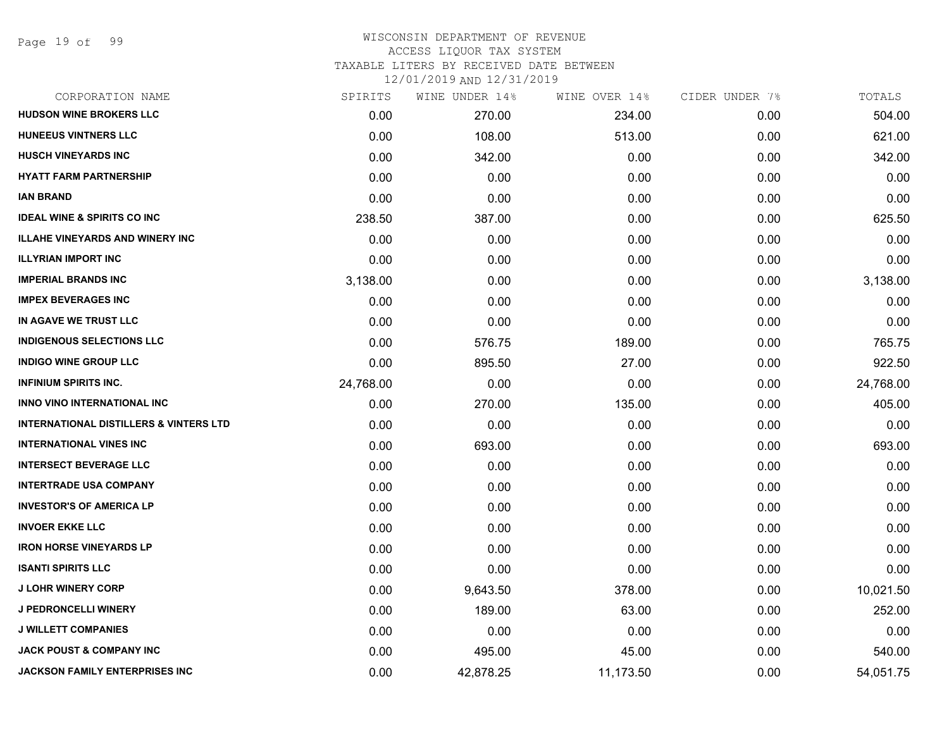Page 19 of 99

#### WISCONSIN DEPARTMENT OF REVENUE ACCESS LIQUOR TAX SYSTEM TAXABLE LITERS BY RECEIVED DATE BETWEEN

| CORPORATION NAME                                  | SPIRITS   | WINE UNDER 14% | WINE OVER 14% | CIDER UNDER 7% | TOTALS    |
|---------------------------------------------------|-----------|----------------|---------------|----------------|-----------|
| <b>HUDSON WINE BROKERS LLC</b>                    | 0.00      | 270.00         | 234.00        | 0.00           | 504.00    |
| <b>HUNEEUS VINTNERS LLC</b>                       | 0.00      | 108.00         | 513.00        | 0.00           | 621.00    |
| <b>HUSCH VINEYARDS INC</b>                        | 0.00      | 342.00         | 0.00          | 0.00           | 342.00    |
| <b>HYATT FARM PARTNERSHIP</b>                     | 0.00      | 0.00           | 0.00          | 0.00           | 0.00      |
| <b>IAN BRAND</b>                                  | 0.00      | 0.00           | 0.00          | 0.00           | 0.00      |
| <b>IDEAL WINE &amp; SPIRITS CO INC</b>            | 238.50    | 387.00         | 0.00          | 0.00           | 625.50    |
| <b>ILLAHE VINEYARDS AND WINERY INC</b>            | 0.00      | 0.00           | 0.00          | 0.00           | 0.00      |
| <b>ILLYRIAN IMPORT INC</b>                        | 0.00      | 0.00           | 0.00          | 0.00           | 0.00      |
| <b>IMPERIAL BRANDS INC</b>                        | 3,138.00  | 0.00           | 0.00          | 0.00           | 3,138.00  |
| <b>IMPEX BEVERAGES INC</b>                        | 0.00      | 0.00           | 0.00          | 0.00           | 0.00      |
| IN AGAVE WE TRUST LLC                             | 0.00      | 0.00           | 0.00          | 0.00           | 0.00      |
| <b>INDIGENOUS SELECTIONS LLC</b>                  | 0.00      | 576.75         | 189.00        | 0.00           | 765.75    |
| <b>INDIGO WINE GROUP LLC</b>                      | 0.00      | 895.50         | 27.00         | 0.00           | 922.50    |
| <b>INFINIUM SPIRITS INC.</b>                      | 24,768.00 | 0.00           | 0.00          | 0.00           | 24,768.00 |
| INNO VINO INTERNATIONAL INC                       | 0.00      | 270.00         | 135.00        | 0.00           | 405.00    |
| <b>INTERNATIONAL DISTILLERS &amp; VINTERS LTD</b> | 0.00      | 0.00           | 0.00          | 0.00           | 0.00      |
| <b>INTERNATIONAL VINES INC</b>                    | 0.00      | 693.00         | 0.00          | 0.00           | 693.00    |
| <b>INTERSECT BEVERAGE LLC</b>                     | 0.00      | 0.00           | 0.00          | 0.00           | 0.00      |
| <b>INTERTRADE USA COMPANY</b>                     | 0.00      | 0.00           | 0.00          | 0.00           | 0.00      |
| <b>INVESTOR'S OF AMERICA LP</b>                   | 0.00      | 0.00           | 0.00          | 0.00           | 0.00      |
| <b>INVOER EKKE LLC</b>                            | 0.00      | 0.00           | 0.00          | 0.00           | 0.00      |
| <b>IRON HORSE VINEYARDS LP</b>                    | 0.00      | 0.00           | 0.00          | 0.00           | 0.00      |
| <b>ISANTI SPIRITS LLC</b>                         | 0.00      | 0.00           | 0.00          | 0.00           | 0.00      |
| <b>J LOHR WINERY CORP</b>                         | 0.00      | 9,643.50       | 378.00        | 0.00           | 10,021.50 |
| <b>J PEDRONCELLI WINERY</b>                       | 0.00      | 189.00         | 63.00         | 0.00           | 252.00    |
| <b>J WILLETT COMPANIES</b>                        | 0.00      | 0.00           | 0.00          | 0.00           | 0.00      |
| <b>JACK POUST &amp; COMPANY INC</b>               | 0.00      | 495.00         | 45.00         | 0.00           | 540.00    |
| <b>JACKSON FAMILY ENTERPRISES INC</b>             | 0.00      | 42,878.25      | 11,173.50     | 0.00           | 54,051.75 |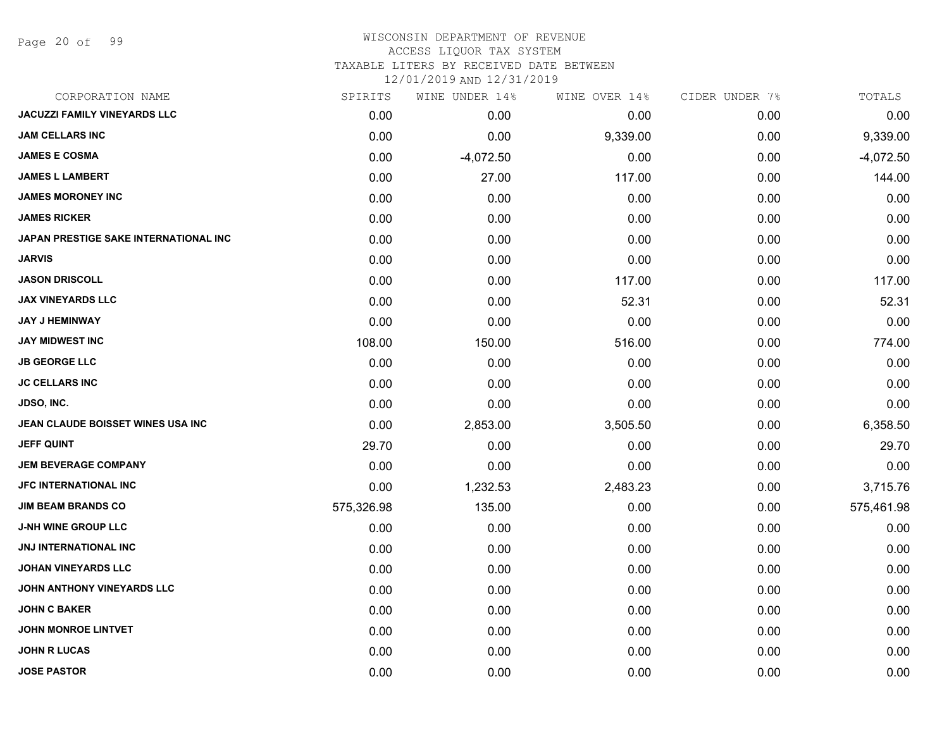Page 20 of 99

#### WISCONSIN DEPARTMENT OF REVENUE ACCESS LIQUOR TAX SYSTEM

TAXABLE LITERS BY RECEIVED DATE BETWEEN

| CORPORATION NAME                      | SPIRITS    | WINE UNDER 14% | WINE OVER 14% | CIDER UNDER 7% | TOTALS      |
|---------------------------------------|------------|----------------|---------------|----------------|-------------|
| <b>JACUZZI FAMILY VINEYARDS LLC</b>   | 0.00       | 0.00           | 0.00          | 0.00           | 0.00        |
| <b>JAM CELLARS INC</b>                | 0.00       | 0.00           | 9,339.00      | 0.00           | 9,339.00    |
| <b>JAMES E COSMA</b>                  | 0.00       | $-4,072.50$    | 0.00          | 0.00           | $-4,072.50$ |
| <b>JAMES L LAMBERT</b>                | 0.00       | 27.00          | 117.00        | 0.00           | 144.00      |
| <b>JAMES MORONEY INC</b>              | 0.00       | 0.00           | 0.00          | 0.00           | 0.00        |
| <b>JAMES RICKER</b>                   | 0.00       | 0.00           | 0.00          | 0.00           | 0.00        |
| JAPAN PRESTIGE SAKE INTERNATIONAL INC | 0.00       | 0.00           | 0.00          | 0.00           | 0.00        |
| <b>JARVIS</b>                         | 0.00       | 0.00           | 0.00          | 0.00           | 0.00        |
| <b>JASON DRISCOLL</b>                 | 0.00       | 0.00           | 117.00        | 0.00           | 117.00      |
| <b>JAX VINEYARDS LLC</b>              | 0.00       | 0.00           | 52.31         | 0.00           | 52.31       |
| JAY J HEMINWAY                        | 0.00       | 0.00           | 0.00          | 0.00           | 0.00        |
| <b>JAY MIDWEST INC</b>                | 108.00     | 150.00         | 516.00        | 0.00           | 774.00      |
| <b>JB GEORGE LLC</b>                  | 0.00       | 0.00           | 0.00          | 0.00           | 0.00        |
| <b>JC CELLARS INC</b>                 | 0.00       | 0.00           | 0.00          | 0.00           | 0.00        |
| JDSO, INC.                            | 0.00       | 0.00           | 0.00          | 0.00           | 0.00        |
| JEAN CLAUDE BOISSET WINES USA INC     | 0.00       | 2,853.00       | 3,505.50      | 0.00           | 6,358.50    |
| <b>JEFF QUINT</b>                     | 29.70      | 0.00           | 0.00          | 0.00           | 29.70       |
| <b>JEM BEVERAGE COMPANY</b>           | 0.00       | 0.00           | 0.00          | 0.00           | 0.00        |
| JFC INTERNATIONAL INC                 | 0.00       | 1,232.53       | 2,483.23      | 0.00           | 3,715.76    |
| <b>JIM BEAM BRANDS CO</b>             | 575,326.98 | 135.00         | 0.00          | 0.00           | 575,461.98  |
| <b>J-NH WINE GROUP LLC</b>            | 0.00       | 0.00           | 0.00          | 0.00           | 0.00        |
| JNJ INTERNATIONAL INC                 | 0.00       | 0.00           | 0.00          | 0.00           | 0.00        |
| <b>JOHAN VINEYARDS LLC</b>            | 0.00       | 0.00           | 0.00          | 0.00           | 0.00        |
| JOHN ANTHONY VINEYARDS LLC            | 0.00       | 0.00           | 0.00          | 0.00           | 0.00        |
| <b>JOHN C BAKER</b>                   | 0.00       | 0.00           | 0.00          | 0.00           | 0.00        |
| <b>JOHN MONROE LINTVET</b>            | 0.00       | 0.00           | 0.00          | 0.00           | 0.00        |
| <b>JOHN R LUCAS</b>                   | 0.00       | 0.00           | 0.00          | 0.00           | 0.00        |
| <b>JOSE PASTOR</b>                    | 0.00       | 0.00           | 0.00          | 0.00           | 0.00        |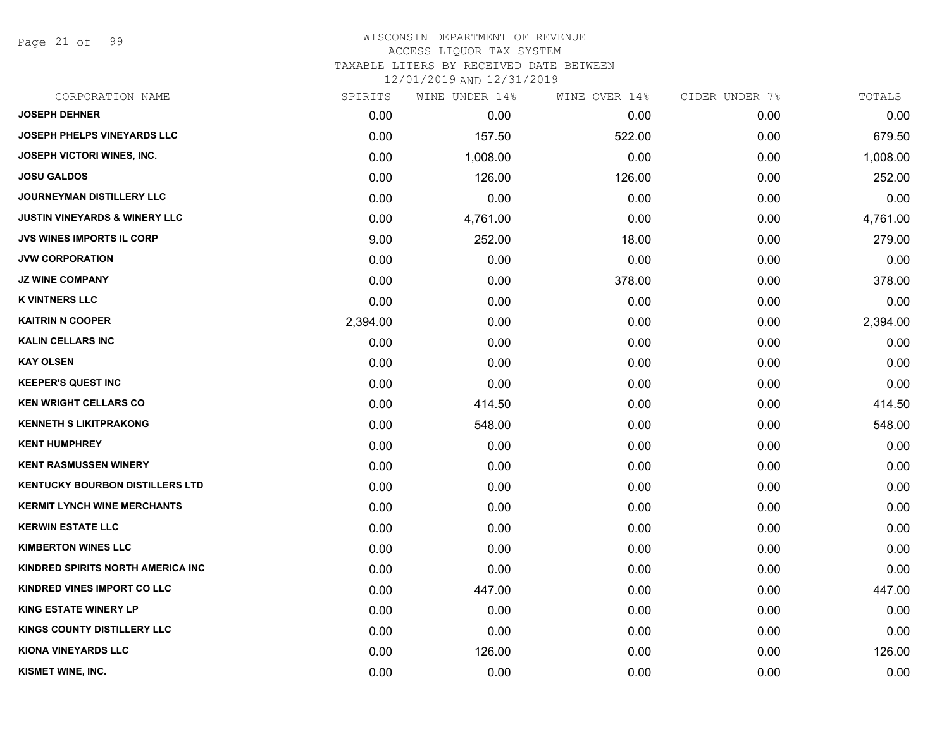Page 21 of 99

| CORPORATION NAME                         | SPIRITS  | WINE UNDER 14% | WINE OVER 14% | CIDER UNDER 7% | TOTALS   |
|------------------------------------------|----------|----------------|---------------|----------------|----------|
| <b>JOSEPH DEHNER</b>                     | 0.00     | 0.00           | 0.00          | 0.00           | 0.00     |
| <b>JOSEPH PHELPS VINEYARDS LLC</b>       | 0.00     | 157.50         | 522.00        | 0.00           | 679.50   |
| JOSEPH VICTORI WINES, INC.               | 0.00     | 1,008.00       | 0.00          | 0.00           | 1,008.00 |
| <b>JOSU GALDOS</b>                       | 0.00     | 126.00         | 126.00        | 0.00           | 252.00   |
| <b>JOURNEYMAN DISTILLERY LLC</b>         | 0.00     | 0.00           | 0.00          | 0.00           | 0.00     |
| <b>JUSTIN VINEYARDS &amp; WINERY LLC</b> | 0.00     | 4,761.00       | 0.00          | 0.00           | 4,761.00 |
| JVS WINES IMPORTS IL CORP                | 9.00     | 252.00         | 18.00         | 0.00           | 279.00   |
| <b>JVW CORPORATION</b>                   | 0.00     | 0.00           | 0.00          | 0.00           | 0.00     |
| <b>JZ WINE COMPANY</b>                   | 0.00     | 0.00           | 378.00        | 0.00           | 378.00   |
| <b>K VINTNERS LLC</b>                    | 0.00     | 0.00           | 0.00          | 0.00           | 0.00     |
| <b>KAITRIN N COOPER</b>                  | 2,394.00 | 0.00           | 0.00          | 0.00           | 2,394.00 |
| <b>KALIN CELLARS INC</b>                 | 0.00     | 0.00           | 0.00          | 0.00           | 0.00     |
| <b>KAY OLSEN</b>                         | 0.00     | 0.00           | 0.00          | 0.00           | 0.00     |
| <b>KEEPER'S QUEST INC</b>                | 0.00     | 0.00           | 0.00          | 0.00           | 0.00     |
| <b>KEN WRIGHT CELLARS CO</b>             | 0.00     | 414.50         | 0.00          | 0.00           | 414.50   |
| <b>KENNETH S LIKITPRAKONG</b>            | 0.00     | 548.00         | 0.00          | 0.00           | 548.00   |
| <b>KENT HUMPHREY</b>                     | 0.00     | 0.00           | 0.00          | 0.00           | 0.00     |
| <b>KENT RASMUSSEN WINERY</b>             | 0.00     | 0.00           | 0.00          | 0.00           | 0.00     |
| <b>KENTUCKY BOURBON DISTILLERS LTD</b>   | 0.00     | 0.00           | 0.00          | 0.00           | 0.00     |
| <b>KERMIT LYNCH WINE MERCHANTS</b>       | 0.00     | 0.00           | 0.00          | 0.00           | 0.00     |
| <b>KERWIN ESTATE LLC</b>                 | 0.00     | 0.00           | 0.00          | 0.00           | 0.00     |
| <b>KIMBERTON WINES LLC</b>               | 0.00     | 0.00           | 0.00          | 0.00           | 0.00     |
| KINDRED SPIRITS NORTH AMERICA INC        | 0.00     | 0.00           | 0.00          | 0.00           | 0.00     |
| <b>KINDRED VINES IMPORT CO LLC</b>       | 0.00     | 447.00         | 0.00          | 0.00           | 447.00   |
| <b>KING ESTATE WINERY LP</b>             | 0.00     | 0.00           | 0.00          | 0.00           | 0.00     |
| KINGS COUNTY DISTILLERY LLC              | 0.00     | 0.00           | 0.00          | 0.00           | 0.00     |
| <b>KIONA VINEYARDS LLC</b>               | 0.00     | 126.00         | 0.00          | 0.00           | 126.00   |
| KISMET WINE, INC.                        | 0.00     | 0.00           | 0.00          | 0.00           | 0.00     |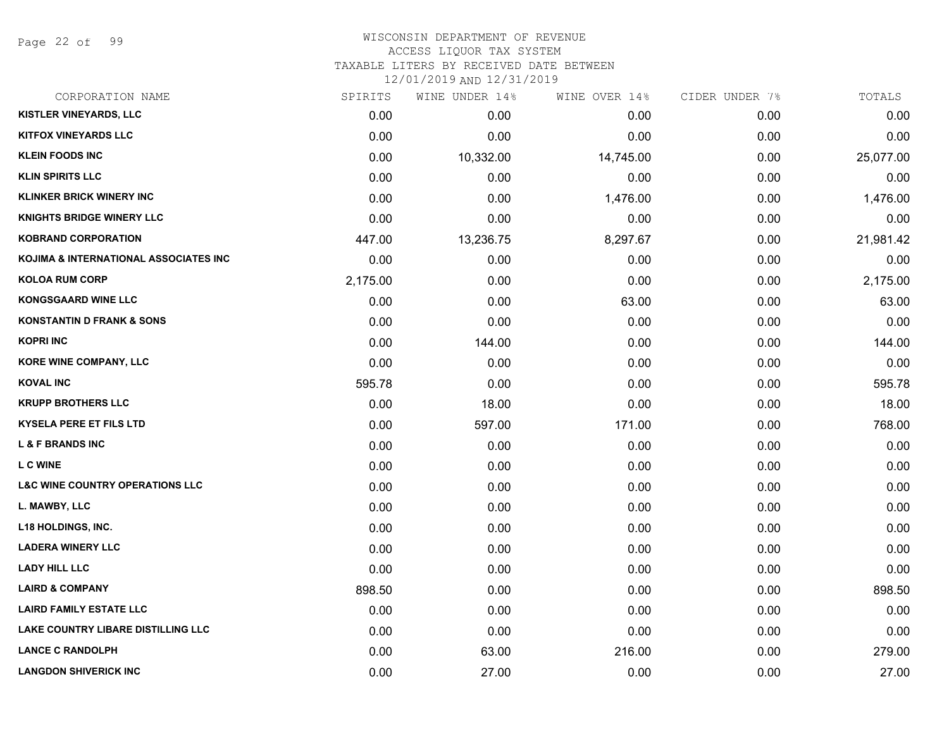Page 22 of 99

#### WISCONSIN DEPARTMENT OF REVENUE ACCESS LIQUOR TAX SYSTEM TAXABLE LITERS BY RECEIVED DATE BETWEEN

| CORPORATION NAME                           | SPIRITS  | WINE UNDER 14% | WINE OVER 14% | CIDER UNDER 7% | TOTALS    |
|--------------------------------------------|----------|----------------|---------------|----------------|-----------|
| KISTLER VINEYARDS, LLC                     | 0.00     | 0.00           | 0.00          | 0.00           | 0.00      |
| <b>KITFOX VINEYARDS LLC</b>                | 0.00     | 0.00           | 0.00          | 0.00           | 0.00      |
| <b>KLEIN FOODS INC</b>                     | 0.00     | 10,332.00      | 14,745.00     | 0.00           | 25,077.00 |
| <b>KLIN SPIRITS LLC</b>                    | 0.00     | 0.00           | 0.00          | 0.00           | 0.00      |
| <b>KLINKER BRICK WINERY INC</b>            | 0.00     | 0.00           | 1,476.00      | 0.00           | 1,476.00  |
| <b>KNIGHTS BRIDGE WINERY LLC</b>           | 0.00     | 0.00           | 0.00          | 0.00           | 0.00      |
| <b>KOBRAND CORPORATION</b>                 | 447.00   | 13,236.75      | 8,297.67      | 0.00           | 21,981.42 |
| KOJIMA & INTERNATIONAL ASSOCIATES INC      | 0.00     | 0.00           | 0.00          | 0.00           | 0.00      |
| <b>KOLOA RUM CORP</b>                      | 2,175.00 | 0.00           | 0.00          | 0.00           | 2,175.00  |
| <b>KONGSGAARD WINE LLC</b>                 | 0.00     | 0.00           | 63.00         | 0.00           | 63.00     |
| <b>KONSTANTIN D FRANK &amp; SONS</b>       | 0.00     | 0.00           | 0.00          | 0.00           | 0.00      |
| <b>KOPRI INC</b>                           | 0.00     | 144.00         | 0.00          | 0.00           | 144.00    |
| KORE WINE COMPANY, LLC                     | 0.00     | 0.00           | 0.00          | 0.00           | 0.00      |
| <b>KOVAL INC</b>                           | 595.78   | 0.00           | 0.00          | 0.00           | 595.78    |
| <b>KRUPP BROTHERS LLC</b>                  | 0.00     | 18.00          | 0.00          | 0.00           | 18.00     |
| <b>KYSELA PERE ET FILS LTD</b>             | 0.00     | 597.00         | 171.00        | 0.00           | 768.00    |
| <b>L &amp; F BRANDS INC</b>                | 0.00     | 0.00           | 0.00          | 0.00           | 0.00      |
| <b>LC WINE</b>                             | 0.00     | 0.00           | 0.00          | 0.00           | 0.00      |
| <b>L&amp;C WINE COUNTRY OPERATIONS LLC</b> | 0.00     | 0.00           | 0.00          | 0.00           | 0.00      |
| L. MAWBY, LLC                              | 0.00     | 0.00           | 0.00          | 0.00           | 0.00      |
| <b>L18 HOLDINGS, INC.</b>                  | 0.00     | 0.00           | 0.00          | 0.00           | 0.00      |
| <b>LADERA WINERY LLC</b>                   | 0.00     | 0.00           | 0.00          | 0.00           | 0.00      |
| <b>LADY HILL LLC</b>                       | 0.00     | 0.00           | 0.00          | 0.00           | 0.00      |
| <b>LAIRD &amp; COMPANY</b>                 | 898.50   | 0.00           | 0.00          | 0.00           | 898.50    |
| <b>LAIRD FAMILY ESTATE LLC</b>             | 0.00     | 0.00           | 0.00          | 0.00           | 0.00      |
| LAKE COUNTRY LIBARE DISTILLING LLC         | 0.00     | 0.00           | 0.00          | 0.00           | 0.00      |
| <b>LANCE C RANDOLPH</b>                    | 0.00     | 63.00          | 216.00        | 0.00           | 279.00    |
| <b>LANGDON SHIVERICK INC</b>               | 0.00     | 27.00          | 0.00          | 0.00           | 27.00     |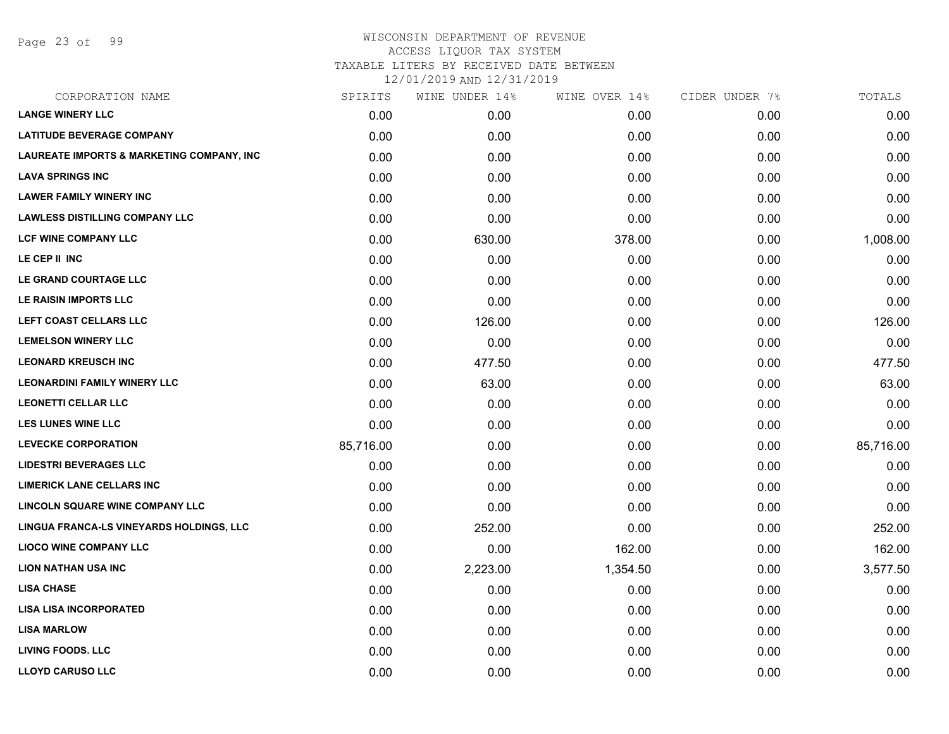Page 23 of 99

#### WISCONSIN DEPARTMENT OF REVENUE ACCESS LIQUOR TAX SYSTEM TAXABLE LITERS BY RECEIVED DATE BETWEEN

| CORPORATION NAME                                     | SPIRITS   | WINE UNDER 14% | WINE OVER 14% | CIDER UNDER 7% | TOTALS    |
|------------------------------------------------------|-----------|----------------|---------------|----------------|-----------|
| <b>LANGE WINERY LLC</b>                              | 0.00      | 0.00           | 0.00          | 0.00           | 0.00      |
| <b>LATITUDE BEVERAGE COMPANY</b>                     | 0.00      | 0.00           | 0.00          | 0.00           | 0.00      |
| <b>LAUREATE IMPORTS &amp; MARKETING COMPANY, INC</b> | 0.00      | 0.00           | 0.00          | 0.00           | 0.00      |
| <b>LAVA SPRINGS INC</b>                              | 0.00      | 0.00           | 0.00          | 0.00           | 0.00      |
| <b>LAWER FAMILY WINERY INC</b>                       | 0.00      | 0.00           | 0.00          | 0.00           | 0.00      |
| <b>LAWLESS DISTILLING COMPANY LLC</b>                | 0.00      | 0.00           | 0.00          | 0.00           | 0.00      |
| <b>LCF WINE COMPANY LLC</b>                          | 0.00      | 630.00         | 378.00        | 0.00           | 1,008.00  |
| LE CEP II INC                                        | 0.00      | 0.00           | 0.00          | 0.00           | 0.00      |
| LE GRAND COURTAGE LLC                                | 0.00      | 0.00           | 0.00          | 0.00           | 0.00      |
| LE RAISIN IMPORTS LLC                                | 0.00      | 0.00           | 0.00          | 0.00           | 0.00      |
| LEFT COAST CELLARS LLC                               | 0.00      | 126.00         | 0.00          | 0.00           | 126.00    |
| <b>LEMELSON WINERY LLC</b>                           | 0.00      | 0.00           | 0.00          | 0.00           | 0.00      |
| <b>LEONARD KREUSCH INC</b>                           | 0.00      | 477.50         | 0.00          | 0.00           | 477.50    |
| <b>LEONARDINI FAMILY WINERY LLC</b>                  | 0.00      | 63.00          | 0.00          | 0.00           | 63.00     |
| <b>LEONETTI CELLAR LLC</b>                           | 0.00      | 0.00           | 0.00          | 0.00           | 0.00      |
| <b>LES LUNES WINE LLC</b>                            | 0.00      | 0.00           | 0.00          | 0.00           | 0.00      |
| <b>LEVECKE CORPORATION</b>                           | 85,716.00 | 0.00           | 0.00          | 0.00           | 85,716.00 |
| <b>LIDESTRI BEVERAGES LLC</b>                        | 0.00      | 0.00           | 0.00          | 0.00           | 0.00      |
| <b>LIMERICK LANE CELLARS INC</b>                     | 0.00      | 0.00           | 0.00          | 0.00           | 0.00      |
| LINCOLN SQUARE WINE COMPANY LLC                      | 0.00      | 0.00           | 0.00          | 0.00           | 0.00      |
| LINGUA FRANCA-LS VINEYARDS HOLDINGS, LLC             | 0.00      | 252.00         | 0.00          | 0.00           | 252.00    |
| <b>LIOCO WINE COMPANY LLC</b>                        | 0.00      | 0.00           | 162.00        | 0.00           | 162.00    |
| <b>LION NATHAN USA INC</b>                           | 0.00      | 2,223.00       | 1,354.50      | 0.00           | 3,577.50  |
| <b>LISA CHASE</b>                                    | 0.00      | 0.00           | 0.00          | 0.00           | 0.00      |
| <b>LISA LISA INCORPORATED</b>                        | 0.00      | 0.00           | 0.00          | 0.00           | 0.00      |
| <b>LISA MARLOW</b>                                   | 0.00      | 0.00           | 0.00          | 0.00           | 0.00      |
| <b>LIVING FOODS. LLC</b>                             | 0.00      | 0.00           | 0.00          | 0.00           | 0.00      |
| <b>LLOYD CARUSO LLC</b>                              | 0.00      | 0.00           | 0.00          | 0.00           | 0.00      |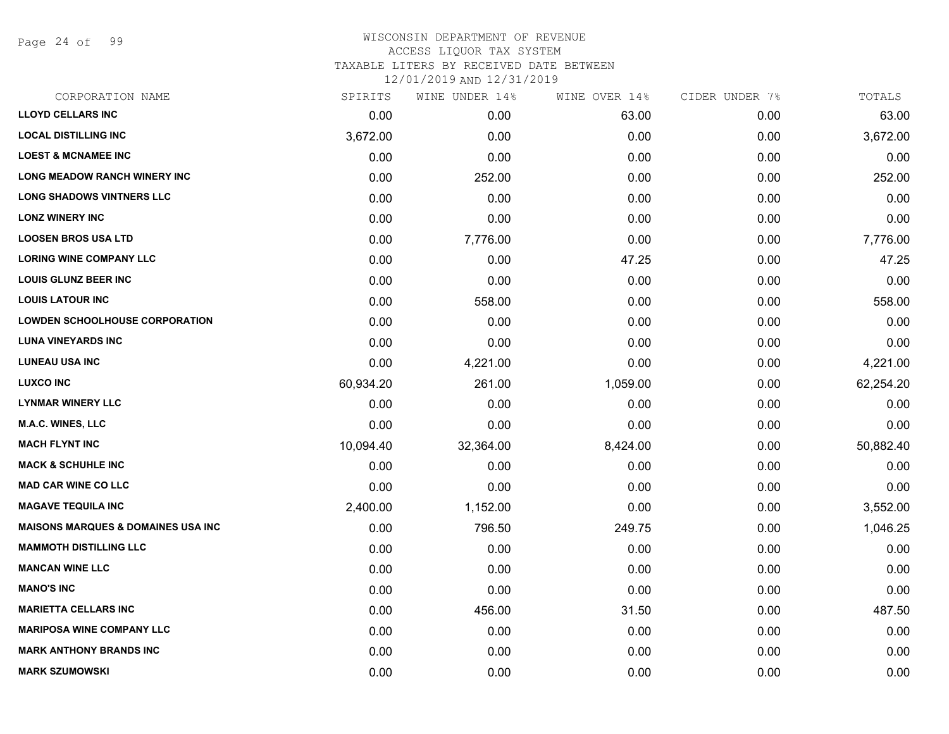Page 24 of 99

#### WISCONSIN DEPARTMENT OF REVENUE ACCESS LIQUOR TAX SYSTEM TAXABLE LITERS BY RECEIVED DATE BETWEEN

| CORPORATION NAME                              | SPIRITS   | WINE UNDER 14% | WINE OVER 14% | CIDER UNDER 7% | TOTALS    |
|-----------------------------------------------|-----------|----------------|---------------|----------------|-----------|
| <b>LLOYD CELLARS INC</b>                      | 0.00      | 0.00           | 63.00         | 0.00           | 63.00     |
| <b>LOCAL DISTILLING INC</b>                   | 3,672.00  | 0.00           | 0.00          | 0.00           | 3,672.00  |
| <b>LOEST &amp; MCNAMEE INC</b>                | 0.00      | 0.00           | 0.00          | 0.00           | 0.00      |
| <b>LONG MEADOW RANCH WINERY INC</b>           | 0.00      | 252.00         | 0.00          | 0.00           | 252.00    |
| <b>LONG SHADOWS VINTNERS LLC</b>              | 0.00      | 0.00           | 0.00          | 0.00           | 0.00      |
| <b>LONZ WINERY INC</b>                        | 0.00      | 0.00           | 0.00          | 0.00           | 0.00      |
| <b>LOOSEN BROS USA LTD</b>                    | 0.00      | 7,776.00       | 0.00          | 0.00           | 7,776.00  |
| <b>LORING WINE COMPANY LLC</b>                | 0.00      | 0.00           | 47.25         | 0.00           | 47.25     |
| <b>LOUIS GLUNZ BEER INC</b>                   | 0.00      | 0.00           | 0.00          | 0.00           | 0.00      |
| <b>LOUIS LATOUR INC</b>                       | 0.00      | 558.00         | 0.00          | 0.00           | 558.00    |
| <b>LOWDEN SCHOOLHOUSE CORPORATION</b>         | 0.00      | 0.00           | 0.00          | 0.00           | 0.00      |
| <b>LUNA VINEYARDS INC</b>                     | 0.00      | 0.00           | 0.00          | 0.00           | 0.00      |
| <b>LUNEAU USA INC</b>                         | 0.00      | 4,221.00       | 0.00          | 0.00           | 4,221.00  |
| <b>LUXCO INC</b>                              | 60,934.20 | 261.00         | 1,059.00      | 0.00           | 62,254.20 |
| <b>LYNMAR WINERY LLC</b>                      | 0.00      | 0.00           | 0.00          | 0.00           | 0.00      |
| M.A.C. WINES, LLC                             | 0.00      | 0.00           | 0.00          | 0.00           | 0.00      |
| <b>MACH FLYNT INC</b>                         | 10,094.40 | 32,364.00      | 8,424.00      | 0.00           | 50,882.40 |
| <b>MACK &amp; SCHUHLE INC</b>                 | 0.00      | 0.00           | 0.00          | 0.00           | 0.00      |
| <b>MAD CAR WINE CO LLC</b>                    | 0.00      | 0.00           | 0.00          | 0.00           | 0.00      |
| <b>MAGAVE TEQUILA INC</b>                     | 2,400.00  | 1,152.00       | 0.00          | 0.00           | 3,552.00  |
| <b>MAISONS MARQUES &amp; DOMAINES USA INC</b> | 0.00      | 796.50         | 249.75        | 0.00           | 1,046.25  |
| <b>MAMMOTH DISTILLING LLC</b>                 | 0.00      | 0.00           | 0.00          | 0.00           | 0.00      |
| <b>MANCAN WINE LLC</b>                        | 0.00      | 0.00           | 0.00          | 0.00           | 0.00      |
| <b>MANO'S INC</b>                             | 0.00      | 0.00           | 0.00          | 0.00           | 0.00      |
| <b>MARIETTA CELLARS INC</b>                   | 0.00      | 456.00         | 31.50         | 0.00           | 487.50    |
| <b>MARIPOSA WINE COMPANY LLC</b>              | 0.00      | 0.00           | 0.00          | 0.00           | 0.00      |
| <b>MARK ANTHONY BRANDS INC</b>                | 0.00      | 0.00           | 0.00          | 0.00           | 0.00      |
| <b>MARK SZUMOWSKI</b>                         | 0.00      | 0.00           | 0.00          | 0.00           | 0.00      |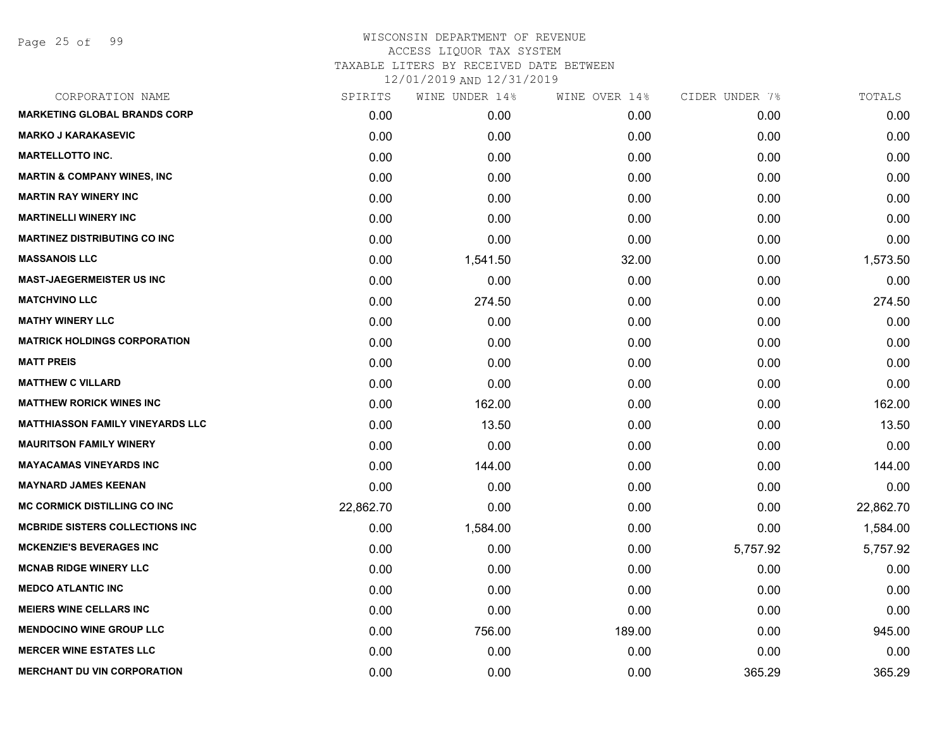| CORPORATION NAME                        | SPIRITS   | WINE UNDER 14% | WINE OVER 14% | CIDER UNDER 7% | TOTALS    |
|-----------------------------------------|-----------|----------------|---------------|----------------|-----------|
| <b>MARKETING GLOBAL BRANDS CORP</b>     | 0.00      | 0.00           | 0.00          | 0.00           | 0.00      |
| <b>MARKO J KARAKASEVIC</b>              | 0.00      | 0.00           | 0.00          | 0.00           | 0.00      |
| <b>MARTELLOTTO INC.</b>                 | 0.00      | 0.00           | 0.00          | 0.00           | 0.00      |
| <b>MARTIN &amp; COMPANY WINES, INC</b>  | 0.00      | 0.00           | 0.00          | 0.00           | 0.00      |
| <b>MARTIN RAY WINERY INC</b>            | 0.00      | 0.00           | 0.00          | 0.00           | 0.00      |
| <b>MARTINELLI WINERY INC</b>            | 0.00      | 0.00           | 0.00          | 0.00           | 0.00      |
| <b>MARTINEZ DISTRIBUTING CO INC</b>     | 0.00      | 0.00           | 0.00          | 0.00           | 0.00      |
| <b>MASSANOIS LLC</b>                    | 0.00      | 1,541.50       | 32.00         | 0.00           | 1,573.50  |
| <b>MAST-JAEGERMEISTER US INC</b>        | 0.00      | 0.00           | 0.00          | 0.00           | 0.00      |
| <b>MATCHVINO LLC</b>                    | 0.00      | 274.50         | 0.00          | 0.00           | 274.50    |
| <b>MATHY WINERY LLC</b>                 | 0.00      | 0.00           | 0.00          | 0.00           | 0.00      |
| <b>MATRICK HOLDINGS CORPORATION</b>     | 0.00      | 0.00           | 0.00          | 0.00           | 0.00      |
| <b>MATT PREIS</b>                       | 0.00      | 0.00           | 0.00          | 0.00           | 0.00      |
| <b>MATTHEW C VILLARD</b>                | 0.00      | 0.00           | 0.00          | 0.00           | 0.00      |
| <b>MATTHEW RORICK WINES INC</b>         | 0.00      | 162.00         | 0.00          | 0.00           | 162.00    |
| <b>MATTHIASSON FAMILY VINEYARDS LLC</b> | 0.00      | 13.50          | 0.00          | 0.00           | 13.50     |
| <b>MAURITSON FAMILY WINERY</b>          | 0.00      | 0.00           | 0.00          | 0.00           | 0.00      |
| <b>MAYACAMAS VINEYARDS INC</b>          | 0.00      | 144.00         | 0.00          | 0.00           | 144.00    |
| <b>MAYNARD JAMES KEENAN</b>             | 0.00      | 0.00           | 0.00          | 0.00           | 0.00      |
| MC CORMICK DISTILLING CO INC            | 22,862.70 | 0.00           | 0.00          | 0.00           | 22,862.70 |
| <b>MCBRIDE SISTERS COLLECTIONS INC</b>  | 0.00      | 1,584.00       | 0.00          | 0.00           | 1,584.00  |
| <b>MCKENZIE'S BEVERAGES INC</b>         | 0.00      | 0.00           | 0.00          | 5,757.92       | 5,757.92  |
| <b>MCNAB RIDGE WINERY LLC</b>           | 0.00      | 0.00           | 0.00          | 0.00           | 0.00      |
| <b>MEDCO ATLANTIC INC</b>               | 0.00      | 0.00           | 0.00          | 0.00           | 0.00      |
| <b>MEIERS WINE CELLARS INC</b>          | 0.00      | 0.00           | 0.00          | 0.00           | 0.00      |
| <b>MENDOCINO WINE GROUP LLC</b>         | 0.00      | 756.00         | 189.00        | 0.00           | 945.00    |
| <b>MERCER WINE ESTATES LLC</b>          | 0.00      | 0.00           | 0.00          | 0.00           | 0.00      |
| <b>MERCHANT DU VIN CORPORATION</b>      | 0.00      | 0.00           | 0.00          | 365.29         | 365.29    |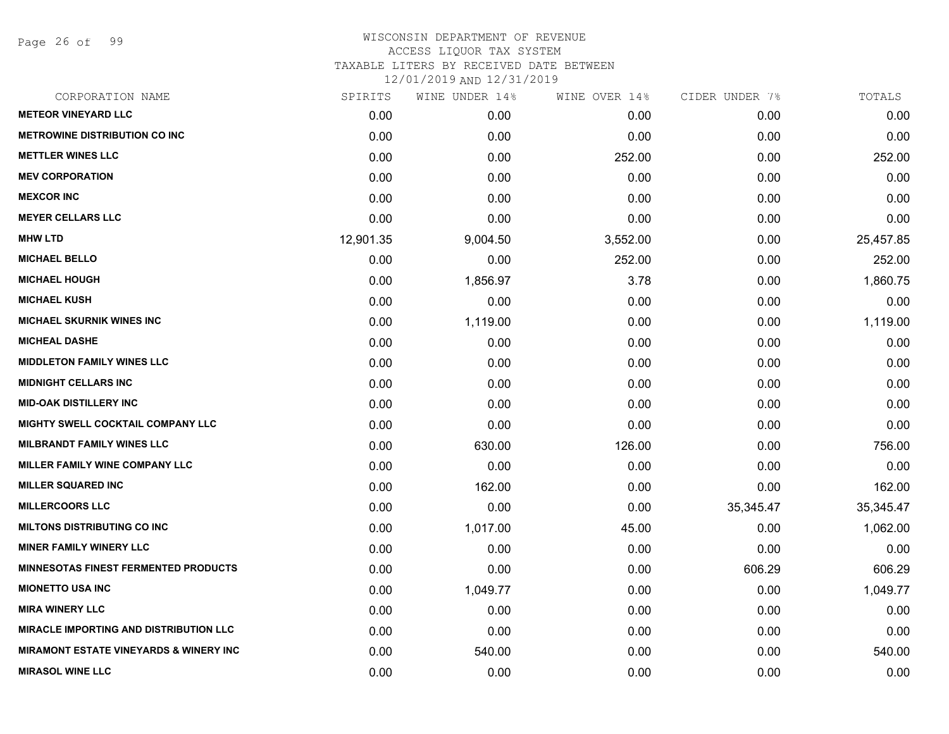Page 26 of 99

| CORPORATION NAME                                  | SPIRITS   | WINE UNDER 14% | WINE OVER 14% | CIDER UNDER 7% | TOTALS    |
|---------------------------------------------------|-----------|----------------|---------------|----------------|-----------|
| <b>METEOR VINEYARD LLC</b>                        | 0.00      | 0.00           | 0.00          | 0.00           | 0.00      |
| <b>METROWINE DISTRIBUTION CO INC</b>              | 0.00      | 0.00           | 0.00          | 0.00           | 0.00      |
| <b>METTLER WINES LLC</b>                          | 0.00      | 0.00           | 252.00        | 0.00           | 252.00    |
| <b>MEV CORPORATION</b>                            | 0.00      | 0.00           | 0.00          | 0.00           | 0.00      |
| <b>MEXCOR INC</b>                                 | 0.00      | 0.00           | 0.00          | 0.00           | 0.00      |
| <b>MEYER CELLARS LLC</b>                          | 0.00      | 0.00           | 0.00          | 0.00           | 0.00      |
| <b>MHW LTD</b>                                    | 12,901.35 | 9,004.50       | 3,552.00      | 0.00           | 25,457.85 |
| <b>MICHAEL BELLO</b>                              | 0.00      | 0.00           | 252.00        | 0.00           | 252.00    |
| <b>MICHAEL HOUGH</b>                              | 0.00      | 1,856.97       | 3.78          | 0.00           | 1,860.75  |
| <b>MICHAEL KUSH</b>                               | 0.00      | 0.00           | 0.00          | 0.00           | 0.00      |
| <b>MICHAEL SKURNIK WINES INC</b>                  | 0.00      | 1,119.00       | 0.00          | 0.00           | 1,119.00  |
| <b>MICHEAL DASHE</b>                              | 0.00      | 0.00           | 0.00          | 0.00           | 0.00      |
| <b>MIDDLETON FAMILY WINES LLC</b>                 | 0.00      | 0.00           | 0.00          | 0.00           | 0.00      |
| <b>MIDNIGHT CELLARS INC</b>                       | 0.00      | 0.00           | 0.00          | 0.00           | 0.00      |
| <b>MID-OAK DISTILLERY INC</b>                     | 0.00      | 0.00           | 0.00          | 0.00           | 0.00      |
| <b>MIGHTY SWELL COCKTAIL COMPANY LLC</b>          | 0.00      | 0.00           | 0.00          | 0.00           | 0.00      |
| <b>MILBRANDT FAMILY WINES LLC</b>                 | 0.00      | 630.00         | 126.00        | 0.00           | 756.00    |
| MILLER FAMILY WINE COMPANY LLC                    | 0.00      | 0.00           | 0.00          | 0.00           | 0.00      |
| <b>MILLER SQUARED INC</b>                         | 0.00      | 162.00         | 0.00          | 0.00           | 162.00    |
| <b>MILLERCOORS LLC</b>                            | 0.00      | 0.00           | 0.00          | 35,345.47      | 35,345.47 |
| <b>MILTONS DISTRIBUTING CO INC</b>                | 0.00      | 1,017.00       | 45.00         | 0.00           | 1,062.00  |
| <b>MINER FAMILY WINERY LLC</b>                    | 0.00      | 0.00           | 0.00          | 0.00           | 0.00      |
| <b>MINNESOTAS FINEST FERMENTED PRODUCTS</b>       | 0.00      | 0.00           | 0.00          | 606.29         | 606.29    |
| <b>MIONETTO USA INC</b>                           | 0.00      | 1,049.77       | 0.00          | 0.00           | 1,049.77  |
| <b>MIRA WINERY LLC</b>                            | 0.00      | 0.00           | 0.00          | 0.00           | 0.00      |
| <b>MIRACLE IMPORTING AND DISTRIBUTION LLC</b>     | 0.00      | 0.00           | 0.00          | 0.00           | 0.00      |
| <b>MIRAMONT ESTATE VINEYARDS &amp; WINERY INC</b> | 0.00      | 540.00         | 0.00          | 0.00           | 540.00    |
| <b>MIRASOL WINE LLC</b>                           | 0.00      | 0.00           | 0.00          | 0.00           | 0.00      |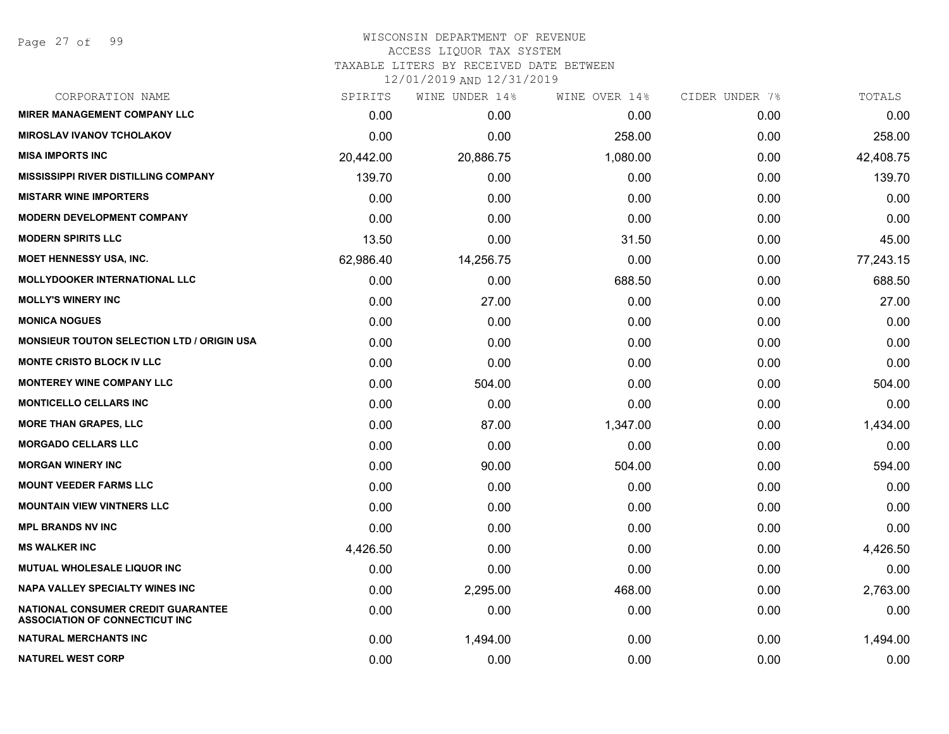| CORPORATION NAME                                                                   | SPIRITS   | WINE UNDER 14% | WINE OVER 14% | CIDER UNDER 7% | TOTALS    |
|------------------------------------------------------------------------------------|-----------|----------------|---------------|----------------|-----------|
| <b>MIRER MANAGEMENT COMPANY LLC</b>                                                | 0.00      | 0.00           | 0.00          | 0.00           | 0.00      |
| <b>MIROSLAV IVANOV TCHOLAKOV</b>                                                   | 0.00      | 0.00           | 258.00        | 0.00           | 258.00    |
| <b>MISA IMPORTS INC</b>                                                            | 20,442.00 | 20,886.75      | 1,080.00      | 0.00           | 42,408.75 |
| <b>MISSISSIPPI RIVER DISTILLING COMPANY</b>                                        | 139.70    | 0.00           | 0.00          | 0.00           | 139.70    |
| <b>MISTARR WINE IMPORTERS</b>                                                      | 0.00      | 0.00           | 0.00          | 0.00           | 0.00      |
| <b>MODERN DEVELOPMENT COMPANY</b>                                                  | 0.00      | 0.00           | 0.00          | 0.00           | 0.00      |
| <b>MODERN SPIRITS LLC</b>                                                          | 13.50     | 0.00           | 31.50         | 0.00           | 45.00     |
| <b>MOET HENNESSY USA, INC.</b>                                                     | 62,986.40 | 14,256.75      | 0.00          | 0.00           | 77,243.15 |
| <b>MOLLYDOOKER INTERNATIONAL LLC</b>                                               | 0.00      | 0.00           | 688.50        | 0.00           | 688.50    |
| <b>MOLLY'S WINERY INC</b>                                                          | 0.00      | 27.00          | 0.00          | 0.00           | 27.00     |
| <b>MONICA NOGUES</b>                                                               | 0.00      | 0.00           | 0.00          | 0.00           | 0.00      |
| <b>MONSIEUR TOUTON SELECTION LTD / ORIGIN USA</b>                                  | 0.00      | 0.00           | 0.00          | 0.00           | 0.00      |
| <b>MONTE CRISTO BLOCK IV LLC</b>                                                   | 0.00      | 0.00           | 0.00          | 0.00           | 0.00      |
| <b>MONTEREY WINE COMPANY LLC</b>                                                   | 0.00      | 504.00         | 0.00          | 0.00           | 504.00    |
| <b>MONTICELLO CELLARS INC</b>                                                      | 0.00      | 0.00           | 0.00          | 0.00           | 0.00      |
| <b>MORE THAN GRAPES, LLC</b>                                                       | 0.00      | 87.00          | 1,347.00      | 0.00           | 1,434.00  |
| <b>MORGADO CELLARS LLC</b>                                                         | 0.00      | 0.00           | 0.00          | 0.00           | 0.00      |
| <b>MORGAN WINERY INC</b>                                                           | 0.00      | 90.00          | 504.00        | 0.00           | 594.00    |
| <b>MOUNT VEEDER FARMS LLC</b>                                                      | 0.00      | 0.00           | 0.00          | 0.00           | 0.00      |
| <b>MOUNTAIN VIEW VINTNERS LLC</b>                                                  | 0.00      | 0.00           | 0.00          | 0.00           | 0.00      |
| <b>MPL BRANDS NV INC</b>                                                           | 0.00      | 0.00           | 0.00          | 0.00           | 0.00      |
| <b>MS WALKER INC</b>                                                               | 4,426.50  | 0.00           | 0.00          | 0.00           | 4,426.50  |
| MUTUAL WHOLESALE LIQUOR INC                                                        | 0.00      | 0.00           | 0.00          | 0.00           | 0.00      |
| <b>NAPA VALLEY SPECIALTY WINES INC</b>                                             | 0.00      | 2,295.00       | 468.00        | 0.00           | 2,763.00  |
| <b>NATIONAL CONSUMER CREDIT GUARANTEE</b><br><b>ASSOCIATION OF CONNECTICUT INC</b> | 0.00      | 0.00           | 0.00          | 0.00           | 0.00      |
| <b>NATURAL MERCHANTS INC</b>                                                       | 0.00      | 1,494.00       | 0.00          | 0.00           | 1,494.00  |
| <b>NATUREL WEST CORP</b>                                                           | 0.00      | 0.00           | 0.00          | 0.00           | 0.00      |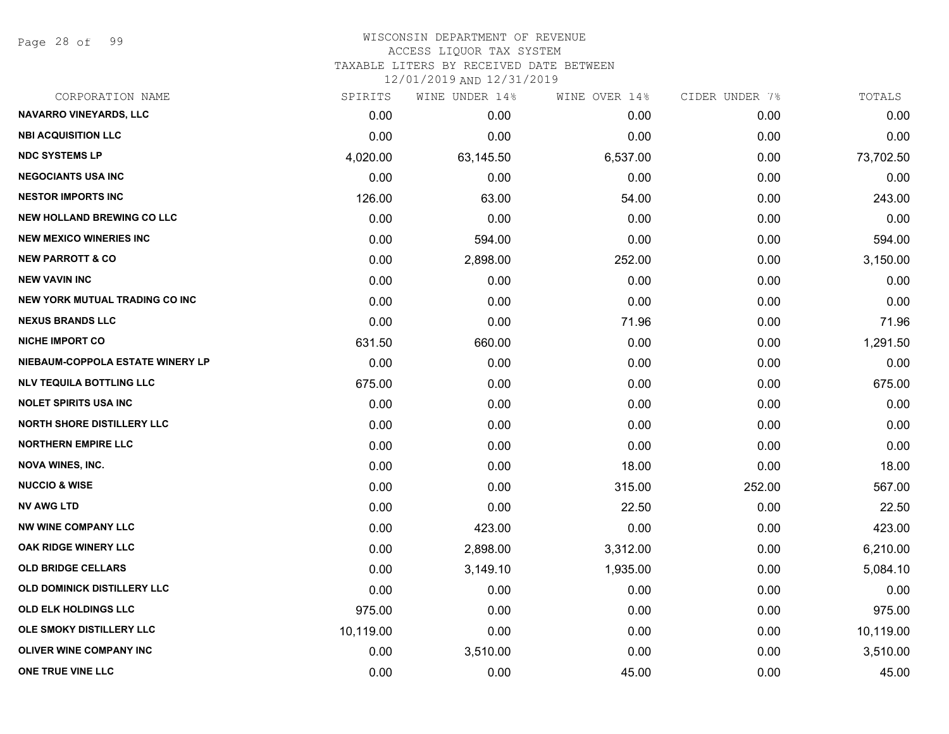Page 28 of 99

#### WISCONSIN DEPARTMENT OF REVENUE ACCESS LIQUOR TAX SYSTEM

TAXABLE LITERS BY RECEIVED DATE BETWEEN

| CORPORATION NAME                      | SPIRITS   | WINE UNDER 14% | WINE OVER 14% | CIDER UNDER 7% | TOTALS    |
|---------------------------------------|-----------|----------------|---------------|----------------|-----------|
| <b>NAVARRO VINEYARDS, LLC</b>         | 0.00      | 0.00           | 0.00          | 0.00           | 0.00      |
| <b>NBI ACQUISITION LLC</b>            | 0.00      | 0.00           | 0.00          | 0.00           | 0.00      |
| <b>NDC SYSTEMS LP</b>                 | 4,020.00  | 63,145.50      | 6,537.00      | 0.00           | 73,702.50 |
| <b>NEGOCIANTS USA INC</b>             | 0.00      | 0.00           | 0.00          | 0.00           | 0.00      |
| <b>NESTOR IMPORTS INC</b>             | 126.00    | 63.00          | 54.00         | 0.00           | 243.00    |
| <b>NEW HOLLAND BREWING CO LLC</b>     | 0.00      | 0.00           | 0.00          | 0.00           | 0.00      |
| <b>NEW MEXICO WINERIES INC</b>        | 0.00      | 594.00         | 0.00          | 0.00           | 594.00    |
| <b>NEW PARROTT &amp; CO</b>           | 0.00      | 2,898.00       | 252.00        | 0.00           | 3,150.00  |
| <b>NEW VAVIN INC</b>                  | 0.00      | 0.00           | 0.00          | 0.00           | 0.00      |
| <b>NEW YORK MUTUAL TRADING CO INC</b> | 0.00      | 0.00           | 0.00          | 0.00           | 0.00      |
| <b>NEXUS BRANDS LLC</b>               | 0.00      | 0.00           | 71.96         | 0.00           | 71.96     |
| <b>NICHE IMPORT CO</b>                | 631.50    | 660.00         | 0.00          | 0.00           | 1,291.50  |
| NIEBAUM-COPPOLA ESTATE WINERY LP      | 0.00      | 0.00           | 0.00          | 0.00           | 0.00      |
| <b>NLV TEQUILA BOTTLING LLC</b>       | 675.00    | 0.00           | 0.00          | 0.00           | 675.00    |
| <b>NOLET SPIRITS USA INC</b>          | 0.00      | 0.00           | 0.00          | 0.00           | 0.00      |
| <b>NORTH SHORE DISTILLERY LLC</b>     | 0.00      | 0.00           | 0.00          | 0.00           | 0.00      |
| <b>NORTHERN EMPIRE LLC</b>            | 0.00      | 0.00           | 0.00          | 0.00           | 0.00      |
| <b>NOVA WINES, INC.</b>               | 0.00      | 0.00           | 18.00         | 0.00           | 18.00     |
| <b>NUCCIO &amp; WISE</b>              | 0.00      | 0.00           | 315.00        | 252.00         | 567.00    |
| <b>NV AWG LTD</b>                     | 0.00      | 0.00           | 22.50         | 0.00           | 22.50     |
| <b>NW WINE COMPANY LLC</b>            | 0.00      | 423.00         | 0.00          | 0.00           | 423.00    |
| OAK RIDGE WINERY LLC                  | 0.00      | 2,898.00       | 3,312.00      | 0.00           | 6,210.00  |
| <b>OLD BRIDGE CELLARS</b>             | 0.00      | 3,149.10       | 1,935.00      | 0.00           | 5,084.10  |
| OLD DOMINICK DISTILLERY LLC           | 0.00      | 0.00           | 0.00          | 0.00           | 0.00      |
| <b>OLD ELK HOLDINGS LLC</b>           | 975.00    | 0.00           | 0.00          | 0.00           | 975.00    |
| OLE SMOKY DISTILLERY LLC              | 10,119.00 | 0.00           | 0.00          | 0.00           | 10,119.00 |
| <b>OLIVER WINE COMPANY INC</b>        | 0.00      | 3,510.00       | 0.00          | 0.00           | 3,510.00  |
| ONE TRUE VINE LLC                     | 0.00      | 0.00           | 45.00         | 0.00           | 45.00     |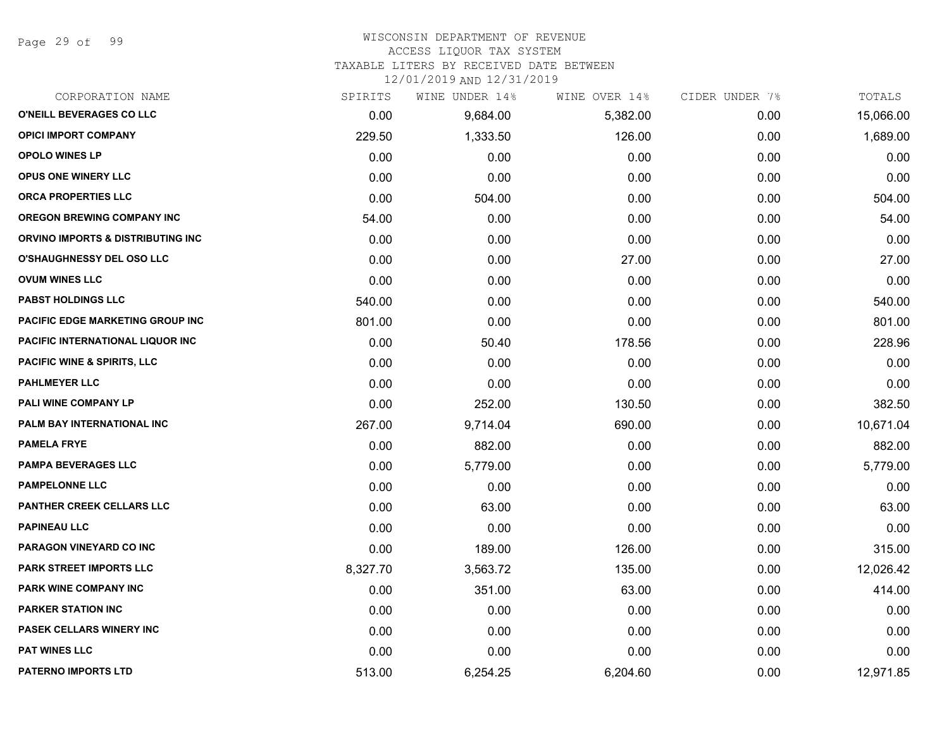Page 29 of 99

# WISCONSIN DEPARTMENT OF REVENUE

#### ACCESS LIQUOR TAX SYSTEM

TAXABLE LITERS BY RECEIVED DATE BETWEEN

|          | WINE UNDER 14% | WINE OVER 14% |      | TOTALS         |
|----------|----------------|---------------|------|----------------|
| 0.00     | 9,684.00       | 5,382.00      | 0.00 | 15,066.00      |
| 229.50   | 1,333.50       | 126.00        | 0.00 | 1,689.00       |
| 0.00     | 0.00           | 0.00          | 0.00 | 0.00           |
| 0.00     | 0.00           | 0.00          | 0.00 | 0.00           |
| 0.00     | 504.00         | 0.00          | 0.00 | 504.00         |
| 54.00    | 0.00           | 0.00          | 0.00 | 54.00          |
| 0.00     | 0.00           | 0.00          | 0.00 | 0.00           |
| 0.00     | 0.00           | 27.00         | 0.00 | 27.00          |
| 0.00     | 0.00           | 0.00          | 0.00 | 0.00           |
| 540.00   | 0.00           | 0.00          | 0.00 | 540.00         |
| 801.00   | 0.00           | 0.00          | 0.00 | 801.00         |
| 0.00     | 50.40          | 178.56        | 0.00 | 228.96         |
| 0.00     | 0.00           | 0.00          | 0.00 | 0.00           |
| 0.00     | 0.00           | 0.00          | 0.00 | 0.00           |
| 0.00     | 252.00         | 130.50        | 0.00 | 382.50         |
| 267.00   | 9,714.04       | 690.00        | 0.00 | 10,671.04      |
| 0.00     | 882.00         | 0.00          | 0.00 | 882.00         |
| 0.00     | 5,779.00       | 0.00          | 0.00 | 5,779.00       |
| 0.00     | 0.00           | 0.00          | 0.00 | 0.00           |
| 0.00     | 63.00          | 0.00          | 0.00 | 63.00          |
| 0.00     | 0.00           | 0.00          | 0.00 | 0.00           |
| 0.00     | 189.00         | 126.00        | 0.00 | 315.00         |
| 8,327.70 | 3,563.72       | 135.00        | 0.00 | 12,026.42      |
| 0.00     | 351.00         | 63.00         | 0.00 | 414.00         |
| 0.00     | 0.00           | 0.00          | 0.00 | 0.00           |
| 0.00     | 0.00           | 0.00          | 0.00 | 0.00           |
| 0.00     | 0.00           | 0.00          | 0.00 | 0.00           |
| 513.00   | 6,254.25       | 6,204.60      | 0.00 | 12,971.85      |
|          | SPIRITS        |               |      | CIDER UNDER 7% |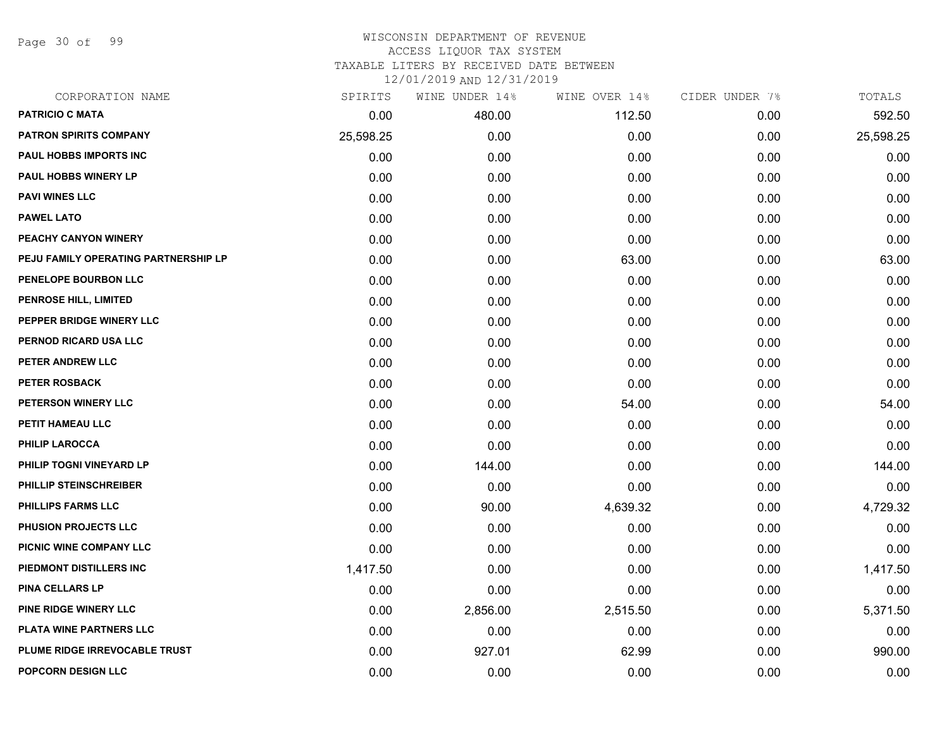Page 30 of 99

#### WISCONSIN DEPARTMENT OF REVENUE ACCESS LIQUOR TAX SYSTEM TAXABLE LITERS BY RECEIVED DATE BETWEEN

| CORPORATION NAME                     | SPIRITS   | WINE UNDER 14% | WINE OVER 14% | CIDER UNDER 7% | TOTALS    |
|--------------------------------------|-----------|----------------|---------------|----------------|-----------|
| <b>PATRICIO C MATA</b>               | 0.00      | 480.00         | 112.50        | 0.00           | 592.50    |
| PATRON SPIRITS COMPANY               | 25,598.25 | 0.00           | 0.00          | 0.00           | 25,598.25 |
| PAUL HOBBS IMPORTS INC               | 0.00      | 0.00           | 0.00          | 0.00           | 0.00      |
| <b>PAUL HOBBS WINERY LP</b>          | 0.00      | 0.00           | 0.00          | 0.00           | 0.00      |
| <b>PAVI WINES LLC</b>                | 0.00      | 0.00           | 0.00          | 0.00           | 0.00      |
| <b>PAWEL LATO</b>                    | 0.00      | 0.00           | 0.00          | 0.00           | 0.00      |
| PEACHY CANYON WINERY                 | 0.00      | 0.00           | 0.00          | 0.00           | 0.00      |
| PEJU FAMILY OPERATING PARTNERSHIP LP | 0.00      | 0.00           | 63.00         | 0.00           | 63.00     |
| PENELOPE BOURBON LLC                 | 0.00      | 0.00           | 0.00          | 0.00           | 0.00      |
| <b>PENROSE HILL, LIMITED</b>         | 0.00      | 0.00           | 0.00          | 0.00           | 0.00      |
| PEPPER BRIDGE WINERY LLC             | 0.00      | 0.00           | 0.00          | 0.00           | 0.00      |
| PERNOD RICARD USA LLC                | 0.00      | 0.00           | 0.00          | 0.00           | 0.00      |
| PETER ANDREW LLC                     | 0.00      | 0.00           | 0.00          | 0.00           | 0.00      |
| <b>PETER ROSBACK</b>                 | 0.00      | 0.00           | 0.00          | 0.00           | 0.00      |
| PETERSON WINERY LLC                  | 0.00      | 0.00           | 54.00         | 0.00           | 54.00     |
| PETIT HAMEAU LLC                     | 0.00      | 0.00           | 0.00          | 0.00           | 0.00      |
| <b>PHILIP LAROCCA</b>                | 0.00      | 0.00           | 0.00          | 0.00           | 0.00      |
| PHILIP TOGNI VINEYARD LP             | 0.00      | 144.00         | 0.00          | 0.00           | 144.00    |
| PHILLIP STEINSCHREIBER               | 0.00      | 0.00           | 0.00          | 0.00           | 0.00      |
| <b>PHILLIPS FARMS LLC</b>            | 0.00      | 90.00          | 4,639.32      | 0.00           | 4,729.32  |
| PHUSION PROJECTS LLC                 | 0.00      | 0.00           | 0.00          | 0.00           | 0.00      |
| PICNIC WINE COMPANY LLC              | 0.00      | 0.00           | 0.00          | 0.00           | 0.00      |
| PIEDMONT DISTILLERS INC              | 1,417.50  | 0.00           | 0.00          | 0.00           | 1,417.50  |
| <b>PINA CELLARS LP</b>               | 0.00      | 0.00           | 0.00          | 0.00           | 0.00      |
| PINE RIDGE WINERY LLC                | 0.00      | 2,856.00       | 2,515.50      | 0.00           | 5,371.50  |
| PLATA WINE PARTNERS LLC              | 0.00      | 0.00           | 0.00          | 0.00           | 0.00      |
| PLUME RIDGE IRREVOCABLE TRUST        | 0.00      | 927.01         | 62.99         | 0.00           | 990.00    |
| POPCORN DESIGN LLC                   | 0.00      | 0.00           | 0.00          | 0.00           | 0.00      |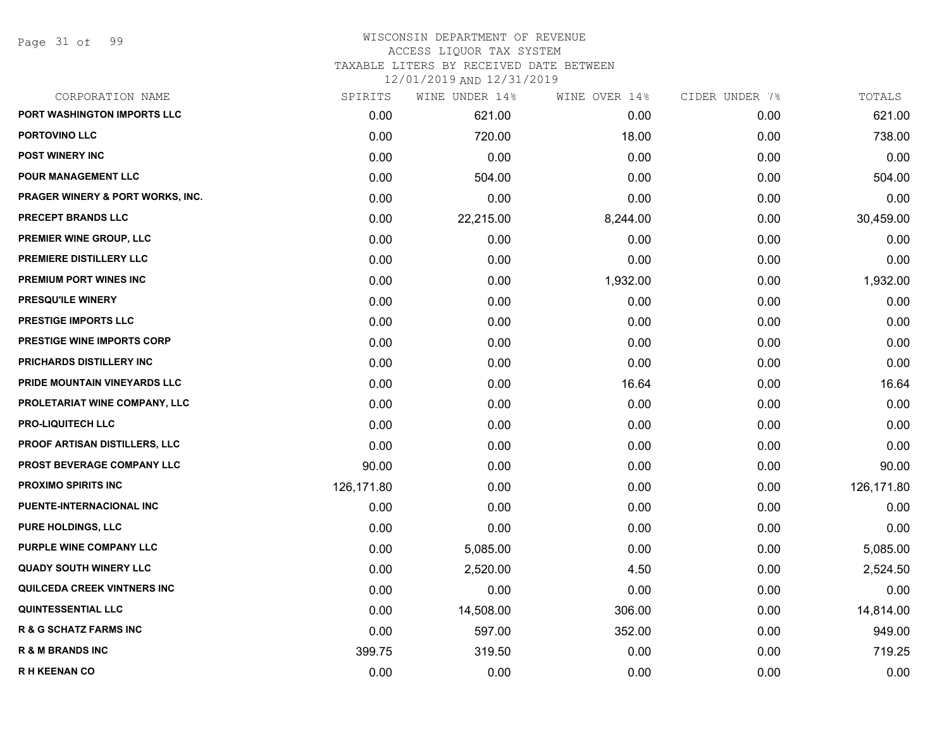#### WISCONSIN DEPARTMENT OF REVENUE ACCESS LIQUOR TAX SYSTEM

TAXABLE LITERS BY RECEIVED DATE BETWEEN

| CORPORATION NAME                            | SPIRITS    | WINE UNDER 14% | WINE OVER 14% | CIDER UNDER 7% | TOTALS     |
|---------------------------------------------|------------|----------------|---------------|----------------|------------|
| PORT WASHINGTON IMPORTS LLC                 | 0.00       | 621.00         | 0.00          | 0.00           | 621.00     |
| <b>PORTOVINO LLC</b>                        | 0.00       | 720.00         | 18.00         | 0.00           | 738.00     |
| <b>POST WINERY INC</b>                      | 0.00       | 0.00           | 0.00          | 0.00           | 0.00       |
| <b>POUR MANAGEMENT LLC</b>                  | 0.00       | 504.00         | 0.00          | 0.00           | 504.00     |
| <b>PRAGER WINERY &amp; PORT WORKS, INC.</b> | 0.00       | 0.00           | 0.00          | 0.00           | 0.00       |
| PRECEPT BRANDS LLC                          | 0.00       | 22,215.00      | 8,244.00      | 0.00           | 30,459.00  |
| PREMIER WINE GROUP, LLC                     | 0.00       | 0.00           | 0.00          | 0.00           | 0.00       |
| PREMIERE DISTILLERY LLC                     | 0.00       | 0.00           | 0.00          | 0.00           | 0.00       |
| <b>PREMIUM PORT WINES INC</b>               | 0.00       | 0.00           | 1,932.00      | 0.00           | 1,932.00   |
| <b>PRESQU'ILE WINERY</b>                    | 0.00       | 0.00           | 0.00          | 0.00           | 0.00       |
| PRESTIGE IMPORTS LLC                        | 0.00       | 0.00           | 0.00          | 0.00           | 0.00       |
| PRESTIGE WINE IMPORTS CORP                  | 0.00       | 0.00           | 0.00          | 0.00           | 0.00       |
| PRICHARDS DISTILLERY INC                    | 0.00       | 0.00           | 0.00          | 0.00           | 0.00       |
| PRIDE MOUNTAIN VINEYARDS LLC                | 0.00       | 0.00           | 16.64         | 0.00           | 16.64      |
| PROLETARIAT WINE COMPANY, LLC               | 0.00       | 0.00           | 0.00          | 0.00           | 0.00       |
| <b>PRO-LIQUITECH LLC</b>                    | 0.00       | 0.00           | 0.00          | 0.00           | 0.00       |
| <b>PROOF ARTISAN DISTILLERS, LLC</b>        | 0.00       | 0.00           | 0.00          | 0.00           | 0.00       |
| PROST BEVERAGE COMPANY LLC                  | 90.00      | 0.00           | 0.00          | 0.00           | 90.00      |
| <b>PROXIMO SPIRITS INC</b>                  | 126,171.80 | 0.00           | 0.00          | 0.00           | 126,171.80 |
| PUENTE-INTERNACIONAL INC                    | 0.00       | 0.00           | 0.00          | 0.00           | 0.00       |
| <b>PURE HOLDINGS, LLC</b>                   | 0.00       | 0.00           | 0.00          | 0.00           | 0.00       |
| PURPLE WINE COMPANY LLC                     | 0.00       | 5,085.00       | 0.00          | 0.00           | 5,085.00   |
| <b>QUADY SOUTH WINERY LLC</b>               | 0.00       | 2,520.00       | 4.50          | 0.00           | 2,524.50   |
| QUILCEDA CREEK VINTNERS INC                 | 0.00       | 0.00           | 0.00          | 0.00           | 0.00       |
| <b>QUINTESSENTIAL LLC</b>                   | 0.00       | 14,508.00      | 306.00        | 0.00           | 14,814.00  |
| <b>R &amp; G SCHATZ FARMS INC</b>           | 0.00       | 597.00         | 352.00        | 0.00           | 949.00     |
| <b>R &amp; M BRANDS INC</b>                 | 399.75     | 319.50         | 0.00          | 0.00           | 719.25     |
| <b>RH KEENAN CO</b>                         | 0.00       | 0.00           | 0.00          | 0.00           | 0.00       |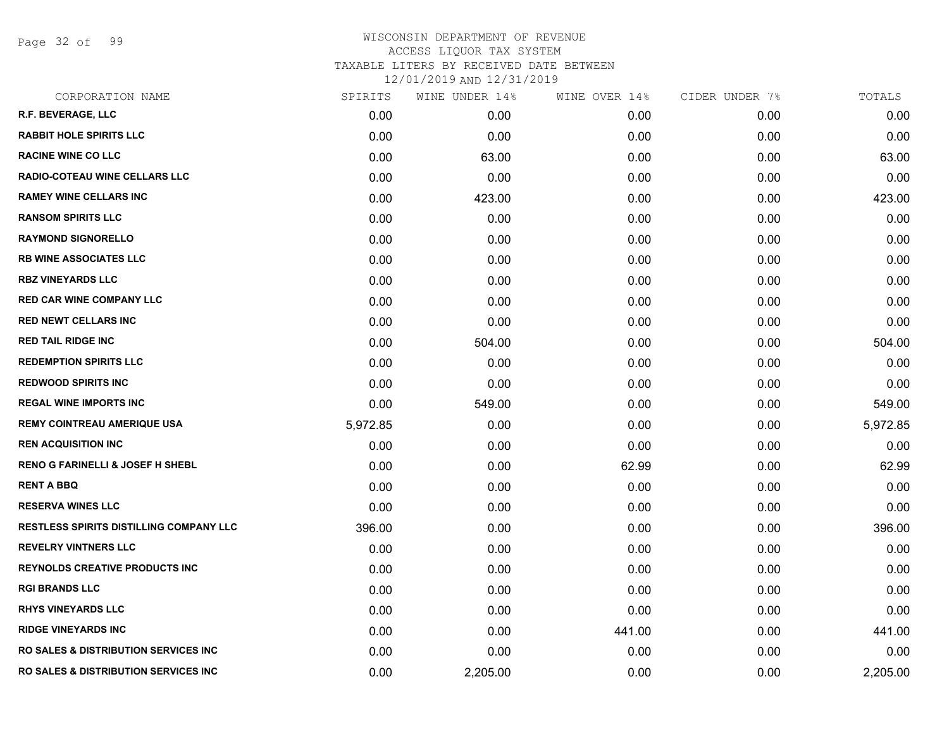Page 32 of 99

| CORPORATION NAME                                 | SPIRITS  | WINE UNDER 14% | WINE OVER 14% | CIDER UNDER 7% | TOTALS   |
|--------------------------------------------------|----------|----------------|---------------|----------------|----------|
| R.F. BEVERAGE, LLC                               | 0.00     | 0.00           | 0.00          | 0.00           | 0.00     |
| <b>RABBIT HOLE SPIRITS LLC</b>                   | 0.00     | 0.00           | 0.00          | 0.00           | 0.00     |
| <b>RACINE WINE CO LLC</b>                        | 0.00     | 63.00          | 0.00          | 0.00           | 63.00    |
| <b>RADIO-COTEAU WINE CELLARS LLC</b>             | 0.00     | 0.00           | 0.00          | 0.00           | 0.00     |
| <b>RAMEY WINE CELLARS INC</b>                    | 0.00     | 423.00         | 0.00          | 0.00           | 423.00   |
| <b>RANSOM SPIRITS LLC</b>                        | 0.00     | 0.00           | 0.00          | 0.00           | 0.00     |
| <b>RAYMOND SIGNORELLO</b>                        | 0.00     | 0.00           | 0.00          | 0.00           | 0.00     |
| <b>RB WINE ASSOCIATES LLC</b>                    | 0.00     | 0.00           | 0.00          | 0.00           | 0.00     |
| <b>RBZ VINEYARDS LLC</b>                         | 0.00     | 0.00           | 0.00          | 0.00           | 0.00     |
| <b>RED CAR WINE COMPANY LLC</b>                  | 0.00     | 0.00           | 0.00          | 0.00           | 0.00     |
| <b>RED NEWT CELLARS INC</b>                      | 0.00     | 0.00           | 0.00          | 0.00           | 0.00     |
| <b>RED TAIL RIDGE INC</b>                        | 0.00     | 504.00         | 0.00          | 0.00           | 504.00   |
| <b>REDEMPTION SPIRITS LLC</b>                    | 0.00     | 0.00           | 0.00          | 0.00           | 0.00     |
| <b>REDWOOD SPIRITS INC</b>                       | 0.00     | 0.00           | 0.00          | 0.00           | 0.00     |
| <b>REGAL WINE IMPORTS INC</b>                    | 0.00     | 549.00         | 0.00          | 0.00           | 549.00   |
| REMY COINTREAU AMERIQUE USA                      | 5,972.85 | 0.00           | 0.00          | 0.00           | 5,972.85 |
| <b>REN ACQUISITION INC</b>                       | 0.00     | 0.00           | 0.00          | 0.00           | 0.00     |
| <b>RENO G FARINELLI &amp; JOSEF H SHEBL</b>      | 0.00     | 0.00           | 62.99         | 0.00           | 62.99    |
| <b>RENT A BBQ</b>                                | 0.00     | 0.00           | 0.00          | 0.00           | 0.00     |
| <b>RESERVA WINES LLC</b>                         | 0.00     | 0.00           | 0.00          | 0.00           | 0.00     |
| <b>RESTLESS SPIRITS DISTILLING COMPANY LLC</b>   | 396.00   | 0.00           | 0.00          | 0.00           | 396.00   |
| <b>REVELRY VINTNERS LLC</b>                      | 0.00     | 0.00           | 0.00          | 0.00           | 0.00     |
| <b>REYNOLDS CREATIVE PRODUCTS INC</b>            | 0.00     | 0.00           | 0.00          | 0.00           | 0.00     |
| <b>RGI BRANDS LLC</b>                            | 0.00     | 0.00           | 0.00          | 0.00           | 0.00     |
| <b>RHYS VINEYARDS LLC</b>                        | 0.00     | 0.00           | 0.00          | 0.00           | 0.00     |
| <b>RIDGE VINEYARDS INC</b>                       | 0.00     | 0.00           | 441.00        | 0.00           | 441.00   |
| <b>RO SALES &amp; DISTRIBUTION SERVICES INC</b>  | 0.00     | 0.00           | 0.00          | 0.00           | 0.00     |
| <b>RO SALES &amp; DISTRIBUTION SERVICES INC.</b> | 0.00     | 2,205.00       | 0.00          | 0.00           | 2,205.00 |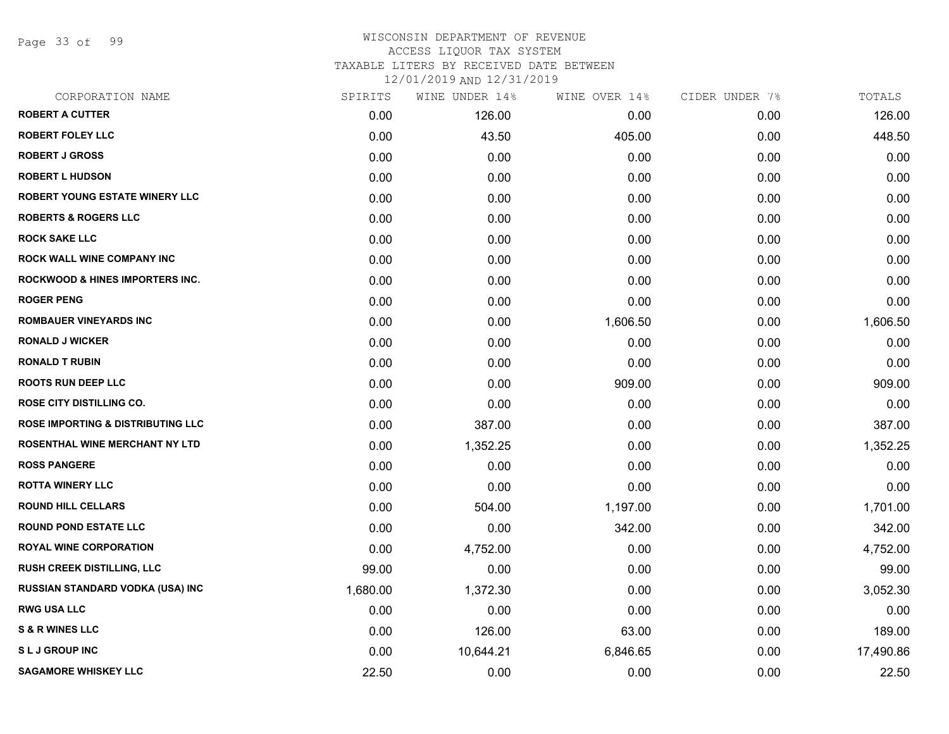Page 33 of 99

# WISCONSIN DEPARTMENT OF REVENUE ACCESS LIQUOR TAX SYSTEM TAXABLE LITERS BY RECEIVED DATE BETWEEN

| CORPORATION NAME                             | SPIRITS  | WINE UNDER 14% | WINE OVER 14% | CIDER UNDER 7% | TOTALS    |
|----------------------------------------------|----------|----------------|---------------|----------------|-----------|
| <b>ROBERT A CUTTER</b>                       | 0.00     | 126.00         | 0.00          | 0.00           | 126.00    |
| <b>ROBERT FOLEY LLC</b>                      | 0.00     | 43.50          | 405.00        | 0.00           | 448.50    |
| <b>ROBERT J GROSS</b>                        | 0.00     | 0.00           | 0.00          | 0.00           | 0.00      |
| <b>ROBERT L HUDSON</b>                       | 0.00     | 0.00           | 0.00          | 0.00           | 0.00      |
| <b>ROBERT YOUNG ESTATE WINERY LLC</b>        | 0.00     | 0.00           | 0.00          | 0.00           | 0.00      |
| <b>ROBERTS &amp; ROGERS LLC</b>              | 0.00     | 0.00           | 0.00          | 0.00           | 0.00      |
| <b>ROCK SAKE LLC</b>                         | 0.00     | 0.00           | 0.00          | 0.00           | 0.00      |
| <b>ROCK WALL WINE COMPANY INC</b>            | 0.00     | 0.00           | 0.00          | 0.00           | 0.00      |
| <b>ROCKWOOD &amp; HINES IMPORTERS INC.</b>   | 0.00     | 0.00           | 0.00          | 0.00           | 0.00      |
| <b>ROGER PENG</b>                            | 0.00     | 0.00           | 0.00          | 0.00           | 0.00      |
| <b>ROMBAUER VINEYARDS INC</b>                | 0.00     | 0.00           | 1,606.50      | 0.00           | 1,606.50  |
| <b>RONALD J WICKER</b>                       | 0.00     | 0.00           | 0.00          | 0.00           | 0.00      |
| <b>RONALD T RUBIN</b>                        | 0.00     | 0.00           | 0.00          | 0.00           | 0.00      |
| <b>ROOTS RUN DEEP LLC</b>                    | 0.00     | 0.00           | 909.00        | 0.00           | 909.00    |
| <b>ROSE CITY DISTILLING CO.</b>              | 0.00     | 0.00           | 0.00          | 0.00           | 0.00      |
| <b>ROSE IMPORTING &amp; DISTRIBUTING LLC</b> | 0.00     | 387.00         | 0.00          | 0.00           | 387.00    |
| <b>ROSENTHAL WINE MERCHANT NY LTD</b>        | 0.00     | 1,352.25       | 0.00          | 0.00           | 1,352.25  |
| <b>ROSS PANGERE</b>                          | 0.00     | 0.00           | 0.00          | 0.00           | 0.00      |
| <b>ROTTA WINERY LLC</b>                      | 0.00     | 0.00           | 0.00          | 0.00           | 0.00      |
| <b>ROUND HILL CELLARS</b>                    | 0.00     | 504.00         | 1,197.00      | 0.00           | 1,701.00  |
| <b>ROUND POND ESTATE LLC</b>                 | 0.00     | 0.00           | 342.00        | 0.00           | 342.00    |
| <b>ROYAL WINE CORPORATION</b>                | 0.00     | 4,752.00       | 0.00          | 0.00           | 4,752.00  |
| <b>RUSH CREEK DISTILLING, LLC</b>            | 99.00    | 0.00           | 0.00          | 0.00           | 99.00     |
| RUSSIAN STANDARD VODKA (USA) INC             | 1,680.00 | 1,372.30       | 0.00          | 0.00           | 3,052.30  |
| <b>RWG USA LLC</b>                           | 0.00     | 0.00           | 0.00          | 0.00           | 0.00      |
| <b>S &amp; R WINES LLC</b>                   | 0.00     | 126.00         | 63.00         | 0.00           | 189.00    |
| <b>SLJ GROUP INC</b>                         | 0.00     | 10,644.21      | 6,846.65      | 0.00           | 17,490.86 |
| <b>SAGAMORE WHISKEY LLC</b>                  | 22.50    | 0.00           | 0.00          | 0.00           | 22.50     |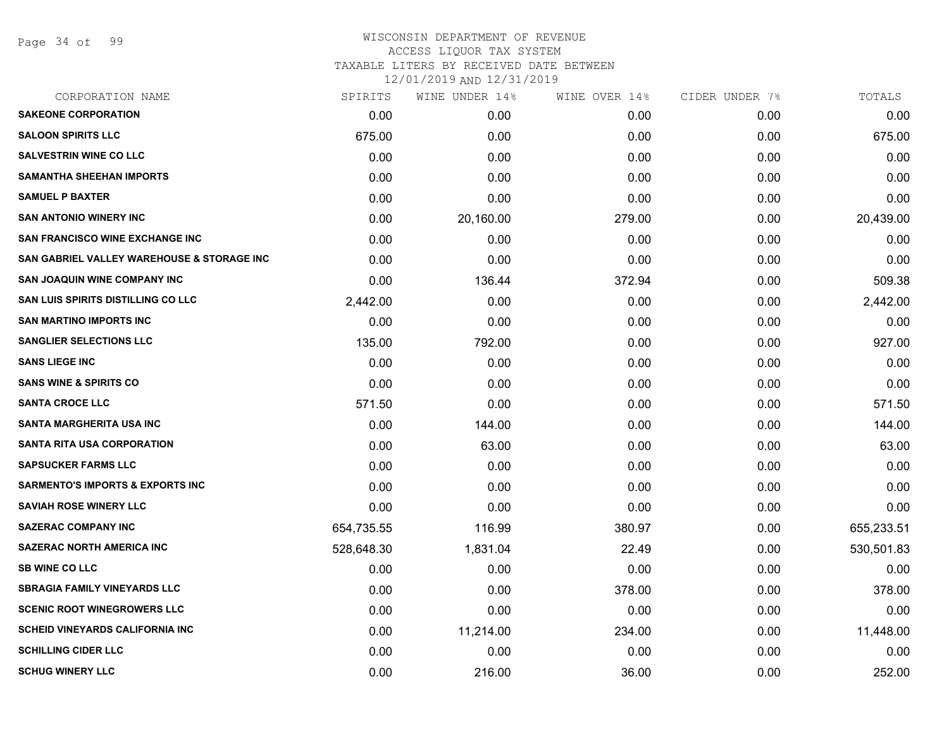Page 34 of 99

#### WISCONSIN DEPARTMENT OF REVENUE ACCESS LIQUOR TAX SYSTEM TAXABLE LITERS BY RECEIVED DATE BETWEEN

| CORPORATION NAME                            | SPIRITS    | WINE UNDER 14% | WINE OVER 14% | CIDER UNDER 7% | TOTALS     |
|---------------------------------------------|------------|----------------|---------------|----------------|------------|
| <b>SAKEONE CORPORATION</b>                  | 0.00       | 0.00           | 0.00          | 0.00           | 0.00       |
| <b>SALOON SPIRITS LLC</b>                   | 675.00     | 0.00           | 0.00          | 0.00           | 675.00     |
| <b>SALVESTRIN WINE CO LLC</b>               | 0.00       | 0.00           | 0.00          | 0.00           | 0.00       |
| <b>SAMANTHA SHEEHAN IMPORTS</b>             | 0.00       | 0.00           | 0.00          | 0.00           | 0.00       |
| <b>SAMUEL P BAXTER</b>                      | 0.00       | 0.00           | 0.00          | 0.00           | 0.00       |
| <b>SAN ANTONIO WINERY INC</b>               | 0.00       | 20,160.00      | 279.00        | 0.00           | 20,439.00  |
| <b>SAN FRANCISCO WINE EXCHANGE INC.</b>     | 0.00       | 0.00           | 0.00          | 0.00           | 0.00       |
| SAN GABRIEL VALLEY WAREHOUSE & STORAGE INC  | 0.00       | 0.00           | 0.00          | 0.00           | 0.00       |
| <b>SAN JOAQUIN WINE COMPANY INC</b>         | 0.00       | 136.44         | 372.94        | 0.00           | 509.38     |
| <b>SAN LUIS SPIRITS DISTILLING CO LLC</b>   | 2,442.00   | 0.00           | 0.00          | 0.00           | 2,442.00   |
| <b>SAN MARTINO IMPORTS INC</b>              | 0.00       | 0.00           | 0.00          | 0.00           | 0.00       |
| <b>SANGLIER SELECTIONS LLC</b>              | 135.00     | 792.00         | 0.00          | 0.00           | 927.00     |
| <b>SANS LIEGE INC</b>                       | 0.00       | 0.00           | 0.00          | 0.00           | 0.00       |
| <b>SANS WINE &amp; SPIRITS CO</b>           | 0.00       | 0.00           | 0.00          | 0.00           | 0.00       |
| <b>SANTA CROCE LLC</b>                      | 571.50     | 0.00           | 0.00          | 0.00           | 571.50     |
| <b>SANTA MARGHERITA USA INC</b>             | 0.00       | 144.00         | 0.00          | 0.00           | 144.00     |
| <b>SANTA RITA USA CORPORATION</b>           | 0.00       | 63.00          | 0.00          | 0.00           | 63.00      |
| <b>SAPSUCKER FARMS LLC</b>                  | 0.00       | 0.00           | 0.00          | 0.00           | 0.00       |
| <b>SARMENTO'S IMPORTS &amp; EXPORTS INC</b> | 0.00       | 0.00           | 0.00          | 0.00           | 0.00       |
| <b>SAVIAH ROSE WINERY LLC</b>               | 0.00       | 0.00           | 0.00          | 0.00           | 0.00       |
| <b>SAZERAC COMPANY INC</b>                  | 654,735.55 | 116.99         | 380.97        | 0.00           | 655,233.51 |
| <b>SAZERAC NORTH AMERICA INC</b>            | 528,648.30 | 1,831.04       | 22.49         | 0.00           | 530,501.83 |
| <b>SB WINE CO LLC</b>                       | 0.00       | 0.00           | 0.00          | 0.00           | 0.00       |
| <b>SBRAGIA FAMILY VINEYARDS LLC</b>         | 0.00       | 0.00           | 378.00        | 0.00           | 378.00     |
| <b>SCENIC ROOT WINEGROWERS LLC</b>          | 0.00       | 0.00           | 0.00          | 0.00           | 0.00       |
| <b>SCHEID VINEYARDS CALIFORNIA INC</b>      | 0.00       | 11,214.00      | 234.00        | 0.00           | 11,448.00  |
| <b>SCHILLING CIDER LLC</b>                  | 0.00       | 0.00           | 0.00          | 0.00           | 0.00       |
| <b>SCHUG WINERY LLC</b>                     | 0.00       | 216.00         | 36.00         | 0.00           | 252.00     |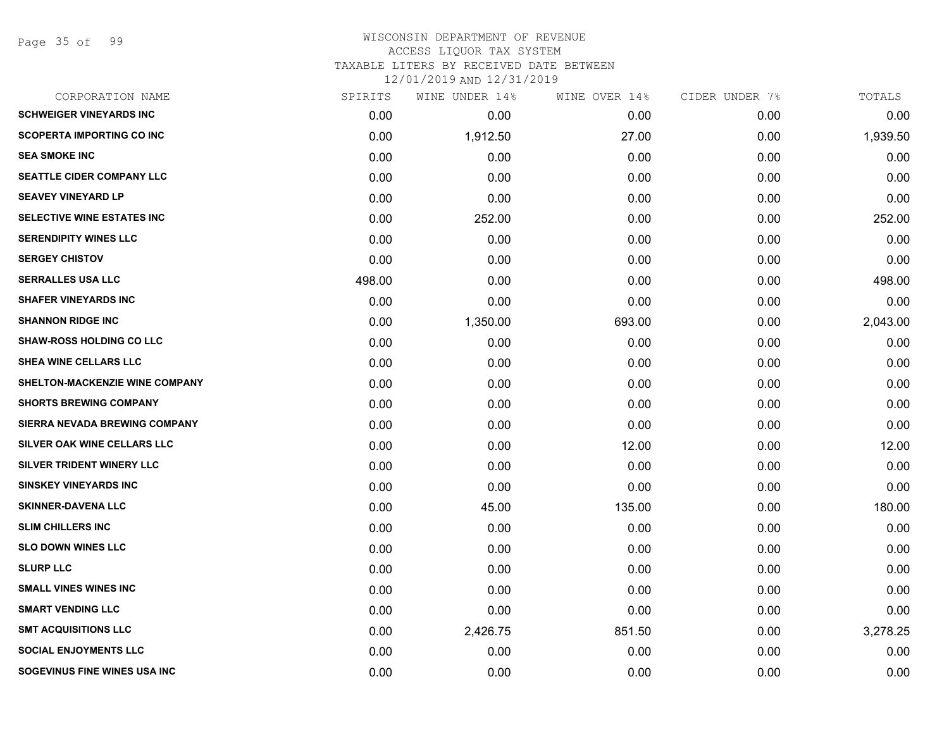Page 35 of 99

# WISCONSIN DEPARTMENT OF REVENUE ACCESS LIQUOR TAX SYSTEM

TAXABLE LITERS BY RECEIVED DATE BETWEEN

| CORPORATION NAME                      | SPIRITS | WINE UNDER 14% | WINE OVER 14% | CIDER UNDER 7% | TOTALS   |
|---------------------------------------|---------|----------------|---------------|----------------|----------|
| <b>SCHWEIGER VINEYARDS INC</b>        | 0.00    | 0.00           | 0.00          | 0.00           | 0.00     |
| <b>SCOPERTA IMPORTING CO INC</b>      | 0.00    | 1,912.50       | 27.00         | 0.00           | 1,939.50 |
| <b>SEA SMOKE INC</b>                  | 0.00    | 0.00           | 0.00          | 0.00           | 0.00     |
| <b>SEATTLE CIDER COMPANY LLC</b>      | 0.00    | 0.00           | 0.00          | 0.00           | 0.00     |
| <b>SEAVEY VINEYARD LP</b>             | 0.00    | 0.00           | 0.00          | 0.00           | 0.00     |
| SELECTIVE WINE ESTATES INC            | 0.00    | 252.00         | 0.00          | 0.00           | 252.00   |
| <b>SERENDIPITY WINES LLC</b>          | 0.00    | 0.00           | 0.00          | 0.00           | 0.00     |
| <b>SERGEY CHISTOV</b>                 | 0.00    | 0.00           | 0.00          | 0.00           | 0.00     |
| <b>SERRALLES USA LLC</b>              | 498.00  | 0.00           | 0.00          | 0.00           | 498.00   |
| <b>SHAFER VINEYARDS INC</b>           | 0.00    | 0.00           | 0.00          | 0.00           | 0.00     |
| <b>SHANNON RIDGE INC</b>              | 0.00    | 1,350.00       | 693.00        | 0.00           | 2,043.00 |
| <b>SHAW-ROSS HOLDING CO LLC</b>       | 0.00    | 0.00           | 0.00          | 0.00           | 0.00     |
| SHEA WINE CELLARS LLC                 | 0.00    | 0.00           | 0.00          | 0.00           | 0.00     |
| <b>SHELTON-MACKENZIE WINE COMPANY</b> | 0.00    | 0.00           | 0.00          | 0.00           | 0.00     |
| <b>SHORTS BREWING COMPANY</b>         | 0.00    | 0.00           | 0.00          | 0.00           | 0.00     |
| SIERRA NEVADA BREWING COMPANY         | 0.00    | 0.00           | 0.00          | 0.00           | 0.00     |
| SILVER OAK WINE CELLARS LLC           | 0.00    | 0.00           | 12.00         | 0.00           | 12.00    |
| SILVER TRIDENT WINERY LLC             | 0.00    | 0.00           | 0.00          | 0.00           | 0.00     |
| <b>SINSKEY VINEYARDS INC</b>          | 0.00    | 0.00           | 0.00          | 0.00           | 0.00     |
| <b>SKINNER-DAVENA LLC</b>             | 0.00    | 45.00          | 135.00        | 0.00           | 180.00   |
| <b>SLIM CHILLERS INC</b>              | 0.00    | 0.00           | 0.00          | 0.00           | 0.00     |
| <b>SLO DOWN WINES LLC</b>             | 0.00    | 0.00           | 0.00          | 0.00           | 0.00     |
| <b>SLURP LLC</b>                      | 0.00    | 0.00           | 0.00          | 0.00           | 0.00     |
| <b>SMALL VINES WINES INC</b>          | 0.00    | 0.00           | 0.00          | 0.00           | 0.00     |
| <b>SMART VENDING LLC</b>              | 0.00    | 0.00           | 0.00          | 0.00           | 0.00     |
| <b>SMT ACQUISITIONS LLC</b>           | 0.00    | 2,426.75       | 851.50        | 0.00           | 3,278.25 |
| <b>SOCIAL ENJOYMENTS LLC</b>          | 0.00    | 0.00           | 0.00          | 0.00           | 0.00     |
| SOGEVINUS FINE WINES USA INC          | 0.00    | 0.00           | 0.00          | 0.00           | 0.00     |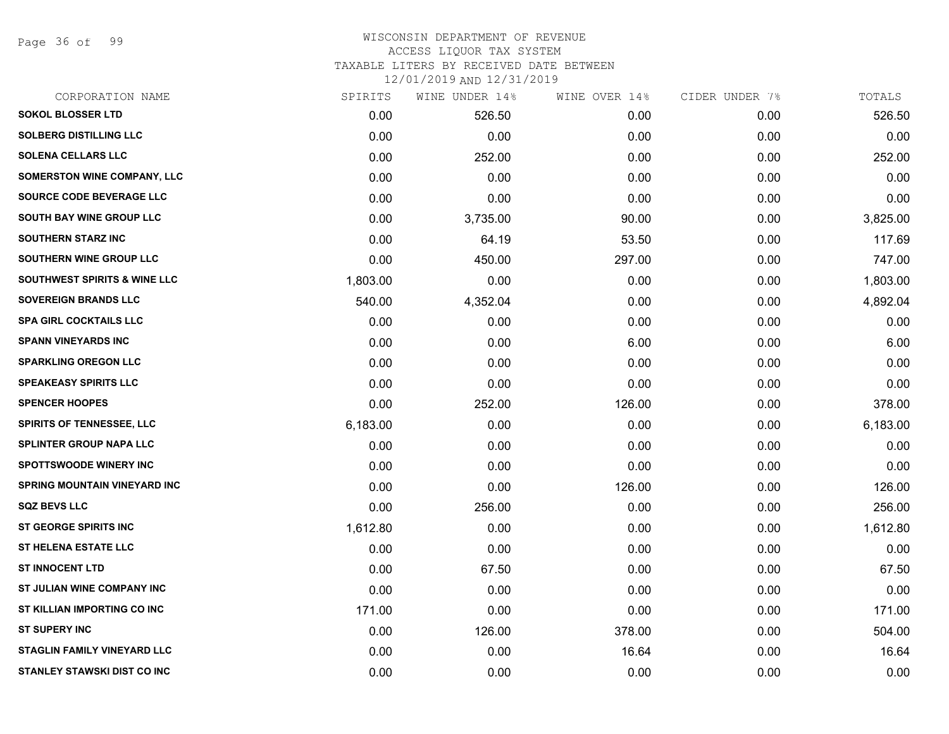Page 36 of 99

# WISCONSIN DEPARTMENT OF REVENUE ACCESS LIQUOR TAX SYSTEM

TAXABLE LITERS BY RECEIVED DATE BETWEEN

| CORPORATION NAME                        | SPIRITS  | WINE UNDER 14% | WINE OVER 14% | CIDER UNDER 7% | TOTALS   |
|-----------------------------------------|----------|----------------|---------------|----------------|----------|
| <b>SOKOL BLOSSER LTD</b>                | 0.00     | 526.50         | 0.00          | 0.00           | 526.50   |
| <b>SOLBERG DISTILLING LLC</b>           | 0.00     | 0.00           | 0.00          | 0.00           | 0.00     |
| <b>SOLENA CELLARS LLC</b>               | 0.00     | 252.00         | 0.00          | 0.00           | 252.00   |
| <b>SOMERSTON WINE COMPANY, LLC</b>      | 0.00     | 0.00           | 0.00          | 0.00           | 0.00     |
| <b>SOURCE CODE BEVERAGE LLC</b>         | 0.00     | 0.00           | 0.00          | 0.00           | 0.00     |
| SOUTH BAY WINE GROUP LLC                | 0.00     | 3,735.00       | 90.00         | 0.00           | 3,825.00 |
| <b>SOUTHERN STARZ INC</b>               | 0.00     | 64.19          | 53.50         | 0.00           | 117.69   |
| SOUTHERN WINE GROUP LLC                 | 0.00     | 450.00         | 297.00        | 0.00           | 747.00   |
| <b>SOUTHWEST SPIRITS &amp; WINE LLC</b> | 1,803.00 | 0.00           | 0.00          | 0.00           | 1,803.00 |
| <b>SOVEREIGN BRANDS LLC</b>             | 540.00   | 4,352.04       | 0.00          | 0.00           | 4,892.04 |
| <b>SPA GIRL COCKTAILS LLC</b>           | 0.00     | 0.00           | 0.00          | 0.00           | 0.00     |
| <b>SPANN VINEYARDS INC</b>              | 0.00     | 0.00           | 6.00          | 0.00           | 6.00     |
| <b>SPARKLING OREGON LLC</b>             | 0.00     | 0.00           | 0.00          | 0.00           | 0.00     |
| <b>SPEAKEASY SPIRITS LLC</b>            | 0.00     | 0.00           | 0.00          | 0.00           | 0.00     |
| <b>SPENCER HOOPES</b>                   | 0.00     | 252.00         | 126.00        | 0.00           | 378.00   |
| <b>SPIRITS OF TENNESSEE, LLC</b>        | 6,183.00 | 0.00           | 0.00          | 0.00           | 6,183.00 |
| <b>SPLINTER GROUP NAPA LLC</b>          | 0.00     | 0.00           | 0.00          | 0.00           | 0.00     |
| <b>SPOTTSWOODE WINERY INC</b>           | 0.00     | 0.00           | 0.00          | 0.00           | 0.00     |
| <b>SPRING MOUNTAIN VINEYARD INC</b>     | 0.00     | 0.00           | 126.00        | 0.00           | 126.00   |
| <b>SQZ BEVS LLC</b>                     | 0.00     | 256.00         | 0.00          | 0.00           | 256.00   |
| ST GEORGE SPIRITS INC                   | 1,612.80 | 0.00           | 0.00          | 0.00           | 1,612.80 |
| <b>ST HELENA ESTATE LLC</b>             | 0.00     | 0.00           | 0.00          | 0.00           | 0.00     |
| <b>ST INNOCENT LTD</b>                  | 0.00     | 67.50          | 0.00          | 0.00           | 67.50    |
| ST JULIAN WINE COMPANY INC              | 0.00     | 0.00           | 0.00          | 0.00           | 0.00     |
| ST KILLIAN IMPORTING CO INC             | 171.00   | 0.00           | 0.00          | 0.00           | 171.00   |
| <b>ST SUPERY INC</b>                    | 0.00     | 126.00         | 378.00        | 0.00           | 504.00   |
| <b>STAGLIN FAMILY VINEYARD LLC</b>      | 0.00     | 0.00           | 16.64         | 0.00           | 16.64    |
| STANLEY STAWSKI DIST CO INC             | 0.00     | 0.00           | 0.00          | 0.00           | 0.00     |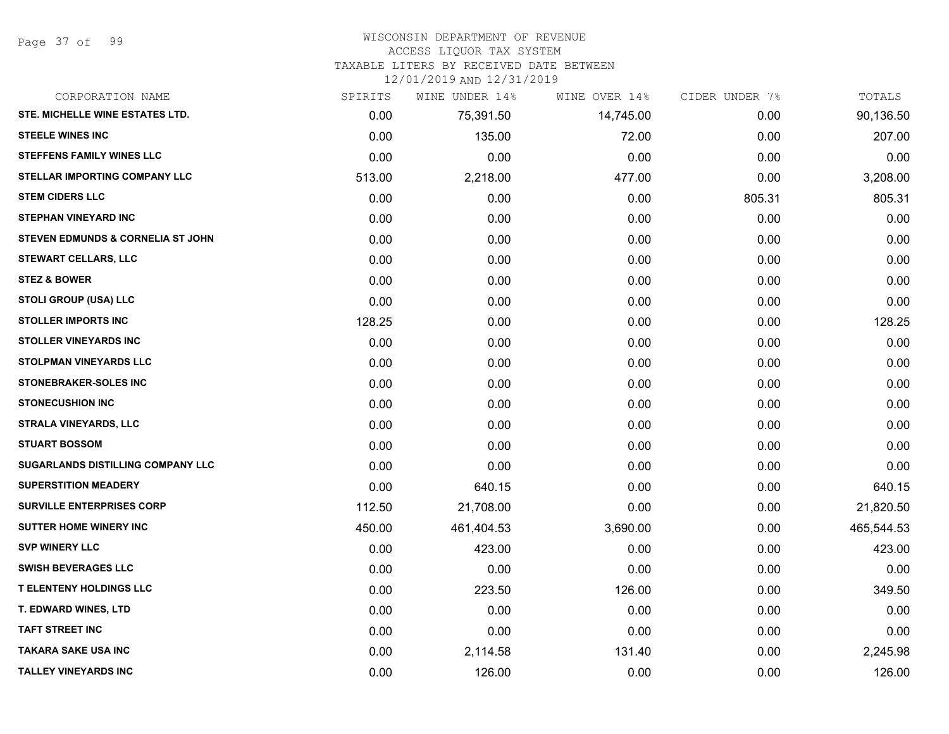#### WISCONSIN DEPARTMENT OF REVENUE

#### ACCESS LIQUOR TAX SYSTEM

TAXABLE LITERS BY RECEIVED DATE BETWEEN

| CORPORATION NAME                             | SPIRITS | WINE UNDER 14% | WINE OVER 14% | CIDER UNDER 7% | TOTALS     |
|----------------------------------------------|---------|----------------|---------------|----------------|------------|
| STE. MICHELLE WINE ESTATES LTD.              | 0.00    | 75,391.50      | 14,745.00     | 0.00           | 90,136.50  |
| <b>STEELE WINES INC</b>                      | 0.00    | 135.00         | 72.00         | 0.00           | 207.00     |
| <b>STEFFENS FAMILY WINES LLC</b>             | 0.00    | 0.00           | 0.00          | 0.00           | 0.00       |
| STELLAR IMPORTING COMPANY LLC                | 513.00  | 2,218.00       | 477.00        | 0.00           | 3,208.00   |
| <b>STEM CIDERS LLC</b>                       | 0.00    | 0.00           | 0.00          | 805.31         | 805.31     |
| <b>STEPHAN VINEYARD INC</b>                  | 0.00    | 0.00           | 0.00          | 0.00           | 0.00       |
| <b>STEVEN EDMUNDS &amp; CORNELIA ST JOHN</b> | 0.00    | 0.00           | 0.00          | 0.00           | 0.00       |
| <b>STEWART CELLARS, LLC</b>                  | 0.00    | 0.00           | 0.00          | 0.00           | 0.00       |
| <b>STEZ &amp; BOWER</b>                      | 0.00    | 0.00           | 0.00          | 0.00           | 0.00       |
| <b>STOLI GROUP (USA) LLC</b>                 | 0.00    | 0.00           | 0.00          | 0.00           | 0.00       |
| <b>STOLLER IMPORTS INC</b>                   | 128.25  | 0.00           | 0.00          | 0.00           | 128.25     |
| <b>STOLLER VINEYARDS INC</b>                 | 0.00    | 0.00           | 0.00          | 0.00           | 0.00       |
| <b>STOLPMAN VINEYARDS LLC</b>                | 0.00    | 0.00           | 0.00          | 0.00           | 0.00       |
| STONEBRAKER-SOLES INC                        | 0.00    | 0.00           | 0.00          | 0.00           | 0.00       |
| <b>STONECUSHION INC</b>                      | 0.00    | 0.00           | 0.00          | 0.00           | 0.00       |
| <b>STRALA VINEYARDS, LLC</b>                 | 0.00    | 0.00           | 0.00          | 0.00           | 0.00       |
| <b>STUART BOSSOM</b>                         | 0.00    | 0.00           | 0.00          | 0.00           | 0.00       |
| SUGARLANDS DISTILLING COMPANY LLC            | 0.00    | 0.00           | 0.00          | 0.00           | 0.00       |
| <b>SUPERSTITION MEADERY</b>                  | 0.00    | 640.15         | 0.00          | 0.00           | 640.15     |
| <b>SURVILLE ENTERPRISES CORP</b>             | 112.50  | 21,708.00      | 0.00          | 0.00           | 21,820.50  |
| <b>SUTTER HOME WINERY INC</b>                | 450.00  | 461,404.53     | 3,690.00      | 0.00           | 465,544.53 |
| <b>SVP WINERY LLC</b>                        | 0.00    | 423.00         | 0.00          | 0.00           | 423.00     |
| <b>SWISH BEVERAGES LLC</b>                   | 0.00    | 0.00           | 0.00          | 0.00           | 0.00       |
| <b>T ELENTENY HOLDINGS LLC</b>               | 0.00    | 223.50         | 126.00        | 0.00           | 349.50     |
| T. EDWARD WINES, LTD                         | 0.00    | 0.00           | 0.00          | 0.00           | 0.00       |
| <b>TAFT STREET INC</b>                       | 0.00    | 0.00           | 0.00          | 0.00           | 0.00       |
| <b>TAKARA SAKE USA INC</b>                   | 0.00    | 2,114.58       | 131.40        | 0.00           | 2,245.98   |
| <b>TALLEY VINEYARDS INC</b>                  | 0.00    | 126.00         | 0.00          | 0.00           | 126.00     |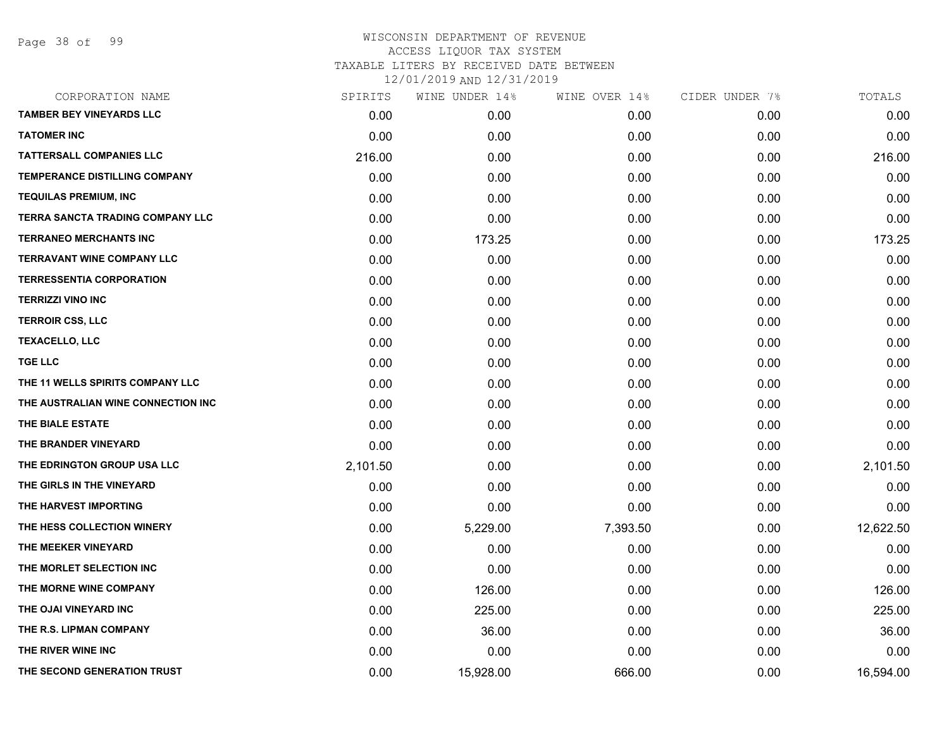| CORPORATION NAME                   | SPIRITS  | WINE UNDER 14% | WINE OVER 14% | CIDER UNDER 7% | TOTALS    |
|------------------------------------|----------|----------------|---------------|----------------|-----------|
| <b>TAMBER BEY VINEYARDS LLC</b>    | 0.00     | 0.00           | 0.00          | 0.00           | 0.00      |
| <b>TATOMER INC</b>                 | 0.00     | 0.00           | 0.00          | 0.00           | 0.00      |
| <b>TATTERSALL COMPANIES LLC</b>    | 216.00   | 0.00           | 0.00          | 0.00           | 216.00    |
| TEMPERANCE DISTILLING COMPANY      | 0.00     | 0.00           | 0.00          | 0.00           | 0.00      |
| <b>TEQUILAS PREMIUM, INC</b>       | 0.00     | 0.00           | 0.00          | 0.00           | 0.00      |
| TERRA SANCTA TRADING COMPANY LLC   | 0.00     | 0.00           | 0.00          | 0.00           | 0.00      |
| <b>TERRANEO MERCHANTS INC</b>      | 0.00     | 173.25         | 0.00          | 0.00           | 173.25    |
| <b>TERRAVANT WINE COMPANY LLC</b>  | 0.00     | 0.00           | 0.00          | 0.00           | 0.00      |
| <b>TERRESSENTIA CORPORATION</b>    | 0.00     | 0.00           | 0.00          | 0.00           | 0.00      |
| <b>TERRIZZI VINO INC</b>           | 0.00     | 0.00           | 0.00          | 0.00           | 0.00      |
| <b>TERROIR CSS, LLC</b>            | 0.00     | 0.00           | 0.00          | 0.00           | 0.00      |
| <b>TEXACELLO, LLC</b>              | 0.00     | 0.00           | 0.00          | 0.00           | 0.00      |
| <b>TGE LLC</b>                     | 0.00     | 0.00           | 0.00          | 0.00           | 0.00      |
| THE 11 WELLS SPIRITS COMPANY LLC   | 0.00     | 0.00           | 0.00          | 0.00           | 0.00      |
| THE AUSTRALIAN WINE CONNECTION INC | 0.00     | 0.00           | 0.00          | 0.00           | 0.00      |
| THE BIALE ESTATE                   | 0.00     | 0.00           | 0.00          | 0.00           | 0.00      |
| THE BRANDER VINEYARD               | 0.00     | 0.00           | 0.00          | 0.00           | 0.00      |
| THE EDRINGTON GROUP USA LLC        | 2,101.50 | 0.00           | 0.00          | 0.00           | 2,101.50  |
| THE GIRLS IN THE VINEYARD          | 0.00     | 0.00           | 0.00          | 0.00           | 0.00      |
| THE HARVEST IMPORTING              | 0.00     | 0.00           | 0.00          | 0.00           | 0.00      |
| THE HESS COLLECTION WINERY         | 0.00     | 5,229.00       | 7,393.50      | 0.00           | 12,622.50 |
| THE MEEKER VINEYARD                | 0.00     | 0.00           | 0.00          | 0.00           | 0.00      |
| THE MORLET SELECTION INC           | 0.00     | 0.00           | 0.00          | 0.00           | 0.00      |
| THE MORNE WINE COMPANY             | 0.00     | 126.00         | 0.00          | 0.00           | 126.00    |
| THE OJAI VINEYARD INC              | 0.00     | 225.00         | 0.00          | 0.00           | 225.00    |
| THE R.S. LIPMAN COMPANY            | 0.00     | 36.00          | 0.00          | 0.00           | 36.00     |
| THE RIVER WINE INC                 | 0.00     | 0.00           | 0.00          | 0.00           | 0.00      |
| THE SECOND GENERATION TRUST        | 0.00     | 15,928.00      | 666.00        | 0.00           | 16,594.00 |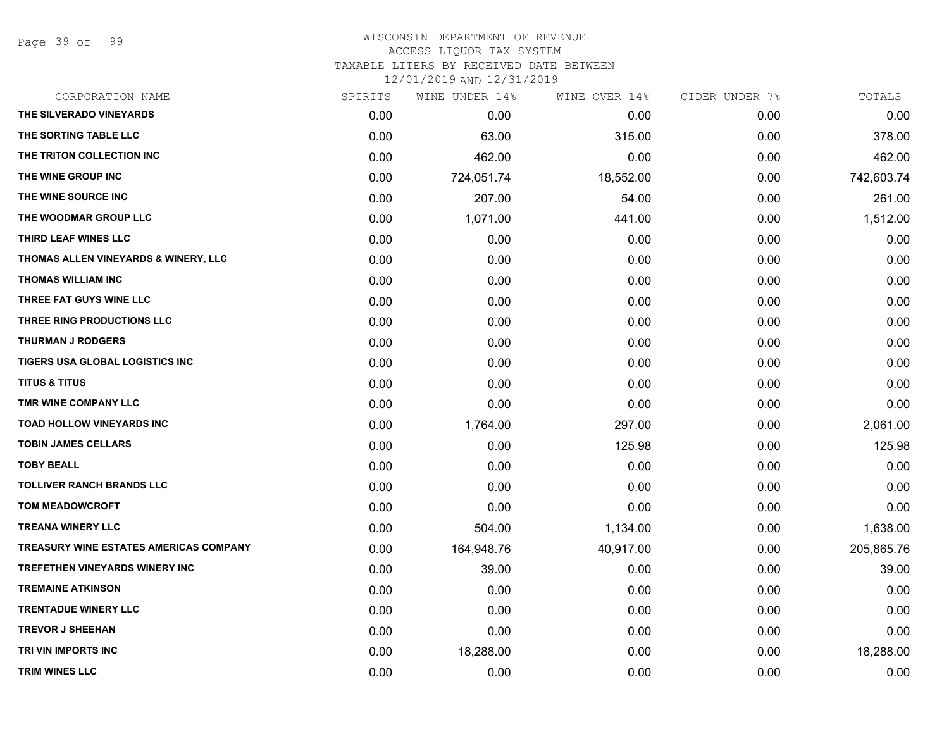Page 39 of 99

#### WISCONSIN DEPARTMENT OF REVENUE ACCESS LIQUOR TAX SYSTEM TAXABLE LITERS BY RECEIVED DATE BETWEEN

| CORPORATION NAME                              | SPIRITS | WINE UNDER 14% | WINE OVER 14% | CIDER UNDER 7% | TOTALS     |
|-----------------------------------------------|---------|----------------|---------------|----------------|------------|
| THE SILVERADO VINEYARDS                       | 0.00    | 0.00           | 0.00          | 0.00           | 0.00       |
| THE SORTING TABLE LLC                         | 0.00    | 63.00          | 315.00        | 0.00           | 378.00     |
| THE TRITON COLLECTION INC                     | 0.00    | 462.00         | 0.00          | 0.00           | 462.00     |
| THE WINE GROUP INC                            | 0.00    | 724,051.74     | 18,552.00     | 0.00           | 742,603.74 |
| THE WINE SOURCE INC                           | 0.00    | 207.00         | 54.00         | 0.00           | 261.00     |
| THE WOODMAR GROUP LLC                         | 0.00    | 1,071.00       | 441.00        | 0.00           | 1,512.00   |
| THIRD LEAF WINES LLC                          | 0.00    | 0.00           | 0.00          | 0.00           | 0.00       |
| THOMAS ALLEN VINEYARDS & WINERY, LLC          | 0.00    | 0.00           | 0.00          | 0.00           | 0.00       |
| <b>THOMAS WILLIAM INC</b>                     | 0.00    | 0.00           | 0.00          | 0.00           | 0.00       |
| THREE FAT GUYS WINE LLC                       | 0.00    | 0.00           | 0.00          | 0.00           | 0.00       |
| THREE RING PRODUCTIONS LLC                    | 0.00    | 0.00           | 0.00          | 0.00           | 0.00       |
| <b>THURMAN J RODGERS</b>                      | 0.00    | 0.00           | 0.00          | 0.00           | 0.00       |
| TIGERS USA GLOBAL LOGISTICS INC               | 0.00    | 0.00           | 0.00          | 0.00           | 0.00       |
| <b>TITUS &amp; TITUS</b>                      | 0.00    | 0.00           | 0.00          | 0.00           | 0.00       |
| TMR WINE COMPANY LLC                          | 0.00    | 0.00           | 0.00          | 0.00           | 0.00       |
| TOAD HOLLOW VINEYARDS INC                     | 0.00    | 1,764.00       | 297.00        | 0.00           | 2,061.00   |
| <b>TOBIN JAMES CELLARS</b>                    | 0.00    | 0.00           | 125.98        | 0.00           | 125.98     |
| <b>TOBY BEALL</b>                             | 0.00    | 0.00           | 0.00          | 0.00           | 0.00       |
| <b>TOLLIVER RANCH BRANDS LLC</b>              | 0.00    | 0.00           | 0.00          | 0.00           | 0.00       |
| <b>TOM MEADOWCROFT</b>                        | 0.00    | 0.00           | 0.00          | 0.00           | 0.00       |
| <b>TREANA WINERY LLC</b>                      | 0.00    | 504.00         | 1,134.00      | 0.00           | 1,638.00   |
| <b>TREASURY WINE ESTATES AMERICAS COMPANY</b> | 0.00    | 164,948.76     | 40,917.00     | 0.00           | 205,865.76 |
| TREFETHEN VINEYARDS WINERY INC                | 0.00    | 39.00          | 0.00          | 0.00           | 39.00      |
| <b>TREMAINE ATKINSON</b>                      | 0.00    | 0.00           | 0.00          | 0.00           | 0.00       |
| <b>TRENTADUE WINERY LLC</b>                   | 0.00    | 0.00           | 0.00          | 0.00           | 0.00       |
| <b>TREVOR J SHEEHAN</b>                       | 0.00    | 0.00           | 0.00          | 0.00           | 0.00       |
| TRI VIN IMPORTS INC                           | 0.00    | 18,288.00      | 0.00          | 0.00           | 18,288.00  |
| <b>TRIM WINES LLC</b>                         | 0.00    | 0.00           | 0.00          | 0.00           | 0.00       |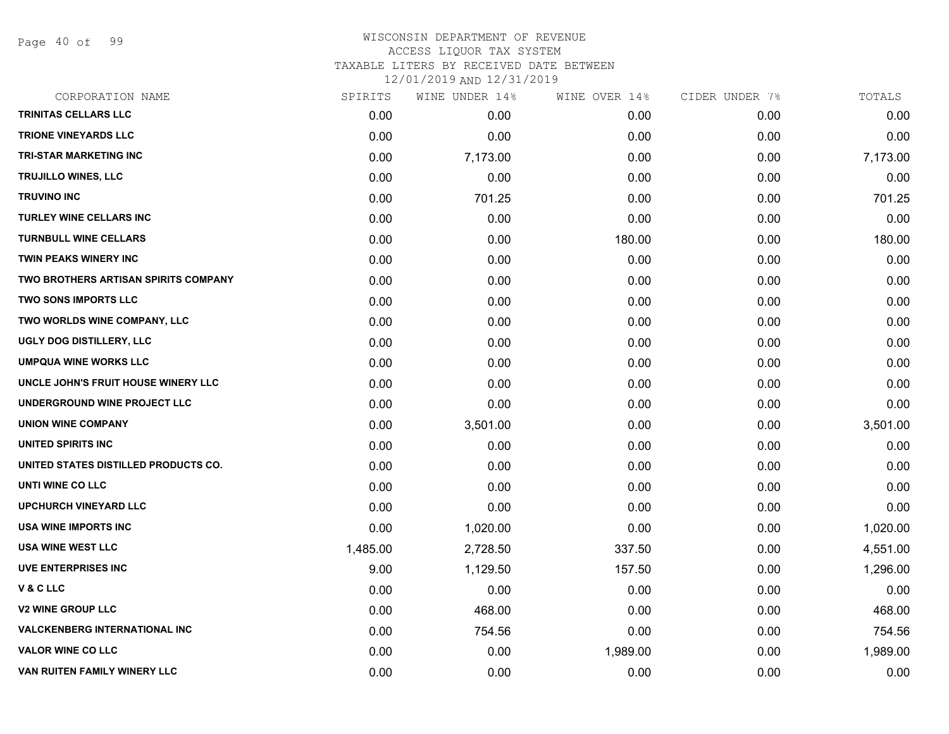Page 40 of 99

### WISCONSIN DEPARTMENT OF REVENUE ACCESS LIQUOR TAX SYSTEM TAXABLE LITERS BY RECEIVED DATE BETWEEN

| CORPORATION NAME                     | SPIRITS  | WINE UNDER 14% | WINE OVER 14% | CIDER UNDER 7% | TOTALS   |
|--------------------------------------|----------|----------------|---------------|----------------|----------|
| TRINITAS CELLARS LLC                 | 0.00     | 0.00           | 0.00          | 0.00           | 0.00     |
| <b>TRIONE VINEYARDS LLC</b>          | 0.00     | 0.00           | 0.00          | 0.00           | 0.00     |
| <b>TRI-STAR MARKETING INC</b>        | 0.00     | 7,173.00       | 0.00          | 0.00           | 7,173.00 |
| <b>TRUJILLO WINES, LLC</b>           | 0.00     | 0.00           | 0.00          | 0.00           | 0.00     |
| <b>TRUVINO INC</b>                   | 0.00     | 701.25         | 0.00          | 0.00           | 701.25   |
| TURLEY WINE CELLARS INC              | 0.00     | 0.00           | 0.00          | 0.00           | 0.00     |
| <b>TURNBULL WINE CELLARS</b>         | 0.00     | 0.00           | 180.00        | 0.00           | 180.00   |
| <b>TWIN PEAKS WINERY INC</b>         | 0.00     | 0.00           | 0.00          | 0.00           | 0.00     |
| TWO BROTHERS ARTISAN SPIRITS COMPANY | 0.00     | 0.00           | 0.00          | 0.00           | 0.00     |
| <b>TWO SONS IMPORTS LLC</b>          | 0.00     | 0.00           | 0.00          | 0.00           | 0.00     |
| TWO WORLDS WINE COMPANY, LLC         | 0.00     | 0.00           | 0.00          | 0.00           | 0.00     |
| UGLY DOG DISTILLERY, LLC             | 0.00     | 0.00           | 0.00          | 0.00           | 0.00     |
| <b>UMPQUA WINE WORKS LLC</b>         | 0.00     | 0.00           | 0.00          | 0.00           | 0.00     |
| UNCLE JOHN'S FRUIT HOUSE WINERY LLC  | 0.00     | 0.00           | 0.00          | 0.00           | 0.00     |
| UNDERGROUND WINE PROJECT LLC         | 0.00     | 0.00           | 0.00          | 0.00           | 0.00     |
| <b>UNION WINE COMPANY</b>            | 0.00     | 3,501.00       | 0.00          | 0.00           | 3,501.00 |
| UNITED SPIRITS INC                   | 0.00     | 0.00           | 0.00          | 0.00           | 0.00     |
| UNITED STATES DISTILLED PRODUCTS CO. | 0.00     | 0.00           | 0.00          | 0.00           | 0.00     |
| UNTI WINE CO LLC                     | 0.00     | 0.00           | 0.00          | 0.00           | 0.00     |
| <b>UPCHURCH VINEYARD LLC</b>         | 0.00     | 0.00           | 0.00          | 0.00           | 0.00     |
| USA WINE IMPORTS INC                 | 0.00     | 1,020.00       | 0.00          | 0.00           | 1,020.00 |
| <b>USA WINE WEST LLC</b>             | 1,485.00 | 2,728.50       | 337.50        | 0.00           | 4,551.00 |
| <b>UVE ENTERPRISES INC</b>           | 9.00     | 1,129.50       | 157.50        | 0.00           | 1,296.00 |
| <b>V&amp;CLLC</b>                    | 0.00     | 0.00           | 0.00          | 0.00           | 0.00     |
| <b>V2 WINE GROUP LLC</b>             | 0.00     | 468.00         | 0.00          | 0.00           | 468.00   |
| <b>VALCKENBERG INTERNATIONAL INC</b> | 0.00     | 754.56         | 0.00          | 0.00           | 754.56   |
| <b>VALOR WINE CO LLC</b>             | 0.00     | 0.00           | 1,989.00      | 0.00           | 1,989.00 |
| VAN RUITEN FAMILY WINERY LLC         | 0.00     | 0.00           | 0.00          | 0.00           | 0.00     |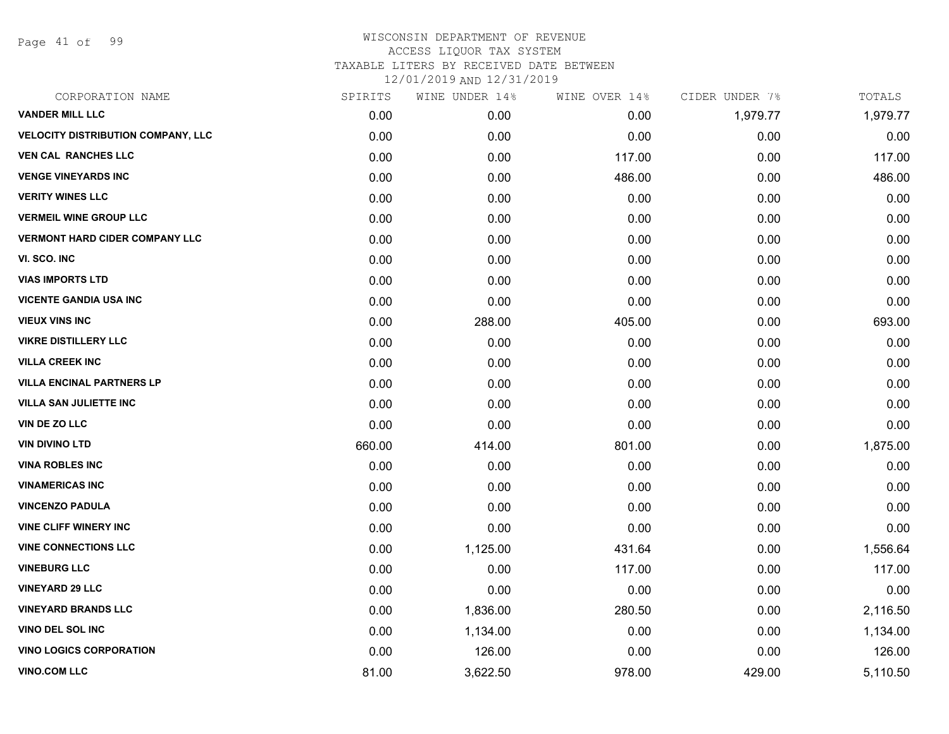Page 41 of 99

| CORPORATION NAME                          | SPIRITS | WINE UNDER 14% | WINE OVER 14% | CIDER UNDER 7% | TOTALS   |
|-------------------------------------------|---------|----------------|---------------|----------------|----------|
| <b>VANDER MILL LLC</b>                    | 0.00    | 0.00           | 0.00          | 1,979.77       | 1,979.77 |
| <b>VELOCITY DISTRIBUTION COMPANY, LLC</b> | 0.00    | 0.00           | 0.00          | 0.00           | 0.00     |
| <b>VEN CAL RANCHES LLC</b>                | 0.00    | 0.00           | 117.00        | 0.00           | 117.00   |
| <b>VENGE VINEYARDS INC</b>                | 0.00    | 0.00           | 486.00        | 0.00           | 486.00   |
| <b>VERITY WINES LLC</b>                   | 0.00    | 0.00           | 0.00          | 0.00           | 0.00     |
| <b>VERMEIL WINE GROUP LLC</b>             | 0.00    | 0.00           | 0.00          | 0.00           | 0.00     |
| <b>VERMONT HARD CIDER COMPANY LLC</b>     | 0.00    | 0.00           | 0.00          | 0.00           | 0.00     |
| VI. SCO. INC                              | 0.00    | 0.00           | 0.00          | 0.00           | 0.00     |
| <b>VIAS IMPORTS LTD</b>                   | 0.00    | 0.00           | 0.00          | 0.00           | 0.00     |
| <b>VICENTE GANDIA USA INC</b>             | 0.00    | 0.00           | 0.00          | 0.00           | 0.00     |
| <b>VIEUX VINS INC</b>                     | 0.00    | 288.00         | 405.00        | 0.00           | 693.00   |
| <b>VIKRE DISTILLERY LLC</b>               | 0.00    | 0.00           | 0.00          | 0.00           | 0.00     |
| <b>VILLA CREEK INC</b>                    | 0.00    | 0.00           | 0.00          | 0.00           | 0.00     |
| <b>VILLA ENCINAL PARTNERS LP</b>          | 0.00    | 0.00           | 0.00          | 0.00           | 0.00     |
| <b>VILLA SAN JULIETTE INC</b>             | 0.00    | 0.00           | 0.00          | 0.00           | 0.00     |
| VIN DE ZO LLC                             | 0.00    | 0.00           | 0.00          | 0.00           | 0.00     |
| <b>VIN DIVINO LTD</b>                     | 660.00  | 414.00         | 801.00        | 0.00           | 1,875.00 |
| <b>VINA ROBLES INC</b>                    | 0.00    | 0.00           | 0.00          | 0.00           | 0.00     |
| <b>VINAMERICAS INC</b>                    | 0.00    | 0.00           | 0.00          | 0.00           | 0.00     |
| <b>VINCENZO PADULA</b>                    | 0.00    | 0.00           | 0.00          | 0.00           | 0.00     |
| <b>VINE CLIFF WINERY INC</b>              | 0.00    | 0.00           | 0.00          | 0.00           | 0.00     |
| <b>VINE CONNECTIONS LLC</b>               | 0.00    | 1,125.00       | 431.64        | 0.00           | 1,556.64 |
| <b>VINEBURG LLC</b>                       | 0.00    | 0.00           | 117.00        | 0.00           | 117.00   |
| <b>VINEYARD 29 LLC</b>                    | 0.00    | 0.00           | 0.00          | 0.00           | 0.00     |
| <b>VINEYARD BRANDS LLC</b>                | 0.00    | 1,836.00       | 280.50        | 0.00           | 2,116.50 |
| <b>VINO DEL SOL INC</b>                   | 0.00    | 1,134.00       | 0.00          | 0.00           | 1,134.00 |
| <b>VINO LOGICS CORPORATION</b>            | 0.00    | 126.00         | 0.00          | 0.00           | 126.00   |
| <b>VINO.COM LLC</b>                       | 81.00   | 3,622.50       | 978.00        | 429.00         | 5,110.50 |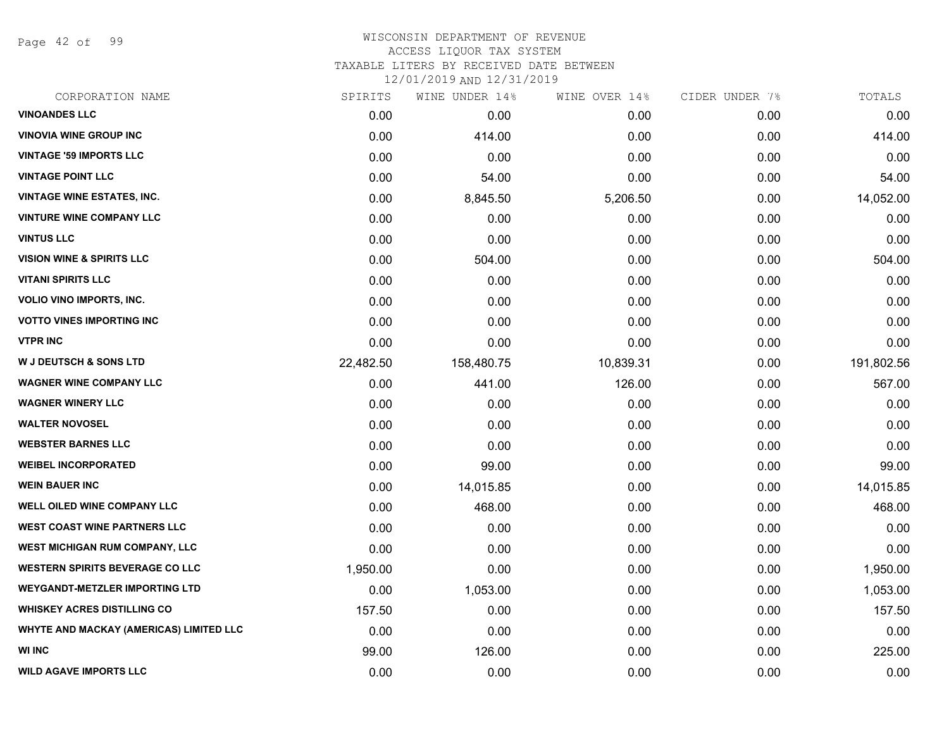Page 42 of 99

#### WISCONSIN DEPARTMENT OF REVENUE ACCESS LIQUOR TAX SYSTEM

TAXABLE LITERS BY RECEIVED DATE BETWEEN

| CORPORATION NAME                               | SPIRITS   | WINE UNDER 14% | WINE OVER 14% | CIDER UNDER 7% | TOTALS     |
|------------------------------------------------|-----------|----------------|---------------|----------------|------------|
| <b>VINOANDES LLC</b>                           | 0.00      | 0.00           | 0.00          | 0.00           | 0.00       |
| <b>VINOVIA WINE GROUP INC</b>                  | 0.00      | 414.00         | 0.00          | 0.00           | 414.00     |
| <b>VINTAGE '59 IMPORTS LLC</b>                 | 0.00      | 0.00           | 0.00          | 0.00           | 0.00       |
| <b>VINTAGE POINT LLC</b>                       | 0.00      | 54.00          | 0.00          | 0.00           | 54.00      |
| <b>VINTAGE WINE ESTATES, INC.</b>              | 0.00      | 8,845.50       | 5,206.50      | 0.00           | 14,052.00  |
| <b>VINTURE WINE COMPANY LLC</b>                | 0.00      | 0.00           | 0.00          | 0.00           | 0.00       |
| <b>VINTUS LLC</b>                              | 0.00      | 0.00           | 0.00          | 0.00           | 0.00       |
| <b>VISION WINE &amp; SPIRITS LLC</b>           | 0.00      | 504.00         | 0.00          | 0.00           | 504.00     |
| <b>VITANI SPIRITS LLC</b>                      | 0.00      | 0.00           | 0.00          | 0.00           | 0.00       |
| <b>VOLIO VINO IMPORTS, INC.</b>                | 0.00      | 0.00           | 0.00          | 0.00           | 0.00       |
| <b>VOTTO VINES IMPORTING INC</b>               | 0.00      | 0.00           | 0.00          | 0.00           | 0.00       |
| <b>VTPR INC</b>                                | 0.00      | 0.00           | 0.00          | 0.00           | 0.00       |
| <b>W J DEUTSCH &amp; SONS LTD</b>              | 22,482.50 | 158,480.75     | 10,839.31     | 0.00           | 191,802.56 |
| <b>WAGNER WINE COMPANY LLC</b>                 | 0.00      | 441.00         | 126.00        | 0.00           | 567.00     |
| <b>WAGNER WINERY LLC</b>                       | 0.00      | 0.00           | 0.00          | 0.00           | 0.00       |
| <b>WALTER NOVOSEL</b>                          | 0.00      | 0.00           | 0.00          | 0.00           | 0.00       |
| <b>WEBSTER BARNES LLC</b>                      | 0.00      | 0.00           | 0.00          | 0.00           | 0.00       |
| <b>WEIBEL INCORPORATED</b>                     | 0.00      | 99.00          | 0.00          | 0.00           | 99.00      |
| <b>WEIN BAUER INC</b>                          | 0.00      | 14,015.85      | 0.00          | 0.00           | 14,015.85  |
| WELL OILED WINE COMPANY LLC                    | 0.00      | 468.00         | 0.00          | 0.00           | 468.00     |
| <b>WEST COAST WINE PARTNERS LLC</b>            | 0.00      | 0.00           | 0.00          | 0.00           | 0.00       |
| WEST MICHIGAN RUM COMPANY, LLC                 | 0.00      | 0.00           | 0.00          | 0.00           | 0.00       |
| <b>WESTERN SPIRITS BEVERAGE CO LLC</b>         | 1,950.00  | 0.00           | 0.00          | 0.00           | 1,950.00   |
| <b>WEYGANDT-METZLER IMPORTING LTD</b>          | 0.00      | 1,053.00       | 0.00          | 0.00           | 1,053.00   |
| <b>WHISKEY ACRES DISTILLING CO</b>             | 157.50    | 0.00           | 0.00          | 0.00           | 157.50     |
| <b>WHYTE AND MACKAY (AMERICAS) LIMITED LLC</b> | 0.00      | 0.00           | 0.00          | 0.00           | 0.00       |
| <b>WI INC</b>                                  | 99.00     | 126.00         | 0.00          | 0.00           | 225.00     |
| <b>WILD AGAVE IMPORTS LLC</b>                  | 0.00      | 0.00           | 0.00          | 0.00           | 0.00       |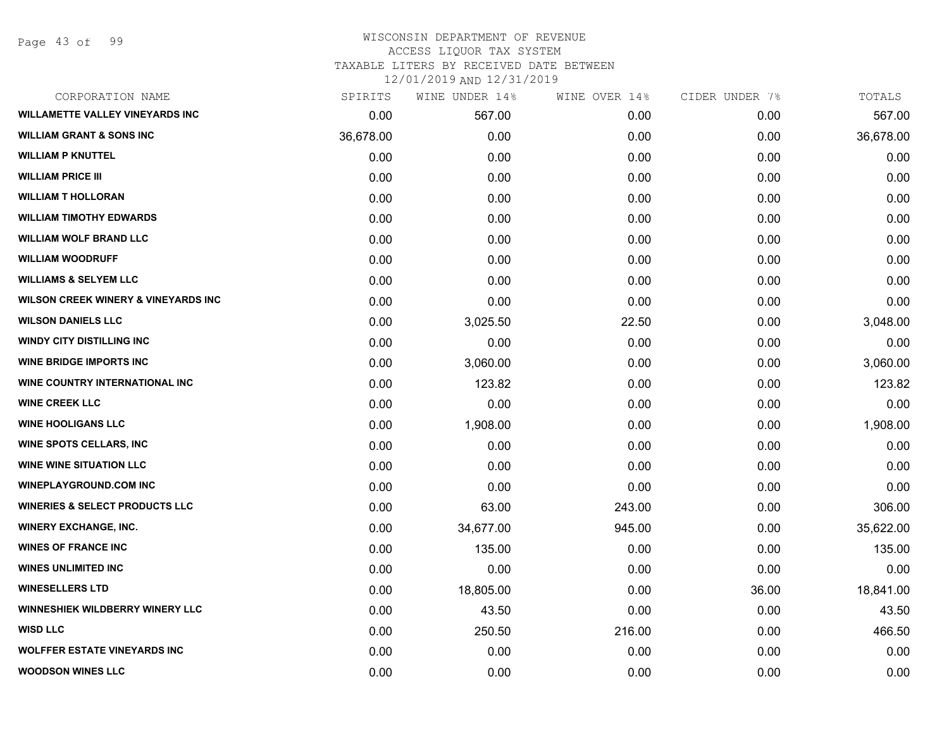Page 43 of 99

#### WISCONSIN DEPARTMENT OF REVENUE ACCESS LIQUOR TAX SYSTEM TAXABLE LITERS BY RECEIVED DATE BETWEEN

| CORPORATION NAME                               | SPIRITS   | WINE UNDER 14% | WINE OVER 14% | CIDER UNDER 7% | TOTALS    |
|------------------------------------------------|-----------|----------------|---------------|----------------|-----------|
| <b>WILLAMETTE VALLEY VINEYARDS INC</b>         | 0.00      | 567.00         | 0.00          | 0.00           | 567.00    |
| <b>WILLIAM GRANT &amp; SONS INC</b>            | 36,678.00 | 0.00           | 0.00          | 0.00           | 36,678.00 |
| <b>WILLIAM P KNUTTEL</b>                       | 0.00      | 0.00           | 0.00          | 0.00           | 0.00      |
| <b>WILLIAM PRICE III</b>                       | 0.00      | 0.00           | 0.00          | 0.00           | 0.00      |
| <b>WILLIAM T HOLLORAN</b>                      | 0.00      | 0.00           | 0.00          | 0.00           | 0.00      |
| <b>WILLIAM TIMOTHY EDWARDS</b>                 | 0.00      | 0.00           | 0.00          | 0.00           | 0.00      |
| <b>WILLIAM WOLF BRAND LLC</b>                  | 0.00      | 0.00           | 0.00          | 0.00           | 0.00      |
| <b>WILLIAM WOODRUFF</b>                        | 0.00      | 0.00           | 0.00          | 0.00           | 0.00      |
| <b>WILLIAMS &amp; SELYEM LLC</b>               | 0.00      | 0.00           | 0.00          | 0.00           | 0.00      |
| <b>WILSON CREEK WINERY &amp; VINEYARDS INC</b> | 0.00      | 0.00           | 0.00          | 0.00           | 0.00      |
| <b>WILSON DANIELS LLC</b>                      | 0.00      | 3,025.50       | 22.50         | 0.00           | 3,048.00  |
| <b>WINDY CITY DISTILLING INC</b>               | 0.00      | 0.00           | 0.00          | 0.00           | 0.00      |
| <b>WINE BRIDGE IMPORTS INC</b>                 | 0.00      | 3,060.00       | 0.00          | 0.00           | 3,060.00  |
| <b>WINE COUNTRY INTERNATIONAL INC</b>          | 0.00      | 123.82         | 0.00          | 0.00           | 123.82    |
| <b>WINE CREEK LLC</b>                          | 0.00      | 0.00           | 0.00          | 0.00           | 0.00      |
| <b>WINE HOOLIGANS LLC</b>                      | 0.00      | 1,908.00       | 0.00          | 0.00           | 1,908.00  |
| <b>WINE SPOTS CELLARS, INC</b>                 | 0.00      | 0.00           | 0.00          | 0.00           | 0.00      |
| <b>WINE WINE SITUATION LLC</b>                 | 0.00      | 0.00           | 0.00          | 0.00           | 0.00      |
| <b>WINEPLAYGROUND.COM INC</b>                  | 0.00      | 0.00           | 0.00          | 0.00           | 0.00      |
| <b>WINERIES &amp; SELECT PRODUCTS LLC</b>      | 0.00      | 63.00          | 243.00        | 0.00           | 306.00    |
| <b>WINERY EXCHANGE, INC.</b>                   | 0.00      | 34,677.00      | 945.00        | 0.00           | 35,622.00 |
| <b>WINES OF FRANCE INC</b>                     | 0.00      | 135.00         | 0.00          | 0.00           | 135.00    |
| <b>WINES UNLIMITED INC</b>                     | 0.00      | 0.00           | 0.00          | 0.00           | 0.00      |
| <b>WINESELLERS LTD</b>                         | 0.00      | 18,805.00      | 0.00          | 36.00          | 18,841.00 |
| <b>WINNESHIEK WILDBERRY WINERY LLC</b>         | 0.00      | 43.50          | 0.00          | 0.00           | 43.50     |
| <b>WISD LLC</b>                                | 0.00      | 250.50         | 216.00        | 0.00           | 466.50    |
| <b>WOLFFER ESTATE VINEYARDS INC</b>            | 0.00      | 0.00           | 0.00          | 0.00           | 0.00      |
| <b>WOODSON WINES LLC</b>                       | 0.00      | 0.00           | 0.00          | 0.00           | 0.00      |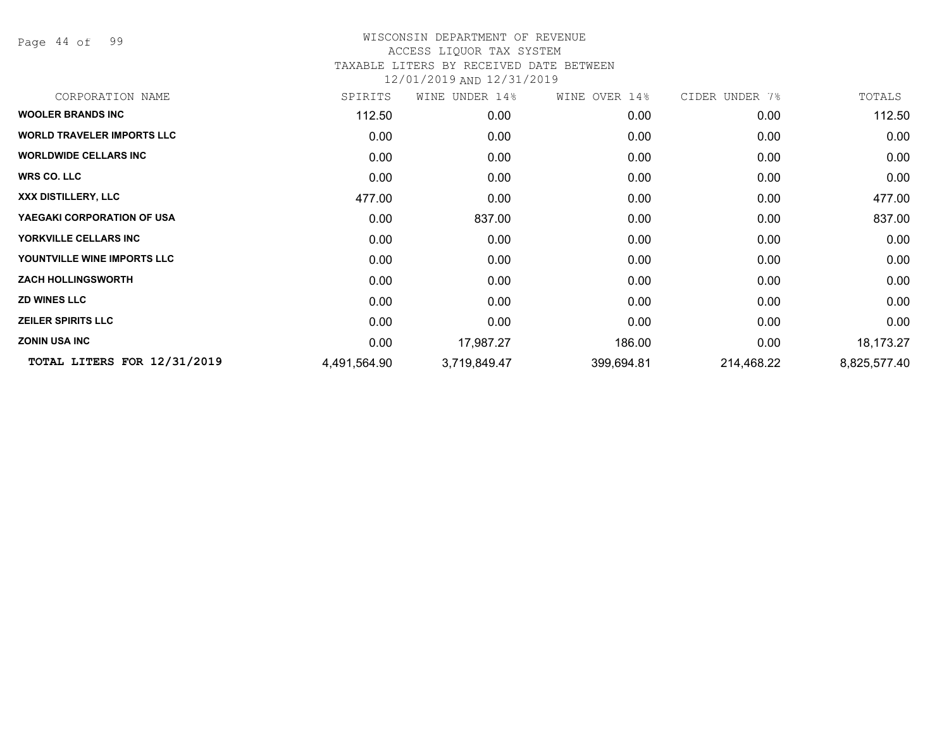Page 44 of 99

### WISCONSIN DEPARTMENT OF REVENUE ACCESS LIQUOR TAX SYSTEM TAXABLE LITERS BY RECEIVED DATE BETWEEN

| CORPORATION NAME                  | SPIRITS      | WINE<br>UNDER 14% | WINE OVER 14% | CIDER UNDER 7% | TOTALS       |
|-----------------------------------|--------------|-------------------|---------------|----------------|--------------|
| <b>WOOLER BRANDS INC</b>          | 112.50       | 0.00              | 0.00          | 0.00           | 112.50       |
| <b>WORLD TRAVELER IMPORTS LLC</b> | 0.00         | 0.00              | 0.00          | 0.00           | 0.00         |
| <b>WORLDWIDE CELLARS INC</b>      | 0.00         | 0.00              | 0.00          | 0.00           | 0.00         |
| <b>WRS CO. LLC</b>                | 0.00         | 0.00              | 0.00          | 0.00           | 0.00         |
| XXX DISTILLERY, LLC               | 477.00       | 0.00              | 0.00          | 0.00           | 477.00       |
| YAEGAKI CORPORATION OF USA        | 0.00         | 837.00            | 0.00          | 0.00           | 837.00       |
| YORKVILLE CELLARS INC             | 0.00         | 0.00              | 0.00          | 0.00           | 0.00         |
| YOUNTVILLE WINE IMPORTS LLC       | 0.00         | 0.00              | 0.00          | 0.00           | 0.00         |
| <b>ZACH HOLLINGSWORTH</b>         | 0.00         | 0.00              | 0.00          | 0.00           | 0.00         |
| <b>ZD WINES LLC</b>               | 0.00         | 0.00              | 0.00          | 0.00           | 0.00         |
| <b>ZEILER SPIRITS LLC</b>         | 0.00         | 0.00              | 0.00          | 0.00           | 0.00         |
| <b>ZONIN USA INC</b>              | 0.00         | 17,987.27         | 186.00        | 0.00           | 18,173.27    |
| TOTAL LITERS FOR 12/31/2019       | 4,491,564.90 | 3,719,849.47      | 399,694.81    | 214,468.22     | 8,825,577.40 |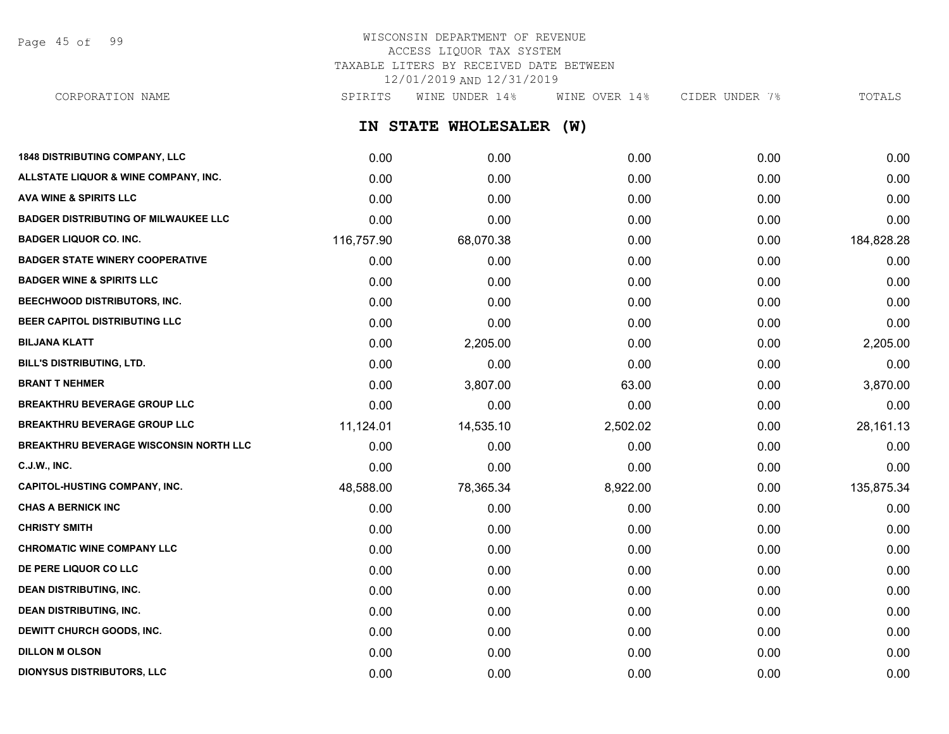Page 45 of 99

## WISCONSIN DEPARTMENT OF REVENUE ACCESS LIQUOR TAX SYSTEM TAXABLE LITERS BY RECEIVED DATE BETWEEN 12/01/2019 AND 12/31/2019

**IN STATE WHOLESALER (W) 1848 DISTRIBUTING COMPANY, LLC** 0.00 0.00 0.00 0.00 0.00 **ALLSTATE LIQUOR & WINE COMPANY, INC.** 0.00 0.00 0.00 0.00 0.00 **AVA WINE & SPIRITS LLC** 0.00 0.00 0.00 0.00 0.00 **BADGER DISTRIBUTING OF MILWAUKEE LLC** 0.00 0.00 0.00 0.00 0.00 **BADGER LIQUOR CO. INC.** 116,757.90 68,070.38 0.00 0.00 184,828.28 **BADGER STATE WINERY COOPERATIVE** 0.00 0.00 0.00 0.00 0.00 **BADGER WINE & SPIRITS LLC** 0.00 0.00 0.00 0.00 0.00 CORPORATION NAME SPIRITS WINE UNDER 14% WINE OVER 14% CIDER UNDER 7% TOTALS

| BEECHWOOD DISTRIBUTORS, INC.                  | 0.00      | 0.00      | 0.00     | 0.00 | 0.00       |
|-----------------------------------------------|-----------|-----------|----------|------|------------|
| <b>BEER CAPITOL DISTRIBUTING LLC</b>          | 0.00      | 0.00      | 0.00     | 0.00 | 0.00       |
| <b>BILJANA KLATT</b>                          | 0.00      | 2,205.00  | 0.00     | 0.00 | 2,205.00   |
| <b>BILL'S DISTRIBUTING, LTD.</b>              | 0.00      | 0.00      | 0.00     | 0.00 | 0.00       |
| <b>BRANT T NEHMER</b>                         | 0.00      | 3,807.00  | 63.00    | 0.00 | 3,870.00   |
| <b>BREAKTHRU BEVERAGE GROUP LLC</b>           | 0.00      | 0.00      | 0.00     | 0.00 | 0.00       |
| <b>BREAKTHRU BEVERAGE GROUP LLC</b>           | 11,124.01 | 14,535.10 | 2,502.02 | 0.00 | 28,161.13  |
| <b>BREAKTHRU BEVERAGE WISCONSIN NORTH LLC</b> | 0.00      | 0.00      | 0.00     | 0.00 | 0.00       |
| <b>C.J.W., INC.</b>                           | 0.00      | 0.00      | 0.00     | 0.00 | 0.00       |
| <b>CAPITOL-HUSTING COMPANY, INC.</b>          | 48,588.00 | 78,365.34 | 8,922.00 | 0.00 | 135,875.34 |
| <b>CHAS A BERNICK INC</b>                     | 0.00      | 0.00      | 0.00     | 0.00 | 0.00       |
| <b>CHRISTY SMITH</b>                          | 0.00      | 0.00      | 0.00     | 0.00 | 0.00       |
| <b>CHROMATIC WINE COMPANY LLC</b>             | 0.00      | 0.00      | 0.00     | 0.00 | 0.00       |
| DE PERE LIQUOR CO LLC                         | 0.00      | 0.00      | 0.00     | 0.00 | 0.00       |
| <b>DEAN DISTRIBUTING, INC.</b>                | 0.00      | 0.00      | 0.00     | 0.00 | 0.00       |
| <b>DEAN DISTRIBUTING, INC.</b>                | 0.00      | 0.00      | 0.00     | 0.00 | 0.00       |
| DEWITT CHURCH GOODS, INC.                     | 0.00      | 0.00      | 0.00     | 0.00 | 0.00       |
| <b>DILLON M OLSON</b>                         | 0.00      | 0.00      | 0.00     | 0.00 | 0.00       |
| <b>DIONYSUS DISTRIBUTORS, LLC</b>             | 0.00      | 0.00      | 0.00     | 0.00 | 0.00       |
|                                               |           |           |          |      |            |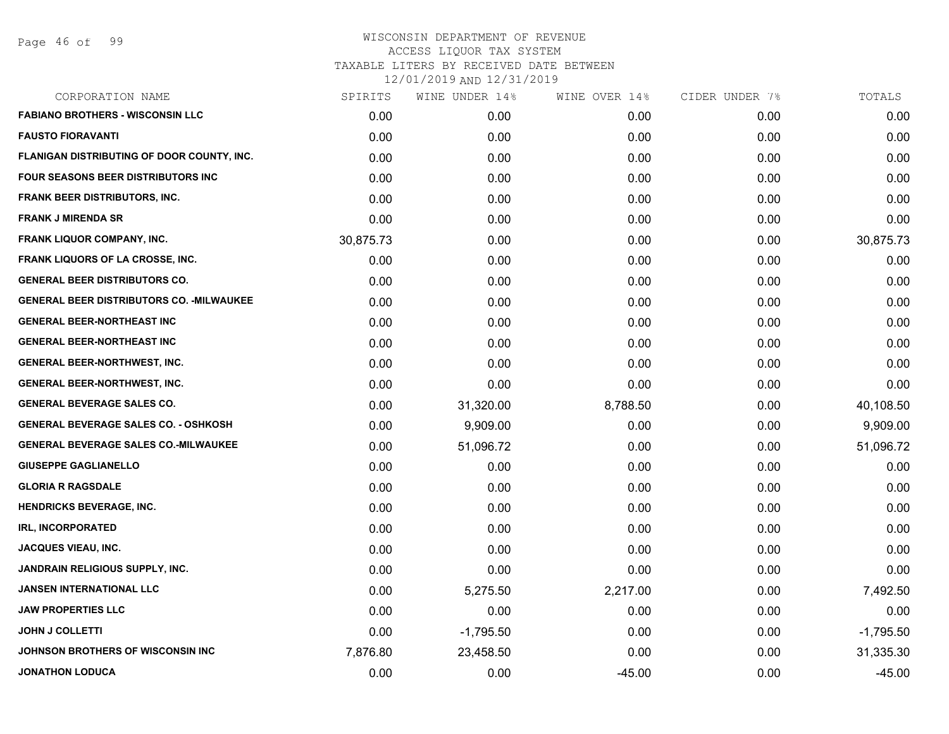| CORPORATION NAME                                 | SPIRITS   | WINE UNDER 14% | WINE OVER 14% | CIDER UNDER 7% | TOTALS      |
|--------------------------------------------------|-----------|----------------|---------------|----------------|-------------|
| <b>FABIANO BROTHERS - WISCONSIN LLC</b>          | 0.00      | 0.00           | 0.00          | 0.00           | 0.00        |
| <b>FAUSTO FIORAVANTI</b>                         | 0.00      | 0.00           | 0.00          | 0.00           | 0.00        |
| FLANIGAN DISTRIBUTING OF DOOR COUNTY, INC.       | 0.00      | 0.00           | 0.00          | 0.00           | 0.00        |
| FOUR SEASONS BEER DISTRIBUTORS INC               | 0.00      | 0.00           | 0.00          | 0.00           | 0.00        |
| <b>FRANK BEER DISTRIBUTORS, INC.</b>             | 0.00      | 0.00           | 0.00          | 0.00           | 0.00        |
| <b>FRANK J MIRENDA SR</b>                        | 0.00      | 0.00           | 0.00          | 0.00           | 0.00        |
| FRANK LIQUOR COMPANY, INC.                       | 30,875.73 | 0.00           | 0.00          | 0.00           | 30,875.73   |
| <b>FRANK LIQUORS OF LA CROSSE, INC.</b>          | 0.00      | 0.00           | 0.00          | 0.00           | 0.00        |
| <b>GENERAL BEER DISTRIBUTORS CO.</b>             | 0.00      | 0.00           | 0.00          | 0.00           | 0.00        |
| <b>GENERAL BEER DISTRIBUTORS CO. - MILWAUKEE</b> | 0.00      | 0.00           | 0.00          | 0.00           | 0.00        |
| <b>GENERAL BEER-NORTHEAST INC</b>                | 0.00      | 0.00           | 0.00          | 0.00           | 0.00        |
| <b>GENERAL BEER-NORTHEAST INC</b>                | 0.00      | 0.00           | 0.00          | 0.00           | 0.00        |
| GENERAL BEER-NORTHWEST, INC.                     | 0.00      | 0.00           | 0.00          | 0.00           | 0.00        |
| <b>GENERAL BEER-NORTHWEST, INC.</b>              | 0.00      | 0.00           | 0.00          | 0.00           | 0.00        |
| <b>GENERAL BEVERAGE SALES CO.</b>                | 0.00      | 31,320.00      | 8,788.50      | 0.00           | 40,108.50   |
| <b>GENERAL BEVERAGE SALES CO. - OSHKOSH</b>      | 0.00      | 9,909.00       | 0.00          | 0.00           | 9,909.00    |
| <b>GENERAL BEVERAGE SALES CO.-MILWAUKEE</b>      | 0.00      | 51,096.72      | 0.00          | 0.00           | 51,096.72   |
| <b>GIUSEPPE GAGLIANELLO</b>                      | 0.00      | 0.00           | 0.00          | 0.00           | 0.00        |
| <b>GLORIA R RAGSDALE</b>                         | 0.00      | 0.00           | 0.00          | 0.00           | 0.00        |
| <b>HENDRICKS BEVERAGE, INC.</b>                  | 0.00      | 0.00           | 0.00          | 0.00           | 0.00        |
| <b>IRL, INCORPORATED</b>                         | 0.00      | 0.00           | 0.00          | 0.00           | 0.00        |
| <b>JACQUES VIEAU, INC.</b>                       | 0.00      | 0.00           | 0.00          | 0.00           | 0.00        |
| <b>JANDRAIN RELIGIOUS SUPPLY, INC.</b>           | 0.00      | 0.00           | 0.00          | 0.00           | 0.00        |
| <b>JANSEN INTERNATIONAL LLC</b>                  | 0.00      | 5,275.50       | 2,217.00      | 0.00           | 7,492.50    |
| <b>JAW PROPERTIES LLC</b>                        | 0.00      | 0.00           | 0.00          | 0.00           | 0.00        |
| <b>JOHN J COLLETTI</b>                           | 0.00      | $-1,795.50$    | 0.00          | 0.00           | $-1,795.50$ |
| JOHNSON BROTHERS OF WISCONSIN INC                | 7,876.80  | 23,458.50      | 0.00          | 0.00           | 31,335.30   |
| <b>JONATHON LODUCA</b>                           | 0.00      | 0.00           | $-45.00$      | 0.00           | $-45.00$    |
|                                                  |           |                |               |                |             |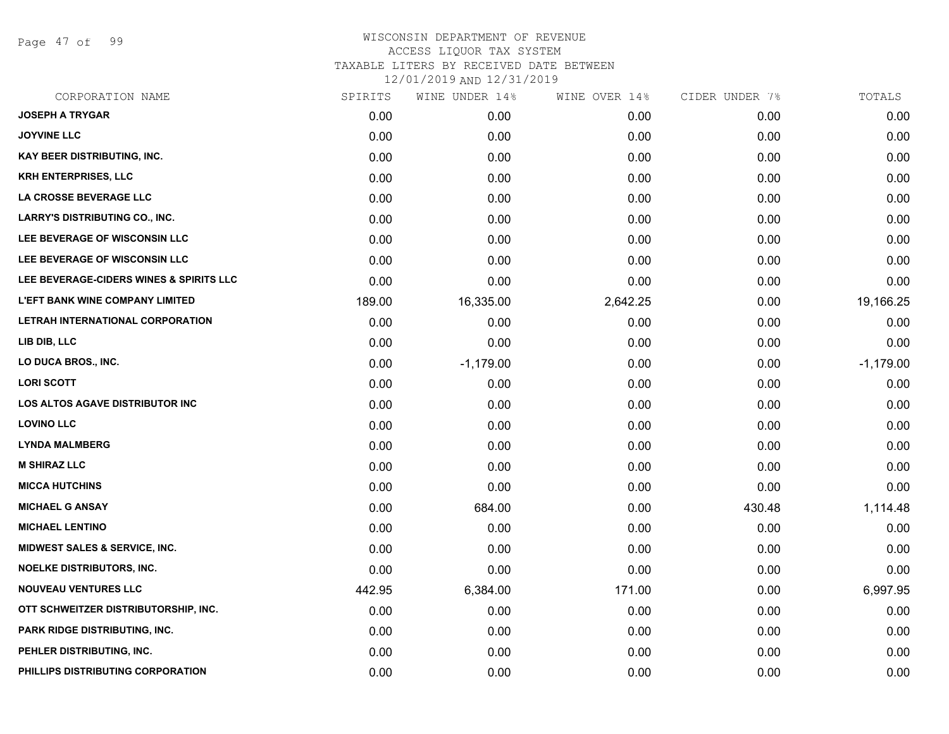Page 47 of 99

| CORPORATION NAME                        | SPIRITS | WINE UNDER 14% | WINE OVER 14% | CIDER UNDER 7% | TOTALS      |
|-----------------------------------------|---------|----------------|---------------|----------------|-------------|
| <b>JOSEPH A TRYGAR</b>                  | 0.00    | 0.00           | 0.00          | 0.00           | 0.00        |
| <b>JOYVINE LLC</b>                      | 0.00    | 0.00           | 0.00          | 0.00           | 0.00        |
| <b>KAY BEER DISTRIBUTING, INC.</b>      | 0.00    | 0.00           | 0.00          | 0.00           | 0.00        |
| <b>KRH ENTERPRISES, LLC</b>             | 0.00    | 0.00           | 0.00          | 0.00           | 0.00        |
| LA CROSSE BEVERAGE LLC                  | 0.00    | 0.00           | 0.00          | 0.00           | 0.00        |
| <b>LARRY'S DISTRIBUTING CO., INC.</b>   | 0.00    | 0.00           | 0.00          | 0.00           | 0.00        |
| LEE BEVERAGE OF WISCONSIN LLC           | 0.00    | 0.00           | 0.00          | 0.00           | 0.00        |
| LEE BEVERAGE OF WISCONSIN LLC           | 0.00    | 0.00           | 0.00          | 0.00           | 0.00        |
| LEE BEVERAGE-CIDERS WINES & SPIRITS LLC | 0.00    | 0.00           | 0.00          | 0.00           | 0.00        |
| <b>L'EFT BANK WINE COMPANY LIMITED</b>  | 189.00  | 16,335.00      | 2,642.25      | 0.00           | 19,166.25   |
| LETRAH INTERNATIONAL CORPORATION        | 0.00    | 0.00           | 0.00          | 0.00           | 0.00        |
| LIB DIB, LLC                            | 0.00    | 0.00           | 0.00          | 0.00           | 0.00        |
| LO DUCA BROS., INC.                     | 0.00    | $-1,179.00$    | 0.00          | 0.00           | $-1,179.00$ |
| <b>LORI SCOTT</b>                       | 0.00    | 0.00           | 0.00          | 0.00           | 0.00        |
| <b>LOS ALTOS AGAVE DISTRIBUTOR INC</b>  | 0.00    | 0.00           | 0.00          | 0.00           | 0.00        |
| <b>LOVINO LLC</b>                       | 0.00    | 0.00           | 0.00          | 0.00           | 0.00        |
| <b>LYNDA MALMBERG</b>                   | 0.00    | 0.00           | 0.00          | 0.00           | 0.00        |
| <b>M SHIRAZ LLC</b>                     | 0.00    | 0.00           | 0.00          | 0.00           | 0.00        |
| <b>MICCA HUTCHINS</b>                   | 0.00    | 0.00           | 0.00          | 0.00           | 0.00        |
| <b>MICHAEL G ANSAY</b>                  | 0.00    | 684.00         | 0.00          | 430.48         | 1,114.48    |
| <b>MICHAEL LENTINO</b>                  | 0.00    | 0.00           | 0.00          | 0.00           | 0.00        |
| MIDWEST SALES & SERVICE, INC.           | 0.00    | 0.00           | 0.00          | 0.00           | 0.00        |
| <b>NOELKE DISTRIBUTORS, INC.</b>        | 0.00    | 0.00           | 0.00          | 0.00           | 0.00        |
| <b>NOUVEAU VENTURES LLC</b>             | 442.95  | 6,384.00       | 171.00        | 0.00           | 6,997.95    |
| OTT SCHWEITZER DISTRIBUTORSHIP, INC.    | 0.00    | 0.00           | 0.00          | 0.00           | 0.00        |
| PARK RIDGE DISTRIBUTING, INC.           | 0.00    | 0.00           | 0.00          | 0.00           | 0.00        |
| PEHLER DISTRIBUTING, INC.               | 0.00    | 0.00           | 0.00          | 0.00           | 0.00        |
| PHILLIPS DISTRIBUTING CORPORATION       | 0.00    | 0.00           | 0.00          | 0.00           | 0.00        |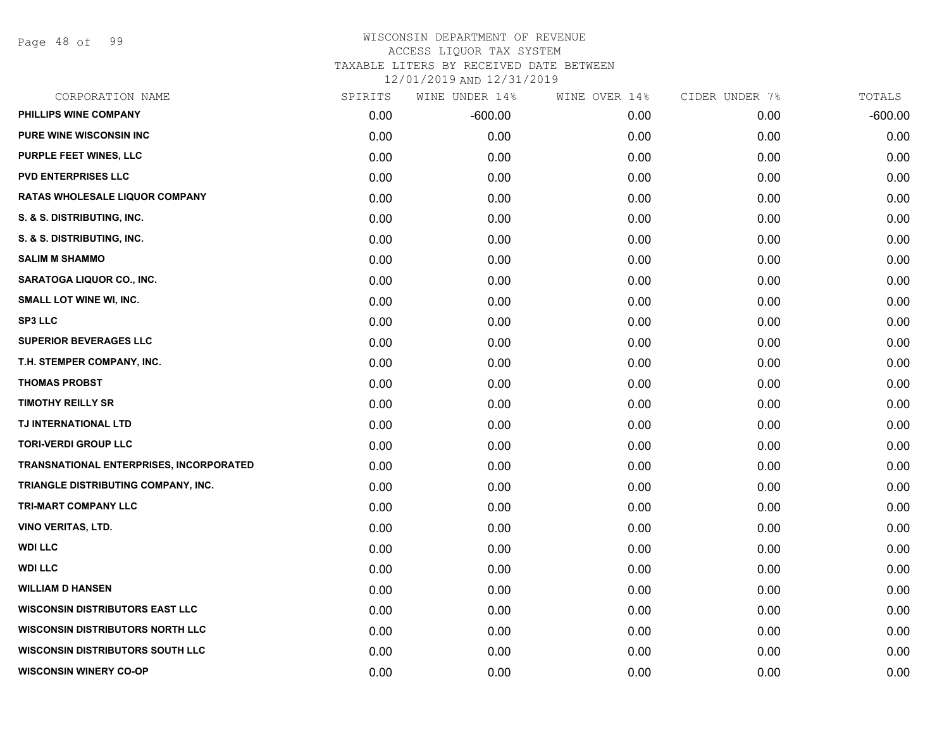Page 48 of 99

### WISCONSIN DEPARTMENT OF REVENUE ACCESS LIQUOR TAX SYSTEM TAXABLE LITERS BY RECEIVED DATE BETWEEN

| CORPORATION NAME                        | SPIRITS | WINE UNDER 14% | WINE OVER 14% | CIDER UNDER 7% | TOTALS    |
|-----------------------------------------|---------|----------------|---------------|----------------|-----------|
| PHILLIPS WINE COMPANY                   | 0.00    | $-600.00$      | 0.00          | 0.00           | $-600.00$ |
| <b>PURE WINE WISCONSIN INC</b>          | 0.00    | 0.00           | 0.00          | 0.00           | 0.00      |
| PURPLE FEET WINES, LLC                  | 0.00    | 0.00           | 0.00          | 0.00           | 0.00      |
| <b>PVD ENTERPRISES LLC</b>              | 0.00    | 0.00           | 0.00          | 0.00           | 0.00      |
| RATAS WHOLESALE LIQUOR COMPANY          | 0.00    | 0.00           | 0.00          | 0.00           | 0.00      |
| S. & S. DISTRIBUTING, INC.              | 0.00    | 0.00           | 0.00          | 0.00           | 0.00      |
| S. & S. DISTRIBUTING, INC.              | 0.00    | 0.00           | 0.00          | 0.00           | 0.00      |
| <b>SALIM M SHAMMO</b>                   | 0.00    | 0.00           | 0.00          | 0.00           | 0.00      |
| <b>SARATOGA LIQUOR CO., INC.</b>        | 0.00    | 0.00           | 0.00          | 0.00           | 0.00      |
| <b>SMALL LOT WINE WI, INC.</b>          | 0.00    | 0.00           | 0.00          | 0.00           | 0.00      |
| <b>SP3 LLC</b>                          | 0.00    | 0.00           | 0.00          | 0.00           | 0.00      |
| <b>SUPERIOR BEVERAGES LLC</b>           | 0.00    | 0.00           | 0.00          | 0.00           | 0.00      |
| T.H. STEMPER COMPANY, INC.              | 0.00    | 0.00           | 0.00          | 0.00           | 0.00      |
| <b>THOMAS PROBST</b>                    | 0.00    | 0.00           | 0.00          | 0.00           | 0.00      |
| <b>TIMOTHY REILLY SR</b>                | 0.00    | 0.00           | 0.00          | 0.00           | 0.00      |
| TJ INTERNATIONAL LTD                    | 0.00    | 0.00           | 0.00          | 0.00           | 0.00      |
| <b>TORI-VERDI GROUP LLC</b>             | 0.00    | 0.00           | 0.00          | 0.00           | 0.00      |
| TRANSNATIONAL ENTERPRISES, INCORPORATED | 0.00    | 0.00           | 0.00          | 0.00           | 0.00      |
| TRIANGLE DISTRIBUTING COMPANY, INC.     | 0.00    | 0.00           | 0.00          | 0.00           | 0.00      |
| <b>TRI-MART COMPANY LLC</b>             | 0.00    | 0.00           | 0.00          | 0.00           | 0.00      |
| <b>VINO VERITAS, LTD.</b>               | 0.00    | 0.00           | 0.00          | 0.00           | 0.00      |
| <b>WDI LLC</b>                          | 0.00    | 0.00           | 0.00          | 0.00           | 0.00      |
| <b>WDI LLC</b>                          | 0.00    | 0.00           | 0.00          | 0.00           | 0.00      |
| <b>WILLIAM D HANSEN</b>                 | 0.00    | 0.00           | 0.00          | 0.00           | 0.00      |
| <b>WISCONSIN DISTRIBUTORS EAST LLC</b>  | 0.00    | 0.00           | 0.00          | 0.00           | 0.00      |
| <b>WISCONSIN DISTRIBUTORS NORTH LLC</b> | 0.00    | 0.00           | 0.00          | 0.00           | 0.00      |
| <b>WISCONSIN DISTRIBUTORS SOUTH LLC</b> | 0.00    | 0.00           | 0.00          | 0.00           | 0.00      |
| <b>WISCONSIN WINERY CO-OP</b>           | 0.00    | 0.00           | 0.00          | 0.00           | 0.00      |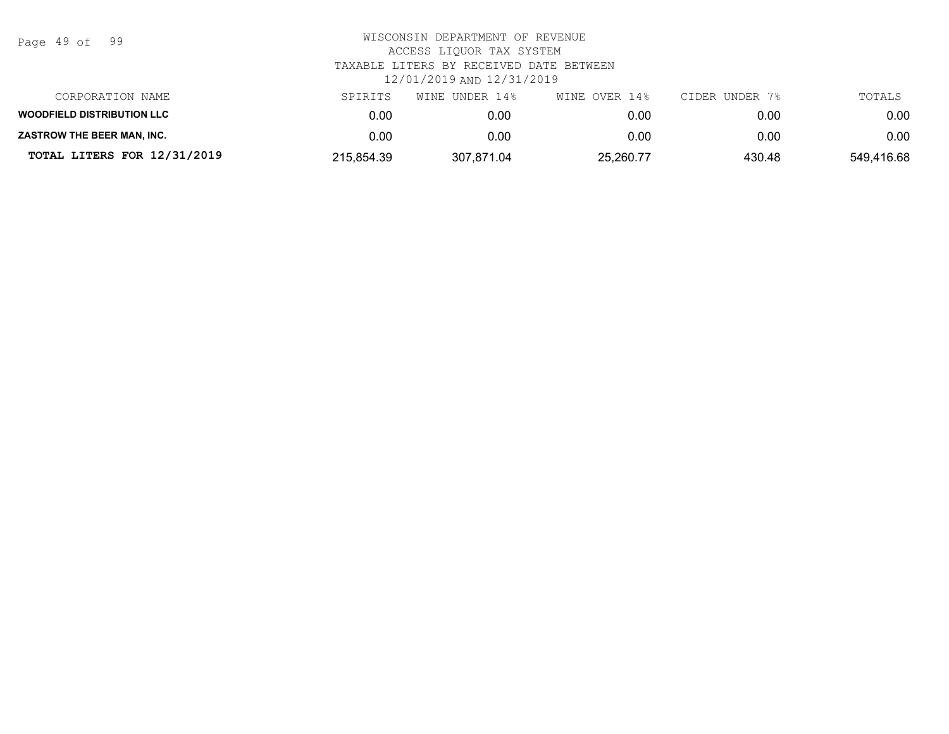| Page | 49 of |  | 99 |
|------|-------|--|----|
|------|-------|--|----|

| CORPORATION NAME                  | SPIRITS    | WINE UNDER 14% | WINE OVER 14% | CIDER UNDER 7% | TOTALS     |
|-----------------------------------|------------|----------------|---------------|----------------|------------|
| <b>WOODFIELD DISTRIBUTION LLC</b> | 0.00       | 0.00           | 0.00          | 0.00           | 0.00       |
| <b>ZASTROW THE BEER MAN. INC.</b> | 0.00       | 0.00           | 0.00          | 0.00           | 0.00       |
| TOTAL LITERS FOR 12/31/2019       | 215,854.39 | 307,871.04     | 25,260.77     | 430.48         | 549,416.68 |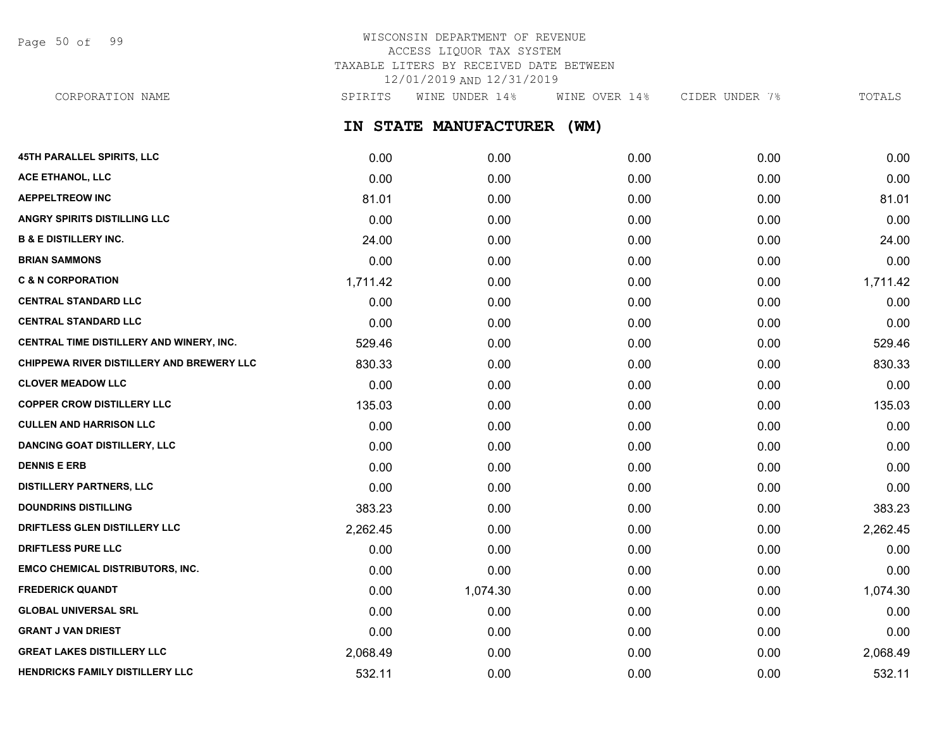Page 50 of 99

## WISCONSIN DEPARTMENT OF REVENUE ACCESS LIQUOR TAX SYSTEM TAXABLE LITERS BY RECEIVED DATE BETWEEN 12/01/2019 AND 12/31/2019

**IN STATE MANUFACTURER (WM)** CORPORATION NAME SPIRITS WINE UNDER 14% WINE OVER 14% CIDER UNDER 7% TOTALS

| 45TH PARALLEL SPIRITS, LLC                | 0.00     | 0.00     | 0.00 | 0.00 | 0.00     |
|-------------------------------------------|----------|----------|------|------|----------|
| <b>ACE ETHANOL, LLC</b>                   | 0.00     | 0.00     | 0.00 | 0.00 | 0.00     |
| <b>AEPPELTREOW INC</b>                    | 81.01    | 0.00     | 0.00 | 0.00 | 81.01    |
| <b>ANGRY SPIRITS DISTILLING LLC</b>       | 0.00     | 0.00     | 0.00 | 0.00 | 0.00     |
| <b>B &amp; E DISTILLERY INC.</b>          | 24.00    | 0.00     | 0.00 | 0.00 | 24.00    |
| <b>BRIAN SAMMONS</b>                      | 0.00     | 0.00     | 0.00 | 0.00 | 0.00     |
| <b>C &amp; N CORPORATION</b>              | 1,711.42 | 0.00     | 0.00 | 0.00 | 1,711.42 |
| <b>CENTRAL STANDARD LLC</b>               | 0.00     | 0.00     | 0.00 | 0.00 | 0.00     |
| <b>CENTRAL STANDARD LLC</b>               | 0.00     | 0.00     | 0.00 | 0.00 | 0.00     |
| CENTRAL TIME DISTILLERY AND WINERY, INC.  | 529.46   | 0.00     | 0.00 | 0.00 | 529.46   |
| CHIPPEWA RIVER DISTILLERY AND BREWERY LLC | 830.33   | 0.00     | 0.00 | 0.00 | 830.33   |
| <b>CLOVER MEADOW LLC</b>                  | 0.00     | 0.00     | 0.00 | 0.00 | 0.00     |
| <b>COPPER CROW DISTILLERY LLC</b>         | 135.03   | 0.00     | 0.00 | 0.00 | 135.03   |
| <b>CULLEN AND HARRISON LLC</b>            | 0.00     | 0.00     | 0.00 | 0.00 | 0.00     |
| <b>DANCING GOAT DISTILLERY, LLC</b>       | 0.00     | 0.00     | 0.00 | 0.00 | 0.00     |
| <b>DENNIS E ERB</b>                       | 0.00     | 0.00     | 0.00 | 0.00 | 0.00     |
| <b>DISTILLERY PARTNERS, LLC</b>           | 0.00     | 0.00     | 0.00 | 0.00 | 0.00     |
| <b>DOUNDRINS DISTILLING</b>               | 383.23   | 0.00     | 0.00 | 0.00 | 383.23   |
| DRIFTLESS GLEN DISTILLERY LLC             | 2,262.45 | 0.00     | 0.00 | 0.00 | 2,262.45 |
| <b>DRIFTLESS PURE LLC</b>                 | 0.00     | 0.00     | 0.00 | 0.00 | 0.00     |
| <b>EMCO CHEMICAL DISTRIBUTORS, INC.</b>   | 0.00     | 0.00     | 0.00 | 0.00 | 0.00     |
| <b>FREDERICK QUANDT</b>                   | 0.00     | 1,074.30 | 0.00 | 0.00 | 1,074.30 |
| <b>GLOBAL UNIVERSAL SRL</b>               | 0.00     | 0.00     | 0.00 | 0.00 | 0.00     |
| <b>GRANT J VAN DRIEST</b>                 | 0.00     | 0.00     | 0.00 | 0.00 | 0.00     |
| <b>GREAT LAKES DISTILLERY LLC</b>         | 2,068.49 | 0.00     | 0.00 | 0.00 | 2,068.49 |
| HENDRICKS FAMILY DISTILLERY LLC           | 532.11   | 0.00     | 0.00 | 0.00 | 532.11   |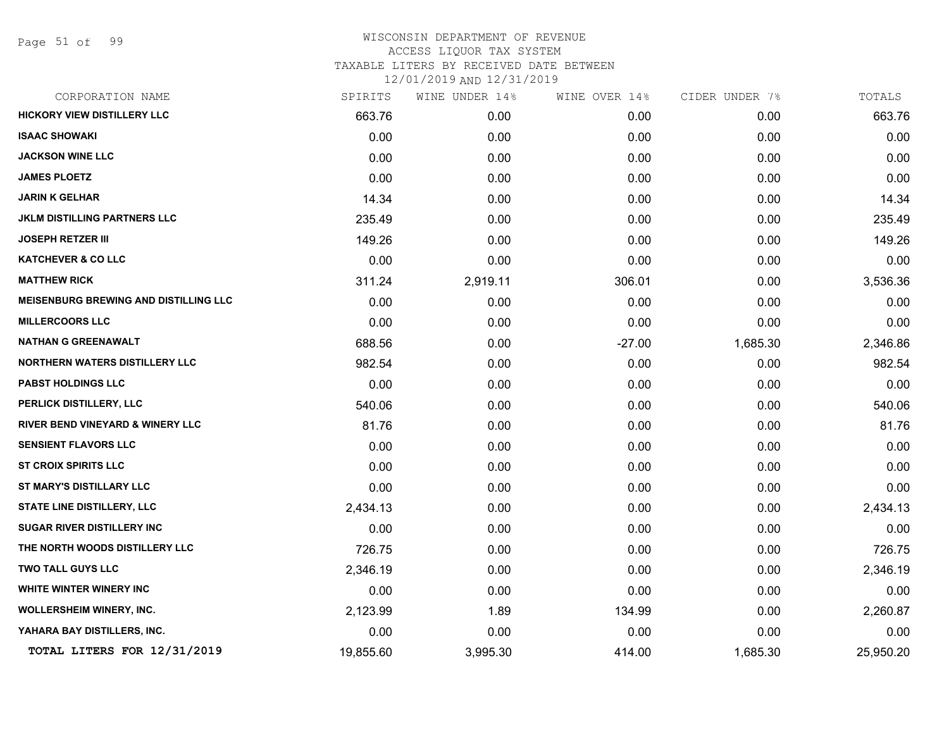Page 51 of 99

| CORPORATION NAME                             | SPIRITS   | WINE UNDER 14% | WINE OVER 14% | CIDER UNDER 7% | TOTALS    |
|----------------------------------------------|-----------|----------------|---------------|----------------|-----------|
| HICKORY VIEW DISTILLERY LLC                  | 663.76    | 0.00           | 0.00          | 0.00           | 663.76    |
| <b>ISAAC SHOWAKI</b>                         | 0.00      | 0.00           | 0.00          | 0.00           | 0.00      |
| <b>JACKSON WINE LLC</b>                      | 0.00      | 0.00           | 0.00          | 0.00           | 0.00      |
| <b>JAMES PLOETZ</b>                          | 0.00      | 0.00           | 0.00          | 0.00           | 0.00      |
| <b>JARIN K GELHAR</b>                        | 14.34     | 0.00           | 0.00          | 0.00           | 14.34     |
| <b>JKLM DISTILLING PARTNERS LLC</b>          | 235.49    | 0.00           | 0.00          | 0.00           | 235.49    |
| <b>JOSEPH RETZER III</b>                     | 149.26    | 0.00           | 0.00          | 0.00           | 149.26    |
| <b>KATCHEVER &amp; CO LLC</b>                | 0.00      | 0.00           | 0.00          | 0.00           | 0.00      |
| <b>MATTHEW RICK</b>                          | 311.24    | 2,919.11       | 306.01        | 0.00           | 3,536.36  |
| <b>MEISENBURG BREWING AND DISTILLING LLC</b> | 0.00      | 0.00           | 0.00          | 0.00           | 0.00      |
| <b>MILLERCOORS LLC</b>                       | 0.00      | 0.00           | 0.00          | 0.00           | 0.00      |
| <b>NATHAN G GREENAWALT</b>                   | 688.56    | 0.00           | $-27.00$      | 1,685.30       | 2,346.86  |
| <b>NORTHERN WATERS DISTILLERY LLC</b>        | 982.54    | 0.00           | 0.00          | 0.00           | 982.54    |
| <b>PABST HOLDINGS LLC</b>                    | 0.00      | 0.00           | 0.00          | 0.00           | 0.00      |
| PERLICK DISTILLERY, LLC                      | 540.06    | 0.00           | 0.00          | 0.00           | 540.06    |
| <b>RIVER BEND VINEYARD &amp; WINERY LLC</b>  | 81.76     | 0.00           | 0.00          | 0.00           | 81.76     |
| <b>SENSIENT FLAVORS LLC</b>                  | 0.00      | 0.00           | 0.00          | 0.00           | 0.00      |
| <b>ST CROIX SPIRITS LLC</b>                  | 0.00      | 0.00           | 0.00          | 0.00           | 0.00      |
| ST MARY'S DISTILLARY LLC                     | 0.00      | 0.00           | 0.00          | 0.00           | 0.00      |
| STATE LINE DISTILLERY, LLC                   | 2,434.13  | 0.00           | 0.00          | 0.00           | 2,434.13  |
| <b>SUGAR RIVER DISTILLERY INC</b>            | 0.00      | 0.00           | 0.00          | 0.00           | 0.00      |
| THE NORTH WOODS DISTILLERY LLC               | 726.75    | 0.00           | 0.00          | 0.00           | 726.75    |
| TWO TALL GUYS LLC                            | 2,346.19  | 0.00           | 0.00          | 0.00           | 2,346.19  |
| <b>WHITE WINTER WINERY INC</b>               | 0.00      | 0.00           | 0.00          | 0.00           | 0.00      |
| WOLLERSHEIM WINERY, INC.                     | 2,123.99  | 1.89           | 134.99        | 0.00           | 2,260.87  |
| YAHARA BAY DISTILLERS, INC.                  | 0.00      | 0.00           | 0.00          | 0.00           | 0.00      |
| TOTAL LITERS FOR 12/31/2019                  | 19,855.60 | 3,995.30       | 414.00        | 1,685.30       | 25,950.20 |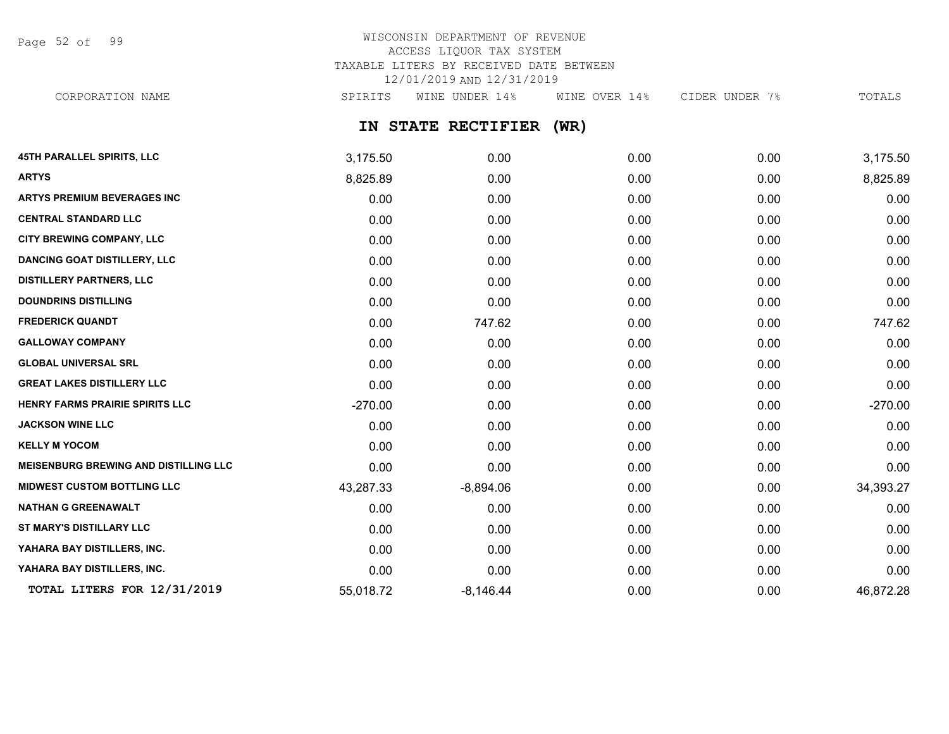Page 52 of 99

### WISCONSIN DEPARTMENT OF REVENUE ACCESS LIQUOR TAX SYSTEM TAXABLE LITERS BY RECEIVED DATE BETWEEN 12/01/2019 AND 12/31/2019 CORPORATION NAME SPIRITS WINE UNDER 14% WINE OVER 14% CIDER UNDER 7% TOTALS

**IN STATE RECTIFIER (WR)**

| <b>45TH PARALLEL SPIRITS, LLC</b>            | 3,175.50  | 0.00        | 0.00 | 0.00 | 3,175.50  |
|----------------------------------------------|-----------|-------------|------|------|-----------|
| <b>ARTYS</b>                                 | 8,825.89  | 0.00        | 0.00 | 0.00 | 8,825.89  |
| <b>ARTYS PREMIUM BEVERAGES INC</b>           | 0.00      | 0.00        | 0.00 | 0.00 | 0.00      |
| <b>CENTRAL STANDARD LLC</b>                  | 0.00      | 0.00        | 0.00 | 0.00 | 0.00      |
| CITY BREWING COMPANY, LLC                    | 0.00      | 0.00        | 0.00 | 0.00 | 0.00      |
| <b>DANCING GOAT DISTILLERY, LLC</b>          | 0.00      | 0.00        | 0.00 | 0.00 | 0.00      |
| <b>DISTILLERY PARTNERS, LLC</b>              | 0.00      | 0.00        | 0.00 | 0.00 | 0.00      |
| <b>DOUNDRINS DISTILLING</b>                  | 0.00      | 0.00        | 0.00 | 0.00 | 0.00      |
| <b>FREDERICK QUANDT</b>                      | 0.00      | 747.62      | 0.00 | 0.00 | 747.62    |
| <b>GALLOWAY COMPANY</b>                      | 0.00      | 0.00        | 0.00 | 0.00 | 0.00      |
| <b>GLOBAL UNIVERSAL SRL</b>                  | 0.00      | 0.00        | 0.00 | 0.00 | 0.00      |
| <b>GREAT LAKES DISTILLERY LLC</b>            | 0.00      | 0.00        | 0.00 | 0.00 | 0.00      |
| HENRY FARMS PRAIRIE SPIRITS LLC              | $-270.00$ | 0.00        | 0.00 | 0.00 | $-270.00$ |
| <b>JACKSON WINE LLC</b>                      | 0.00      | 0.00        | 0.00 | 0.00 | 0.00      |
| <b>KELLY M YOCOM</b>                         | 0.00      | 0.00        | 0.00 | 0.00 | 0.00      |
| <b>MEISENBURG BREWING AND DISTILLING LLC</b> | 0.00      | 0.00        | 0.00 | 0.00 | 0.00      |
| <b>MIDWEST CUSTOM BOTTLING LLC</b>           | 43,287.33 | $-8,894.06$ | 0.00 | 0.00 | 34,393.27 |
| <b>NATHAN G GREENAWALT</b>                   | 0.00      | 0.00        | 0.00 | 0.00 | 0.00      |
| <b>ST MARY'S DISTILLARY LLC</b>              | 0.00      | 0.00        | 0.00 | 0.00 | 0.00      |
| YAHARA BAY DISTILLERS, INC.                  | 0.00      | 0.00        | 0.00 | 0.00 | 0.00      |
| YAHARA BAY DISTILLERS, INC.                  | 0.00      | 0.00        | 0.00 | 0.00 | 0.00      |
| TOTAL LITERS FOR 12/31/2019                  | 55,018.72 | $-8,146.44$ | 0.00 | 0.00 | 46,872.28 |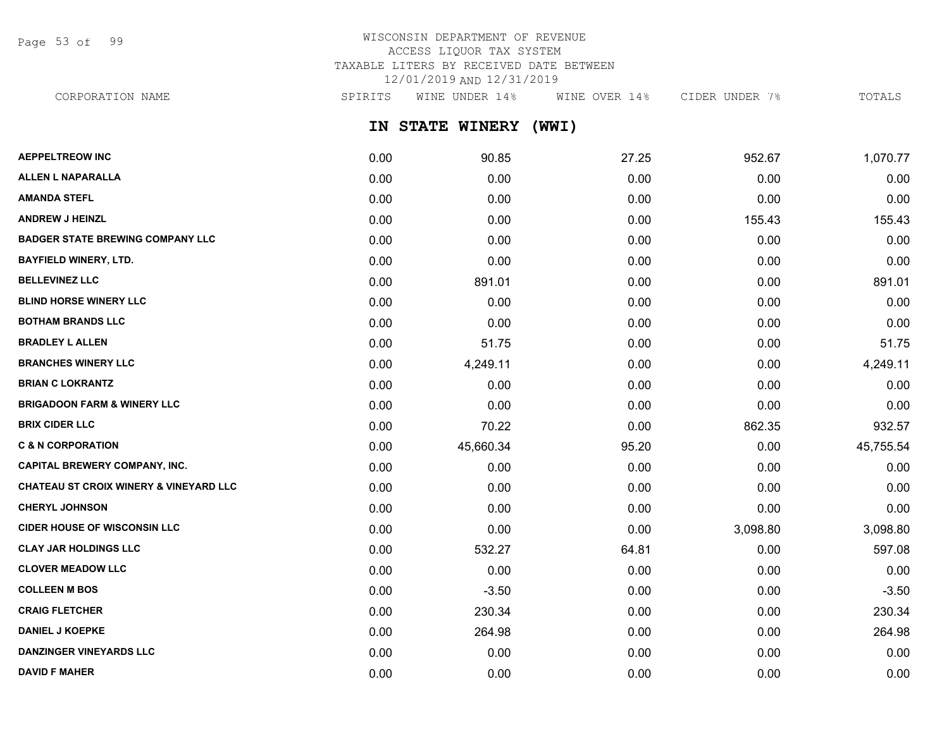Page 53 of 99

## WISCONSIN DEPARTMENT OF REVENUE ACCESS LIQUOR TAX SYSTEM TAXABLE LITERS BY RECEIVED DATE BETWEEN 12/01/2019 AND 12/31/2019

CORPORATION NAME SPIRITS WINE UNDER 14% WINE OVER 14% CIDER UNDER 7% TOTALS

**IN STATE WINERY (WWI)**

| <b>AEPPELTREOW INC</b>                            | 0.00 | 90.85     | 27.25 | 952.67   | 1,070.77  |
|---------------------------------------------------|------|-----------|-------|----------|-----------|
| <b>ALLEN L NAPARALLA</b>                          | 0.00 | 0.00      | 0.00  | 0.00     | 0.00      |
| <b>AMANDA STEFL</b>                               | 0.00 | 0.00      | 0.00  | 0.00     | 0.00      |
| <b>ANDREW J HEINZL</b>                            | 0.00 | 0.00      | 0.00  | 155.43   | 155.43    |
| <b>BADGER STATE BREWING COMPANY LLC</b>           | 0.00 | 0.00      | 0.00  | 0.00     | 0.00      |
| <b>BAYFIELD WINERY, LTD.</b>                      | 0.00 | 0.00      | 0.00  | 0.00     | 0.00      |
| <b>BELLEVINEZ LLC</b>                             | 0.00 | 891.01    | 0.00  | 0.00     | 891.01    |
| <b>BLIND HORSE WINERY LLC</b>                     | 0.00 | 0.00      | 0.00  | 0.00     | 0.00      |
| <b>BOTHAM BRANDS LLC</b>                          | 0.00 | 0.00      | 0.00  | 0.00     | 0.00      |
| <b>BRADLEY L ALLEN</b>                            | 0.00 | 51.75     | 0.00  | 0.00     | 51.75     |
| <b>BRANCHES WINERY LLC</b>                        | 0.00 | 4,249.11  | 0.00  | 0.00     | 4,249.11  |
| <b>BRIAN C LOKRANTZ</b>                           | 0.00 | 0.00      | 0.00  | 0.00     | 0.00      |
| <b>BRIGADOON FARM &amp; WINERY LLC</b>            | 0.00 | 0.00      | 0.00  | 0.00     | 0.00      |
| <b>BRIX CIDER LLC</b>                             | 0.00 | 70.22     | 0.00  | 862.35   | 932.57    |
| <b>C &amp; N CORPORATION</b>                      | 0.00 | 45,660.34 | 95.20 | 0.00     | 45,755.54 |
| <b>CAPITAL BREWERY COMPANY, INC.</b>              | 0.00 | 0.00      | 0.00  | 0.00     | 0.00      |
| <b>CHATEAU ST CROIX WINERY &amp; VINEYARD LLC</b> | 0.00 | 0.00      | 0.00  | 0.00     | 0.00      |
| <b>CHERYL JOHNSON</b>                             | 0.00 | 0.00      | 0.00  | 0.00     | 0.00      |
| <b>CIDER HOUSE OF WISCONSIN LLC</b>               | 0.00 | 0.00      | 0.00  | 3,098.80 | 3,098.80  |
| <b>CLAY JAR HOLDINGS LLC</b>                      | 0.00 | 532.27    | 64.81 | 0.00     | 597.08    |
| <b>CLOVER MEADOW LLC</b>                          | 0.00 | 0.00      | 0.00  | 0.00     | 0.00      |
| <b>COLLEEN M BOS</b>                              | 0.00 | $-3.50$   | 0.00  | 0.00     | $-3.50$   |
| <b>CRAIG FLETCHER</b>                             | 0.00 | 230.34    | 0.00  | 0.00     | 230.34    |
| <b>DANIEL J KOEPKE</b>                            | 0.00 | 264.98    | 0.00  | 0.00     | 264.98    |
| <b>DANZINGER VINEYARDS LLC</b>                    | 0.00 | 0.00      | 0.00  | 0.00     | 0.00      |
| <b>DAVID F MAHER</b>                              | 0.00 | 0.00      | 0.00  | 0.00     | 0.00      |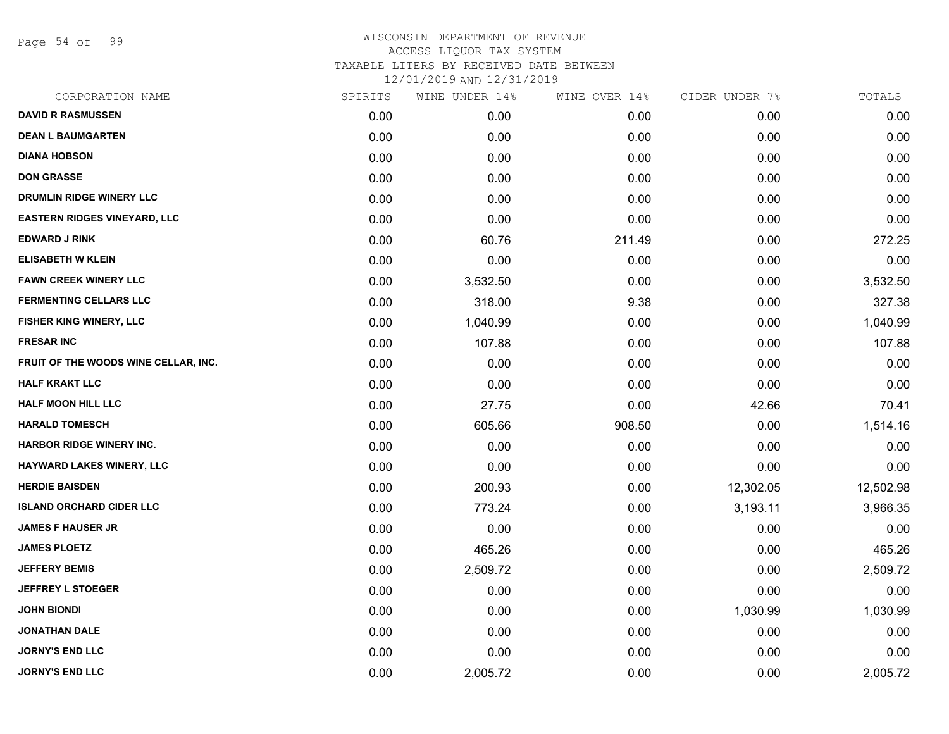Page 54 of 99

| CORPORATION NAME                     | SPIRITS | WINE UNDER 14% | WINE OVER 14% | CIDER UNDER 7% | TOTALS    |
|--------------------------------------|---------|----------------|---------------|----------------|-----------|
| <b>DAVID R RASMUSSEN</b>             | 0.00    | 0.00           | 0.00          | 0.00           | 0.00      |
| <b>DEAN L BAUMGARTEN</b>             | 0.00    | 0.00           | 0.00          | 0.00           | 0.00      |
| <b>DIANA HOBSON</b>                  | 0.00    | 0.00           | 0.00          | 0.00           | 0.00      |
| <b>DON GRASSE</b>                    | 0.00    | 0.00           | 0.00          | 0.00           | 0.00      |
| DRUMLIN RIDGE WINERY LLC             | 0.00    | 0.00           | 0.00          | 0.00           | 0.00      |
| <b>EASTERN RIDGES VINEYARD, LLC</b>  | 0.00    | 0.00           | 0.00          | 0.00           | 0.00      |
| <b>EDWARD J RINK</b>                 | 0.00    | 60.76          | 211.49        | 0.00           | 272.25    |
| <b>ELISABETH W KLEIN</b>             | 0.00    | 0.00           | 0.00          | 0.00           | 0.00      |
| <b>FAWN CREEK WINERY LLC</b>         | 0.00    | 3,532.50       | 0.00          | 0.00           | 3,532.50  |
| <b>FERMENTING CELLARS LLC</b>        | 0.00    | 318.00         | 9.38          | 0.00           | 327.38    |
| FISHER KING WINERY, LLC              | 0.00    | 1,040.99       | 0.00          | 0.00           | 1,040.99  |
| <b>FRESAR INC</b>                    | 0.00    | 107.88         | 0.00          | 0.00           | 107.88    |
| FRUIT OF THE WOODS WINE CELLAR, INC. | 0.00    | 0.00           | 0.00          | 0.00           | 0.00      |
| <b>HALF KRAKT LLC</b>                | 0.00    | 0.00           | 0.00          | 0.00           | 0.00      |
| <b>HALF MOON HILL LLC</b>            | 0.00    | 27.75          | 0.00          | 42.66          | 70.41     |
| <b>HARALD TOMESCH</b>                | 0.00    | 605.66         | 908.50        | 0.00           | 1,514.16  |
| <b>HARBOR RIDGE WINERY INC.</b>      | 0.00    | 0.00           | 0.00          | 0.00           | 0.00      |
| HAYWARD LAKES WINERY, LLC            | 0.00    | 0.00           | 0.00          | 0.00           | 0.00      |
| <b>HERDIE BAISDEN</b>                | 0.00    | 200.93         | 0.00          | 12,302.05      | 12,502.98 |
| <b>ISLAND ORCHARD CIDER LLC</b>      | 0.00    | 773.24         | 0.00          | 3,193.11       | 3,966.35  |
| <b>JAMES F HAUSER JR</b>             | 0.00    | 0.00           | 0.00          | 0.00           | 0.00      |
| <b>JAMES PLOETZ</b>                  | 0.00    | 465.26         | 0.00          | 0.00           | 465.26    |
| <b>JEFFERY BEMIS</b>                 | 0.00    | 2,509.72       | 0.00          | 0.00           | 2,509.72  |
| <b>JEFFREY L STOEGER</b>             | 0.00    | 0.00           | 0.00          | 0.00           | 0.00      |
| <b>JOHN BIONDI</b>                   | 0.00    | 0.00           | 0.00          | 1,030.99       | 1,030.99  |
| <b>JONATHAN DALE</b>                 | 0.00    | 0.00           | 0.00          | 0.00           | 0.00      |
| <b>JORNY'S END LLC</b>               | 0.00    | 0.00           | 0.00          | 0.00           | 0.00      |
| <b>JORNY'S END LLC</b>               | 0.00    | 2,005.72       | 0.00          | 0.00           | 2,005.72  |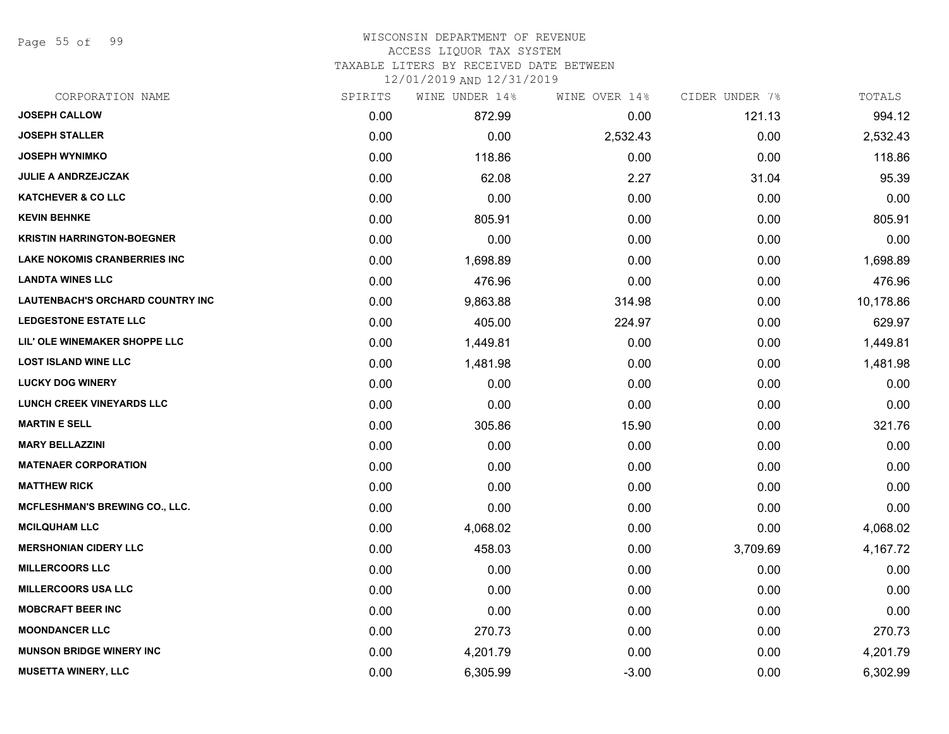Page 55 of 99

#### WISCONSIN DEPARTMENT OF REVENUE ACCESS LIQUOR TAX SYSTEM

TAXABLE LITERS BY RECEIVED DATE BETWEEN

| CORPORATION NAME                    | SPIRITS | WINE UNDER 14% | WINE OVER 14% | CIDER UNDER 7% | TOTALS    |
|-------------------------------------|---------|----------------|---------------|----------------|-----------|
| <b>JOSEPH CALLOW</b>                | 0.00    | 872.99         | 0.00          | 121.13         | 994.12    |
| <b>JOSEPH STALLER</b>               | 0.00    | 0.00           | 2,532.43      | 0.00           | 2,532.43  |
| <b>JOSEPH WYNIMKO</b>               | 0.00    | 118.86         | 0.00          | 0.00           | 118.86    |
| <b>JULIE A ANDRZEJCZAK</b>          | 0.00    | 62.08          | 2.27          | 31.04          | 95.39     |
| <b>KATCHEVER &amp; CO LLC</b>       | 0.00    | 0.00           | 0.00          | 0.00           | 0.00      |
| <b>KEVIN BEHNKE</b>                 | 0.00    | 805.91         | 0.00          | 0.00           | 805.91    |
| <b>KRISTIN HARRINGTON-BOEGNER</b>   | 0.00    | 0.00           | 0.00          | 0.00           | 0.00      |
| <b>LAKE NOKOMIS CRANBERRIES INC</b> | 0.00    | 1,698.89       | 0.00          | 0.00           | 1,698.89  |
| <b>LANDTA WINES LLC</b>             | 0.00    | 476.96         | 0.00          | 0.00           | 476.96    |
| LAUTENBACH'S ORCHARD COUNTRY INC    | 0.00    | 9,863.88       | 314.98        | 0.00           | 10,178.86 |
| <b>LEDGESTONE ESTATE LLC</b>        | 0.00    | 405.00         | 224.97        | 0.00           | 629.97    |
| LIL' OLE WINEMAKER SHOPPE LLC       | 0.00    | 1,449.81       | 0.00          | 0.00           | 1,449.81  |
| <b>LOST ISLAND WINE LLC</b>         | 0.00    | 1,481.98       | 0.00          | 0.00           | 1,481.98  |
| <b>LUCKY DOG WINERY</b>             | 0.00    | 0.00           | 0.00          | 0.00           | 0.00      |
| <b>LUNCH CREEK VINEYARDS LLC</b>    | 0.00    | 0.00           | 0.00          | 0.00           | 0.00      |
| <b>MARTIN E SELL</b>                | 0.00    | 305.86         | 15.90         | 0.00           | 321.76    |
| <b>MARY BELLAZZINI</b>              | 0.00    | 0.00           | 0.00          | 0.00           | 0.00      |
| <b>MATENAER CORPORATION</b>         | 0.00    | 0.00           | 0.00          | 0.00           | 0.00      |
| <b>MATTHEW RICK</b>                 | 0.00    | 0.00           | 0.00          | 0.00           | 0.00      |
| MCFLESHMAN'S BREWING CO., LLC.      | 0.00    | 0.00           | 0.00          | 0.00           | 0.00      |
| <b>MCILQUHAM LLC</b>                | 0.00    | 4,068.02       | 0.00          | 0.00           | 4,068.02  |
| <b>MERSHONIAN CIDERY LLC</b>        | 0.00    | 458.03         | 0.00          | 3,709.69       | 4,167.72  |
| <b>MILLERCOORS LLC</b>              | 0.00    | 0.00           | 0.00          | 0.00           | 0.00      |
| <b>MILLERCOORS USA LLC</b>          | 0.00    | 0.00           | 0.00          | 0.00           | 0.00      |
| <b>MOBCRAFT BEER INC</b>            | 0.00    | 0.00           | 0.00          | 0.00           | 0.00      |
| <b>MOONDANCER LLC</b>               | 0.00    | 270.73         | 0.00          | 0.00           | 270.73    |
| <b>MUNSON BRIDGE WINERY INC</b>     | 0.00    | 4,201.79       | 0.00          | 0.00           | 4,201.79  |
| <b>MUSETTA WINERY, LLC</b>          | 0.00    | 6,305.99       | $-3.00$       | 0.00           | 6,302.99  |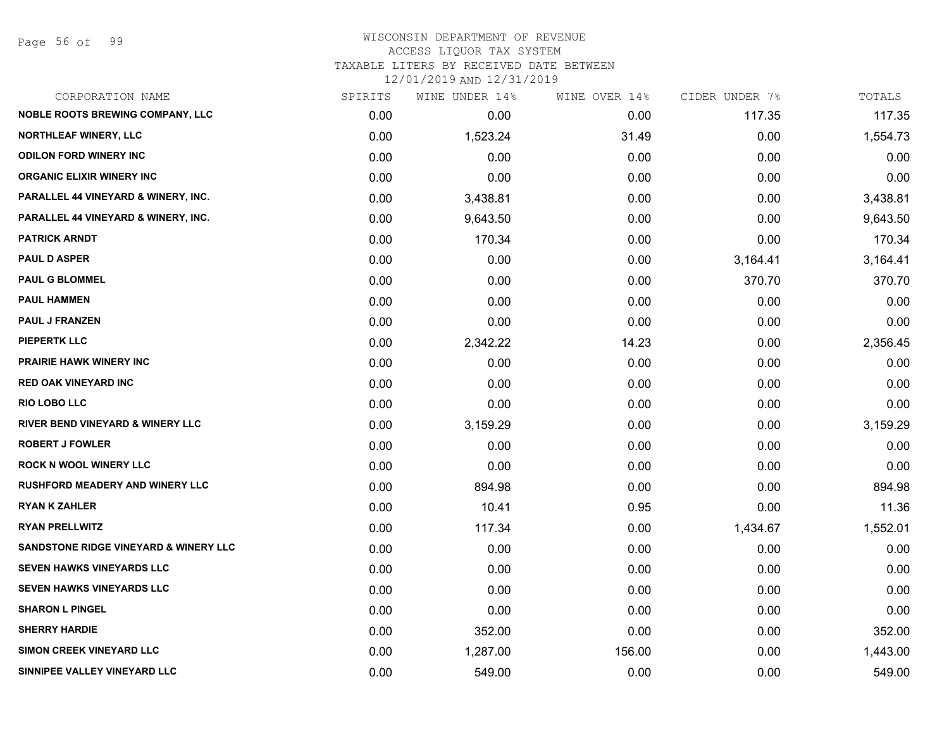Page 56 of 99

## WISCONSIN DEPARTMENT OF REVENUE ACCESS LIQUOR TAX SYSTEM TAXABLE LITERS BY RECEIVED DATE BETWEEN

| CORPORATION NAME                            | SPIRITS | WINE UNDER 14% | WINE OVER 14% | CIDER UNDER 7% | TOTALS   |
|---------------------------------------------|---------|----------------|---------------|----------------|----------|
| <b>NOBLE ROOTS BREWING COMPANY, LLC</b>     | 0.00    | 0.00           | 0.00          | 117.35         | 117.35   |
| <b>NORTHLEAF WINERY, LLC</b>                | 0.00    | 1,523.24       | 31.49         | 0.00           | 1,554.73 |
| <b>ODILON FORD WINERY INC</b>               | 0.00    | 0.00           | 0.00          | 0.00           | 0.00     |
| <b>ORGANIC ELIXIR WINERY INC</b>            | 0.00    | 0.00           | 0.00          | 0.00           | 0.00     |
| PARALLEL 44 VINEYARD & WINERY, INC.         | 0.00    | 3,438.81       | 0.00          | 0.00           | 3,438.81 |
| PARALLEL 44 VINEYARD & WINERY, INC.         | 0.00    | 9,643.50       | 0.00          | 0.00           | 9,643.50 |
| <b>PATRICK ARNDT</b>                        | 0.00    | 170.34         | 0.00          | 0.00           | 170.34   |
| <b>PAUL D ASPER</b>                         | 0.00    | 0.00           | 0.00          | 3,164.41       | 3,164.41 |
| <b>PAUL G BLOMMEL</b>                       | 0.00    | 0.00           | 0.00          | 370.70         | 370.70   |
| <b>PAUL HAMMEN</b>                          | 0.00    | 0.00           | 0.00          | 0.00           | 0.00     |
| <b>PAUL J FRANZEN</b>                       | 0.00    | 0.00           | 0.00          | 0.00           | 0.00     |
| <b>PIEPERTK LLC</b>                         | 0.00    | 2,342.22       | 14.23         | 0.00           | 2,356.45 |
| <b>PRAIRIE HAWK WINERY INC</b>              | 0.00    | 0.00           | 0.00          | 0.00           | 0.00     |
| <b>RED OAK VINEYARD INC</b>                 | 0.00    | 0.00           | 0.00          | 0.00           | 0.00     |
| <b>RIO LOBO LLC</b>                         | 0.00    | 0.00           | 0.00          | 0.00           | 0.00     |
| <b>RIVER BEND VINEYARD &amp; WINERY LLC</b> | 0.00    | 3,159.29       | 0.00          | 0.00           | 3,159.29 |
| <b>ROBERT J FOWLER</b>                      | 0.00    | 0.00           | 0.00          | 0.00           | 0.00     |
| <b>ROCK N WOOL WINERY LLC</b>               | 0.00    | 0.00           | 0.00          | 0.00           | 0.00     |
| <b>RUSHFORD MEADERY AND WINERY LLC</b>      | 0.00    | 894.98         | 0.00          | 0.00           | 894.98   |
| <b>RYAN K ZAHLER</b>                        | 0.00    | 10.41          | 0.95          | 0.00           | 11.36    |
| <b>RYAN PRELLWITZ</b>                       | 0.00    | 117.34         | 0.00          | 1,434.67       | 1,552.01 |
| SANDSTONE RIDGE VINEYARD & WINERY LLC       | 0.00    | 0.00           | 0.00          | 0.00           | 0.00     |
| <b>SEVEN HAWKS VINEYARDS LLC</b>            | 0.00    | 0.00           | 0.00          | 0.00           | 0.00     |
| <b>SEVEN HAWKS VINEYARDS LLC</b>            | 0.00    | 0.00           | 0.00          | 0.00           | 0.00     |
| <b>SHARON L PINGEL</b>                      | 0.00    | 0.00           | 0.00          | 0.00           | 0.00     |
| <b>SHERRY HARDIE</b>                        | 0.00    | 352.00         | 0.00          | 0.00           | 352.00   |
| SIMON CREEK VINEYARD LLC                    | 0.00    | 1,287.00       | 156.00        | 0.00           | 1,443.00 |
| SINNIPEE VALLEY VINEYARD LLC                | 0.00    | 549.00         | 0.00          | 0.00           | 549.00   |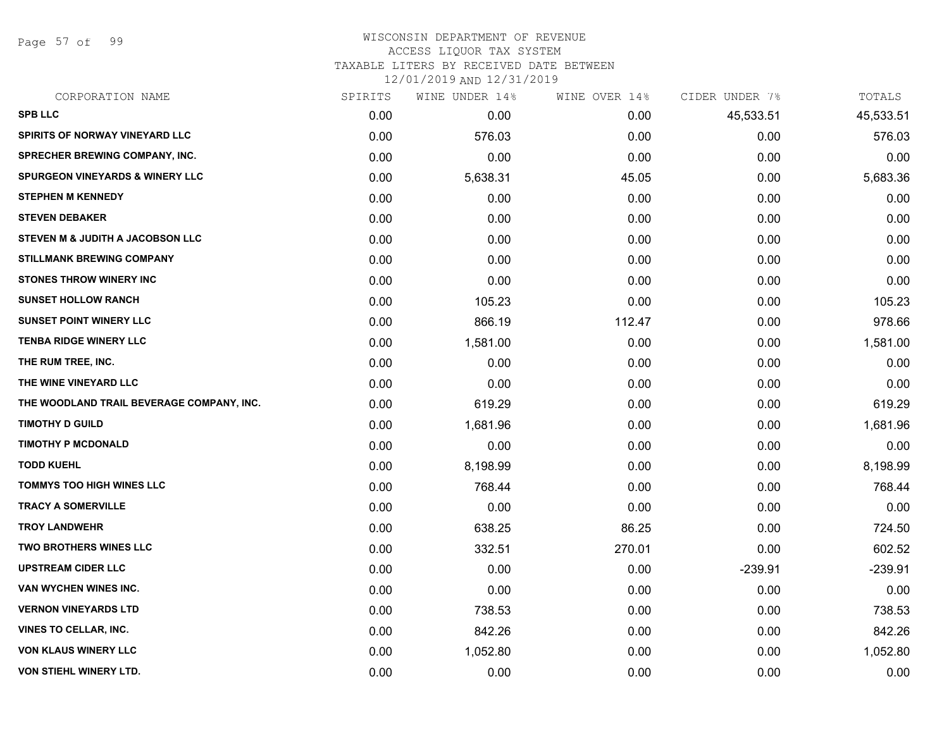Page 57 of 99

## WISCONSIN DEPARTMENT OF REVENUE ACCESS LIQUOR TAX SYSTEM

TAXABLE LITERS BY RECEIVED DATE BETWEEN

| CORPORATION NAME                           | SPIRITS | WINE UNDER 14% | WINE OVER 14% | CIDER UNDER 7% | TOTALS    |
|--------------------------------------------|---------|----------------|---------------|----------------|-----------|
| <b>SPB LLC</b>                             | 0.00    | 0.00           | 0.00          | 45,533.51      | 45,533.51 |
| <b>SPIRITS OF NORWAY VINEYARD LLC</b>      | 0.00    | 576.03         | 0.00          | 0.00           | 576.03    |
| <b>SPRECHER BREWING COMPANY, INC.</b>      | 0.00    | 0.00           | 0.00          | 0.00           | 0.00      |
| <b>SPURGEON VINEYARDS &amp; WINERY LLC</b> | 0.00    | 5,638.31       | 45.05         | 0.00           | 5,683.36  |
| <b>STEPHEN M KENNEDY</b>                   | 0.00    | 0.00           | 0.00          | 0.00           | 0.00      |
| <b>STEVEN DEBAKER</b>                      | 0.00    | 0.00           | 0.00          | 0.00           | 0.00      |
| STEVEN M & JUDITH A JACOBSON LLC           | 0.00    | 0.00           | 0.00          | 0.00           | 0.00      |
| <b>STILLMANK BREWING COMPANY</b>           | 0.00    | 0.00           | 0.00          | 0.00           | 0.00      |
| <b>STONES THROW WINERY INC</b>             | 0.00    | 0.00           | 0.00          | 0.00           | 0.00      |
| <b>SUNSET HOLLOW RANCH</b>                 | 0.00    | 105.23         | 0.00          | 0.00           | 105.23    |
| <b>SUNSET POINT WINERY LLC</b>             | 0.00    | 866.19         | 112.47        | 0.00           | 978.66    |
| <b>TENBA RIDGE WINERY LLC</b>              | 0.00    | 1,581.00       | 0.00          | 0.00           | 1,581.00  |
| THE RUM TREE, INC.                         | 0.00    | 0.00           | 0.00          | 0.00           | 0.00      |
| THE WINE VINEYARD LLC                      | 0.00    | 0.00           | 0.00          | 0.00           | 0.00      |
| THE WOODLAND TRAIL BEVERAGE COMPANY, INC.  | 0.00    | 619.29         | 0.00          | 0.00           | 619.29    |
| <b>TIMOTHY D GUILD</b>                     | 0.00    | 1,681.96       | 0.00          | 0.00           | 1,681.96  |
| <b>TIMOTHY P MCDONALD</b>                  | 0.00    | 0.00           | 0.00          | 0.00           | 0.00      |
| <b>TODD KUEHL</b>                          | 0.00    | 8,198.99       | 0.00          | 0.00           | 8,198.99  |
| <b>TOMMYS TOO HIGH WINES LLC</b>           | 0.00    | 768.44         | 0.00          | 0.00           | 768.44    |
| <b>TRACY A SOMERVILLE</b>                  | 0.00    | 0.00           | 0.00          | 0.00           | 0.00      |
| <b>TROY LANDWEHR</b>                       | 0.00    | 638.25         | 86.25         | 0.00           | 724.50    |
| <b>TWO BROTHERS WINES LLC</b>              | 0.00    | 332.51         | 270.01        | 0.00           | 602.52    |
| <b>UPSTREAM CIDER LLC</b>                  | 0.00    | 0.00           | 0.00          | $-239.91$      | $-239.91$ |
| VAN WYCHEN WINES INC.                      | 0.00    | 0.00           | 0.00          | 0.00           | 0.00      |
| <b>VERNON VINEYARDS LTD</b>                | 0.00    | 738.53         | 0.00          | 0.00           | 738.53    |
| <b>VINES TO CELLAR, INC.</b>               | 0.00    | 842.26         | 0.00          | 0.00           | 842.26    |
| <b>VON KLAUS WINERY LLC</b>                | 0.00    | 1,052.80       | 0.00          | 0.00           | 1,052.80  |
| <b>VON STIEHL WINERY LTD.</b>              | 0.00    | 0.00           | 0.00          | 0.00           | 0.00      |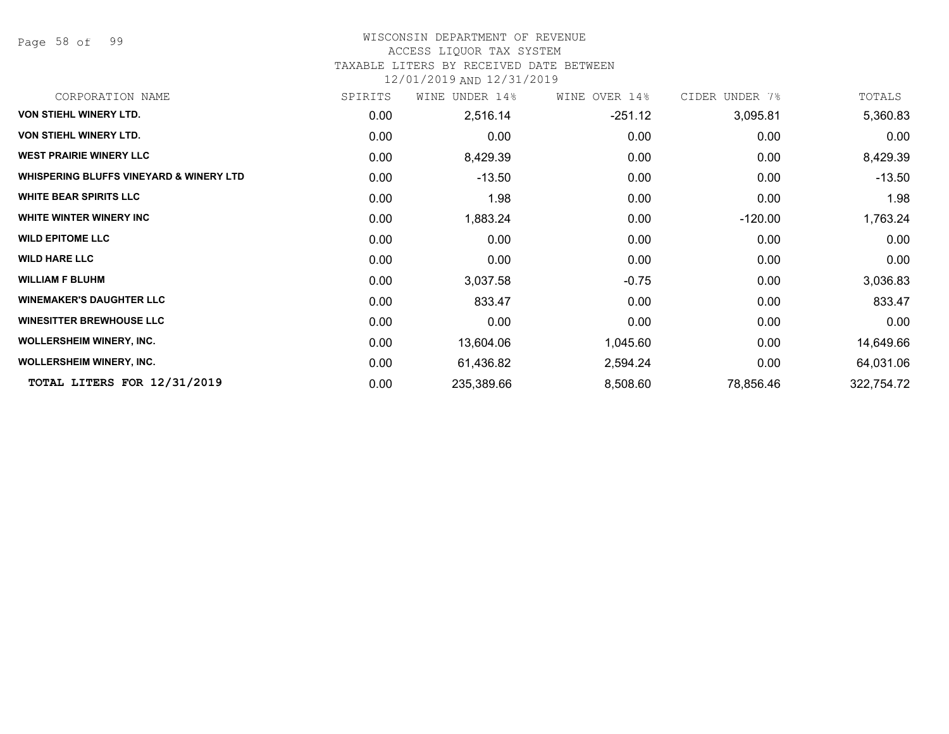Page 58 of 99

### WISCONSIN DEPARTMENT OF REVENUE

### ACCESS LIQUOR TAX SYSTEM

TAXABLE LITERS BY RECEIVED DATE BETWEEN

| CORPORATION NAME                                   | SPIRITS | UNDER 14%<br>WINE | WINE OVER 14% | CIDER UNDER 7% | TOTALS     |
|----------------------------------------------------|---------|-------------------|---------------|----------------|------------|
| <b>VON STIEHL WINERY LTD.</b>                      | 0.00    | 2,516.14          | $-251.12$     | 3,095.81       | 5,360.83   |
| VON STIEHL WINERY LTD.                             | 0.00    | 0.00              | 0.00          | 0.00           | 0.00       |
| <b>WEST PRAIRIE WINERY LLC</b>                     | 0.00    | 8,429.39          | 0.00          | 0.00           | 8,429.39   |
| <b>WHISPERING BLUFFS VINEYARD &amp; WINERY LTD</b> | 0.00    | $-13.50$          | 0.00          | 0.00           | $-13.50$   |
| <b>WHITE BEAR SPIRITS LLC</b>                      | 0.00    | 1.98              | 0.00          | 0.00           | 1.98       |
| WHITE WINTER WINERY INC                            | 0.00    | 1,883.24          | 0.00          | $-120.00$      | 1,763.24   |
| <b>WILD EPITOME LLC</b>                            | 0.00    | 0.00              | 0.00          | 0.00           | 0.00       |
| <b>WILD HARE LLC</b>                               | 0.00    | 0.00              | 0.00          | 0.00           | 0.00       |
| <b>WILLIAM F BLUHM</b>                             | 0.00    | 3,037.58          | $-0.75$       | 0.00           | 3,036.83   |
| <b>WINEMAKER'S DAUGHTER LLC</b>                    | 0.00    | 833.47            | 0.00          | 0.00           | 833.47     |
| <b>WINESITTER BREWHOUSE LLC</b>                    | 0.00    | 0.00              | 0.00          | 0.00           | 0.00       |
| <b>WOLLERSHEIM WINERY, INC.</b>                    | 0.00    | 13,604.06         | 1,045.60      | 0.00           | 14,649.66  |
| <b>WOLLERSHEIM WINERY, INC.</b>                    | 0.00    | 61,436.82         | 2,594.24      | 0.00           | 64,031.06  |
| TOTAL LITERS FOR 12/31/2019                        | 0.00    | 235,389.66        | 8,508.60      | 78,856.46      | 322,754.72 |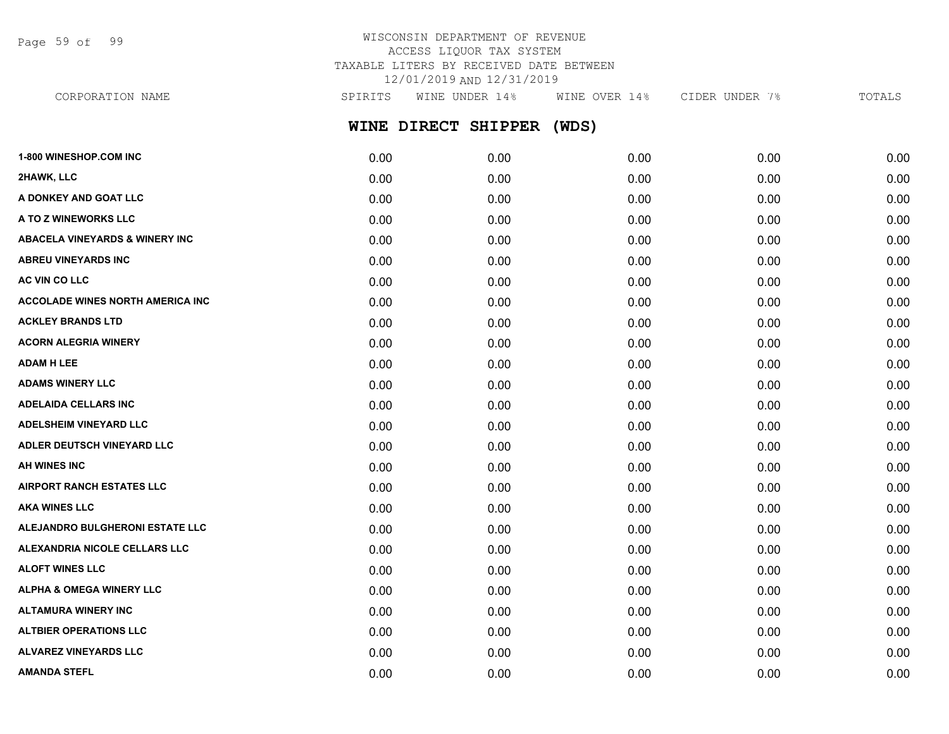Page 59 of 99

## WISCONSIN DEPARTMENT OF REVENUE ACCESS LIQUOR TAX SYSTEM TAXABLE LITERS BY RECEIVED DATE BETWEEN 12/01/2019 AND 12/31/2019

| CORPORATION NAME              | SPIRITS | WINE UNDER 14%            | WINE OVER 14% | CIDER UNDER 7% | TOTALS |
|-------------------------------|---------|---------------------------|---------------|----------------|--------|
|                               |         | WINE DIRECT SHIPPER (WDS) |               |                |        |
| <b>1-800 WINESHOP.COM INC</b> | 0.00    | 0.00                      | 0.00          | 0.00           | 0.00   |
| 2HAWK, LLC                    | 0.00    | 0.00                      | 0.00          | 0.00           | 0.00   |

|      |      |      |      | 0.00 |
|------|------|------|------|------|
| 0.00 | 0.00 | 0.00 | 0.00 | 0.00 |
| 0.00 | 0.00 | 0.00 | 0.00 | 0.00 |
| 0.00 | 0.00 | 0.00 | 0.00 | 0.00 |
| 0.00 | 0.00 | 0.00 | 0.00 | 0.00 |
| 0.00 | 0.00 | 0.00 | 0.00 | 0.00 |
| 0.00 | 0.00 | 0.00 | 0.00 | 0.00 |
| 0.00 | 0.00 | 0.00 | 0.00 | 0.00 |
| 0.00 | 0.00 | 0.00 | 0.00 | 0.00 |
| 0.00 | 0.00 | 0.00 | 0.00 | 0.00 |
| 0.00 | 0.00 | 0.00 | 0.00 | 0.00 |
| 0.00 | 0.00 | 0.00 | 0.00 | 0.00 |
| 0.00 | 0.00 | 0.00 | 0.00 | 0.00 |
| 0.00 | 0.00 | 0.00 | 0.00 | 0.00 |
| 0.00 | 0.00 | 0.00 | 0.00 | 0.00 |
| 0.00 | 0.00 | 0.00 | 0.00 | 0.00 |
| 0.00 | 0.00 | 0.00 | 0.00 | 0.00 |
| 0.00 | 0.00 | 0.00 | 0.00 | 0.00 |
| 0.00 | 0.00 | 0.00 | 0.00 | 0.00 |
| 0.00 | 0.00 | 0.00 | 0.00 | 0.00 |
| 0.00 | 0.00 | 0.00 | 0.00 | 0.00 |
|      | 0.00 | 0.00 | 0.00 | 0.00 |

**ALTBIER OPERATIONS LLC** 0.00 0.00 0.00 0.00 0.00 **ALVAREZ VINEYARDS LLC** 0.00 0.00 0.00 0.00 0.00 **AMANDA STEFL** 0.00 0.00 0.00 0.00 0.00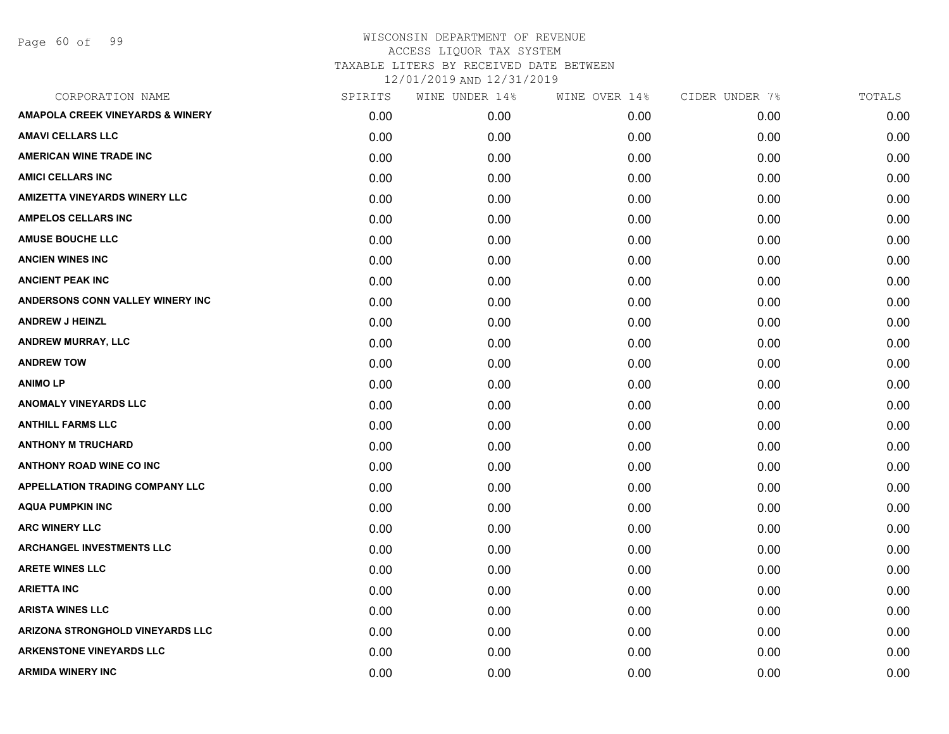Page 60 of 99

| CORPORATION NAME                            | SPIRITS | WINE UNDER 14% | WINE OVER 14% | CIDER UNDER 7% | TOTALS |
|---------------------------------------------|---------|----------------|---------------|----------------|--------|
| <b>AMAPOLA CREEK VINEYARDS &amp; WINERY</b> | 0.00    | 0.00           | 0.00          | 0.00           | 0.00   |
| <b>AMAVI CELLARS LLC</b>                    | 0.00    | 0.00           | 0.00          | 0.00           | 0.00   |
| <b>AMERICAN WINE TRADE INC</b>              | 0.00    | 0.00           | 0.00          | 0.00           | 0.00   |
| <b>AMICI CELLARS INC</b>                    | 0.00    | 0.00           | 0.00          | 0.00           | 0.00   |
| <b>AMIZETTA VINEYARDS WINERY LLC</b>        | 0.00    | 0.00           | 0.00          | 0.00           | 0.00   |
| <b>AMPELOS CELLARS INC</b>                  | 0.00    | 0.00           | 0.00          | 0.00           | 0.00   |
| <b>AMUSE BOUCHE LLC</b>                     | 0.00    | 0.00           | 0.00          | 0.00           | 0.00   |
| <b>ANCIEN WINES INC</b>                     | 0.00    | 0.00           | 0.00          | 0.00           | 0.00   |
| <b>ANCIENT PEAK INC</b>                     | 0.00    | 0.00           | 0.00          | 0.00           | 0.00   |
| ANDERSONS CONN VALLEY WINERY INC            | 0.00    | 0.00           | 0.00          | 0.00           | 0.00   |
| <b>ANDREW J HEINZL</b>                      | 0.00    | 0.00           | 0.00          | 0.00           | 0.00   |
| <b>ANDREW MURRAY, LLC</b>                   | 0.00    | 0.00           | 0.00          | 0.00           | 0.00   |
| <b>ANDREW TOW</b>                           | 0.00    | 0.00           | 0.00          | 0.00           | 0.00   |
| <b>ANIMO LP</b>                             | 0.00    | 0.00           | 0.00          | 0.00           | 0.00   |
| <b>ANOMALY VINEYARDS LLC</b>                | 0.00    | 0.00           | 0.00          | 0.00           | 0.00   |
| <b>ANTHILL FARMS LLC</b>                    | 0.00    | 0.00           | 0.00          | 0.00           | 0.00   |
| <b>ANTHONY M TRUCHARD</b>                   | 0.00    | 0.00           | 0.00          | 0.00           | 0.00   |
| <b>ANTHONY ROAD WINE CO INC</b>             | 0.00    | 0.00           | 0.00          | 0.00           | 0.00   |
| <b>APPELLATION TRADING COMPANY LLC</b>      | 0.00    | 0.00           | 0.00          | 0.00           | 0.00   |
| <b>AQUA PUMPKIN INC</b>                     | 0.00    | 0.00           | 0.00          | 0.00           | 0.00   |
| <b>ARC WINERY LLC</b>                       | 0.00    | 0.00           | 0.00          | 0.00           | 0.00   |
| <b>ARCHANGEL INVESTMENTS LLC</b>            | 0.00    | 0.00           | 0.00          | 0.00           | 0.00   |
| <b>ARETE WINES LLC</b>                      | 0.00    | 0.00           | 0.00          | 0.00           | 0.00   |
| <b>ARIETTA INC</b>                          | 0.00    | 0.00           | 0.00          | 0.00           | 0.00   |
| <b>ARISTA WINES LLC</b>                     | 0.00    | 0.00           | 0.00          | 0.00           | 0.00   |
| ARIZONA STRONGHOLD VINEYARDS LLC            | 0.00    | 0.00           | 0.00          | 0.00           | 0.00   |
| <b>ARKENSTONE VINEYARDS LLC</b>             | 0.00    | 0.00           | 0.00          | 0.00           | 0.00   |
| <b>ARMIDA WINERY INC</b>                    | 0.00    | 0.00           | 0.00          | 0.00           | 0.00   |
|                                             |         |                |               |                |        |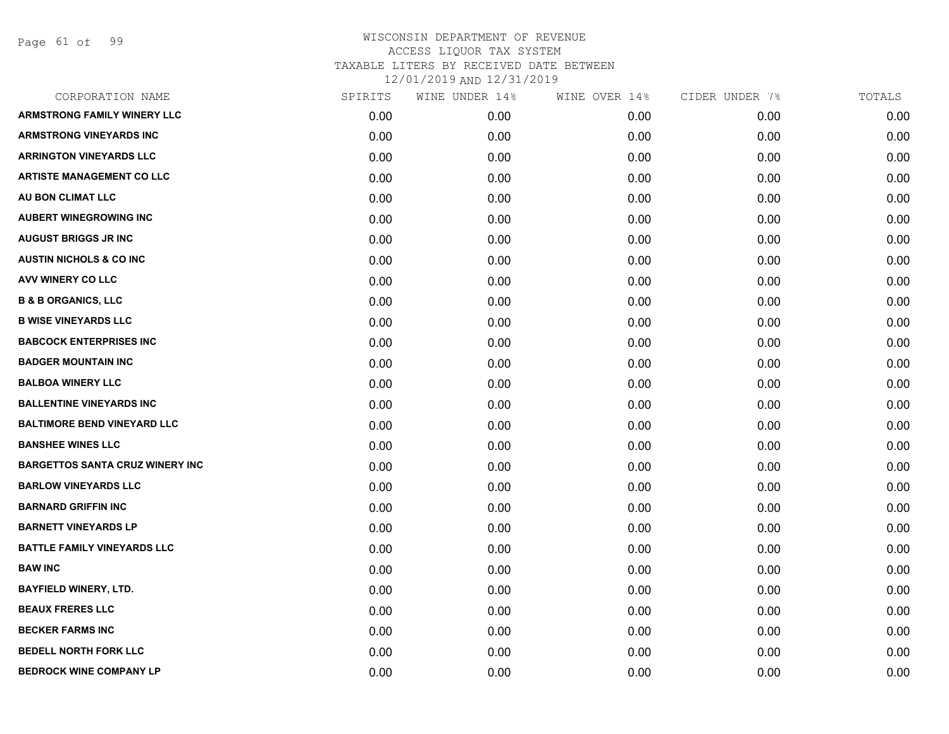Page 61 of 99

| CORPORATION NAME                       | SPIRITS | WINE UNDER 14% | WINE OVER 14% | CIDER UNDER 7% | TOTALS |
|----------------------------------------|---------|----------------|---------------|----------------|--------|
| <b>ARMSTRONG FAMILY WINERY LLC</b>     | 0.00    | 0.00           | 0.00          | 0.00           | 0.00   |
| <b>ARMSTRONG VINEYARDS INC</b>         | 0.00    | 0.00           | 0.00          | 0.00           | 0.00   |
| <b>ARRINGTON VINEYARDS LLC</b>         | 0.00    | 0.00           | 0.00          | 0.00           | 0.00   |
| <b>ARTISTE MANAGEMENT CO LLC</b>       | 0.00    | 0.00           | 0.00          | 0.00           | 0.00   |
| AU BON CLIMAT LLC                      | 0.00    | 0.00           | 0.00          | 0.00           | 0.00   |
| <b>AUBERT WINEGROWING INC</b>          | 0.00    | 0.00           | 0.00          | 0.00           | 0.00   |
| <b>AUGUST BRIGGS JR INC</b>            | 0.00    | 0.00           | 0.00          | 0.00           | 0.00   |
| <b>AUSTIN NICHOLS &amp; CO INC</b>     | 0.00    | 0.00           | 0.00          | 0.00           | 0.00   |
| <b>AVV WINERY CO LLC</b>               | 0.00    | 0.00           | 0.00          | 0.00           | 0.00   |
| <b>B &amp; B ORGANICS, LLC</b>         | 0.00    | 0.00           | 0.00          | 0.00           | 0.00   |
| <b>B WISE VINEYARDS LLC</b>            | 0.00    | 0.00           | 0.00          | 0.00           | 0.00   |
| <b>BABCOCK ENTERPRISES INC</b>         | 0.00    | 0.00           | 0.00          | 0.00           | 0.00   |
| <b>BADGER MOUNTAIN INC</b>             | 0.00    | 0.00           | 0.00          | 0.00           | 0.00   |
| <b>BALBOA WINERY LLC</b>               | 0.00    | 0.00           | 0.00          | 0.00           | 0.00   |
| <b>BALLENTINE VINEYARDS INC</b>        | 0.00    | 0.00           | 0.00          | 0.00           | 0.00   |
| <b>BALTIMORE BEND VINEYARD LLC</b>     | 0.00    | 0.00           | 0.00          | 0.00           | 0.00   |
| <b>BANSHEE WINES LLC</b>               | 0.00    | 0.00           | 0.00          | 0.00           | 0.00   |
| <b>BARGETTOS SANTA CRUZ WINERY INC</b> | 0.00    | 0.00           | 0.00          | 0.00           | 0.00   |
| <b>BARLOW VINEYARDS LLC</b>            | 0.00    | 0.00           | 0.00          | 0.00           | 0.00   |
| <b>BARNARD GRIFFIN INC</b>             | 0.00    | 0.00           | 0.00          | 0.00           | 0.00   |
| <b>BARNETT VINEYARDS LP</b>            | 0.00    | 0.00           | 0.00          | 0.00           | 0.00   |
| <b>BATTLE FAMILY VINEYARDS LLC</b>     | 0.00    | 0.00           | 0.00          | 0.00           | 0.00   |
| <b>BAW INC</b>                         | 0.00    | 0.00           | 0.00          | 0.00           | 0.00   |
| <b>BAYFIELD WINERY, LTD.</b>           | 0.00    | 0.00           | 0.00          | 0.00           | 0.00   |
| <b>BEAUX FRERES LLC</b>                | 0.00    | 0.00           | 0.00          | 0.00           | 0.00   |
| <b>BECKER FARMS INC</b>                | 0.00    | 0.00           | 0.00          | 0.00           | 0.00   |
| <b>BEDELL NORTH FORK LLC</b>           | 0.00    | 0.00           | 0.00          | 0.00           | 0.00   |
| <b>BEDROCK WINE COMPANY LP</b>         | 0.00    | 0.00           | 0.00          | 0.00           | 0.00   |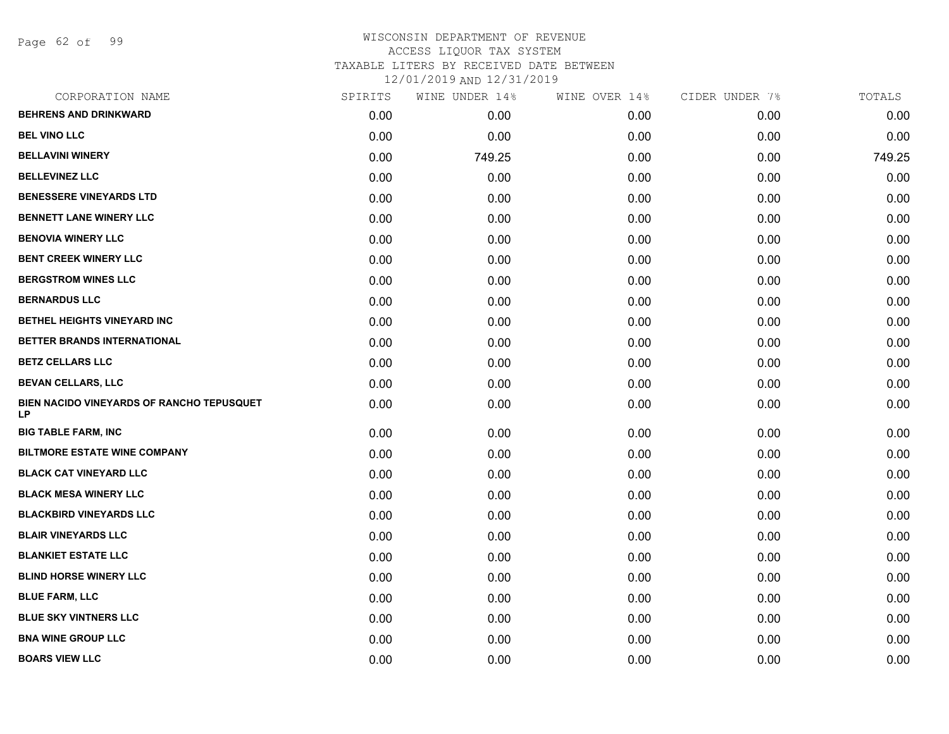Page 62 of 99

| CORPORATION NAME                                | SPIRITS | WINE UNDER 14% | WINE OVER 14% | CIDER UNDER 7% | TOTALS |
|-------------------------------------------------|---------|----------------|---------------|----------------|--------|
| <b>BEHRENS AND DRINKWARD</b>                    | 0.00    | 0.00           | 0.00          | 0.00           | 0.00   |
| <b>BEL VINO LLC</b>                             | 0.00    | 0.00           | 0.00          | 0.00           | 0.00   |
| <b>BELLAVINI WINERY</b>                         | 0.00    | 749.25         | 0.00          | 0.00           | 749.25 |
| <b>BELLEVINEZ LLC</b>                           | 0.00    | 0.00           | 0.00          | 0.00           | 0.00   |
| <b>BENESSERE VINEYARDS LTD</b>                  | 0.00    | 0.00           | 0.00          | 0.00           | 0.00   |
| <b>BENNETT LANE WINERY LLC</b>                  | 0.00    | 0.00           | 0.00          | 0.00           | 0.00   |
| <b>BENOVIA WINERY LLC</b>                       | 0.00    | 0.00           | 0.00          | 0.00           | 0.00   |
| <b>BENT CREEK WINERY LLC</b>                    | 0.00    | 0.00           | 0.00          | 0.00           | 0.00   |
| <b>BERGSTROM WINES LLC</b>                      | 0.00    | 0.00           | 0.00          | 0.00           | 0.00   |
| <b>BERNARDUS LLC</b>                            | 0.00    | 0.00           | 0.00          | 0.00           | 0.00   |
| BETHEL HEIGHTS VINEYARD INC                     | 0.00    | 0.00           | 0.00          | 0.00           | 0.00   |
| BETTER BRANDS INTERNATIONAL                     | 0.00    | 0.00           | 0.00          | 0.00           | 0.00   |
| <b>BETZ CELLARS LLC</b>                         | 0.00    | 0.00           | 0.00          | 0.00           | 0.00   |
| <b>BEVAN CELLARS, LLC</b>                       | 0.00    | 0.00           | 0.00          | 0.00           | 0.00   |
| BIEN NACIDO VINEYARDS OF RANCHO TEPUSQUET<br>LP | 0.00    | 0.00           | 0.00          | 0.00           | 0.00   |
| <b>BIG TABLE FARM, INC</b>                      | 0.00    | 0.00           | 0.00          | 0.00           | 0.00   |
| <b>BILTMORE ESTATE WINE COMPANY</b>             | 0.00    | 0.00           | 0.00          | 0.00           | 0.00   |
| <b>BLACK CAT VINEYARD LLC</b>                   | 0.00    | 0.00           | 0.00          | 0.00           | 0.00   |
| <b>BLACK MESA WINERY LLC</b>                    | 0.00    | 0.00           | 0.00          | 0.00           | 0.00   |
| <b>BLACKBIRD VINEYARDS LLC</b>                  | 0.00    | 0.00           | 0.00          | 0.00           | 0.00   |
| <b>BLAIR VINEYARDS LLC</b>                      | 0.00    | 0.00           | 0.00          | 0.00           | 0.00   |
| <b>BLANKIET ESTATE LLC</b>                      | 0.00    | 0.00           | 0.00          | 0.00           | 0.00   |
| <b>BLIND HORSE WINERY LLC</b>                   | 0.00    | 0.00           | 0.00          | 0.00           | 0.00   |
| <b>BLUE FARM, LLC</b>                           | 0.00    | 0.00           | 0.00          | 0.00           | 0.00   |
| <b>BLUE SKY VINTNERS LLC</b>                    | 0.00    | 0.00           | 0.00          | 0.00           | 0.00   |
| <b>BNA WINE GROUP LLC</b>                       | 0.00    | 0.00           | 0.00          | 0.00           | 0.00   |
| <b>BOARS VIEW LLC</b>                           | 0.00    | 0.00           | 0.00          | 0.00           | 0.00   |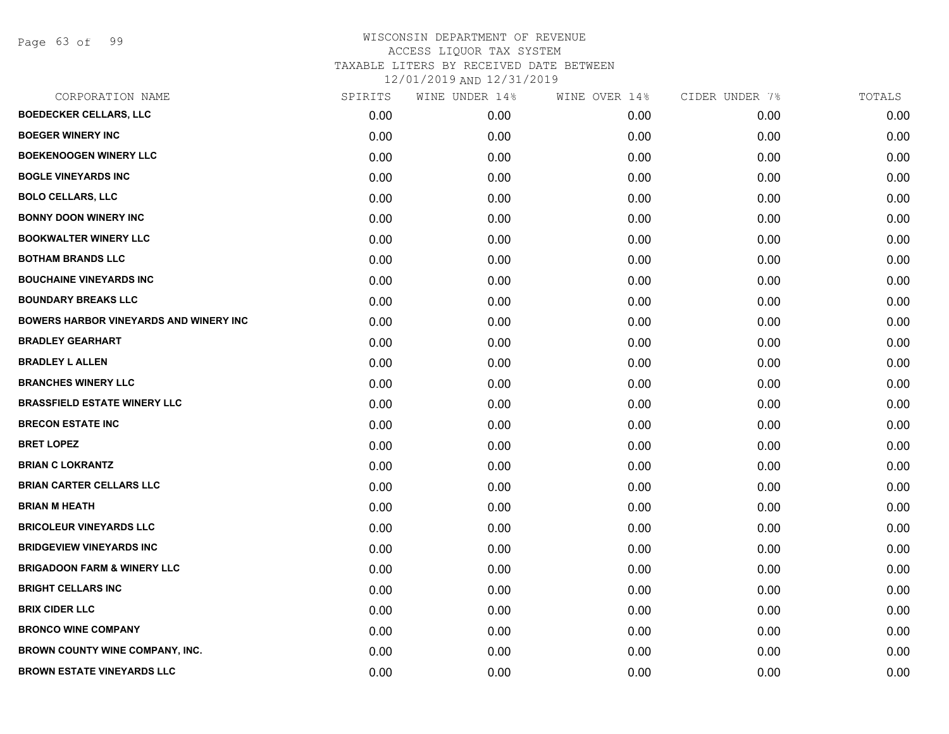Page 63 of 99

| CORPORATION NAME                               | SPIRITS | WINE UNDER 14% | WINE OVER 14% | CIDER UNDER 7% | TOTALS |
|------------------------------------------------|---------|----------------|---------------|----------------|--------|
| <b>BOEDECKER CELLARS, LLC</b>                  | 0.00    | 0.00           | 0.00          | 0.00           | 0.00   |
| <b>BOEGER WINERY INC</b>                       | 0.00    | 0.00           | 0.00          | 0.00           | 0.00   |
| <b>BOEKENOOGEN WINERY LLC</b>                  | 0.00    | 0.00           | 0.00          | 0.00           | 0.00   |
| <b>BOGLE VINEYARDS INC</b>                     | 0.00    | 0.00           | 0.00          | 0.00           | 0.00   |
| <b>BOLO CELLARS, LLC</b>                       | 0.00    | 0.00           | 0.00          | 0.00           | 0.00   |
| <b>BONNY DOON WINERY INC</b>                   | 0.00    | 0.00           | 0.00          | 0.00           | 0.00   |
| <b>BOOKWALTER WINERY LLC</b>                   | 0.00    | 0.00           | 0.00          | 0.00           | 0.00   |
| <b>BOTHAM BRANDS LLC</b>                       | 0.00    | 0.00           | 0.00          | 0.00           | 0.00   |
| <b>BOUCHAINE VINEYARDS INC</b>                 | 0.00    | 0.00           | 0.00          | 0.00           | 0.00   |
| <b>BOUNDARY BREAKS LLC</b>                     | 0.00    | 0.00           | 0.00          | 0.00           | 0.00   |
| <b>BOWERS HARBOR VINEYARDS AND WINERY INC.</b> | 0.00    | 0.00           | 0.00          | 0.00           | 0.00   |
| <b>BRADLEY GEARHART</b>                        | 0.00    | 0.00           | 0.00          | 0.00           | 0.00   |
| <b>BRADLEY L ALLEN</b>                         | 0.00    | 0.00           | 0.00          | 0.00           | 0.00   |
| <b>BRANCHES WINERY LLC</b>                     | 0.00    | 0.00           | 0.00          | 0.00           | 0.00   |
| <b>BRASSFIELD ESTATE WINERY LLC</b>            | 0.00    | 0.00           | 0.00          | 0.00           | 0.00   |
| <b>BRECON ESTATE INC</b>                       | 0.00    | 0.00           | 0.00          | 0.00           | 0.00   |
| <b>BRET LOPEZ</b>                              | 0.00    | 0.00           | 0.00          | 0.00           | 0.00   |
| <b>BRIAN C LOKRANTZ</b>                        | 0.00    | 0.00           | 0.00          | 0.00           | 0.00   |
| <b>BRIAN CARTER CELLARS LLC</b>                | 0.00    | 0.00           | 0.00          | 0.00           | 0.00   |
| <b>BRIAN M HEATH</b>                           | 0.00    | 0.00           | 0.00          | 0.00           | 0.00   |
| <b>BRICOLEUR VINEYARDS LLC</b>                 | 0.00    | 0.00           | 0.00          | 0.00           | 0.00   |
| <b>BRIDGEVIEW VINEYARDS INC</b>                | 0.00    | 0.00           | 0.00          | 0.00           | 0.00   |
| <b>BRIGADOON FARM &amp; WINERY LLC</b>         | 0.00    | 0.00           | 0.00          | 0.00           | 0.00   |
| <b>BRIGHT CELLARS INC</b>                      | 0.00    | 0.00           | 0.00          | 0.00           | 0.00   |
| <b>BRIX CIDER LLC</b>                          | 0.00    | 0.00           | 0.00          | 0.00           | 0.00   |
| <b>BRONCO WINE COMPANY</b>                     | 0.00    | 0.00           | 0.00          | 0.00           | 0.00   |
| BROWN COUNTY WINE COMPANY, INC.                | 0.00    | 0.00           | 0.00          | 0.00           | 0.00   |
| <b>BROWN ESTATE VINEYARDS LLC</b>              | 0.00    | 0.00           | 0.00          | 0.00           | 0.00   |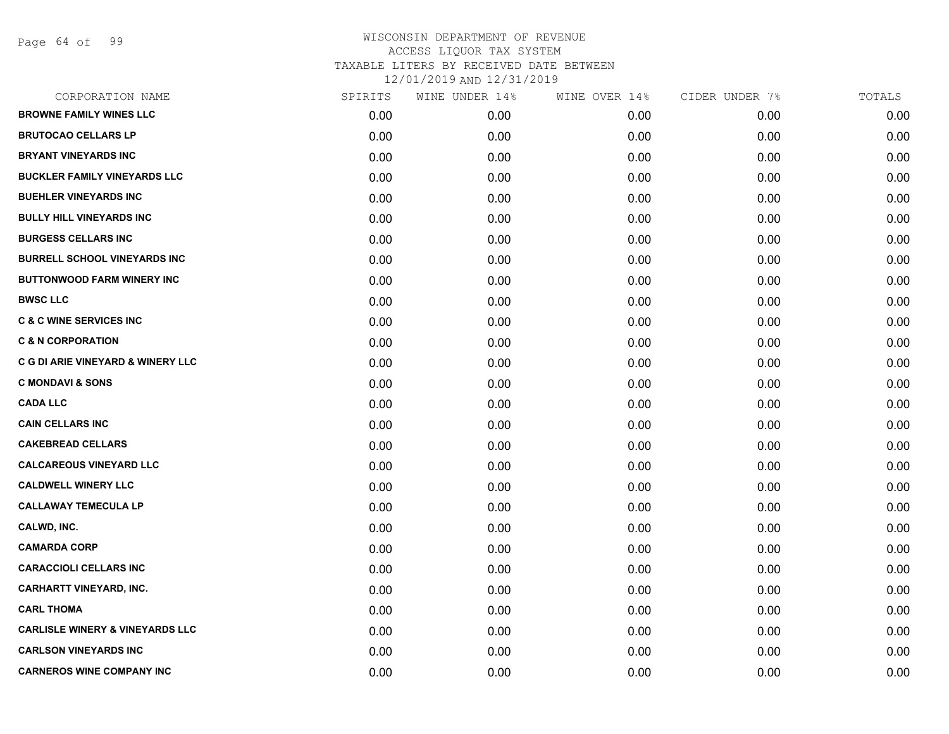Page 64 of 99

| CORPORATION NAME                           | SPIRITS | WINE UNDER 14% | WINE OVER 14% | CIDER UNDER 7% | TOTALS |
|--------------------------------------------|---------|----------------|---------------|----------------|--------|
| <b>BROWNE FAMILY WINES LLC</b>             | 0.00    | 0.00           | 0.00          | 0.00           | 0.00   |
| <b>BRUTOCAO CELLARS LP</b>                 | 0.00    | 0.00           | 0.00          | 0.00           | 0.00   |
| <b>BRYANT VINEYARDS INC</b>                | 0.00    | 0.00           | 0.00          | 0.00           | 0.00   |
| <b>BUCKLER FAMILY VINEYARDS LLC</b>        | 0.00    | 0.00           | 0.00          | 0.00           | 0.00   |
| <b>BUEHLER VINEYARDS INC</b>               | 0.00    | 0.00           | 0.00          | 0.00           | 0.00   |
| <b>BULLY HILL VINEYARDS INC</b>            | 0.00    | 0.00           | 0.00          | 0.00           | 0.00   |
| <b>BURGESS CELLARS INC</b>                 | 0.00    | 0.00           | 0.00          | 0.00           | 0.00   |
| <b>BURRELL SCHOOL VINEYARDS INC</b>        | 0.00    | 0.00           | 0.00          | 0.00           | 0.00   |
| <b>BUTTONWOOD FARM WINERY INC</b>          | 0.00    | 0.00           | 0.00          | 0.00           | 0.00   |
| <b>BWSC LLC</b>                            | 0.00    | 0.00           | 0.00          | 0.00           | 0.00   |
| <b>C &amp; C WINE SERVICES INC</b>         | 0.00    | 0.00           | 0.00          | 0.00           | 0.00   |
| <b>C &amp; N CORPORATION</b>               | 0.00    | 0.00           | 0.00          | 0.00           | 0.00   |
| C G DI ARIE VINEYARD & WINERY LLC          | 0.00    | 0.00           | 0.00          | 0.00           | 0.00   |
| <b>C MONDAVI &amp; SONS</b>                | 0.00    | 0.00           | 0.00          | 0.00           | 0.00   |
| <b>CADA LLC</b>                            | 0.00    | 0.00           | 0.00          | 0.00           | 0.00   |
| <b>CAIN CELLARS INC</b>                    | 0.00    | 0.00           | 0.00          | 0.00           | 0.00   |
| <b>CAKEBREAD CELLARS</b>                   | 0.00    | 0.00           | 0.00          | 0.00           | 0.00   |
| <b>CALCAREOUS VINEYARD LLC</b>             | 0.00    | 0.00           | 0.00          | 0.00           | 0.00   |
| <b>CALDWELL WINERY LLC</b>                 | 0.00    | 0.00           | 0.00          | 0.00           | 0.00   |
| <b>CALLAWAY TEMECULA LP</b>                | 0.00    | 0.00           | 0.00          | 0.00           | 0.00   |
| CALWD, INC.                                | 0.00    | 0.00           | 0.00          | 0.00           | 0.00   |
| <b>CAMARDA CORP</b>                        | 0.00    | 0.00           | 0.00          | 0.00           | 0.00   |
| <b>CARACCIOLI CELLARS INC</b>              | 0.00    | 0.00           | 0.00          | 0.00           | 0.00   |
| <b>CARHARTT VINEYARD, INC.</b>             | 0.00    | 0.00           | 0.00          | 0.00           | 0.00   |
| <b>CARL THOMA</b>                          | 0.00    | 0.00           | 0.00          | 0.00           | 0.00   |
| <b>CARLISLE WINERY &amp; VINEYARDS LLC</b> | 0.00    | 0.00           | 0.00          | 0.00           | 0.00   |
| <b>CARLSON VINEYARDS INC</b>               | 0.00    | 0.00           | 0.00          | 0.00           | 0.00   |
| <b>CARNEROS WINE COMPANY INC</b>           | 0.00    | 0.00           | 0.00          | 0.00           | 0.00   |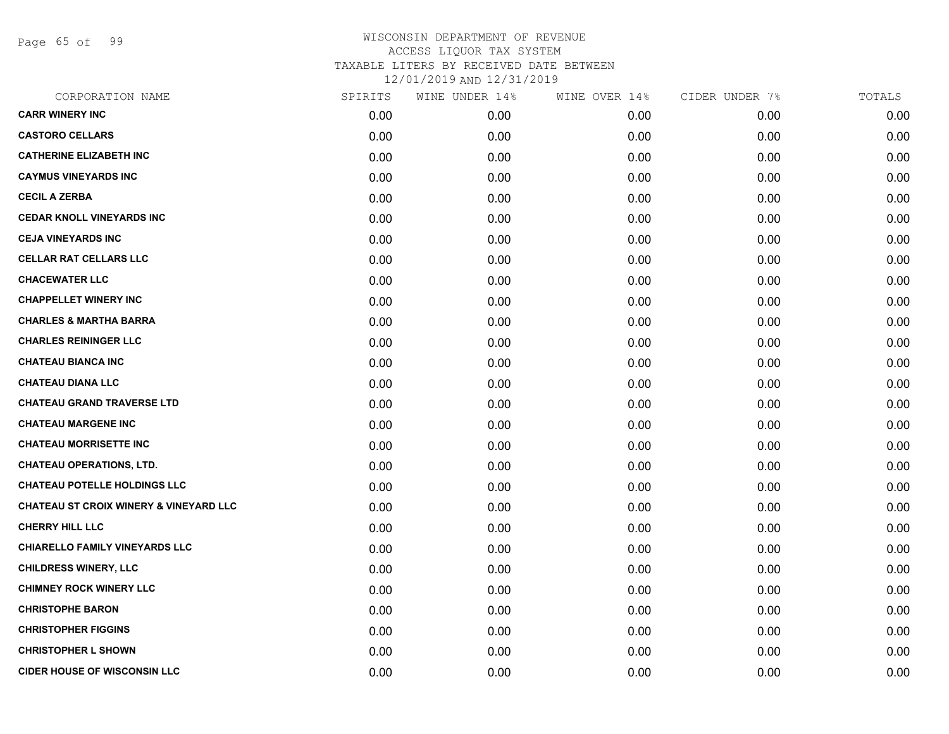Page 65 of 99

| CORPORATION NAME                                  | SPIRITS | WINE UNDER 14% | WINE OVER 14% | CIDER UNDER 7% | TOTALS |
|---------------------------------------------------|---------|----------------|---------------|----------------|--------|
| <b>CARR WINERY INC</b>                            | 0.00    | 0.00           | 0.00          | 0.00           | 0.00   |
| <b>CASTORO CELLARS</b>                            | 0.00    | 0.00           | 0.00          | 0.00           | 0.00   |
| <b>CATHERINE ELIZABETH INC</b>                    | 0.00    | 0.00           | 0.00          | 0.00           | 0.00   |
| <b>CAYMUS VINEYARDS INC</b>                       | 0.00    | 0.00           | 0.00          | 0.00           | 0.00   |
| <b>CECIL A ZERBA</b>                              | 0.00    | 0.00           | 0.00          | 0.00           | 0.00   |
| <b>CEDAR KNOLL VINEYARDS INC</b>                  | 0.00    | 0.00           | 0.00          | 0.00           | 0.00   |
| <b>CEJA VINEYARDS INC</b>                         | 0.00    | 0.00           | 0.00          | 0.00           | 0.00   |
| <b>CELLAR RAT CELLARS LLC</b>                     | 0.00    | 0.00           | 0.00          | 0.00           | 0.00   |
| <b>CHACEWATER LLC</b>                             | 0.00    | 0.00           | 0.00          | 0.00           | 0.00   |
| <b>CHAPPELLET WINERY INC</b>                      | 0.00    | 0.00           | 0.00          | 0.00           | 0.00   |
| <b>CHARLES &amp; MARTHA BARRA</b>                 | 0.00    | 0.00           | 0.00          | 0.00           | 0.00   |
| <b>CHARLES REININGER LLC</b>                      | 0.00    | 0.00           | 0.00          | 0.00           | 0.00   |
| <b>CHATEAU BIANCA INC</b>                         | 0.00    | 0.00           | 0.00          | 0.00           | 0.00   |
| <b>CHATEAU DIANA LLC</b>                          | 0.00    | 0.00           | 0.00          | 0.00           | 0.00   |
| <b>CHATEAU GRAND TRAVERSE LTD</b>                 | 0.00    | 0.00           | 0.00          | 0.00           | 0.00   |
| <b>CHATEAU MARGENE INC</b>                        | 0.00    | 0.00           | 0.00          | 0.00           | 0.00   |
| <b>CHATEAU MORRISETTE INC</b>                     | 0.00    | 0.00           | 0.00          | 0.00           | 0.00   |
| <b>CHATEAU OPERATIONS, LTD.</b>                   | 0.00    | 0.00           | 0.00          | 0.00           | 0.00   |
| <b>CHATEAU POTELLE HOLDINGS LLC</b>               | 0.00    | 0.00           | 0.00          | 0.00           | 0.00   |
| <b>CHATEAU ST CROIX WINERY &amp; VINEYARD LLC</b> | 0.00    | 0.00           | 0.00          | 0.00           | 0.00   |
| <b>CHERRY HILL LLC</b>                            | 0.00    | 0.00           | 0.00          | 0.00           | 0.00   |
| <b>CHIARELLO FAMILY VINEYARDS LLC</b>             | 0.00    | 0.00           | 0.00          | 0.00           | 0.00   |
| <b>CHILDRESS WINERY, LLC</b>                      | 0.00    | 0.00           | 0.00          | 0.00           | 0.00   |
| <b>CHIMNEY ROCK WINERY LLC</b>                    | 0.00    | 0.00           | 0.00          | 0.00           | 0.00   |
| <b>CHRISTOPHE BARON</b>                           | 0.00    | 0.00           | 0.00          | 0.00           | 0.00   |
| <b>CHRISTOPHER FIGGINS</b>                        | 0.00    | 0.00           | 0.00          | 0.00           | 0.00   |
| <b>CHRISTOPHER L SHOWN</b>                        | 0.00    | 0.00           | 0.00          | 0.00           | 0.00   |
| <b>CIDER HOUSE OF WISCONSIN LLC</b>               | 0.00    | 0.00           | 0.00          | 0.00           | 0.00   |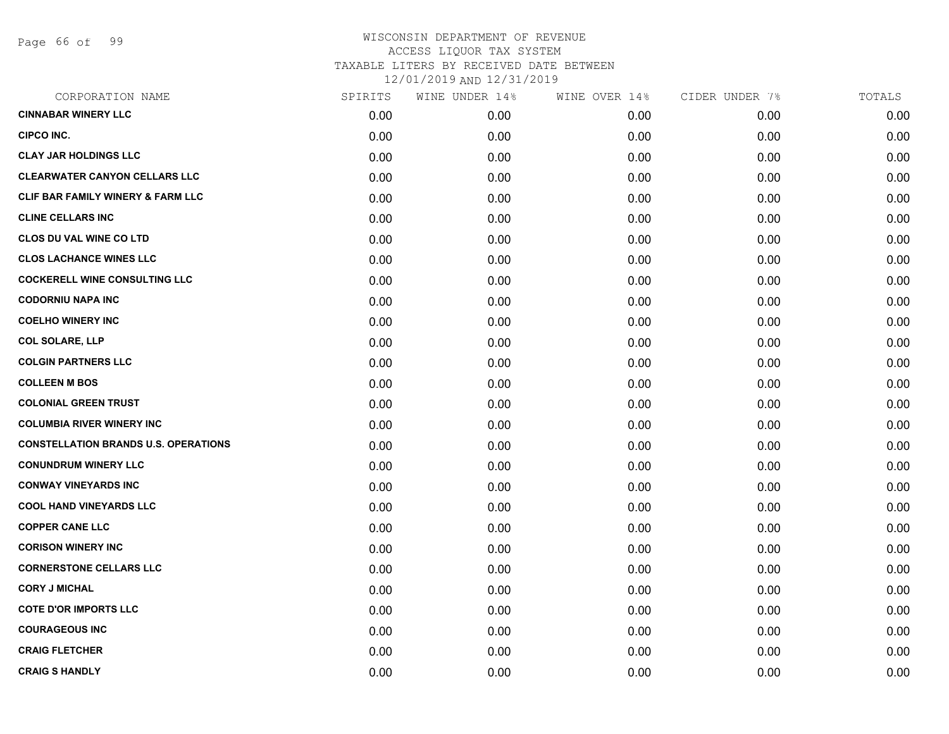Page 66 of 99

| CORPORATION NAME                             | SPIRITS | WINE UNDER 14% | WINE OVER 14% | CIDER UNDER 7% | TOTALS |
|----------------------------------------------|---------|----------------|---------------|----------------|--------|
| <b>CINNABAR WINERY LLC</b>                   | 0.00    | 0.00           | 0.00          | 0.00           | 0.00   |
| CIPCO INC.                                   | 0.00    | 0.00           | 0.00          | 0.00           | 0.00   |
| <b>CLAY JAR HOLDINGS LLC</b>                 | 0.00    | 0.00           | 0.00          | 0.00           | 0.00   |
| <b>CLEARWATER CANYON CELLARS LLC</b>         | 0.00    | 0.00           | 0.00          | 0.00           | 0.00   |
| <b>CLIF BAR FAMILY WINERY &amp; FARM LLC</b> | 0.00    | 0.00           | 0.00          | 0.00           | 0.00   |
| <b>CLINE CELLARS INC</b>                     | 0.00    | 0.00           | 0.00          | 0.00           | 0.00   |
| <b>CLOS DU VAL WINE CO LTD</b>               | 0.00    | 0.00           | 0.00          | 0.00           | 0.00   |
| <b>CLOS LACHANCE WINES LLC</b>               | 0.00    | 0.00           | 0.00          | 0.00           | 0.00   |
| <b>COCKERELL WINE CONSULTING LLC</b>         | 0.00    | 0.00           | 0.00          | 0.00           | 0.00   |
| <b>CODORNIU NAPA INC</b>                     | 0.00    | 0.00           | 0.00          | 0.00           | 0.00   |
| <b>COELHO WINERY INC</b>                     | 0.00    | 0.00           | 0.00          | 0.00           | 0.00   |
| <b>COL SOLARE, LLP</b>                       | 0.00    | 0.00           | 0.00          | 0.00           | 0.00   |
| <b>COLGIN PARTNERS LLC</b>                   | 0.00    | 0.00           | 0.00          | 0.00           | 0.00   |
| <b>COLLEEN M BOS</b>                         | 0.00    | 0.00           | 0.00          | 0.00           | 0.00   |
| <b>COLONIAL GREEN TRUST</b>                  | 0.00    | 0.00           | 0.00          | 0.00           | 0.00   |
| <b>COLUMBIA RIVER WINERY INC</b>             | 0.00    | 0.00           | 0.00          | 0.00           | 0.00   |
| <b>CONSTELLATION BRANDS U.S. OPERATIONS</b>  | 0.00    | 0.00           | 0.00          | 0.00           | 0.00   |
| <b>CONUNDRUM WINERY LLC</b>                  | 0.00    | 0.00           | 0.00          | 0.00           | 0.00   |
| <b>CONWAY VINEYARDS INC</b>                  | 0.00    | 0.00           | 0.00          | 0.00           | 0.00   |
| <b>COOL HAND VINEYARDS LLC</b>               | 0.00    | 0.00           | 0.00          | 0.00           | 0.00   |
| <b>COPPER CANE LLC</b>                       | 0.00    | 0.00           | 0.00          | 0.00           | 0.00   |
| <b>CORISON WINERY INC</b>                    | 0.00    | 0.00           | 0.00          | 0.00           | 0.00   |
| <b>CORNERSTONE CELLARS LLC</b>               | 0.00    | 0.00           | 0.00          | 0.00           | 0.00   |
| <b>CORY J MICHAL</b>                         | 0.00    | 0.00           | 0.00          | 0.00           | 0.00   |
| <b>COTE D'OR IMPORTS LLC</b>                 | 0.00    | 0.00           | 0.00          | 0.00           | 0.00   |
| <b>COURAGEOUS INC</b>                        | 0.00    | 0.00           | 0.00          | 0.00           | 0.00   |
| <b>CRAIG FLETCHER</b>                        | 0.00    | 0.00           | 0.00          | 0.00           | 0.00   |
| <b>CRAIG S HANDLY</b>                        | 0.00    | 0.00           | 0.00          | 0.00           | 0.00   |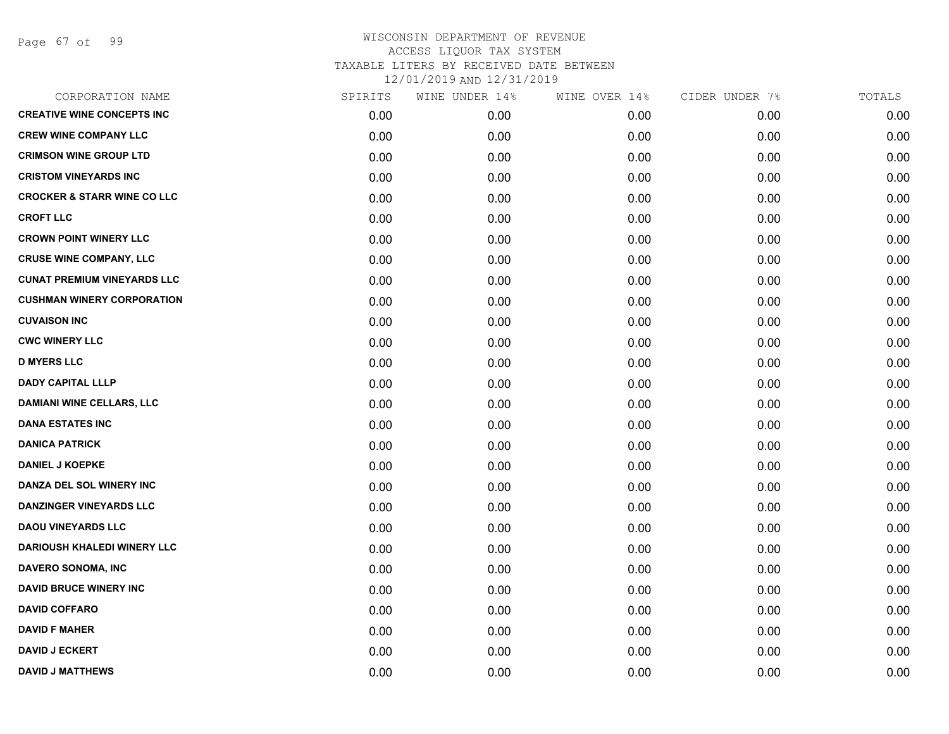Page 67 of 99

| CORPORATION NAME                       | SPIRITS | WINE UNDER 14% | WINE OVER 14% | CIDER UNDER 7% | TOTALS |
|----------------------------------------|---------|----------------|---------------|----------------|--------|
| <b>CREATIVE WINE CONCEPTS INC</b>      | 0.00    | 0.00           | 0.00          | 0.00           | 0.00   |
| <b>CREW WINE COMPANY LLC</b>           | 0.00    | 0.00           | 0.00          | 0.00           | 0.00   |
| <b>CRIMSON WINE GROUP LTD</b>          | 0.00    | 0.00           | 0.00          | 0.00           | 0.00   |
| <b>CRISTOM VINEYARDS INC</b>           | 0.00    | 0.00           | 0.00          | 0.00           | 0.00   |
| <b>CROCKER &amp; STARR WINE CO LLC</b> | 0.00    | 0.00           | 0.00          | 0.00           | 0.00   |
| <b>CROFT LLC</b>                       | 0.00    | 0.00           | 0.00          | 0.00           | 0.00   |
| <b>CROWN POINT WINERY LLC</b>          | 0.00    | 0.00           | 0.00          | 0.00           | 0.00   |
| <b>CRUSE WINE COMPANY, LLC</b>         | 0.00    | 0.00           | 0.00          | 0.00           | 0.00   |
| <b>CUNAT PREMIUM VINEYARDS LLC</b>     | 0.00    | 0.00           | 0.00          | 0.00           | 0.00   |
| <b>CUSHMAN WINERY CORPORATION</b>      | 0.00    | 0.00           | 0.00          | 0.00           | 0.00   |
| <b>CUVAISON INC</b>                    | 0.00    | 0.00           | 0.00          | 0.00           | 0.00   |
| <b>CWC WINERY LLC</b>                  | 0.00    | 0.00           | 0.00          | 0.00           | 0.00   |
| <b>D MYERS LLC</b>                     | 0.00    | 0.00           | 0.00          | 0.00           | 0.00   |
| <b>DADY CAPITAL LLLP</b>               | 0.00    | 0.00           | 0.00          | 0.00           | 0.00   |
| <b>DAMIANI WINE CELLARS, LLC</b>       | 0.00    | 0.00           | 0.00          | 0.00           | 0.00   |
| <b>DANA ESTATES INC</b>                | 0.00    | 0.00           | 0.00          | 0.00           | 0.00   |
| <b>DANICA PATRICK</b>                  | 0.00    | 0.00           | 0.00          | 0.00           | 0.00   |
| <b>DANIEL J KOEPKE</b>                 | 0.00    | 0.00           | 0.00          | 0.00           | 0.00   |
| DANZA DEL SOL WINERY INC               | 0.00    | 0.00           | 0.00          | 0.00           | 0.00   |
| <b>DANZINGER VINEYARDS LLC</b>         | 0.00    | 0.00           | 0.00          | 0.00           | 0.00   |
| <b>DAOU VINEYARDS LLC</b>              | 0.00    | 0.00           | 0.00          | 0.00           | 0.00   |
| <b>DARIOUSH KHALEDI WINERY LLC</b>     | 0.00    | 0.00           | 0.00          | 0.00           | 0.00   |
| <b>DAVERO SONOMA, INC</b>              | 0.00    | 0.00           | 0.00          | 0.00           | 0.00   |
| <b>DAVID BRUCE WINERY INC</b>          | 0.00    | 0.00           | 0.00          | 0.00           | 0.00   |
| <b>DAVID COFFARO</b>                   | 0.00    | 0.00           | 0.00          | 0.00           | 0.00   |
| <b>DAVID F MAHER</b>                   | 0.00    | 0.00           | 0.00          | 0.00           | 0.00   |
| <b>DAVID J ECKERT</b>                  | 0.00    | 0.00           | 0.00          | 0.00           | 0.00   |
| <b>DAVID J MATTHEWS</b>                | 0.00    | 0.00           | 0.00          | 0.00           | 0.00   |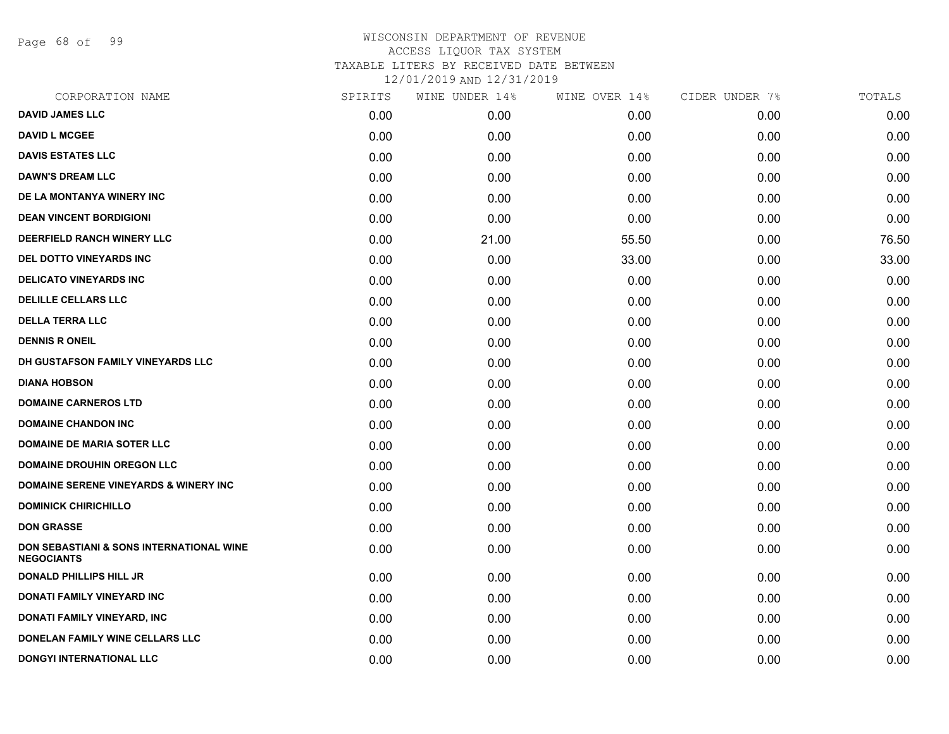Page 68 of 99

| CORPORATION NAME                                              | SPIRITS | WINE UNDER 14% | WINE OVER 14% | CIDER UNDER 7% | TOTALS |
|---------------------------------------------------------------|---------|----------------|---------------|----------------|--------|
| <b>DAVID JAMES LLC</b>                                        | 0.00    | 0.00           | 0.00          | 0.00           | 0.00   |
| <b>DAVID L MCGEE</b>                                          | 0.00    | 0.00           | 0.00          | 0.00           | 0.00   |
| <b>DAVIS ESTATES LLC</b>                                      | 0.00    | 0.00           | 0.00          | 0.00           | 0.00   |
| <b>DAWN'S DREAM LLC</b>                                       | 0.00    | 0.00           | 0.00          | 0.00           | 0.00   |
| DE LA MONTANYA WINERY INC                                     | 0.00    | 0.00           | 0.00          | 0.00           | 0.00   |
| <b>DEAN VINCENT BORDIGIONI</b>                                | 0.00    | 0.00           | 0.00          | 0.00           | 0.00   |
| <b>DEERFIELD RANCH WINERY LLC</b>                             | 0.00    | 21.00          | 55.50         | 0.00           | 76.50  |
| <b>DEL DOTTO VINEYARDS INC</b>                                | 0.00    | 0.00           | 33.00         | 0.00           | 33.00  |
| <b>DELICATO VINEYARDS INC</b>                                 | 0.00    | 0.00           | 0.00          | 0.00           | 0.00   |
| <b>DELILLE CELLARS LLC</b>                                    | 0.00    | 0.00           | 0.00          | 0.00           | 0.00   |
| <b>DELLA TERRA LLC</b>                                        | 0.00    | 0.00           | 0.00          | 0.00           | 0.00   |
| <b>DENNIS R ONEIL</b>                                         | 0.00    | 0.00           | 0.00          | 0.00           | 0.00   |
| DH GUSTAFSON FAMILY VINEYARDS LLC                             | 0.00    | 0.00           | 0.00          | 0.00           | 0.00   |
| <b>DIANA HOBSON</b>                                           | 0.00    | 0.00           | 0.00          | 0.00           | 0.00   |
| <b>DOMAINE CARNEROS LTD</b>                                   | 0.00    | 0.00           | 0.00          | 0.00           | 0.00   |
| <b>DOMAINE CHANDON INC</b>                                    | 0.00    | 0.00           | 0.00          | 0.00           | 0.00   |
| <b>DOMAINE DE MARIA SOTER LLC</b>                             | 0.00    | 0.00           | 0.00          | 0.00           | 0.00   |
| <b>DOMAINE DROUHIN OREGON LLC</b>                             | 0.00    | 0.00           | 0.00          | 0.00           | 0.00   |
| <b>DOMAINE SERENE VINEYARDS &amp; WINERY INC</b>              | 0.00    | 0.00           | 0.00          | 0.00           | 0.00   |
| <b>DOMINICK CHIRICHILLO</b>                                   | 0.00    | 0.00           | 0.00          | 0.00           | 0.00   |
| <b>DON GRASSE</b>                                             | 0.00    | 0.00           | 0.00          | 0.00           | 0.00   |
| DON SEBASTIANI & SONS INTERNATIONAL WINE<br><b>NEGOCIANTS</b> | 0.00    | 0.00           | 0.00          | 0.00           | 0.00   |
| <b>DONALD PHILLIPS HILL JR</b>                                | 0.00    | 0.00           | 0.00          | 0.00           | 0.00   |
| DONATI FAMILY VINEYARD INC                                    | 0.00    | 0.00           | 0.00          | 0.00           | 0.00   |
| DONATI FAMILY VINEYARD, INC                                   | 0.00    | 0.00           | 0.00          | 0.00           | 0.00   |
| <b>DONELAN FAMILY WINE CELLARS LLC</b>                        | 0.00    | 0.00           | 0.00          | 0.00           | 0.00   |
| DONGYI INTERNATIONAL LLC                                      | 0.00    | 0.00           | 0.00          | 0.00           | 0.00   |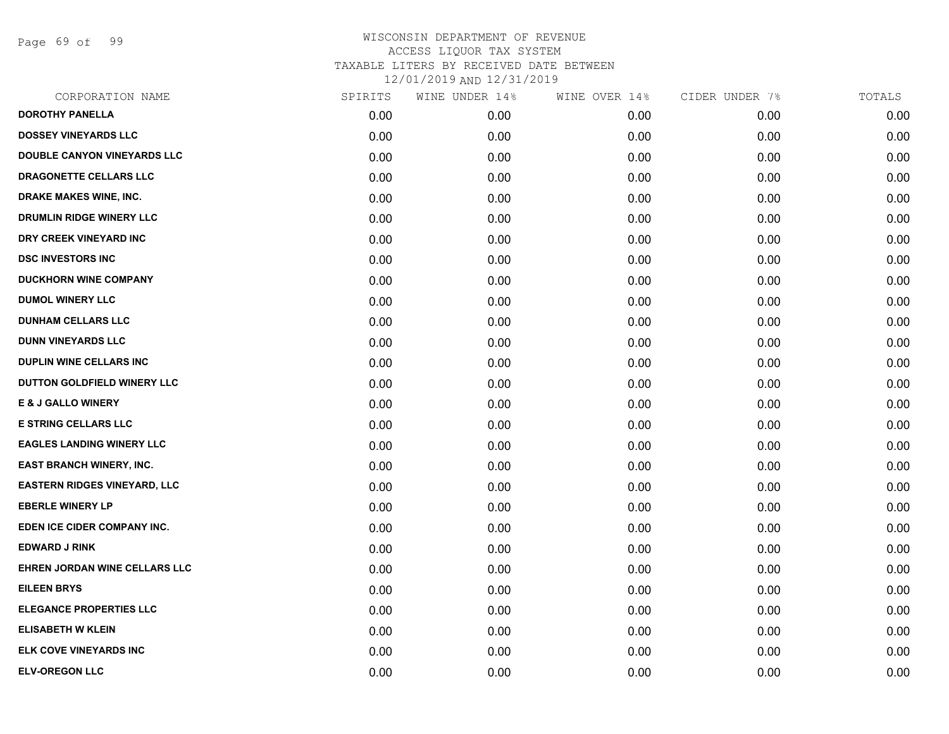Page 69 of 99

| CORPORATION NAME                    | SPIRITS | WINE UNDER 14% | WINE OVER 14% | CIDER UNDER 7% | TOTALS |
|-------------------------------------|---------|----------------|---------------|----------------|--------|
| <b>DOROTHY PANELLA</b>              | 0.00    | 0.00           | 0.00          | 0.00           | 0.00   |
| <b>DOSSEY VINEYARDS LLC</b>         | 0.00    | 0.00           | 0.00          | 0.00           | 0.00   |
| <b>DOUBLE CANYON VINEYARDS LLC</b>  | 0.00    | 0.00           | 0.00          | 0.00           | 0.00   |
| DRAGONETTE CELLARS LLC              | 0.00    | 0.00           | 0.00          | 0.00           | 0.00   |
| <b>DRAKE MAKES WINE, INC.</b>       | 0.00    | 0.00           | 0.00          | 0.00           | 0.00   |
| DRUMLIN RIDGE WINERY LLC            | 0.00    | 0.00           | 0.00          | 0.00           | 0.00   |
| DRY CREEK VINEYARD INC              | 0.00    | 0.00           | 0.00          | 0.00           | 0.00   |
| <b>DSC INVESTORS INC</b>            | 0.00    | 0.00           | 0.00          | 0.00           | 0.00   |
| <b>DUCKHORN WINE COMPANY</b>        | 0.00    | 0.00           | 0.00          | 0.00           | 0.00   |
| <b>DUMOL WINERY LLC</b>             | 0.00    | 0.00           | 0.00          | 0.00           | 0.00   |
| <b>DUNHAM CELLARS LLC</b>           | 0.00    | 0.00           | 0.00          | 0.00           | 0.00   |
| <b>DUNN VINEYARDS LLC</b>           | 0.00    | 0.00           | 0.00          | 0.00           | 0.00   |
| DUPLIN WINE CELLARS INC             | 0.00    | 0.00           | 0.00          | 0.00           | 0.00   |
| DUTTON GOLDFIELD WINERY LLC         | 0.00    | 0.00           | 0.00          | 0.00           | 0.00   |
| <b>E &amp; J GALLO WINERY</b>       | 0.00    | 0.00           | 0.00          | 0.00           | 0.00   |
| <b>E STRING CELLARS LLC</b>         | 0.00    | 0.00           | 0.00          | 0.00           | 0.00   |
| <b>EAGLES LANDING WINERY LLC</b>    | 0.00    | 0.00           | 0.00          | 0.00           | 0.00   |
| <b>EAST BRANCH WINERY, INC.</b>     | 0.00    | 0.00           | 0.00          | 0.00           | 0.00   |
| <b>EASTERN RIDGES VINEYARD, LLC</b> | 0.00    | 0.00           | 0.00          | 0.00           | 0.00   |
| <b>EBERLE WINERY LP</b>             | 0.00    | 0.00           | 0.00          | 0.00           | 0.00   |
| EDEN ICE CIDER COMPANY INC.         | 0.00    | 0.00           | 0.00          | 0.00           | 0.00   |
| <b>EDWARD J RINK</b>                | 0.00    | 0.00           | 0.00          | 0.00           | 0.00   |
| EHREN JORDAN WINE CELLARS LLC       | 0.00    | 0.00           | 0.00          | 0.00           | 0.00   |
| <b>EILEEN BRYS</b>                  | 0.00    | 0.00           | 0.00          | 0.00           | 0.00   |
| <b>ELEGANCE PROPERTIES LLC</b>      | 0.00    | 0.00           | 0.00          | 0.00           | 0.00   |
| <b>ELISABETH W KLEIN</b>            | 0.00    | 0.00           | 0.00          | 0.00           | 0.00   |
| ELK COVE VINEYARDS INC              | 0.00    | 0.00           | 0.00          | 0.00           | 0.00   |
| <b>ELV-OREGON LLC</b>               | 0.00    | 0.00           | 0.00          | 0.00           | 0.00   |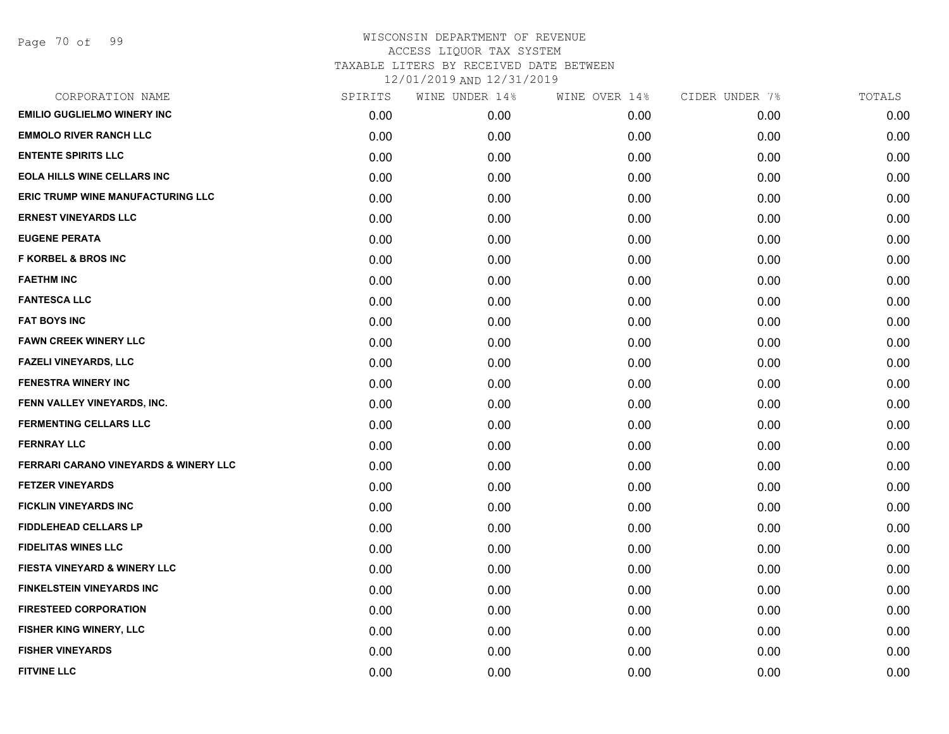| CORPORATION NAME                        | SPIRITS | WINE UNDER 14% | WINE OVER 14% | CIDER UNDER 7% | TOTALS |
|-----------------------------------------|---------|----------------|---------------|----------------|--------|
| <b>EMILIO GUGLIELMO WINERY INC</b>      | 0.00    | 0.00           | 0.00          | 0.00           | 0.00   |
| <b>EMMOLO RIVER RANCH LLC</b>           | 0.00    | 0.00           | 0.00          | 0.00           | 0.00   |
| <b>ENTENTE SPIRITS LLC</b>              | 0.00    | 0.00           | 0.00          | 0.00           | 0.00   |
| <b>EOLA HILLS WINE CELLARS INC</b>      | 0.00    | 0.00           | 0.00          | 0.00           | 0.00   |
| ERIC TRUMP WINE MANUFACTURING LLC       | 0.00    | 0.00           | 0.00          | 0.00           | 0.00   |
| <b>ERNEST VINEYARDS LLC</b>             | 0.00    | 0.00           | 0.00          | 0.00           | 0.00   |
| <b>EUGENE PERATA</b>                    | 0.00    | 0.00           | 0.00          | 0.00           | 0.00   |
| <b>F KORBEL &amp; BROS INC</b>          | 0.00    | 0.00           | 0.00          | 0.00           | 0.00   |
| <b>FAETHM INC</b>                       | 0.00    | 0.00           | 0.00          | 0.00           | 0.00   |
| <b>FANTESCA LLC</b>                     | 0.00    | 0.00           | 0.00          | 0.00           | 0.00   |
| <b>FAT BOYS INC</b>                     | 0.00    | 0.00           | 0.00          | 0.00           | 0.00   |
| <b>FAWN CREEK WINERY LLC</b>            | 0.00    | 0.00           | 0.00          | 0.00           | 0.00   |
| <b>FAZELI VINEYARDS, LLC</b>            | 0.00    | 0.00           | 0.00          | 0.00           | 0.00   |
| <b>FENESTRA WINERY INC</b>              | 0.00    | 0.00           | 0.00          | 0.00           | 0.00   |
| FENN VALLEY VINEYARDS, INC.             | 0.00    | 0.00           | 0.00          | 0.00           | 0.00   |
| <b>FERMENTING CELLARS LLC</b>           | 0.00    | 0.00           | 0.00          | 0.00           | 0.00   |
| <b>FERNRAY LLC</b>                      | 0.00    | 0.00           | 0.00          | 0.00           | 0.00   |
| FERRARI CARANO VINEYARDS & WINERY LLC   | 0.00    | 0.00           | 0.00          | 0.00           | 0.00   |
| <b>FETZER VINEYARDS</b>                 | 0.00    | 0.00           | 0.00          | 0.00           | 0.00   |
| <b>FICKLIN VINEYARDS INC</b>            | 0.00    | 0.00           | 0.00          | 0.00           | 0.00   |
| <b>FIDDLEHEAD CELLARS LP</b>            | 0.00    | 0.00           | 0.00          | 0.00           | 0.00   |
| <b>FIDELITAS WINES LLC</b>              | 0.00    | 0.00           | 0.00          | 0.00           | 0.00   |
| <b>FIESTA VINEYARD &amp; WINERY LLC</b> | 0.00    | 0.00           | 0.00          | 0.00           | 0.00   |
| <b>FINKELSTEIN VINEYARDS INC</b>        | 0.00    | 0.00           | 0.00          | 0.00           | 0.00   |
| <b>FIRESTEED CORPORATION</b>            | 0.00    | 0.00           | 0.00          | 0.00           | 0.00   |
| FISHER KING WINERY, LLC                 | 0.00    | 0.00           | 0.00          | 0.00           | 0.00   |
| <b>FISHER VINEYARDS</b>                 | 0.00    | 0.00           | 0.00          | 0.00           | 0.00   |
| <b>FITVINE LLC</b>                      | 0.00    | 0.00           | 0.00          | 0.00           | 0.00   |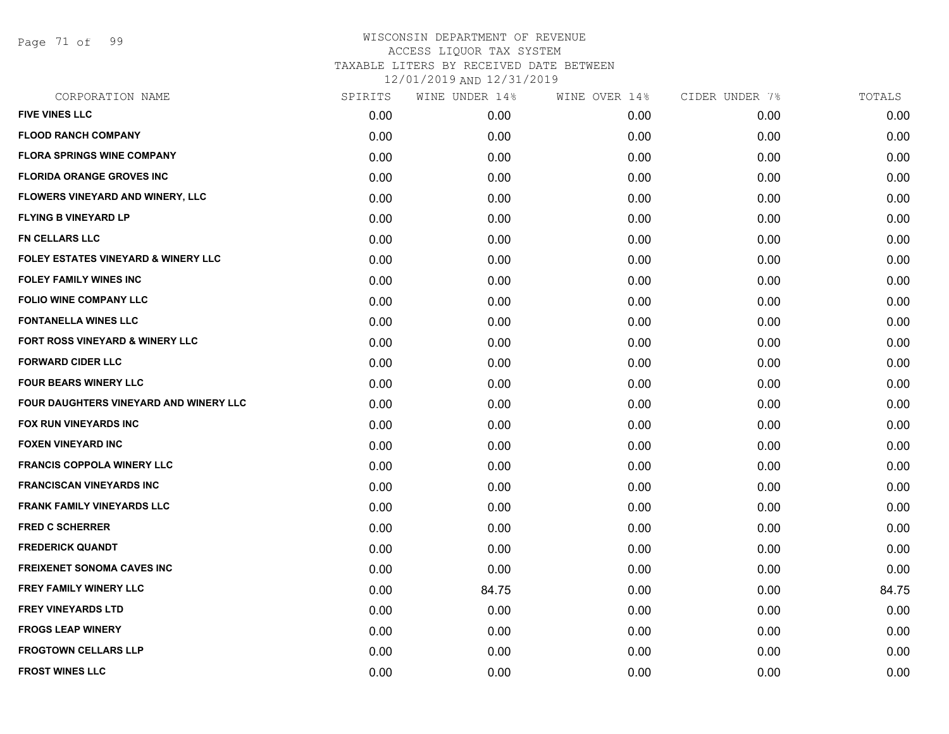Page 71 of 99

| CORPORATION NAME                        | SPIRITS | WINE UNDER 14% | WINE OVER 14% | CIDER UNDER 7% | TOTALS |
|-----------------------------------------|---------|----------------|---------------|----------------|--------|
| <b>FIVE VINES LLC</b>                   | 0.00    | 0.00           | 0.00          | 0.00           | 0.00   |
| <b>FLOOD RANCH COMPANY</b>              | 0.00    | 0.00           | 0.00          | 0.00           | 0.00   |
| <b>FLORA SPRINGS WINE COMPANY</b>       | 0.00    | 0.00           | 0.00          | 0.00           | 0.00   |
| <b>FLORIDA ORANGE GROVES INC</b>        | 0.00    | 0.00           | 0.00          | 0.00           | 0.00   |
| <b>FLOWERS VINEYARD AND WINERY, LLC</b> | 0.00    | 0.00           | 0.00          | 0.00           | 0.00   |
| <b>FLYING B VINEYARD LP</b>             | 0.00    | 0.00           | 0.00          | 0.00           | 0.00   |
| <b>FN CELLARS LLC</b>                   | 0.00    | 0.00           | 0.00          | 0.00           | 0.00   |
| FOLEY ESTATES VINEYARD & WINERY LLC     | 0.00    | 0.00           | 0.00          | 0.00           | 0.00   |
| <b>FOLEY FAMILY WINES INC</b>           | 0.00    | 0.00           | 0.00          | 0.00           | 0.00   |
| FOLIO WINE COMPANY LLC                  | 0.00    | 0.00           | 0.00          | 0.00           | 0.00   |
| <b>FONTANELLA WINES LLC</b>             | 0.00    | 0.00           | 0.00          | 0.00           | 0.00   |
| FORT ROSS VINEYARD & WINERY LLC         | 0.00    | 0.00           | 0.00          | 0.00           | 0.00   |
| <b>FORWARD CIDER LLC</b>                | 0.00    | 0.00           | 0.00          | 0.00           | 0.00   |
| <b>FOUR BEARS WINERY LLC</b>            | 0.00    | 0.00           | 0.00          | 0.00           | 0.00   |
| FOUR DAUGHTERS VINEYARD AND WINERY LLC  | 0.00    | 0.00           | 0.00          | 0.00           | 0.00   |
| FOX RUN VINEYARDS INC                   | 0.00    | 0.00           | 0.00          | 0.00           | 0.00   |
| <b>FOXEN VINEYARD INC</b>               | 0.00    | 0.00           | 0.00          | 0.00           | 0.00   |
| <b>FRANCIS COPPOLA WINERY LLC</b>       | 0.00    | 0.00           | 0.00          | 0.00           | 0.00   |
| <b>FRANCISCAN VINEYARDS INC</b>         | 0.00    | 0.00           | 0.00          | 0.00           | 0.00   |
| <b>FRANK FAMILY VINEYARDS LLC</b>       | 0.00    | 0.00           | 0.00          | 0.00           | 0.00   |
| <b>FRED C SCHERRER</b>                  | 0.00    | 0.00           | 0.00          | 0.00           | 0.00   |
| <b>FREDERICK QUANDT</b>                 | 0.00    | 0.00           | 0.00          | 0.00           | 0.00   |
| <b>FREIXENET SONOMA CAVES INC</b>       | 0.00    | 0.00           | 0.00          | 0.00           | 0.00   |
| <b>FREY FAMILY WINERY LLC</b>           | 0.00    | 84.75          | 0.00          | 0.00           | 84.75  |
| <b>FREY VINEYARDS LTD</b>               | 0.00    | 0.00           | 0.00          | 0.00           | 0.00   |
| <b>FROGS LEAP WINERY</b>                | 0.00    | 0.00           | 0.00          | 0.00           | 0.00   |
| <b>FROGTOWN CELLARS LLP</b>             | 0.00    | 0.00           | 0.00          | 0.00           | 0.00   |
| <b>FROST WINES LLC</b>                  | 0.00    | 0.00           | 0.00          | 0.00           | 0.00   |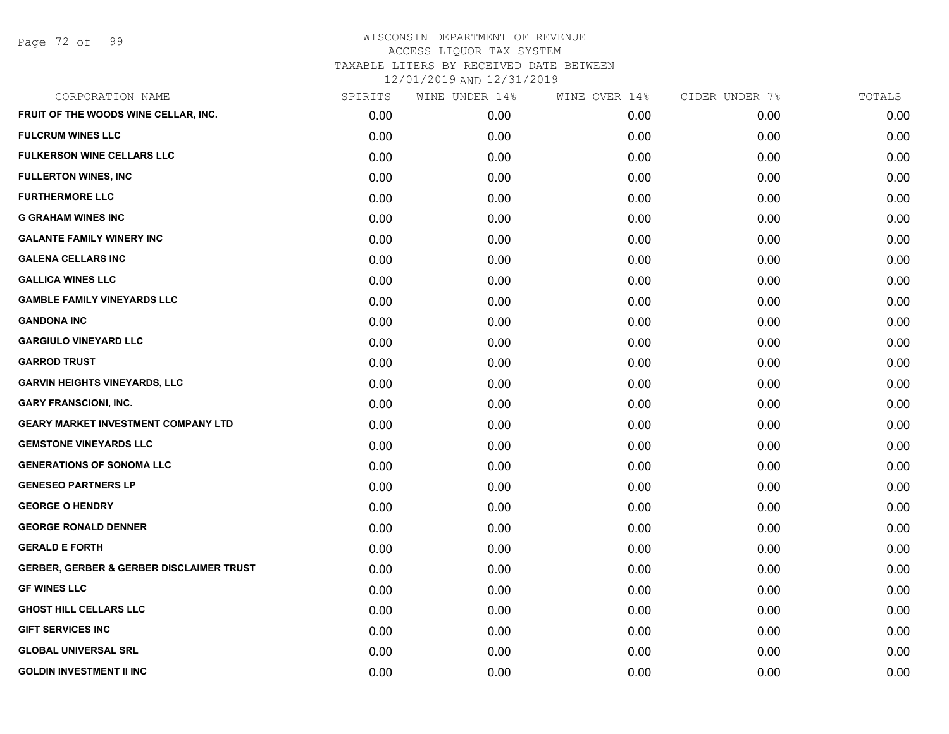Page 72 of 99

| CORPORATION NAME                                    | SPIRITS | WINE UNDER 14% | WINE OVER 14% | CIDER UNDER 7% | TOTALS |
|-----------------------------------------------------|---------|----------------|---------------|----------------|--------|
| FRUIT OF THE WOODS WINE CELLAR, INC.                | 0.00    | 0.00           | 0.00          | 0.00           | 0.00   |
| <b>FULCRUM WINES LLC</b>                            | 0.00    | 0.00           | 0.00          | 0.00           | 0.00   |
| <b>FULKERSON WINE CELLARS LLC</b>                   | 0.00    | 0.00           | 0.00          | 0.00           | 0.00   |
| <b>FULLERTON WINES, INC</b>                         | 0.00    | 0.00           | 0.00          | 0.00           | 0.00   |
| <b>FURTHERMORE LLC</b>                              | 0.00    | 0.00           | 0.00          | 0.00           | 0.00   |
| <b>G GRAHAM WINES INC</b>                           | 0.00    | 0.00           | 0.00          | 0.00           | 0.00   |
| <b>GALANTE FAMILY WINERY INC</b>                    | 0.00    | 0.00           | 0.00          | 0.00           | 0.00   |
| <b>GALENA CELLARS INC</b>                           | 0.00    | 0.00           | 0.00          | 0.00           | 0.00   |
| <b>GALLICA WINES LLC</b>                            | 0.00    | 0.00           | 0.00          | 0.00           | 0.00   |
| <b>GAMBLE FAMILY VINEYARDS LLC</b>                  | 0.00    | 0.00           | 0.00          | 0.00           | 0.00   |
| <b>GANDONA INC</b>                                  | 0.00    | 0.00           | 0.00          | 0.00           | 0.00   |
| <b>GARGIULO VINEYARD LLC</b>                        | 0.00    | 0.00           | 0.00          | 0.00           | 0.00   |
| <b>GARROD TRUST</b>                                 | 0.00    | 0.00           | 0.00          | 0.00           | 0.00   |
| <b>GARVIN HEIGHTS VINEYARDS, LLC</b>                | 0.00    | 0.00           | 0.00          | 0.00           | 0.00   |
| <b>GARY FRANSCIONI, INC.</b>                        | 0.00    | 0.00           | 0.00          | 0.00           | 0.00   |
| <b>GEARY MARKET INVESTMENT COMPANY LTD</b>          | 0.00    | 0.00           | 0.00          | 0.00           | 0.00   |
| <b>GEMSTONE VINEYARDS LLC</b>                       | 0.00    | 0.00           | 0.00          | 0.00           | 0.00   |
| <b>GENERATIONS OF SONOMA LLC</b>                    | 0.00    | 0.00           | 0.00          | 0.00           | 0.00   |
| <b>GENESEO PARTNERS LP</b>                          | 0.00    | 0.00           | 0.00          | 0.00           | 0.00   |
| <b>GEORGE O HENDRY</b>                              | 0.00    | 0.00           | 0.00          | 0.00           | 0.00   |
| <b>GEORGE RONALD DENNER</b>                         | 0.00    | 0.00           | 0.00          | 0.00           | 0.00   |
| <b>GERALD E FORTH</b>                               | 0.00    | 0.00           | 0.00          | 0.00           | 0.00   |
| <b>GERBER, GERBER &amp; GERBER DISCLAIMER TRUST</b> | 0.00    | 0.00           | 0.00          | 0.00           | 0.00   |
| <b>GF WINES LLC</b>                                 | 0.00    | 0.00           | 0.00          | 0.00           | 0.00   |
| <b>GHOST HILL CELLARS LLC</b>                       | 0.00    | 0.00           | 0.00          | 0.00           | 0.00   |
| <b>GIFT SERVICES INC</b>                            | 0.00    | 0.00           | 0.00          | 0.00           | 0.00   |
| <b>GLOBAL UNIVERSAL SRL</b>                         | 0.00    | 0.00           | 0.00          | 0.00           | 0.00   |
| <b>GOLDIN INVESTMENT II INC</b>                     | 0.00    | 0.00           | 0.00          | 0.00           | 0.00   |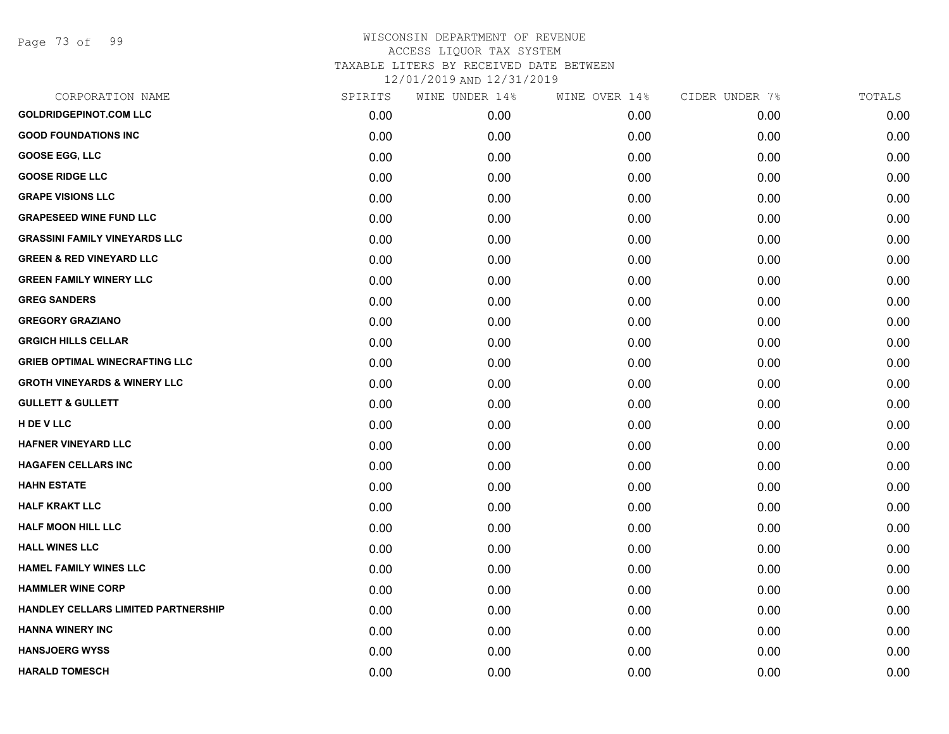Page 73 of 99

| CORPORATION NAME                        | SPIRITS | WINE UNDER 14% | WINE OVER 14% | CIDER UNDER 7% | TOTALS |
|-----------------------------------------|---------|----------------|---------------|----------------|--------|
| <b>GOLDRIDGEPINOT.COM LLC</b>           | 0.00    | 0.00           | 0.00          | 0.00           | 0.00   |
| <b>GOOD FOUNDATIONS INC</b>             | 0.00    | 0.00           | 0.00          | 0.00           | 0.00   |
| <b>GOOSE EGG, LLC</b>                   | 0.00    | 0.00           | 0.00          | 0.00           | 0.00   |
| <b>GOOSE RIDGE LLC</b>                  | 0.00    | 0.00           | 0.00          | 0.00           | 0.00   |
| <b>GRAPE VISIONS LLC</b>                | 0.00    | 0.00           | 0.00          | 0.00           | 0.00   |
| <b>GRAPESEED WINE FUND LLC</b>          | 0.00    | 0.00           | 0.00          | 0.00           | 0.00   |
| <b>GRASSINI FAMILY VINEYARDS LLC</b>    | 0.00    | 0.00           | 0.00          | 0.00           | 0.00   |
| <b>GREEN &amp; RED VINEYARD LLC</b>     | 0.00    | 0.00           | 0.00          | 0.00           | 0.00   |
| <b>GREEN FAMILY WINERY LLC</b>          | 0.00    | 0.00           | 0.00          | 0.00           | 0.00   |
| <b>GREG SANDERS</b>                     | 0.00    | 0.00           | 0.00          | 0.00           | 0.00   |
| <b>GREGORY GRAZIANO</b>                 | 0.00    | 0.00           | 0.00          | 0.00           | 0.00   |
| <b>GRGICH HILLS CELLAR</b>              | 0.00    | 0.00           | 0.00          | 0.00           | 0.00   |
| <b>GRIEB OPTIMAL WINECRAFTING LLC</b>   | 0.00    | 0.00           | 0.00          | 0.00           | 0.00   |
| <b>GROTH VINEYARDS &amp; WINERY LLC</b> | 0.00    | 0.00           | 0.00          | 0.00           | 0.00   |
| <b>GULLETT &amp; GULLETT</b>            | 0.00    | 0.00           | 0.00          | 0.00           | 0.00   |
| <b>H DE V LLC</b>                       | 0.00    | 0.00           | 0.00          | 0.00           | 0.00   |
| <b>HAFNER VINEYARD LLC</b>              | 0.00    | 0.00           | 0.00          | 0.00           | 0.00   |
| <b>HAGAFEN CELLARS INC</b>              | 0.00    | 0.00           | 0.00          | 0.00           | 0.00   |
| <b>HAHN ESTATE</b>                      | 0.00    | 0.00           | 0.00          | 0.00           | 0.00   |
| <b>HALF KRAKT LLC</b>                   | 0.00    | 0.00           | 0.00          | 0.00           | 0.00   |
| <b>HALF MOON HILL LLC</b>               | 0.00    | 0.00           | 0.00          | 0.00           | 0.00   |
| <b>HALL WINES LLC</b>                   | 0.00    | 0.00           | 0.00          | 0.00           | 0.00   |
| <b>HAMEL FAMILY WINES LLC</b>           | 0.00    | 0.00           | 0.00          | 0.00           | 0.00   |
| <b>HAMMLER WINE CORP</b>                | 0.00    | 0.00           | 0.00          | 0.00           | 0.00   |
| HANDLEY CELLARS LIMITED PARTNERSHIP     | 0.00    | 0.00           | 0.00          | 0.00           | 0.00   |
| <b>HANNA WINERY INC</b>                 | 0.00    | 0.00           | 0.00          | 0.00           | 0.00   |
| <b>HANSJOERG WYSS</b>                   | 0.00    | 0.00           | 0.00          | 0.00           | 0.00   |
| <b>HARALD TOMESCH</b>                   | 0.00    | 0.00           | 0.00          | 0.00           | 0.00   |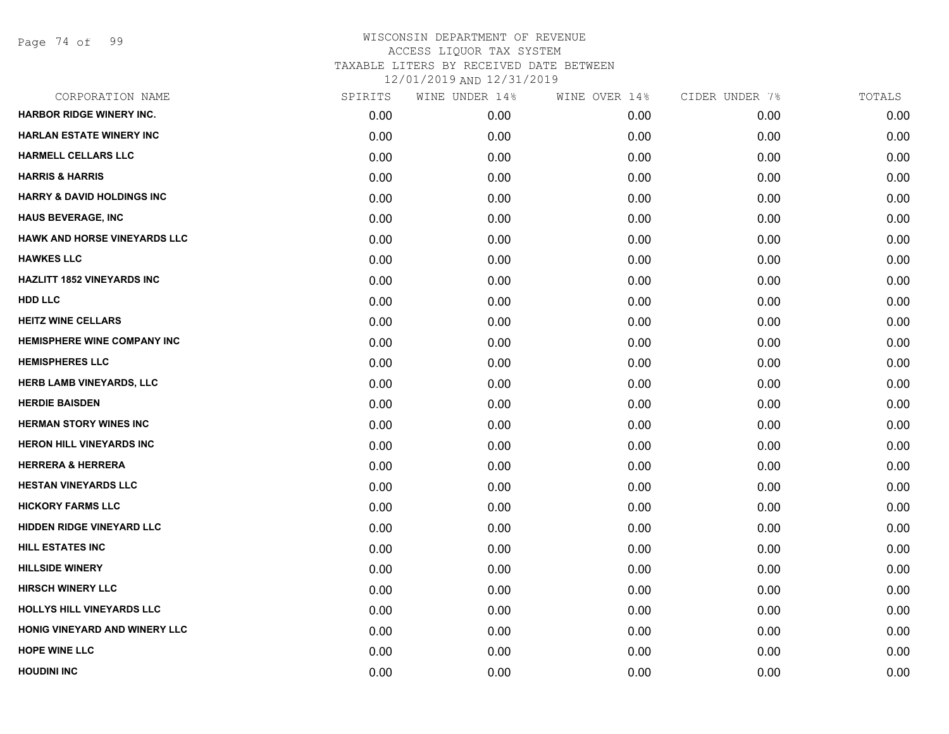Page 74 of 99

| CORPORATION NAME                      | SPIRITS | WINE UNDER 14% | WINE OVER 14% | CIDER UNDER 7% | TOTALS |
|---------------------------------------|---------|----------------|---------------|----------------|--------|
| <b>HARBOR RIDGE WINERY INC.</b>       | 0.00    | 0.00           | 0.00          | 0.00           | 0.00   |
| <b>HARLAN ESTATE WINERY INC</b>       | 0.00    | 0.00           | 0.00          | 0.00           | 0.00   |
| <b>HARMELL CELLARS LLC</b>            | 0.00    | 0.00           | 0.00          | 0.00           | 0.00   |
| <b>HARRIS &amp; HARRIS</b>            | 0.00    | 0.00           | 0.00          | 0.00           | 0.00   |
| <b>HARRY &amp; DAVID HOLDINGS INC</b> | 0.00    | 0.00           | 0.00          | 0.00           | 0.00   |
| <b>HAUS BEVERAGE, INC</b>             | 0.00    | 0.00           | 0.00          | 0.00           | 0.00   |
| <b>HAWK AND HORSE VINEYARDS LLC</b>   | 0.00    | 0.00           | 0.00          | 0.00           | 0.00   |
| <b>HAWKES LLC</b>                     | 0.00    | 0.00           | 0.00          | 0.00           | 0.00   |
| <b>HAZLITT 1852 VINEYARDS INC</b>     | 0.00    | 0.00           | 0.00          | 0.00           | 0.00   |
| <b>HDD LLC</b>                        | 0.00    | 0.00           | 0.00          | 0.00           | 0.00   |
| <b>HEITZ WINE CELLARS</b>             | 0.00    | 0.00           | 0.00          | 0.00           | 0.00   |
| <b>HEMISPHERE WINE COMPANY INC</b>    | 0.00    | 0.00           | 0.00          | 0.00           | 0.00   |
| <b>HEMISPHERES LLC</b>                | 0.00    | 0.00           | 0.00          | 0.00           | 0.00   |
| HERB LAMB VINEYARDS, LLC              | 0.00    | 0.00           | 0.00          | 0.00           | 0.00   |
| <b>HERDIE BAISDEN</b>                 | 0.00    | 0.00           | 0.00          | 0.00           | 0.00   |
| <b>HERMAN STORY WINES INC</b>         | 0.00    | 0.00           | 0.00          | 0.00           | 0.00   |
| <b>HERON HILL VINEYARDS INC</b>       | 0.00    | 0.00           | 0.00          | 0.00           | 0.00   |
| <b>HERRERA &amp; HERRERA</b>          | 0.00    | 0.00           | 0.00          | 0.00           | 0.00   |
| <b>HESTAN VINEYARDS LLC</b>           | 0.00    | 0.00           | 0.00          | 0.00           | 0.00   |
| <b>HICKORY FARMS LLC</b>              | 0.00    | 0.00           | 0.00          | 0.00           | 0.00   |
| HIDDEN RIDGE VINEYARD LLC             | 0.00    | 0.00           | 0.00          | 0.00           | 0.00   |
| <b>HILL ESTATES INC</b>               | 0.00    | 0.00           | 0.00          | 0.00           | 0.00   |
| <b>HILLSIDE WINERY</b>                | 0.00    | 0.00           | 0.00          | 0.00           | 0.00   |
| <b>HIRSCH WINERY LLC</b>              | 0.00    | 0.00           | 0.00          | 0.00           | 0.00   |
| HOLLYS HILL VINEYARDS LLC             | 0.00    | 0.00           | 0.00          | 0.00           | 0.00   |
| HONIG VINEYARD AND WINERY LLC         | 0.00    | 0.00           | 0.00          | 0.00           | 0.00   |
| <b>HOPE WINE LLC</b>                  | 0.00    | 0.00           | 0.00          | 0.00           | 0.00   |
| <b>HOUDINI INC</b>                    | 0.00    | 0.00           | 0.00          | 0.00           | 0.00   |
|                                       |         |                |               |                |        |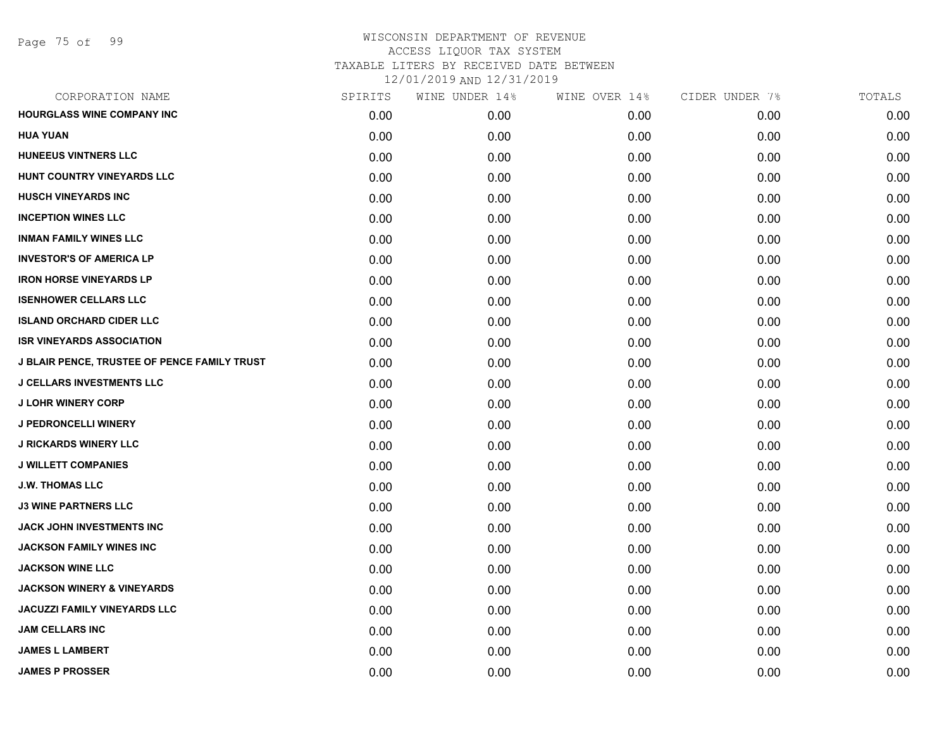| CORPORATION NAME                             | SPIRITS | WINE UNDER 14% | WINE OVER 14% | CIDER UNDER 7% | TOTALS |
|----------------------------------------------|---------|----------------|---------------|----------------|--------|
| <b>HOURGLASS WINE COMPANY INC</b>            | 0.00    | 0.00           | 0.00          | 0.00           | 0.00   |
| <b>HUA YUAN</b>                              | 0.00    | 0.00           | 0.00          | 0.00           | 0.00   |
| HUNEEUS VINTNERS LLC                         | 0.00    | 0.00           | 0.00          | 0.00           | 0.00   |
| HUNT COUNTRY VINEYARDS LLC                   | 0.00    | 0.00           | 0.00          | 0.00           | 0.00   |
| <b>HUSCH VINEYARDS INC</b>                   | 0.00    | 0.00           | 0.00          | 0.00           | 0.00   |
| <b>INCEPTION WINES LLC</b>                   | 0.00    | 0.00           | 0.00          | 0.00           | 0.00   |
| <b>INMAN FAMILY WINES LLC</b>                | 0.00    | 0.00           | 0.00          | 0.00           | 0.00   |
| <b>INVESTOR'S OF AMERICA LP</b>              | 0.00    | 0.00           | 0.00          | 0.00           | 0.00   |
| <b>IRON HORSE VINEYARDS LP</b>               | 0.00    | 0.00           | 0.00          | 0.00           | 0.00   |
| <b>ISENHOWER CELLARS LLC</b>                 | 0.00    | 0.00           | 0.00          | 0.00           | 0.00   |
| <b>ISLAND ORCHARD CIDER LLC</b>              | 0.00    | 0.00           | 0.00          | 0.00           | 0.00   |
| <b>ISR VINEYARDS ASSOCIATION</b>             | 0.00    | 0.00           | 0.00          | 0.00           | 0.00   |
| J BLAIR PENCE, TRUSTEE OF PENCE FAMILY TRUST | 0.00    | 0.00           | 0.00          | 0.00           | 0.00   |
| <b>J CELLARS INVESTMENTS LLC</b>             | 0.00    | 0.00           | 0.00          | 0.00           | 0.00   |
| <b>J LOHR WINERY CORP</b>                    | 0.00    | 0.00           | 0.00          | 0.00           | 0.00   |
| <b>J PEDRONCELLI WINERY</b>                  | 0.00    | 0.00           | 0.00          | 0.00           | 0.00   |
| <b>J RICKARDS WINERY LLC</b>                 | 0.00    | 0.00           | 0.00          | 0.00           | 0.00   |
| <b>J WILLETT COMPANIES</b>                   | 0.00    | 0.00           | 0.00          | 0.00           | 0.00   |
| <b>J.W. THOMAS LLC</b>                       | 0.00    | 0.00           | 0.00          | 0.00           | 0.00   |
| <b>J3 WINE PARTNERS LLC</b>                  | 0.00    | 0.00           | 0.00          | 0.00           | 0.00   |
| <b>JACK JOHN INVESTMENTS INC</b>             | 0.00    | 0.00           | 0.00          | 0.00           | 0.00   |
| JACKSON FAMILY WINES INC                     | 0.00    | 0.00           | 0.00          | 0.00           | 0.00   |
| <b>JACKSON WINE LLC</b>                      | 0.00    | 0.00           | 0.00          | 0.00           | 0.00   |
| <b>JACKSON WINERY &amp; VINEYARDS</b>        | 0.00    | 0.00           | 0.00          | 0.00           | 0.00   |
| <b>JACUZZI FAMILY VINEYARDS LLC</b>          | 0.00    | 0.00           | 0.00          | 0.00           | 0.00   |
| <b>JAM CELLARS INC</b>                       | 0.00    | 0.00           | 0.00          | 0.00           | 0.00   |
| <b>JAMES L LAMBERT</b>                       | 0.00    | 0.00           | 0.00          | 0.00           | 0.00   |
| <b>JAMES P PROSSER</b>                       | 0.00    | 0.00           | 0.00          | 0.00           | 0.00   |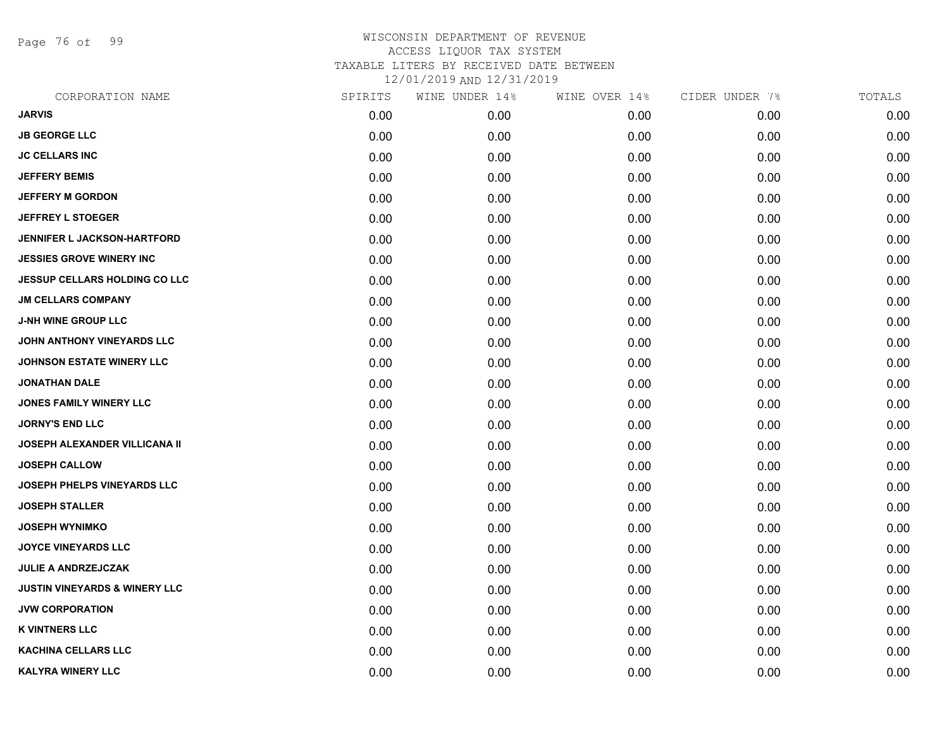Page 76 of 99

| CORPORATION NAME                         | SPIRITS | WINE UNDER 14% | WINE OVER 14% | CIDER UNDER 7% | TOTALS |
|------------------------------------------|---------|----------------|---------------|----------------|--------|
| <b>JARVIS</b>                            | 0.00    | 0.00           | 0.00          | 0.00           | 0.00   |
| <b>JB GEORGE LLC</b>                     | 0.00    | 0.00           | 0.00          | 0.00           | 0.00   |
| <b>JC CELLARS INC</b>                    | 0.00    | 0.00           | 0.00          | 0.00           | 0.00   |
| <b>JEFFERY BEMIS</b>                     | 0.00    | 0.00           | 0.00          | 0.00           | 0.00   |
| <b>JEFFERY M GORDON</b>                  | 0.00    | 0.00           | 0.00          | 0.00           | 0.00   |
| <b>JEFFREY L STOEGER</b>                 | 0.00    | 0.00           | 0.00          | 0.00           | 0.00   |
| <b>JENNIFER L JACKSON-HARTFORD</b>       | 0.00    | 0.00           | 0.00          | 0.00           | 0.00   |
| <b>JESSIES GROVE WINERY INC</b>          | 0.00    | 0.00           | 0.00          | 0.00           | 0.00   |
| JESSUP CELLARS HOLDING CO LLC            | 0.00    | 0.00           | 0.00          | 0.00           | 0.00   |
| <b>JM CELLARS COMPANY</b>                | 0.00    | 0.00           | 0.00          | 0.00           | 0.00   |
| <b>J-NH WINE GROUP LLC</b>               | 0.00    | 0.00           | 0.00          | 0.00           | 0.00   |
| JOHN ANTHONY VINEYARDS LLC               | 0.00    | 0.00           | 0.00          | 0.00           | 0.00   |
| <b>JOHNSON ESTATE WINERY LLC</b>         | 0.00    | 0.00           | 0.00          | 0.00           | 0.00   |
| <b>JONATHAN DALE</b>                     | 0.00    | 0.00           | 0.00          | 0.00           | 0.00   |
| <b>JONES FAMILY WINERY LLC</b>           | 0.00    | 0.00           | 0.00          | 0.00           | 0.00   |
| <b>JORNY'S END LLC</b>                   | 0.00    | 0.00           | 0.00          | 0.00           | 0.00   |
| JOSEPH ALEXANDER VILLICANA II            | 0.00    | 0.00           | 0.00          | 0.00           | 0.00   |
| <b>JOSEPH CALLOW</b>                     | 0.00    | 0.00           | 0.00          | 0.00           | 0.00   |
| JOSEPH PHELPS VINEYARDS LLC              | 0.00    | 0.00           | 0.00          | 0.00           | 0.00   |
| <b>JOSEPH STALLER</b>                    | 0.00    | 0.00           | 0.00          | 0.00           | 0.00   |
| <b>JOSEPH WYNIMKO</b>                    | 0.00    | 0.00           | 0.00          | 0.00           | 0.00   |
| <b>JOYCE VINEYARDS LLC</b>               | 0.00    | 0.00           | 0.00          | 0.00           | 0.00   |
| <b>JULIE A ANDRZEJCZAK</b>               | 0.00    | 0.00           | 0.00          | 0.00           | 0.00   |
| <b>JUSTIN VINEYARDS &amp; WINERY LLC</b> | 0.00    | 0.00           | 0.00          | 0.00           | 0.00   |
| <b>JVW CORPORATION</b>                   | 0.00    | 0.00           | 0.00          | 0.00           | 0.00   |
| <b>K VINTNERS LLC</b>                    | 0.00    | 0.00           | 0.00          | 0.00           | 0.00   |
| <b>KACHINA CELLARS LLC</b>               | 0.00    | 0.00           | 0.00          | 0.00           | 0.00   |
| <b>KALYRA WINERY LLC</b>                 | 0.00    | 0.00           | 0.00          | 0.00           | 0.00   |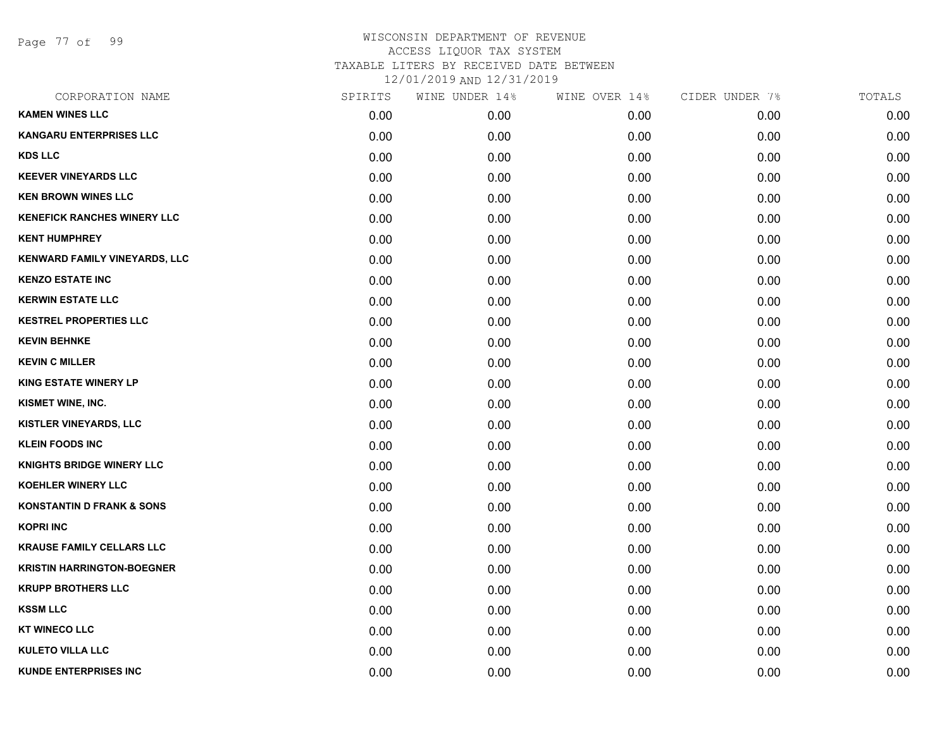Page 77 of 99

| CORPORATION NAME                     | SPIRITS | WINE UNDER 14% | WINE OVER 14% | CIDER UNDER 7% | TOTALS |
|--------------------------------------|---------|----------------|---------------|----------------|--------|
| <b>KAMEN WINES LLC</b>               | 0.00    | 0.00           | 0.00          | 0.00           | 0.00   |
| <b>KANGARU ENTERPRISES LLC</b>       | 0.00    | 0.00           | 0.00          | 0.00           | 0.00   |
| <b>KDS LLC</b>                       | 0.00    | 0.00           | 0.00          | 0.00           | 0.00   |
| <b>KEEVER VINEYARDS LLC</b>          | 0.00    | 0.00           | 0.00          | 0.00           | 0.00   |
| <b>KEN BROWN WINES LLC</b>           | 0.00    | 0.00           | 0.00          | 0.00           | 0.00   |
| <b>KENEFICK RANCHES WINERY LLC</b>   | 0.00    | 0.00           | 0.00          | 0.00           | 0.00   |
| <b>KENT HUMPHREY</b>                 | 0.00    | 0.00           | 0.00          | 0.00           | 0.00   |
| <b>KENWARD FAMILY VINEYARDS, LLC</b> | 0.00    | 0.00           | 0.00          | 0.00           | 0.00   |
| <b>KENZO ESTATE INC</b>              | 0.00    | 0.00           | 0.00          | 0.00           | 0.00   |
| <b>KERWIN ESTATE LLC</b>             | 0.00    | 0.00           | 0.00          | 0.00           | 0.00   |
| <b>KESTREL PROPERTIES LLC</b>        | 0.00    | 0.00           | 0.00          | 0.00           | 0.00   |
| <b>KEVIN BEHNKE</b>                  | 0.00    | 0.00           | 0.00          | 0.00           | 0.00   |
| <b>KEVIN C MILLER</b>                | 0.00    | 0.00           | 0.00          | 0.00           | 0.00   |
| <b>KING ESTATE WINERY LP</b>         | 0.00    | 0.00           | 0.00          | 0.00           | 0.00   |
| KISMET WINE, INC.                    | 0.00    | 0.00           | 0.00          | 0.00           | 0.00   |
| KISTLER VINEYARDS, LLC               | 0.00    | 0.00           | 0.00          | 0.00           | 0.00   |
| <b>KLEIN FOODS INC</b>               | 0.00    | 0.00           | 0.00          | 0.00           | 0.00   |
| <b>KNIGHTS BRIDGE WINERY LLC</b>     | 0.00    | 0.00           | 0.00          | 0.00           | 0.00   |
| <b>KOEHLER WINERY LLC</b>            | 0.00    | 0.00           | 0.00          | 0.00           | 0.00   |
| <b>KONSTANTIN D FRANK &amp; SONS</b> | 0.00    | 0.00           | 0.00          | 0.00           | 0.00   |
| <b>KOPRI INC</b>                     | 0.00    | 0.00           | 0.00          | 0.00           | 0.00   |
| <b>KRAUSE FAMILY CELLARS LLC</b>     | 0.00    | 0.00           | 0.00          | 0.00           | 0.00   |
| <b>KRISTIN HARRINGTON-BOEGNER</b>    | 0.00    | 0.00           | 0.00          | 0.00           | 0.00   |
| <b>KRUPP BROTHERS LLC</b>            | 0.00    | 0.00           | 0.00          | 0.00           | 0.00   |
| <b>KSSM LLC</b>                      | 0.00    | 0.00           | 0.00          | 0.00           | 0.00   |
| <b>KT WINECO LLC</b>                 | 0.00    | 0.00           | 0.00          | 0.00           | 0.00   |
| <b>KULETO VILLA LLC</b>              | 0.00    | 0.00           | 0.00          | 0.00           | 0.00   |
| <b>KUNDE ENTERPRISES INC</b>         | 0.00    | 0.00           | 0.00          | 0.00           | 0.00   |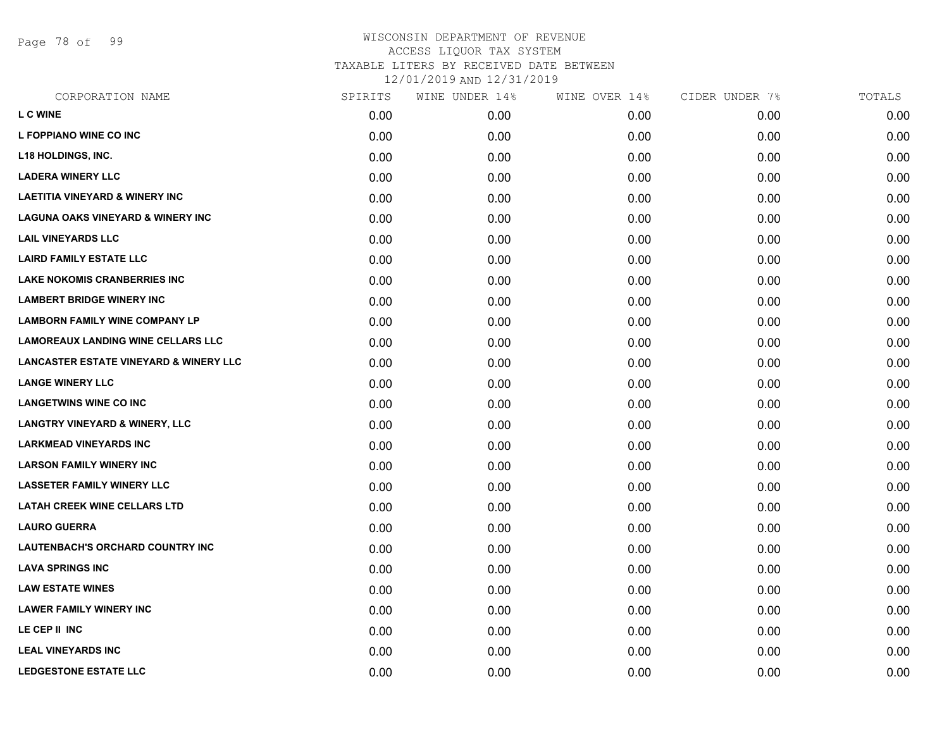Page 78 of 99

| CORPORATION NAME                                  | SPIRITS | WINE UNDER 14% | WINE OVER 14% | CIDER UNDER 7% | TOTALS |
|---------------------------------------------------|---------|----------------|---------------|----------------|--------|
| <b>L C WINE</b>                                   | 0.00    | 0.00           | 0.00          | 0.00           | 0.00   |
| L FOPPIANO WINE CO INC                            | 0.00    | 0.00           | 0.00          | 0.00           | 0.00   |
| <b>L18 HOLDINGS, INC.</b>                         | 0.00    | 0.00           | 0.00          | 0.00           | 0.00   |
| <b>LADERA WINERY LLC</b>                          | 0.00    | 0.00           | 0.00          | 0.00           | 0.00   |
| <b>LAETITIA VINEYARD &amp; WINERY INC</b>         | 0.00    | 0.00           | 0.00          | 0.00           | 0.00   |
| <b>LAGUNA OAKS VINEYARD &amp; WINERY INC</b>      | 0.00    | 0.00           | 0.00          | 0.00           | 0.00   |
| <b>LAIL VINEYARDS LLC</b>                         | 0.00    | 0.00           | 0.00          | 0.00           | 0.00   |
| <b>LAIRD FAMILY ESTATE LLC</b>                    | 0.00    | 0.00           | 0.00          | 0.00           | 0.00   |
| <b>LAKE NOKOMIS CRANBERRIES INC</b>               | 0.00    | 0.00           | 0.00          | 0.00           | 0.00   |
| <b>LAMBERT BRIDGE WINERY INC</b>                  | 0.00    | 0.00           | 0.00          | 0.00           | 0.00   |
| <b>LAMBORN FAMILY WINE COMPANY LP</b>             | 0.00    | 0.00           | 0.00          | 0.00           | 0.00   |
| <b>LAMOREAUX LANDING WINE CELLARS LLC</b>         | 0.00    | 0.00           | 0.00          | 0.00           | 0.00   |
| <b>LANCASTER ESTATE VINEYARD &amp; WINERY LLC</b> | 0.00    | 0.00           | 0.00          | 0.00           | 0.00   |
| <b>LANGE WINERY LLC</b>                           | 0.00    | 0.00           | 0.00          | 0.00           | 0.00   |
| <b>LANGETWINS WINE CO INC</b>                     | 0.00    | 0.00           | 0.00          | 0.00           | 0.00   |
| <b>LANGTRY VINEYARD &amp; WINERY, LLC</b>         | 0.00    | 0.00           | 0.00          | 0.00           | 0.00   |
| <b>LARKMEAD VINEYARDS INC</b>                     | 0.00    | 0.00           | 0.00          | 0.00           | 0.00   |
| <b>LARSON FAMILY WINERY INC</b>                   | 0.00    | 0.00           | 0.00          | 0.00           | 0.00   |
| <b>LASSETER FAMILY WINERY LLC</b>                 | 0.00    | 0.00           | 0.00          | 0.00           | 0.00   |
| <b>LATAH CREEK WINE CELLARS LTD</b>               | 0.00    | 0.00           | 0.00          | 0.00           | 0.00   |
| <b>LAURO GUERRA</b>                               | 0.00    | 0.00           | 0.00          | 0.00           | 0.00   |
| LAUTENBACH'S ORCHARD COUNTRY INC                  | 0.00    | 0.00           | 0.00          | 0.00           | 0.00   |
| <b>LAVA SPRINGS INC</b>                           | 0.00    | 0.00           | 0.00          | 0.00           | 0.00   |
| <b>LAW ESTATE WINES</b>                           | 0.00    | 0.00           | 0.00          | 0.00           | 0.00   |
| <b>LAWER FAMILY WINERY INC</b>                    | 0.00    | 0.00           | 0.00          | 0.00           | 0.00   |
| LE CEP II INC                                     | 0.00    | 0.00           | 0.00          | 0.00           | 0.00   |
| <b>LEAL VINEYARDS INC</b>                         | 0.00    | 0.00           | 0.00          | 0.00           | 0.00   |
| <b>LEDGESTONE ESTATE LLC</b>                      | 0.00    | 0.00           | 0.00          | 0.00           | 0.00   |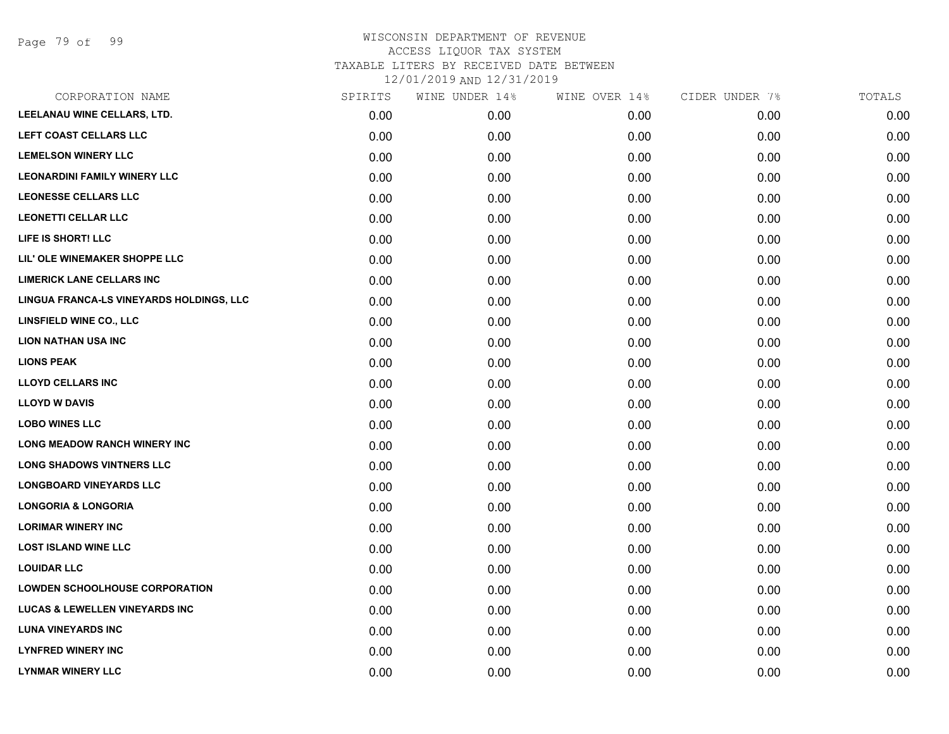| CORPORATION NAME                          | SPIRITS | WINE UNDER 14% | WINE OVER 14% | CIDER UNDER 7% | TOTALS |
|-------------------------------------------|---------|----------------|---------------|----------------|--------|
| LEELANAU WINE CELLARS, LTD.               | 0.00    | 0.00           | 0.00          | 0.00           | 0.00   |
| LEFT COAST CELLARS LLC                    | 0.00    | 0.00           | 0.00          | 0.00           | 0.00   |
| <b>LEMELSON WINERY LLC</b>                | 0.00    | 0.00           | 0.00          | 0.00           | 0.00   |
| <b>LEONARDINI FAMILY WINERY LLC</b>       | 0.00    | 0.00           | 0.00          | 0.00           | 0.00   |
| <b>LEONESSE CELLARS LLC</b>               | 0.00    | 0.00           | 0.00          | 0.00           | 0.00   |
| <b>LEONETTI CELLAR LLC</b>                | 0.00    | 0.00           | 0.00          | 0.00           | 0.00   |
| LIFE IS SHORT! LLC                        | 0.00    | 0.00           | 0.00          | 0.00           | 0.00   |
| LIL' OLE WINEMAKER SHOPPE LLC             | 0.00    | 0.00           | 0.00          | 0.00           | 0.00   |
| <b>LIMERICK LANE CELLARS INC</b>          | 0.00    | 0.00           | 0.00          | 0.00           | 0.00   |
| LINGUA FRANCA-LS VINEYARDS HOLDINGS, LLC  | 0.00    | 0.00           | 0.00          | 0.00           | 0.00   |
| LINSFIELD WINE CO., LLC                   | 0.00    | 0.00           | 0.00          | 0.00           | 0.00   |
| <b>LION NATHAN USA INC</b>                | 0.00    | 0.00           | 0.00          | 0.00           | 0.00   |
| <b>LIONS PEAK</b>                         | 0.00    | 0.00           | 0.00          | 0.00           | 0.00   |
| <b>LLOYD CELLARS INC</b>                  | 0.00    | 0.00           | 0.00          | 0.00           | 0.00   |
| <b>LLOYD W DAVIS</b>                      | 0.00    | 0.00           | 0.00          | 0.00           | 0.00   |
| <b>LOBO WINES LLC</b>                     | 0.00    | 0.00           | 0.00          | 0.00           | 0.00   |
| <b>LONG MEADOW RANCH WINERY INC</b>       | 0.00    | 0.00           | 0.00          | 0.00           | 0.00   |
| <b>LONG SHADOWS VINTNERS LLC</b>          | 0.00    | 0.00           | 0.00          | 0.00           | 0.00   |
| <b>LONGBOARD VINEYARDS LLC</b>            | 0.00    | 0.00           | 0.00          | 0.00           | 0.00   |
| <b>LONGORIA &amp; LONGORIA</b>            | 0.00    | 0.00           | 0.00          | 0.00           | 0.00   |
| <b>LORIMAR WINERY INC</b>                 | 0.00    | 0.00           | 0.00          | 0.00           | 0.00   |
| <b>LOST ISLAND WINE LLC</b>               | 0.00    | 0.00           | 0.00          | 0.00           | 0.00   |
| <b>LOUIDAR LLC</b>                        | 0.00    | 0.00           | 0.00          | 0.00           | 0.00   |
| <b>LOWDEN SCHOOLHOUSE CORPORATION</b>     | 0.00    | 0.00           | 0.00          | 0.00           | 0.00   |
| <b>LUCAS &amp; LEWELLEN VINEYARDS INC</b> | 0.00    | 0.00           | 0.00          | 0.00           | 0.00   |
| <b>LUNA VINEYARDS INC</b>                 | 0.00    | 0.00           | 0.00          | 0.00           | 0.00   |
| <b>LYNFRED WINERY INC</b>                 | 0.00    | 0.00           | 0.00          | 0.00           | 0.00   |
| <b>LYNMAR WINERY LLC</b>                  | 0.00    | 0.00           | 0.00          | 0.00           | 0.00   |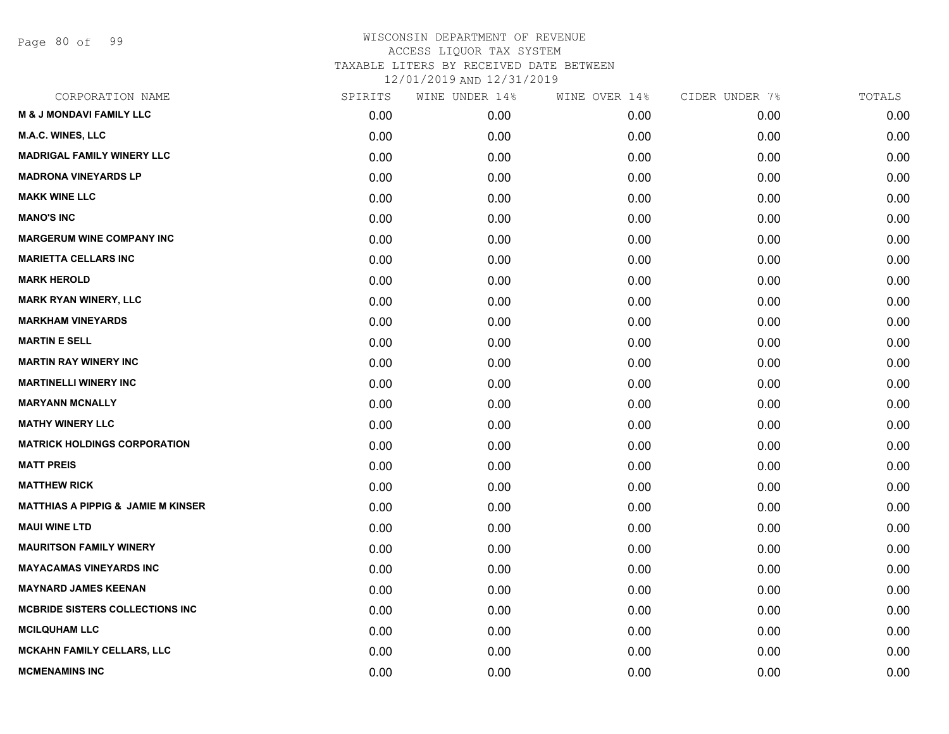Page 80 of 99

| CORPORATION NAME                              | SPIRITS | WINE UNDER 14% | WINE OVER 14% | CIDER UNDER 7% | TOTALS |
|-----------------------------------------------|---------|----------------|---------------|----------------|--------|
| <b>M &amp; J MONDAVI FAMILY LLC</b>           | 0.00    | 0.00           | 0.00          | 0.00           | 0.00   |
| M.A.C. WINES, LLC                             | 0.00    | 0.00           | 0.00          | 0.00           | 0.00   |
| <b>MADRIGAL FAMILY WINERY LLC</b>             | 0.00    | 0.00           | 0.00          | 0.00           | 0.00   |
| <b>MADRONA VINEYARDS LP</b>                   | 0.00    | 0.00           | 0.00          | 0.00           | 0.00   |
| <b>MAKK WINE LLC</b>                          | 0.00    | 0.00           | 0.00          | 0.00           | 0.00   |
| <b>MANO'S INC</b>                             | 0.00    | 0.00           | 0.00          | 0.00           | 0.00   |
| <b>MARGERUM WINE COMPANY INC</b>              | 0.00    | 0.00           | 0.00          | 0.00           | 0.00   |
| <b>MARIETTA CELLARS INC</b>                   | 0.00    | 0.00           | 0.00          | 0.00           | 0.00   |
| <b>MARK HEROLD</b>                            | 0.00    | 0.00           | 0.00          | 0.00           | 0.00   |
| <b>MARK RYAN WINERY, LLC</b>                  | 0.00    | 0.00           | 0.00          | 0.00           | 0.00   |
| <b>MARKHAM VINEYARDS</b>                      | 0.00    | 0.00           | 0.00          | 0.00           | 0.00   |
| <b>MARTIN E SELL</b>                          | 0.00    | 0.00           | 0.00          | 0.00           | 0.00   |
| <b>MARTIN RAY WINERY INC</b>                  | 0.00    | 0.00           | 0.00          | 0.00           | 0.00   |
| <b>MARTINELLI WINERY INC</b>                  | 0.00    | 0.00           | 0.00          | 0.00           | 0.00   |
| <b>MARYANN MCNALLY</b>                        | 0.00    | 0.00           | 0.00          | 0.00           | 0.00   |
| <b>MATHY WINERY LLC</b>                       | 0.00    | 0.00           | 0.00          | 0.00           | 0.00   |
| <b>MATRICK HOLDINGS CORPORATION</b>           | 0.00    | 0.00           | 0.00          | 0.00           | 0.00   |
| <b>MATT PREIS</b>                             | 0.00    | 0.00           | 0.00          | 0.00           | 0.00   |
| <b>MATTHEW RICK</b>                           | 0.00    | 0.00           | 0.00          | 0.00           | 0.00   |
| <b>MATTHIAS A PIPPIG &amp; JAMIE M KINSER</b> | 0.00    | 0.00           | 0.00          | 0.00           | 0.00   |
| <b>MAUI WINE LTD</b>                          | 0.00    | 0.00           | 0.00          | 0.00           | 0.00   |
| <b>MAURITSON FAMILY WINERY</b>                | 0.00    | 0.00           | 0.00          | 0.00           | 0.00   |
| <b>MAYACAMAS VINEYARDS INC</b>                | 0.00    | 0.00           | 0.00          | 0.00           | 0.00   |
| <b>MAYNARD JAMES KEENAN</b>                   | 0.00    | 0.00           | 0.00          | 0.00           | 0.00   |
| <b>MCBRIDE SISTERS COLLECTIONS INC</b>        | 0.00    | 0.00           | 0.00          | 0.00           | 0.00   |
| <b>MCILQUHAM LLC</b>                          | 0.00    | 0.00           | 0.00          | 0.00           | 0.00   |
| <b>MCKAHN FAMILY CELLARS, LLC</b>             | 0.00    | 0.00           | 0.00          | 0.00           | 0.00   |
| <b>MCMENAMINS INC</b>                         | 0.00    | 0.00           | 0.00          | 0.00           | 0.00   |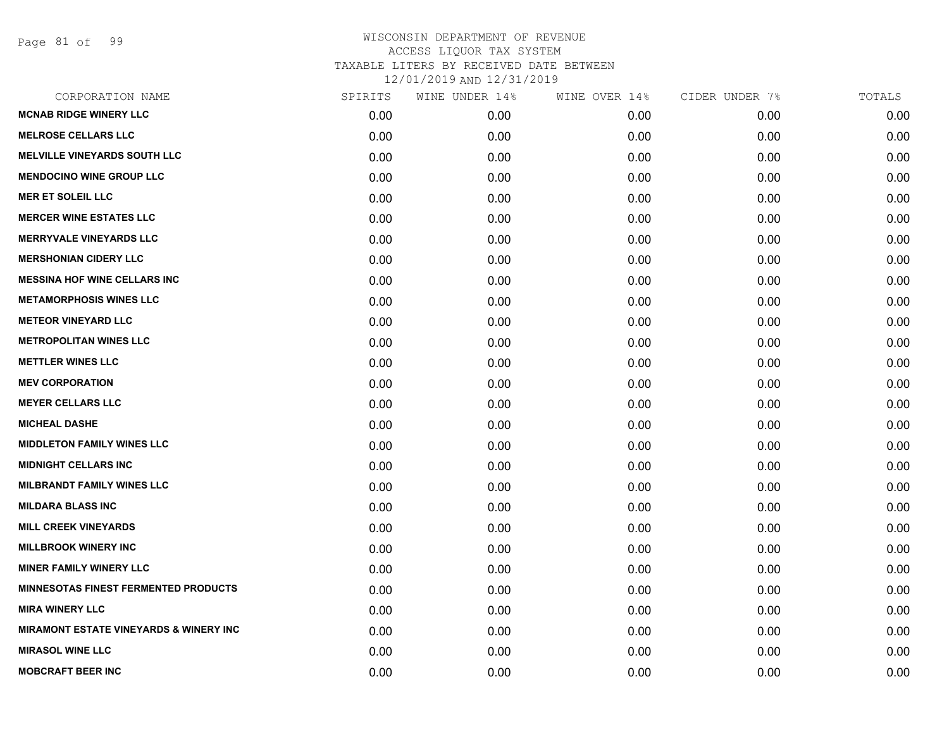Page 81 of 99

| CORPORATION NAME                                  | SPIRITS | WINE UNDER 14% | WINE OVER 14% | CIDER UNDER 7% | TOTALS |
|---------------------------------------------------|---------|----------------|---------------|----------------|--------|
| <b>MCNAB RIDGE WINERY LLC</b>                     | 0.00    | 0.00           | 0.00          | 0.00           | 0.00   |
| <b>MELROSE CELLARS LLC</b>                        | 0.00    | 0.00           | 0.00          | 0.00           | 0.00   |
| <b>MELVILLE VINEYARDS SOUTH LLC</b>               | 0.00    | 0.00           | 0.00          | 0.00           | 0.00   |
| <b>MENDOCINO WINE GROUP LLC</b>                   | 0.00    | 0.00           | 0.00          | 0.00           | 0.00   |
| <b>MER ET SOLEIL LLC</b>                          | 0.00    | 0.00           | 0.00          | 0.00           | 0.00   |
| <b>MERCER WINE ESTATES LLC</b>                    | 0.00    | 0.00           | 0.00          | 0.00           | 0.00   |
| <b>MERRYVALE VINEYARDS LLC</b>                    | 0.00    | 0.00           | 0.00          | 0.00           | 0.00   |
| <b>MERSHONIAN CIDERY LLC</b>                      | 0.00    | 0.00           | 0.00          | 0.00           | 0.00   |
| <b>MESSINA HOF WINE CELLARS INC</b>               | 0.00    | 0.00           | 0.00          | 0.00           | 0.00   |
| <b>METAMORPHOSIS WINES LLC</b>                    | 0.00    | 0.00           | 0.00          | 0.00           | 0.00   |
| <b>METEOR VINEYARD LLC</b>                        | 0.00    | 0.00           | 0.00          | 0.00           | 0.00   |
| <b>METROPOLITAN WINES LLC</b>                     | 0.00    | 0.00           | 0.00          | 0.00           | 0.00   |
| <b>METTLER WINES LLC</b>                          | 0.00    | 0.00           | 0.00          | 0.00           | 0.00   |
| <b>MEV CORPORATION</b>                            | 0.00    | 0.00           | 0.00          | 0.00           | 0.00   |
| <b>MEYER CELLARS LLC</b>                          | 0.00    | 0.00           | 0.00          | 0.00           | 0.00   |
| <b>MICHEAL DASHE</b>                              | 0.00    | 0.00           | 0.00          | 0.00           | 0.00   |
| <b>MIDDLETON FAMILY WINES LLC</b>                 | 0.00    | 0.00           | 0.00          | 0.00           | 0.00   |
| <b>MIDNIGHT CELLARS INC</b>                       | 0.00    | 0.00           | 0.00          | 0.00           | 0.00   |
| <b>MILBRANDT FAMILY WINES LLC</b>                 | 0.00    | 0.00           | 0.00          | 0.00           | 0.00   |
| <b>MILDARA BLASS INC</b>                          | 0.00    | 0.00           | 0.00          | 0.00           | 0.00   |
| <b>MILL CREEK VINEYARDS</b>                       | 0.00    | 0.00           | 0.00          | 0.00           | 0.00   |
| <b>MILLBROOK WINERY INC</b>                       | 0.00    | 0.00           | 0.00          | 0.00           | 0.00   |
| <b>MINER FAMILY WINERY LLC</b>                    | 0.00    | 0.00           | 0.00          | 0.00           | 0.00   |
| <b>MINNESOTAS FINEST FERMENTED PRODUCTS</b>       | 0.00    | 0.00           | 0.00          | 0.00           | 0.00   |
| <b>MIRA WINERY LLC</b>                            | 0.00    | 0.00           | 0.00          | 0.00           | 0.00   |
| <b>MIRAMONT ESTATE VINEYARDS &amp; WINERY INC</b> | 0.00    | 0.00           | 0.00          | 0.00           | 0.00   |
| <b>MIRASOL WINE LLC</b>                           | 0.00    | 0.00           | 0.00          | 0.00           | 0.00   |
| <b>MOBCRAFT BEER INC</b>                          | 0.00    | 0.00           | 0.00          | 0.00           | 0.00   |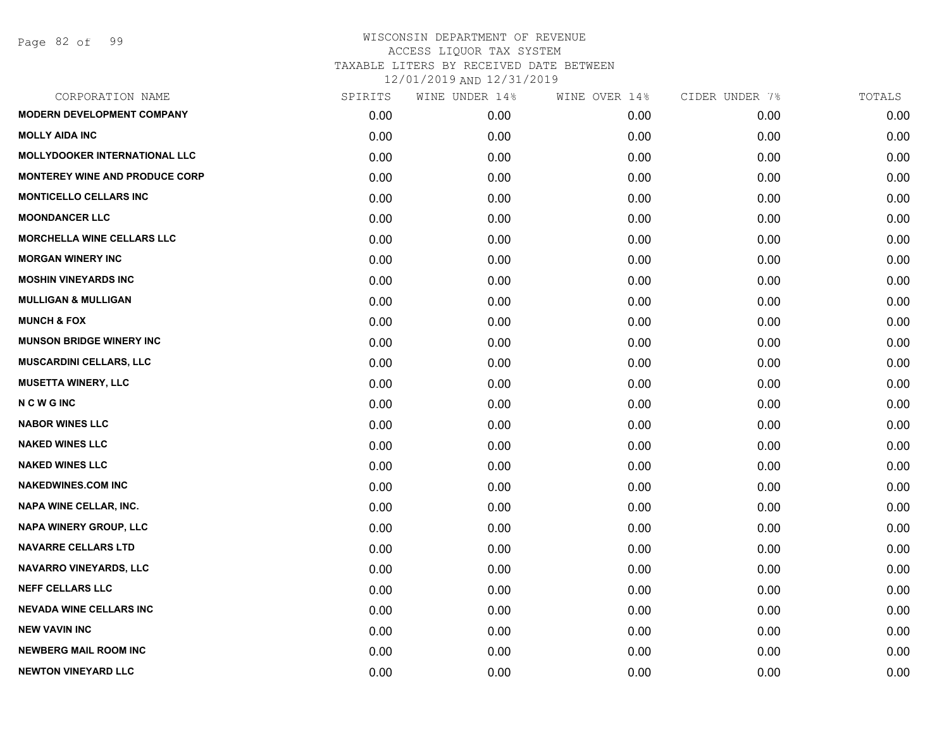| CORPORATION NAME                      | SPIRITS | WINE UNDER 14% | WINE OVER 14% | CIDER UNDER 7% | TOTALS |
|---------------------------------------|---------|----------------|---------------|----------------|--------|
| <b>MODERN DEVELOPMENT COMPANY</b>     | 0.00    | 0.00           | 0.00          | 0.00           | 0.00   |
| <b>MOLLY AIDA INC</b>                 | 0.00    | 0.00           | 0.00          | 0.00           | 0.00   |
| <b>MOLLYDOOKER INTERNATIONAL LLC</b>  | 0.00    | 0.00           | 0.00          | 0.00           | 0.00   |
| <b>MONTEREY WINE AND PRODUCE CORP</b> | 0.00    | 0.00           | 0.00          | 0.00           | 0.00   |
| <b>MONTICELLO CELLARS INC</b>         | 0.00    | 0.00           | 0.00          | 0.00           | 0.00   |
| <b>MOONDANCER LLC</b>                 | 0.00    | 0.00           | 0.00          | 0.00           | 0.00   |
| <b>MORCHELLA WINE CELLARS LLC</b>     | 0.00    | 0.00           | 0.00          | 0.00           | 0.00   |
| <b>MORGAN WINERY INC</b>              | 0.00    | 0.00           | 0.00          | 0.00           | 0.00   |
| <b>MOSHIN VINEYARDS INC</b>           | 0.00    | 0.00           | 0.00          | 0.00           | 0.00   |
| <b>MULLIGAN &amp; MULLIGAN</b>        | 0.00    | 0.00           | 0.00          | 0.00           | 0.00   |
| <b>MUNCH &amp; FOX</b>                | 0.00    | 0.00           | 0.00          | 0.00           | 0.00   |
| <b>MUNSON BRIDGE WINERY INC</b>       | 0.00    | 0.00           | 0.00          | 0.00           | 0.00   |
| MUSCARDINI CELLARS, LLC               | 0.00    | 0.00           | 0.00          | 0.00           | 0.00   |
| <b>MUSETTA WINERY, LLC</b>            | 0.00    | 0.00           | 0.00          | 0.00           | 0.00   |
| <b>NCWGINC</b>                        | 0.00    | 0.00           | 0.00          | 0.00           | 0.00   |
| <b>NABOR WINES LLC</b>                | 0.00    | 0.00           | 0.00          | 0.00           | 0.00   |
| <b>NAKED WINES LLC</b>                | 0.00    | 0.00           | 0.00          | 0.00           | 0.00   |
| <b>NAKED WINES LLC</b>                | 0.00    | 0.00           | 0.00          | 0.00           | 0.00   |
| <b>NAKEDWINES.COM INC</b>             | 0.00    | 0.00           | 0.00          | 0.00           | 0.00   |
| NAPA WINE CELLAR, INC.                | 0.00    | 0.00           | 0.00          | 0.00           | 0.00   |
| NAPA WINERY GROUP, LLC                | 0.00    | 0.00           | 0.00          | 0.00           | 0.00   |
| <b>NAVARRE CELLARS LTD</b>            | 0.00    | 0.00           | 0.00          | 0.00           | 0.00   |
| <b>NAVARRO VINEYARDS, LLC</b>         | 0.00    | 0.00           | 0.00          | 0.00           | 0.00   |
| <b>NEFF CELLARS LLC</b>               | 0.00    | 0.00           | 0.00          | 0.00           | 0.00   |
| <b>NEVADA WINE CELLARS INC</b>        | 0.00    | 0.00           | 0.00          | 0.00           | 0.00   |
| <b>NEW VAVIN INC</b>                  | 0.00    | 0.00           | 0.00          | 0.00           | 0.00   |
| <b>NEWBERG MAIL ROOM INC</b>          | 0.00    | 0.00           | 0.00          | 0.00           | 0.00   |
| <b>NEWTON VINEYARD LLC</b>            | 0.00    | 0.00           | 0.00          | 0.00           | 0.00   |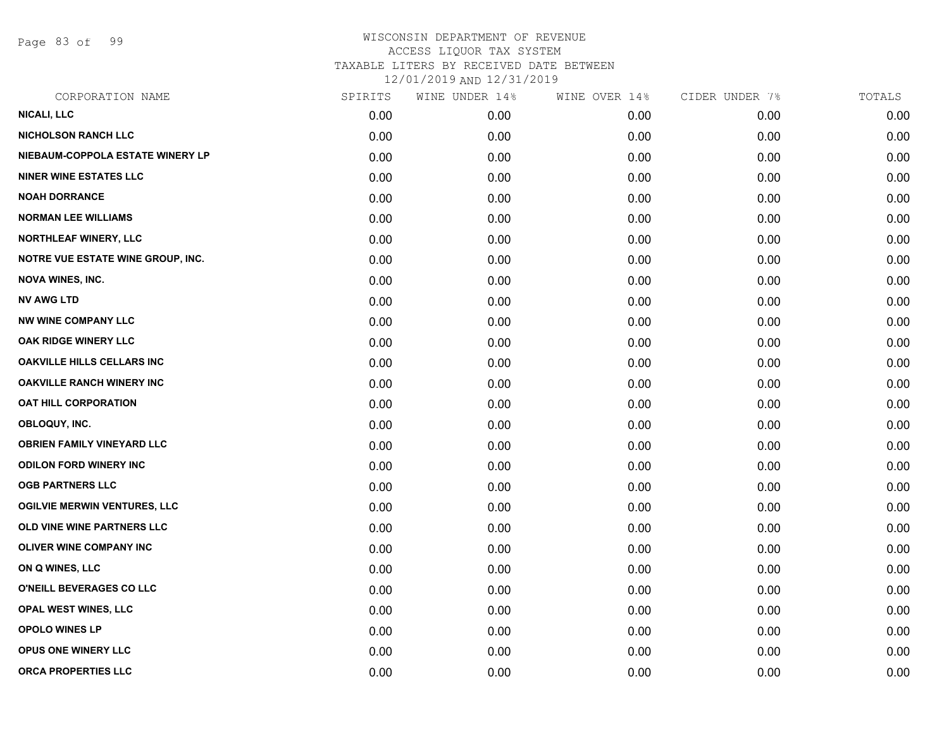Page 83 of 99

| CORPORATION NAME                    | SPIRITS | WINE UNDER 14% | WINE OVER 14% | CIDER UNDER 7% | TOTALS |
|-------------------------------------|---------|----------------|---------------|----------------|--------|
| <b>NICALI, LLC</b>                  | 0.00    | 0.00           | 0.00          | 0.00           | 0.00   |
| <b>NICHOLSON RANCH LLC</b>          | 0.00    | 0.00           | 0.00          | 0.00           | 0.00   |
| NIEBAUM-COPPOLA ESTATE WINERY LP    | 0.00    | 0.00           | 0.00          | 0.00           | 0.00   |
| <b>NINER WINE ESTATES LLC</b>       | 0.00    | 0.00           | 0.00          | 0.00           | 0.00   |
| <b>NOAH DORRANCE</b>                | 0.00    | 0.00           | 0.00          | 0.00           | 0.00   |
| <b>NORMAN LEE WILLIAMS</b>          | 0.00    | 0.00           | 0.00          | 0.00           | 0.00   |
| NORTHLEAF WINERY, LLC               | 0.00    | 0.00           | 0.00          | 0.00           | 0.00   |
| NOTRE VUE ESTATE WINE GROUP, INC.   | 0.00    | 0.00           | 0.00          | 0.00           | 0.00   |
| <b>NOVA WINES, INC.</b>             | 0.00    | 0.00           | 0.00          | 0.00           | 0.00   |
| <b>NV AWG LTD</b>                   | 0.00    | 0.00           | 0.00          | 0.00           | 0.00   |
| <b>NW WINE COMPANY LLC</b>          | 0.00    | 0.00           | 0.00          | 0.00           | 0.00   |
| OAK RIDGE WINERY LLC                | 0.00    | 0.00           | 0.00          | 0.00           | 0.00   |
| <b>OAKVILLE HILLS CELLARS INC</b>   | 0.00    | 0.00           | 0.00          | 0.00           | 0.00   |
| <b>OAKVILLE RANCH WINERY INC</b>    | 0.00    | 0.00           | 0.00          | 0.00           | 0.00   |
| OAT HILL CORPORATION                | 0.00    | 0.00           | 0.00          | 0.00           | 0.00   |
| OBLOQUY, INC.                       | 0.00    | 0.00           | 0.00          | 0.00           | 0.00   |
| <b>OBRIEN FAMILY VINEYARD LLC</b>   | 0.00    | 0.00           | 0.00          | 0.00           | 0.00   |
| <b>ODILON FORD WINERY INC</b>       | 0.00    | 0.00           | 0.00          | 0.00           | 0.00   |
| <b>OGB PARTNERS LLC</b>             | 0.00    | 0.00           | 0.00          | 0.00           | 0.00   |
| <b>OGILVIE MERWIN VENTURES, LLC</b> | 0.00    | 0.00           | 0.00          | 0.00           | 0.00   |
| OLD VINE WINE PARTNERS LLC          | 0.00    | 0.00           | 0.00          | 0.00           | 0.00   |
| OLIVER WINE COMPANY INC             | 0.00    | 0.00           | 0.00          | 0.00           | 0.00   |
| ON Q WINES, LLC                     | 0.00    | 0.00           | 0.00          | 0.00           | 0.00   |
| O'NEILL BEVERAGES CO LLC            | 0.00    | 0.00           | 0.00          | 0.00           | 0.00   |
| OPAL WEST WINES, LLC                | 0.00    | 0.00           | 0.00          | 0.00           | 0.00   |
| OPOLO WINES LP                      | 0.00    | 0.00           | 0.00          | 0.00           | 0.00   |
| <b>OPUS ONE WINERY LLC</b>          | 0.00    | 0.00           | 0.00          | 0.00           | 0.00   |
| ORCA PROPERTIES LLC                 | 0.00    | 0.00           | 0.00          | 0.00           | 0.00   |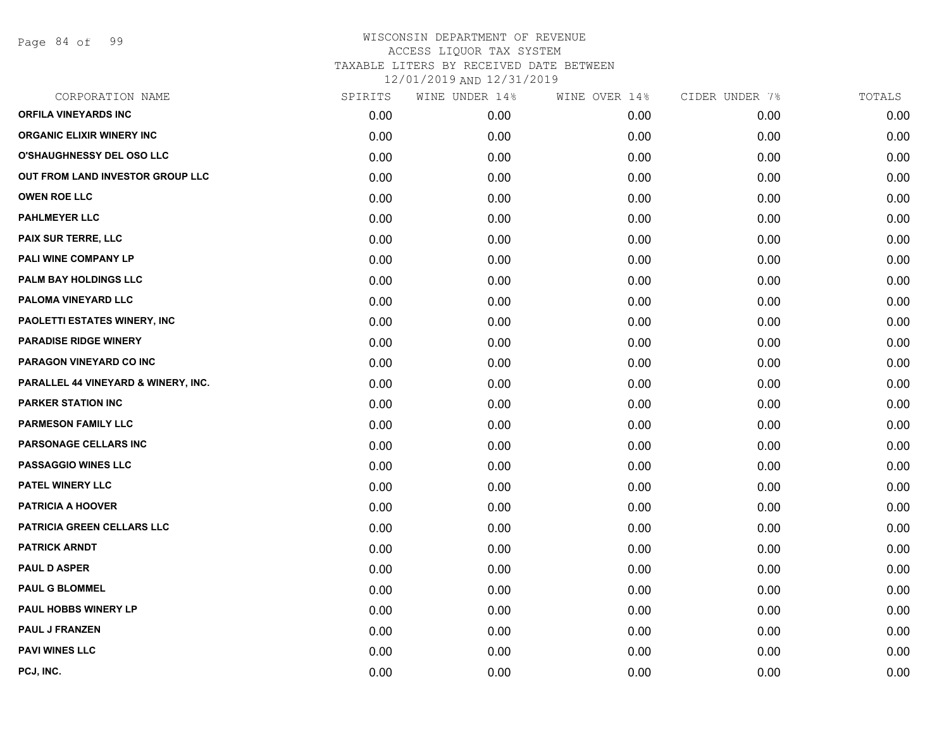Page 84 of 99

| SPIRITS | WINE UNDER 14% | WINE OVER 14% | CIDER UNDER 7% | TOTALS |
|---------|----------------|---------------|----------------|--------|
| 0.00    | 0.00           | 0.00          | 0.00           | 0.00   |
| 0.00    | 0.00           | 0.00          | 0.00           | 0.00   |
| 0.00    | 0.00           | 0.00          | 0.00           | 0.00   |
| 0.00    | 0.00           | 0.00          | 0.00           | 0.00   |
| 0.00    | 0.00           | 0.00          | 0.00           | 0.00   |
| 0.00    | 0.00           | 0.00          | 0.00           | 0.00   |
| 0.00    | 0.00           | 0.00          | 0.00           | 0.00   |
| 0.00    | 0.00           | 0.00          | 0.00           | 0.00   |
| 0.00    | 0.00           | 0.00          | 0.00           | 0.00   |
| 0.00    | 0.00           | 0.00          | 0.00           | 0.00   |
| 0.00    | 0.00           | 0.00          | 0.00           | 0.00   |
| 0.00    | 0.00           | 0.00          | 0.00           | 0.00   |
| 0.00    | 0.00           | 0.00          | 0.00           | 0.00   |
| 0.00    | 0.00           | 0.00          | 0.00           | 0.00   |
| 0.00    | 0.00           | 0.00          | 0.00           | 0.00   |
| 0.00    | 0.00           | 0.00          | 0.00           | 0.00   |
| 0.00    | 0.00           | 0.00          | 0.00           | 0.00   |
| 0.00    | 0.00           | 0.00          | 0.00           | 0.00   |
| 0.00    | 0.00           | 0.00          | 0.00           | 0.00   |
| 0.00    | 0.00           | 0.00          | 0.00           | 0.00   |
| 0.00    | 0.00           | 0.00          | 0.00           | 0.00   |
| 0.00    | 0.00           | 0.00          | 0.00           | 0.00   |
| 0.00    | 0.00           | 0.00          | 0.00           | 0.00   |
| 0.00    | 0.00           | 0.00          | 0.00           | 0.00   |
| 0.00    | 0.00           | 0.00          | 0.00           | 0.00   |
| 0.00    | 0.00           | 0.00          | 0.00           | 0.00   |
| 0.00    | 0.00           | 0.00          | 0.00           | 0.00   |
| 0.00    | 0.00           | 0.00          | 0.00           | 0.00   |
|         |                |               |                |        |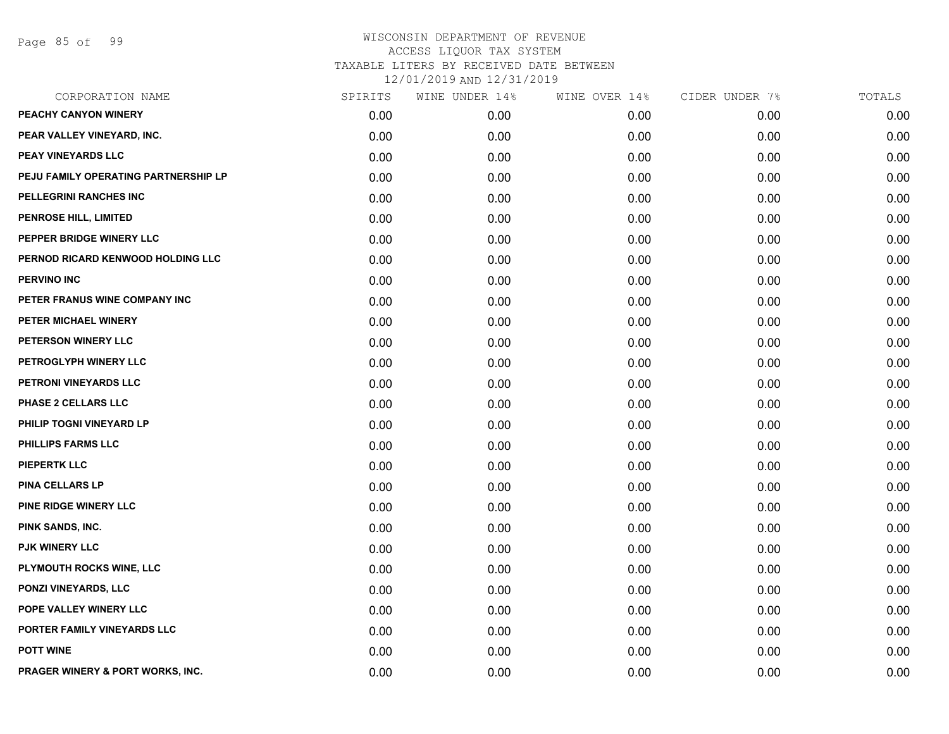| CORPORATION NAME                     | SPIRITS | WINE UNDER 14% | WINE OVER 14% | CIDER UNDER 7% | TOTALS |
|--------------------------------------|---------|----------------|---------------|----------------|--------|
| <b>PEACHY CANYON WINERY</b>          | 0.00    | 0.00           | 0.00          | 0.00           | 0.00   |
| PEAR VALLEY VINEYARD, INC.           | 0.00    | 0.00           | 0.00          | 0.00           | 0.00   |
| PEAY VINEYARDS LLC                   | 0.00    | 0.00           | 0.00          | 0.00           | 0.00   |
| PEJU FAMILY OPERATING PARTNERSHIP LP | 0.00    | 0.00           | 0.00          | 0.00           | 0.00   |
| PELLEGRINI RANCHES INC               | 0.00    | 0.00           | 0.00          | 0.00           | 0.00   |
| PENROSE HILL, LIMITED                | 0.00    | 0.00           | 0.00          | 0.00           | 0.00   |
| PEPPER BRIDGE WINERY LLC             | 0.00    | 0.00           | 0.00          | 0.00           | 0.00   |
| PERNOD RICARD KENWOOD HOLDING LLC    | 0.00    | 0.00           | 0.00          | 0.00           | 0.00   |
| <b>PERVINO INC</b>                   | 0.00    | 0.00           | 0.00          | 0.00           | 0.00   |
| PETER FRANUS WINE COMPANY INC        | 0.00    | 0.00           | 0.00          | 0.00           | 0.00   |
| PETER MICHAEL WINERY                 | 0.00    | 0.00           | 0.00          | 0.00           | 0.00   |
| PETERSON WINERY LLC                  | 0.00    | 0.00           | 0.00          | 0.00           | 0.00   |
| PETROGLYPH WINERY LLC                | 0.00    | 0.00           | 0.00          | 0.00           | 0.00   |
| PETRONI VINEYARDS LLC                | 0.00    | 0.00           | 0.00          | 0.00           | 0.00   |
| PHASE 2 CELLARS LLC                  | 0.00    | 0.00           | 0.00          | 0.00           | 0.00   |
| PHILIP TOGNI VINEYARD LP             | 0.00    | 0.00           | 0.00          | 0.00           | 0.00   |
| PHILLIPS FARMS LLC                   | 0.00    | 0.00           | 0.00          | 0.00           | 0.00   |
| <b>PIEPERTK LLC</b>                  | 0.00    | 0.00           | 0.00          | 0.00           | 0.00   |
| <b>PINA CELLARS LP</b>               | 0.00    | 0.00           | 0.00          | 0.00           | 0.00   |
| PINE RIDGE WINERY LLC                | 0.00    | 0.00           | 0.00          | 0.00           | 0.00   |
| PINK SANDS, INC.                     | 0.00    | 0.00           | 0.00          | 0.00           | 0.00   |
| <b>PJK WINERY LLC</b>                | 0.00    | 0.00           | 0.00          | 0.00           | 0.00   |
| PLYMOUTH ROCKS WINE, LLC             | 0.00    | 0.00           | 0.00          | 0.00           | 0.00   |
| <b>PONZI VINEYARDS, LLC</b>          | 0.00    | 0.00           | 0.00          | 0.00           | 0.00   |
| POPE VALLEY WINERY LLC               | 0.00    | 0.00           | 0.00          | 0.00           | 0.00   |
| PORTER FAMILY VINEYARDS LLC          | 0.00    | 0.00           | 0.00          | 0.00           | 0.00   |
| <b>POTT WINE</b>                     | 0.00    | 0.00           | 0.00          | 0.00           | 0.00   |
| PRAGER WINERY & PORT WORKS, INC.     | 0.00    | 0.00           | 0.00          | 0.00           | 0.00   |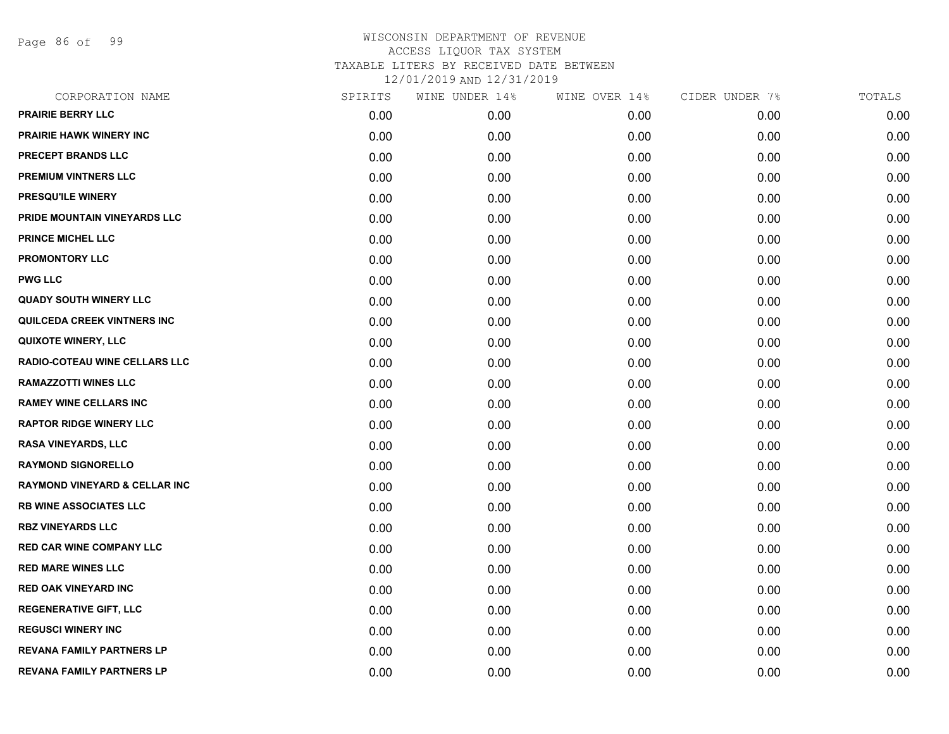Page 86 of 99

| CORPORATION NAME                         | SPIRITS | WINE UNDER 14% | WINE OVER 14% | CIDER UNDER 7% | TOTALS |
|------------------------------------------|---------|----------------|---------------|----------------|--------|
| <b>PRAIRIE BERRY LLC</b>                 | 0.00    | 0.00           | 0.00          | 0.00           | 0.00   |
| <b>PRAIRIE HAWK WINERY INC</b>           | 0.00    | 0.00           | 0.00          | 0.00           | 0.00   |
| PRECEPT BRANDS LLC                       | 0.00    | 0.00           | 0.00          | 0.00           | 0.00   |
| <b>PREMIUM VINTNERS LLC</b>              | 0.00    | 0.00           | 0.00          | 0.00           | 0.00   |
| PRESQU'ILE WINERY                        | 0.00    | 0.00           | 0.00          | 0.00           | 0.00   |
| PRIDE MOUNTAIN VINEYARDS LLC             | 0.00    | 0.00           | 0.00          | 0.00           | 0.00   |
| <b>PRINCE MICHEL LLC</b>                 | 0.00    | 0.00           | 0.00          | 0.00           | 0.00   |
| <b>PROMONTORY LLC</b>                    | 0.00    | 0.00           | 0.00          | 0.00           | 0.00   |
| <b>PWG LLC</b>                           | 0.00    | 0.00           | 0.00          | 0.00           | 0.00   |
| <b>QUADY SOUTH WINERY LLC</b>            | 0.00    | 0.00           | 0.00          | 0.00           | 0.00   |
| <b>QUILCEDA CREEK VINTNERS INC</b>       | 0.00    | 0.00           | 0.00          | 0.00           | 0.00   |
| <b>QUIXOTE WINERY, LLC</b>               | 0.00    | 0.00           | 0.00          | 0.00           | 0.00   |
| RADIO-COTEAU WINE CELLARS LLC            | 0.00    | 0.00           | 0.00          | 0.00           | 0.00   |
| <b>RAMAZZOTTI WINES LLC</b>              | 0.00    | 0.00           | 0.00          | 0.00           | 0.00   |
| <b>RAMEY WINE CELLARS INC</b>            | 0.00    | 0.00           | 0.00          | 0.00           | 0.00   |
| <b>RAPTOR RIDGE WINERY LLC</b>           | 0.00    | 0.00           | 0.00          | 0.00           | 0.00   |
| <b>RASA VINEYARDS, LLC</b>               | 0.00    | 0.00           | 0.00          | 0.00           | 0.00   |
| <b>RAYMOND SIGNORELLO</b>                | 0.00    | 0.00           | 0.00          | 0.00           | 0.00   |
| <b>RAYMOND VINEYARD &amp; CELLAR INC</b> | 0.00    | 0.00           | 0.00          | 0.00           | 0.00   |
| <b>RB WINE ASSOCIATES LLC</b>            | 0.00    | 0.00           | 0.00          | 0.00           | 0.00   |
| <b>RBZ VINEYARDS LLC</b>                 | 0.00    | 0.00           | 0.00          | 0.00           | 0.00   |
| <b>RED CAR WINE COMPANY LLC</b>          | 0.00    | 0.00           | 0.00          | 0.00           | 0.00   |
| <b>RED MARE WINES LLC</b>                | 0.00    | 0.00           | 0.00          | 0.00           | 0.00   |
| <b>RED OAK VINEYARD INC</b>              | 0.00    | 0.00           | 0.00          | 0.00           | 0.00   |
| <b>REGENERATIVE GIFT, LLC</b>            | 0.00    | 0.00           | 0.00          | 0.00           | 0.00   |
| <b>REGUSCI WINERY INC</b>                | 0.00    | 0.00           | 0.00          | 0.00           | 0.00   |
| REVANA FAMILY PARTNERS LP                | 0.00    | 0.00           | 0.00          | 0.00           | 0.00   |
| <b>REVANA FAMILY PARTNERS LP</b>         | 0.00    | 0.00           | 0.00          | 0.00           | 0.00   |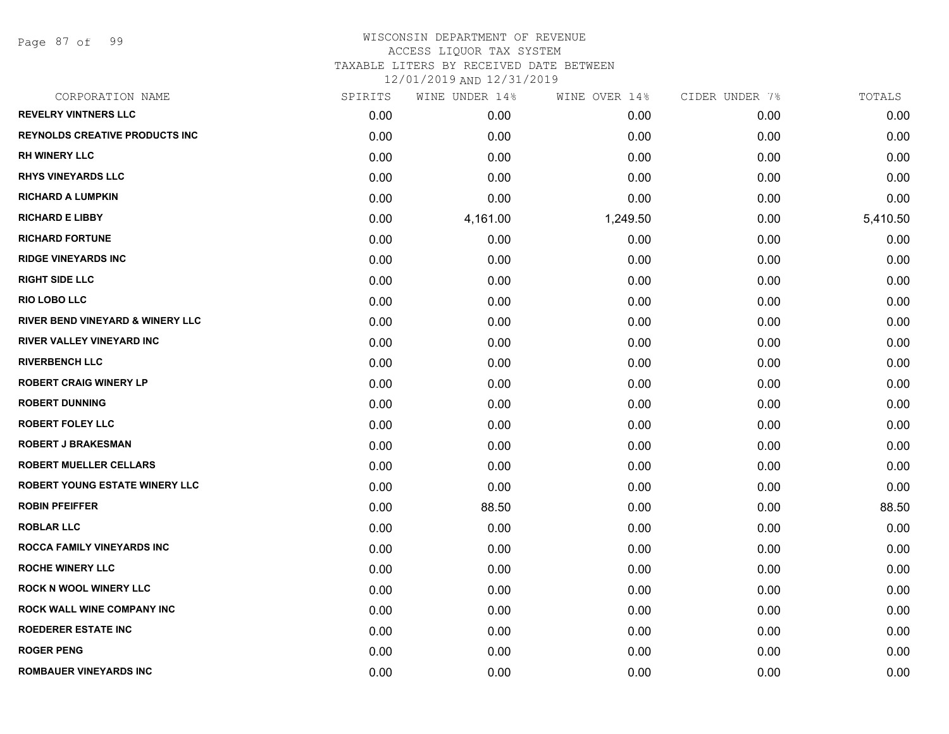Page 87 of 99

| CORPORATION NAME                            | SPIRITS | WINE UNDER 14% | WINE OVER 14% | CIDER UNDER 7% | TOTALS   |
|---------------------------------------------|---------|----------------|---------------|----------------|----------|
| <b>REVELRY VINTNERS LLC</b>                 | 0.00    | 0.00           | 0.00          | 0.00           | 0.00     |
| <b>REYNOLDS CREATIVE PRODUCTS INC</b>       | 0.00    | 0.00           | 0.00          | 0.00           | 0.00     |
| <b>RH WINERY LLC</b>                        | 0.00    | 0.00           | 0.00          | 0.00           | 0.00     |
| <b>RHYS VINEYARDS LLC</b>                   | 0.00    | 0.00           | 0.00          | 0.00           | 0.00     |
| <b>RICHARD A LUMPKIN</b>                    | 0.00    | 0.00           | 0.00          | 0.00           | 0.00     |
| <b>RICHARD E LIBBY</b>                      | 0.00    | 4,161.00       | 1,249.50      | 0.00           | 5,410.50 |
| <b>RICHARD FORTUNE</b>                      | 0.00    | 0.00           | 0.00          | 0.00           | 0.00     |
| <b>RIDGE VINEYARDS INC</b>                  | 0.00    | 0.00           | 0.00          | 0.00           | 0.00     |
| <b>RIGHT SIDE LLC</b>                       | 0.00    | 0.00           | 0.00          | 0.00           | 0.00     |
| <b>RIO LOBO LLC</b>                         | 0.00    | 0.00           | 0.00          | 0.00           | 0.00     |
| <b>RIVER BEND VINEYARD &amp; WINERY LLC</b> | 0.00    | 0.00           | 0.00          | 0.00           | 0.00     |
| RIVER VALLEY VINEYARD INC                   | 0.00    | 0.00           | 0.00          | 0.00           | 0.00     |
| <b>RIVERBENCH LLC</b>                       | 0.00    | 0.00           | 0.00          | 0.00           | 0.00     |
| <b>ROBERT CRAIG WINERY LP</b>               | 0.00    | 0.00           | 0.00          | 0.00           | 0.00     |
| <b>ROBERT DUNNING</b>                       | 0.00    | 0.00           | 0.00          | 0.00           | 0.00     |
| <b>ROBERT FOLEY LLC</b>                     | 0.00    | 0.00           | 0.00          | 0.00           | 0.00     |
| <b>ROBERT J BRAKESMAN</b>                   | 0.00    | 0.00           | 0.00          | 0.00           | 0.00     |
| <b>ROBERT MUELLER CELLARS</b>               | 0.00    | 0.00           | 0.00          | 0.00           | 0.00     |
| ROBERT YOUNG ESTATE WINERY LLC              | 0.00    | 0.00           | 0.00          | 0.00           | 0.00     |
| <b>ROBIN PFEIFFER</b>                       | 0.00    | 88.50          | 0.00          | 0.00           | 88.50    |
| <b>ROBLAR LLC</b>                           | 0.00    | 0.00           | 0.00          | 0.00           | 0.00     |
| ROCCA FAMILY VINEYARDS INC                  | 0.00    | 0.00           | 0.00          | 0.00           | 0.00     |
| <b>ROCHE WINERY LLC</b>                     | 0.00    | 0.00           | 0.00          | 0.00           | 0.00     |
| <b>ROCK N WOOL WINERY LLC</b>               | 0.00    | 0.00           | 0.00          | 0.00           | 0.00     |
| ROCK WALL WINE COMPANY INC                  | 0.00    | 0.00           | 0.00          | 0.00           | 0.00     |
| ROEDERER ESTATE INC                         | 0.00    | 0.00           | 0.00          | 0.00           | 0.00     |
| <b>ROGER PENG</b>                           | 0.00    | 0.00           | 0.00          | 0.00           | 0.00     |
| ROMBAUER VINEYARDS INC                      | 0.00    | 0.00           | 0.00          | 0.00           | 0.00     |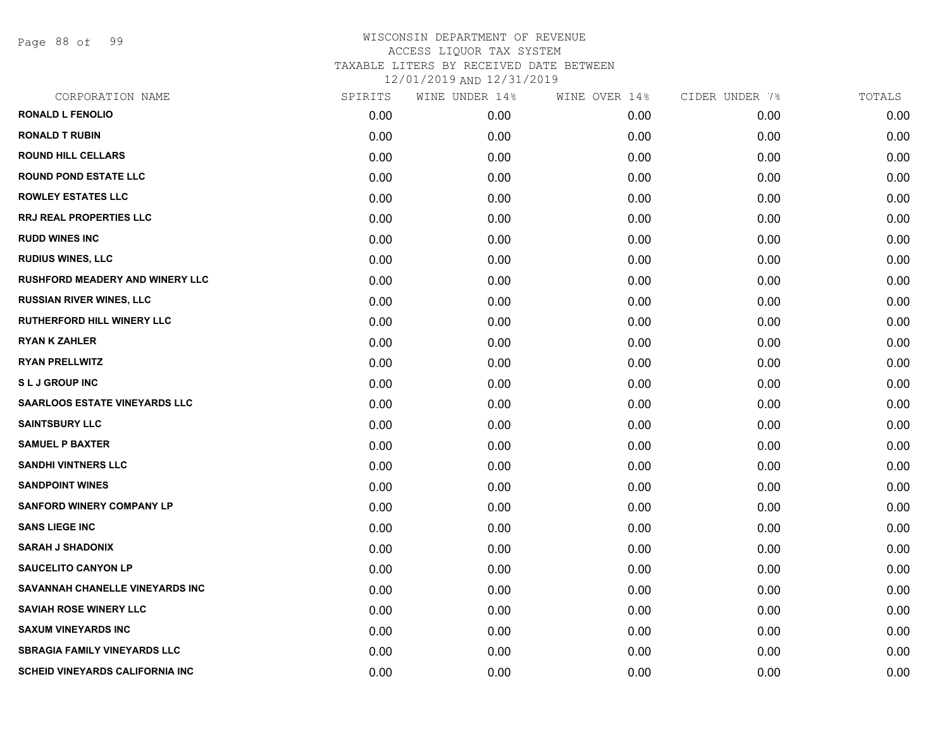Page 88 of 99

| CORPORATION NAME                       | SPIRITS | WINE UNDER 14% | WINE OVER 14% | CIDER UNDER 7% | TOTALS |
|----------------------------------------|---------|----------------|---------------|----------------|--------|
| <b>RONALD L FENOLIO</b>                | 0.00    | 0.00           | 0.00          | 0.00           | 0.00   |
| <b>RONALD T RUBIN</b>                  | 0.00    | 0.00           | 0.00          | 0.00           | 0.00   |
| <b>ROUND HILL CELLARS</b>              | 0.00    | 0.00           | 0.00          | 0.00           | 0.00   |
| <b>ROUND POND ESTATE LLC</b>           | 0.00    | 0.00           | 0.00          | 0.00           | 0.00   |
| <b>ROWLEY ESTATES LLC</b>              | 0.00    | 0.00           | 0.00          | 0.00           | 0.00   |
| <b>RRJ REAL PROPERTIES LLC</b>         | 0.00    | 0.00           | 0.00          | 0.00           | 0.00   |
| <b>RUDD WINES INC</b>                  | 0.00    | 0.00           | 0.00          | 0.00           | 0.00   |
| <b>RUDIUS WINES, LLC</b>               | 0.00    | 0.00           | 0.00          | 0.00           | 0.00   |
| RUSHFORD MEADERY AND WINERY LLC        | 0.00    | 0.00           | 0.00          | 0.00           | 0.00   |
| <b>RUSSIAN RIVER WINES, LLC</b>        | 0.00    | 0.00           | 0.00          | 0.00           | 0.00   |
| <b>RUTHERFORD HILL WINERY LLC</b>      | 0.00    | 0.00           | 0.00          | 0.00           | 0.00   |
| <b>RYAN K ZAHLER</b>                   | 0.00    | 0.00           | 0.00          | 0.00           | 0.00   |
| <b>RYAN PRELLWITZ</b>                  | 0.00    | 0.00           | 0.00          | 0.00           | 0.00   |
| <b>SLJ GROUP INC</b>                   | 0.00    | 0.00           | 0.00          | 0.00           | 0.00   |
| <b>SAARLOOS ESTATE VINEYARDS LLC</b>   | 0.00    | 0.00           | 0.00          | 0.00           | 0.00   |
| <b>SAINTSBURY LLC</b>                  | 0.00    | 0.00           | 0.00          | 0.00           | 0.00   |
| <b>SAMUEL P BAXTER</b>                 | 0.00    | 0.00           | 0.00          | 0.00           | 0.00   |
| <b>SANDHI VINTNERS LLC</b>             | 0.00    | 0.00           | 0.00          | 0.00           | 0.00   |
| <b>SANDPOINT WINES</b>                 | 0.00    | 0.00           | 0.00          | 0.00           | 0.00   |
| <b>SANFORD WINERY COMPANY LP</b>       | 0.00    | 0.00           | 0.00          | 0.00           | 0.00   |
| <b>SANS LIEGE INC</b>                  | 0.00    | 0.00           | 0.00          | 0.00           | 0.00   |
| <b>SARAH J SHADONIX</b>                | 0.00    | 0.00           | 0.00          | 0.00           | 0.00   |
| <b>SAUCELITO CANYON LP</b>             | 0.00    | 0.00           | 0.00          | 0.00           | 0.00   |
| SAVANNAH CHANELLE VINEYARDS INC        | 0.00    | 0.00           | 0.00          | 0.00           | 0.00   |
| <b>SAVIAH ROSE WINERY LLC</b>          | 0.00    | 0.00           | 0.00          | 0.00           | 0.00   |
| <b>SAXUM VINEYARDS INC</b>             | 0.00    | 0.00           | 0.00          | 0.00           | 0.00   |
| <b>SBRAGIA FAMILY VINEYARDS LLC</b>    | 0.00    | 0.00           | 0.00          | 0.00           | 0.00   |
| <b>SCHEID VINEYARDS CALIFORNIA INC</b> | 0.00    | 0.00           | 0.00          | 0.00           | 0.00   |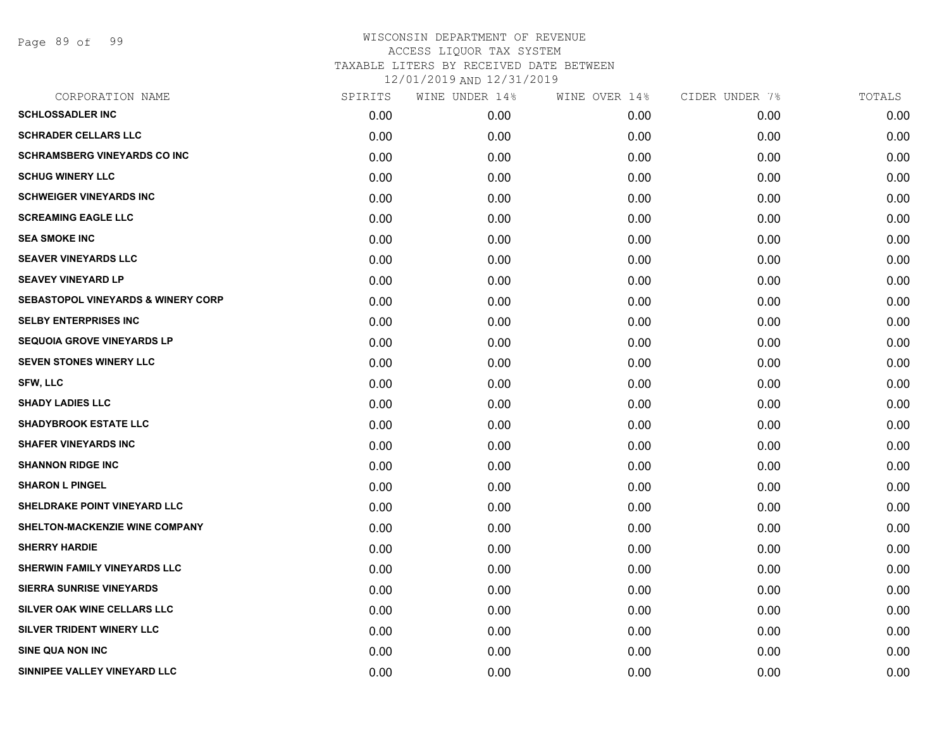Page 89 of 99

| CORPORATION NAME                              | SPIRITS | WINE UNDER 14% | WINE OVER 14% | CIDER UNDER 7% | TOTALS |
|-----------------------------------------------|---------|----------------|---------------|----------------|--------|
| <b>SCHLOSSADLER INC</b>                       | 0.00    | 0.00           | 0.00          | 0.00           | 0.00   |
| <b>SCHRADER CELLARS LLC</b>                   | 0.00    | 0.00           | 0.00          | 0.00           | 0.00   |
| <b>SCHRAMSBERG VINEYARDS CO INC</b>           | 0.00    | 0.00           | 0.00          | 0.00           | 0.00   |
| <b>SCHUG WINERY LLC</b>                       | 0.00    | 0.00           | 0.00          | 0.00           | 0.00   |
| <b>SCHWEIGER VINEYARDS INC</b>                | 0.00    | 0.00           | 0.00          | 0.00           | 0.00   |
| <b>SCREAMING EAGLE LLC</b>                    | 0.00    | 0.00           | 0.00          | 0.00           | 0.00   |
| <b>SEA SMOKE INC</b>                          | 0.00    | 0.00           | 0.00          | 0.00           | 0.00   |
| <b>SEAVER VINEYARDS LLC</b>                   | 0.00    | 0.00           | 0.00          | 0.00           | 0.00   |
| <b>SEAVEY VINEYARD LP</b>                     | 0.00    | 0.00           | 0.00          | 0.00           | 0.00   |
| <b>SEBASTOPOL VINEYARDS &amp; WINERY CORP</b> | 0.00    | 0.00           | 0.00          | 0.00           | 0.00   |
| <b>SELBY ENTERPRISES INC</b>                  | 0.00    | 0.00           | 0.00          | 0.00           | 0.00   |
| <b>SEQUOIA GROVE VINEYARDS LP</b>             | 0.00    | 0.00           | 0.00          | 0.00           | 0.00   |
| <b>SEVEN STONES WINERY LLC</b>                | 0.00    | 0.00           | 0.00          | 0.00           | 0.00   |
| <b>SFW, LLC</b>                               | 0.00    | 0.00           | 0.00          | 0.00           | 0.00   |
| <b>SHADY LADIES LLC</b>                       | 0.00    | 0.00           | 0.00          | 0.00           | 0.00   |
| <b>SHADYBROOK ESTATE LLC</b>                  | 0.00    | 0.00           | 0.00          | 0.00           | 0.00   |
| <b>SHAFER VINEYARDS INC</b>                   | 0.00    | 0.00           | 0.00          | 0.00           | 0.00   |
| <b>SHANNON RIDGE INC</b>                      | 0.00    | 0.00           | 0.00          | 0.00           | 0.00   |
| <b>SHARON L PINGEL</b>                        | 0.00    | 0.00           | 0.00          | 0.00           | 0.00   |
| SHELDRAKE POINT VINEYARD LLC                  | 0.00    | 0.00           | 0.00          | 0.00           | 0.00   |
| SHELTON-MACKENZIE WINE COMPANY                | 0.00    | 0.00           | 0.00          | 0.00           | 0.00   |
| <b>SHERRY HARDIE</b>                          | 0.00    | 0.00           | 0.00          | 0.00           | 0.00   |
| SHERWIN FAMILY VINEYARDS LLC                  | 0.00    | 0.00           | 0.00          | 0.00           | 0.00   |
| <b>SIERRA SUNRISE VINEYARDS</b>               | 0.00    | 0.00           | 0.00          | 0.00           | 0.00   |
| SILVER OAK WINE CELLARS LLC                   | 0.00    | 0.00           | 0.00          | 0.00           | 0.00   |
| SILVER TRIDENT WINERY LLC                     | 0.00    | 0.00           | 0.00          | 0.00           | 0.00   |
| <b>SINE QUA NON INC</b>                       | 0.00    | 0.00           | 0.00          | 0.00           | 0.00   |
| SINNIPEE VALLEY VINEYARD LLC                  | 0.00    | 0.00           | 0.00          | 0.00           | 0.00   |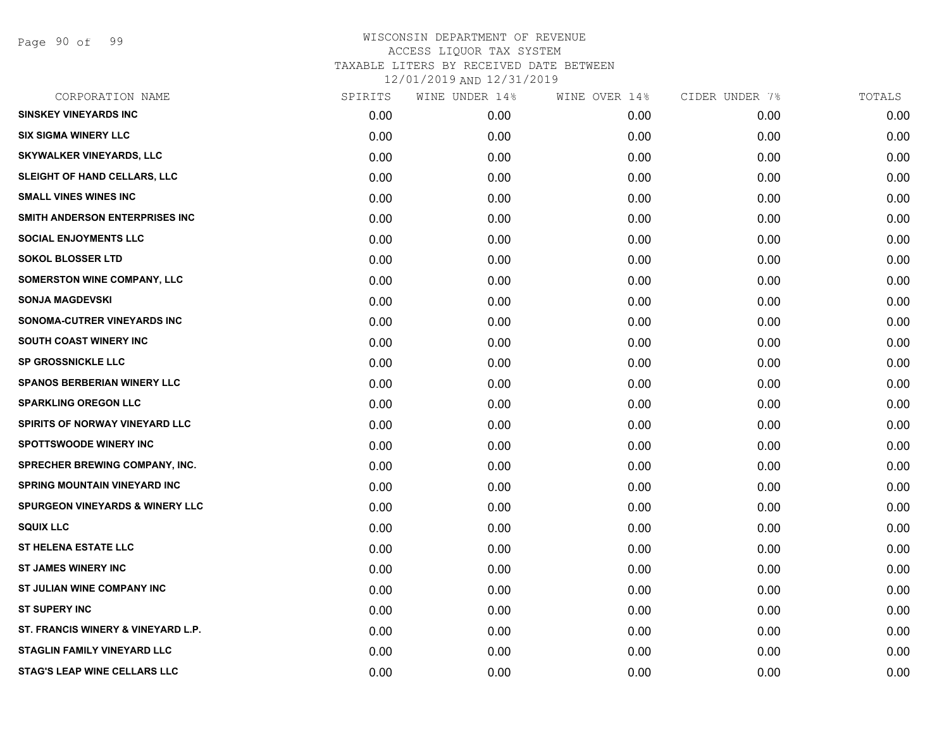Page 90 of 99

| CORPORATION NAME                           | SPIRITS | WINE UNDER 14% | WINE OVER 14% | CIDER UNDER 7% | TOTALS |
|--------------------------------------------|---------|----------------|---------------|----------------|--------|
| <b>SINSKEY VINEYARDS INC</b>               | 0.00    | 0.00           | 0.00          | 0.00           | 0.00   |
| <b>SIX SIGMA WINERY LLC</b>                | 0.00    | 0.00           | 0.00          | 0.00           | 0.00   |
| <b>SKYWALKER VINEYARDS, LLC</b>            | 0.00    | 0.00           | 0.00          | 0.00           | 0.00   |
| SLEIGHT OF HAND CELLARS, LLC               | 0.00    | 0.00           | 0.00          | 0.00           | 0.00   |
| <b>SMALL VINES WINES INC</b>               | 0.00    | 0.00           | 0.00          | 0.00           | 0.00   |
| SMITH ANDERSON ENTERPRISES INC             | 0.00    | 0.00           | 0.00          | 0.00           | 0.00   |
| <b>SOCIAL ENJOYMENTS LLC</b>               | 0.00    | 0.00           | 0.00          | 0.00           | 0.00   |
| <b>SOKOL BLOSSER LTD</b>                   | 0.00    | 0.00           | 0.00          | 0.00           | 0.00   |
| SOMERSTON WINE COMPANY, LLC                | 0.00    | 0.00           | 0.00          | 0.00           | 0.00   |
| <b>SONJA MAGDEVSKI</b>                     | 0.00    | 0.00           | 0.00          | 0.00           | 0.00   |
| <b>SONOMA-CUTRER VINEYARDS INC</b>         | 0.00    | 0.00           | 0.00          | 0.00           | 0.00   |
| SOUTH COAST WINERY INC                     | 0.00    | 0.00           | 0.00          | 0.00           | 0.00   |
| <b>SP GROSSNICKLE LLC</b>                  | 0.00    | 0.00           | 0.00          | 0.00           | 0.00   |
| <b>SPANOS BERBERIAN WINERY LLC</b>         | 0.00    | 0.00           | 0.00          | 0.00           | 0.00   |
| <b>SPARKLING OREGON LLC</b>                | 0.00    | 0.00           | 0.00          | 0.00           | 0.00   |
| SPIRITS OF NORWAY VINEYARD LLC             | 0.00    | 0.00           | 0.00          | 0.00           | 0.00   |
| <b>SPOTTSWOODE WINERY INC</b>              | 0.00    | 0.00           | 0.00          | 0.00           | 0.00   |
| SPRECHER BREWING COMPANY, INC.             | 0.00    | 0.00           | 0.00          | 0.00           | 0.00   |
| <b>SPRING MOUNTAIN VINEYARD INC</b>        | 0.00    | 0.00           | 0.00          | 0.00           | 0.00   |
| <b>SPURGEON VINEYARDS &amp; WINERY LLC</b> | 0.00    | 0.00           | 0.00          | 0.00           | 0.00   |
| <b>SQUIX LLC</b>                           | 0.00    | 0.00           | 0.00          | 0.00           | 0.00   |
| <b>ST HELENA ESTATE LLC</b>                | 0.00    | 0.00           | 0.00          | 0.00           | 0.00   |
| <b>ST JAMES WINERY INC</b>                 | 0.00    | 0.00           | 0.00          | 0.00           | 0.00   |
| ST JULIAN WINE COMPANY INC                 | 0.00    | 0.00           | 0.00          | 0.00           | 0.00   |
| <b>ST SUPERY INC</b>                       | 0.00    | 0.00           | 0.00          | 0.00           | 0.00   |
| ST. FRANCIS WINERY & VINEYARD L.P.         | 0.00    | 0.00           | 0.00          | 0.00           | 0.00   |
| <b>STAGLIN FAMILY VINEYARD LLC</b>         | 0.00    | 0.00           | 0.00          | 0.00           | 0.00   |
| <b>STAG'S LEAP WINE CELLARS LLC</b>        | 0.00    | 0.00           | 0.00          | 0.00           | 0.00   |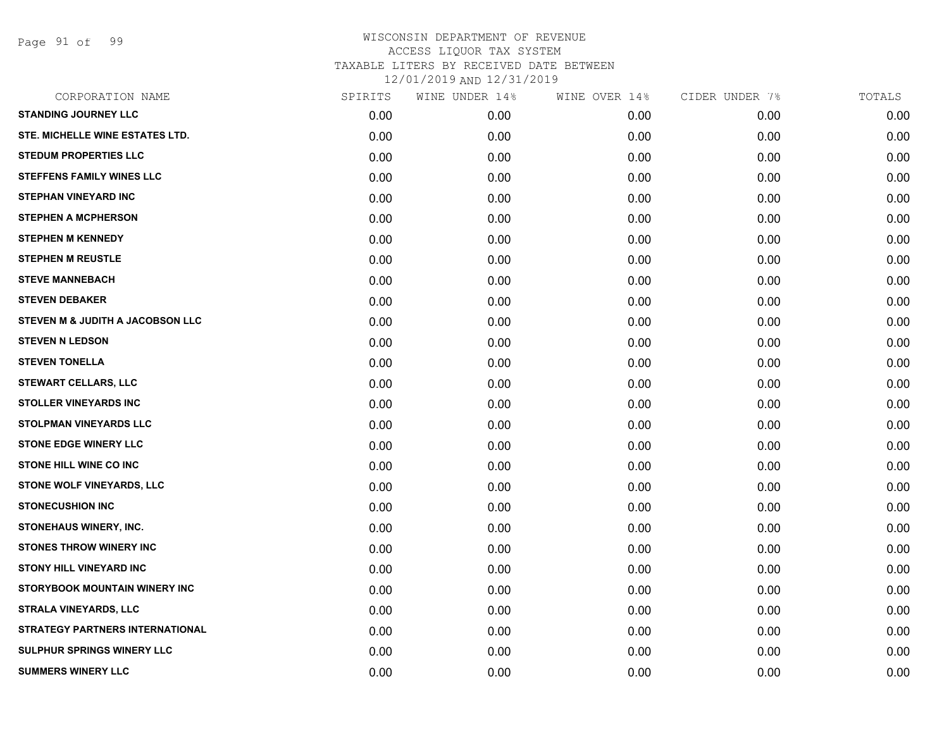Page 91 of 99

| CORPORATION NAME                       | SPIRITS | WINE UNDER 14% | WINE OVER 14% | CIDER UNDER 7% | TOTALS |
|----------------------------------------|---------|----------------|---------------|----------------|--------|
| <b>STANDING JOURNEY LLC</b>            | 0.00    | 0.00           | 0.00          | 0.00           | 0.00   |
| STE. MICHELLE WINE ESTATES LTD.        | 0.00    | 0.00           | 0.00          | 0.00           | 0.00   |
| <b>STEDUM PROPERTIES LLC</b>           | 0.00    | 0.00           | 0.00          | 0.00           | 0.00   |
| <b>STEFFENS FAMILY WINES LLC</b>       | 0.00    | 0.00           | 0.00          | 0.00           | 0.00   |
| <b>STEPHAN VINEYARD INC</b>            | 0.00    | 0.00           | 0.00          | 0.00           | 0.00   |
| <b>STEPHEN A MCPHERSON</b>             | 0.00    | 0.00           | 0.00          | 0.00           | 0.00   |
| <b>STEPHEN M KENNEDY</b>               | 0.00    | 0.00           | 0.00          | 0.00           | 0.00   |
| <b>STEPHEN M REUSTLE</b>               | 0.00    | 0.00           | 0.00          | 0.00           | 0.00   |
| <b>STEVE MANNEBACH</b>                 | 0.00    | 0.00           | 0.00          | 0.00           | 0.00   |
| <b>STEVEN DEBAKER</b>                  | 0.00    | 0.00           | 0.00          | 0.00           | 0.00   |
| STEVEN M & JUDITH A JACOBSON LLC       | 0.00    | 0.00           | 0.00          | 0.00           | 0.00   |
| <b>STEVEN N LEDSON</b>                 | 0.00    | 0.00           | 0.00          | 0.00           | 0.00   |
| <b>STEVEN TONELLA</b>                  | 0.00    | 0.00           | 0.00          | 0.00           | 0.00   |
| <b>STEWART CELLARS, LLC</b>            | 0.00    | 0.00           | 0.00          | 0.00           | 0.00   |
| <b>STOLLER VINEYARDS INC</b>           | 0.00    | 0.00           | 0.00          | 0.00           | 0.00   |
| STOLPMAN VINEYARDS LLC                 | 0.00    | 0.00           | 0.00          | 0.00           | 0.00   |
| <b>STONE EDGE WINERY LLC</b>           | 0.00    | 0.00           | 0.00          | 0.00           | 0.00   |
| STONE HILL WINE CO INC                 | 0.00    | 0.00           | 0.00          | 0.00           | 0.00   |
| STONE WOLF VINEYARDS, LLC              | 0.00    | 0.00           | 0.00          | 0.00           | 0.00   |
| <b>STONECUSHION INC</b>                | 0.00    | 0.00           | 0.00          | 0.00           | 0.00   |
| STONEHAUS WINERY, INC.                 | 0.00    | 0.00           | 0.00          | 0.00           | 0.00   |
| <b>STONES THROW WINERY INC</b>         | 0.00    | 0.00           | 0.00          | 0.00           | 0.00   |
| <b>STONY HILL VINEYARD INC</b>         | 0.00    | 0.00           | 0.00          | 0.00           | 0.00   |
| STORYBOOK MOUNTAIN WINERY INC          | 0.00    | 0.00           | 0.00          | 0.00           | 0.00   |
| <b>STRALA VINEYARDS, LLC</b>           | 0.00    | 0.00           | 0.00          | 0.00           | 0.00   |
| <b>STRATEGY PARTNERS INTERNATIONAL</b> | 0.00    | 0.00           | 0.00          | 0.00           | 0.00   |
| SULPHUR SPRINGS WINERY LLC             | 0.00    | 0.00           | 0.00          | 0.00           | 0.00   |
| <b>SUMMERS WINERY LLC</b>              | 0.00    | 0.00           | 0.00          | 0.00           | 0.00   |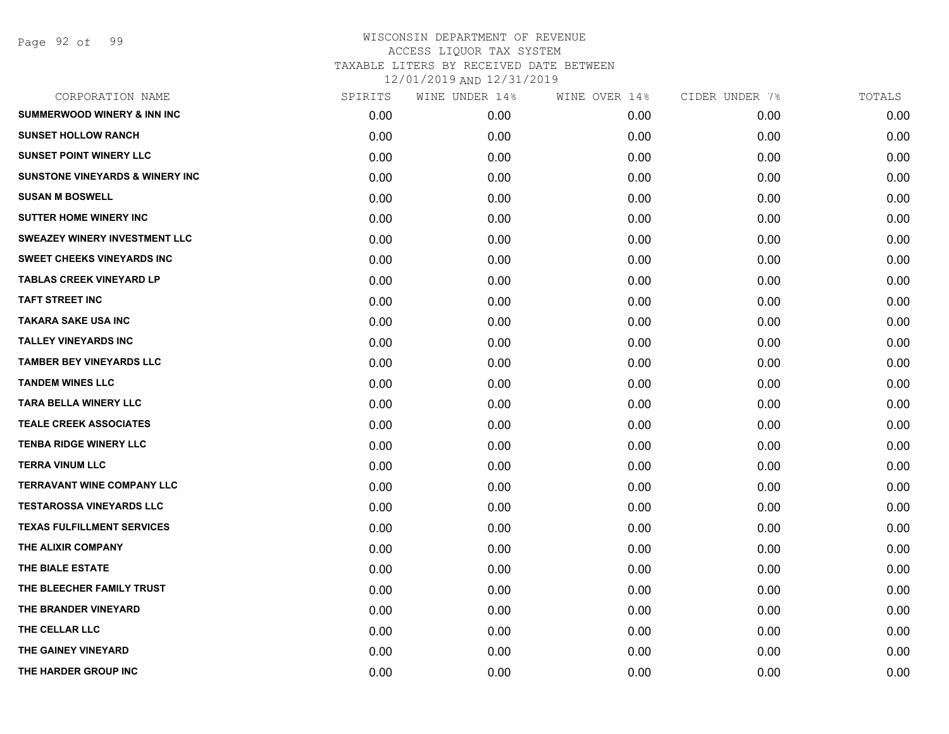| CORPORATION NAME                           | SPIRITS | WINE UNDER 14% | WINE OVER 14% | CIDER UNDER 7% | TOTALS |
|--------------------------------------------|---------|----------------|---------------|----------------|--------|
| <b>SUMMERWOOD WINERY &amp; INN INC</b>     | 0.00    | 0.00           | 0.00          | 0.00           | 0.00   |
| <b>SUNSET HOLLOW RANCH</b>                 | 0.00    | 0.00           | 0.00          | 0.00           | 0.00   |
| <b>SUNSET POINT WINERY LLC</b>             | 0.00    | 0.00           | 0.00          | 0.00           | 0.00   |
| <b>SUNSTONE VINEYARDS &amp; WINERY INC</b> | 0.00    | 0.00           | 0.00          | 0.00           | 0.00   |
| <b>SUSAN M BOSWELL</b>                     | 0.00    | 0.00           | 0.00          | 0.00           | 0.00   |
| <b>SUTTER HOME WINERY INC</b>              | 0.00    | 0.00           | 0.00          | 0.00           | 0.00   |
| SWEAZEY WINERY INVESTMENT LLC              | 0.00    | 0.00           | 0.00          | 0.00           | 0.00   |
| <b>SWEET CHEEKS VINEYARDS INC</b>          | 0.00    | 0.00           | 0.00          | 0.00           | 0.00   |
| <b>TABLAS CREEK VINEYARD LP</b>            | 0.00    | 0.00           | 0.00          | 0.00           | 0.00   |
| <b>TAFT STREET INC</b>                     | 0.00    | 0.00           | 0.00          | 0.00           | 0.00   |
| <b>TAKARA SAKE USA INC</b>                 | 0.00    | 0.00           | 0.00          | 0.00           | 0.00   |
| <b>TALLEY VINEYARDS INC</b>                | 0.00    | 0.00           | 0.00          | 0.00           | 0.00   |
| <b>TAMBER BEY VINEYARDS LLC</b>            | 0.00    | 0.00           | 0.00          | 0.00           | 0.00   |
| <b>TANDEM WINES LLC</b>                    | 0.00    | 0.00           | 0.00          | 0.00           | 0.00   |
| <b>TARA BELLA WINERY LLC</b>               | 0.00    | 0.00           | 0.00          | 0.00           | 0.00   |
| <b>TEALE CREEK ASSOCIATES</b>              | 0.00    | 0.00           | 0.00          | 0.00           | 0.00   |
| <b>TENBA RIDGE WINERY LLC</b>              | 0.00    | 0.00           | 0.00          | 0.00           | 0.00   |
| <b>TERRA VINUM LLC</b>                     | 0.00    | 0.00           | 0.00          | 0.00           | 0.00   |
| <b>TERRAVANT WINE COMPANY LLC</b>          | 0.00    | 0.00           | 0.00          | 0.00           | 0.00   |
| <b>TESTAROSSA VINEYARDS LLC</b>            | 0.00    | 0.00           | 0.00          | 0.00           | 0.00   |
| <b>TEXAS FULFILLMENT SERVICES</b>          | 0.00    | 0.00           | 0.00          | 0.00           | 0.00   |
| THE ALIXIR COMPANY                         | 0.00    | 0.00           | 0.00          | 0.00           | 0.00   |
| THE BIALE ESTATE                           | 0.00    | 0.00           | 0.00          | 0.00           | 0.00   |
| THE BLEECHER FAMILY TRUST                  | 0.00    | 0.00           | 0.00          | 0.00           | 0.00   |
| THE BRANDER VINEYARD                       | 0.00    | 0.00           | 0.00          | 0.00           | 0.00   |
| THE CELLAR LLC                             | 0.00    | 0.00           | 0.00          | 0.00           | 0.00   |
| THE GAINEY VINEYARD                        | 0.00    | 0.00           | 0.00          | 0.00           | 0.00   |
| THE HARDER GROUP INC                       | 0.00    | 0.00           | 0.00          | 0.00           | 0.00   |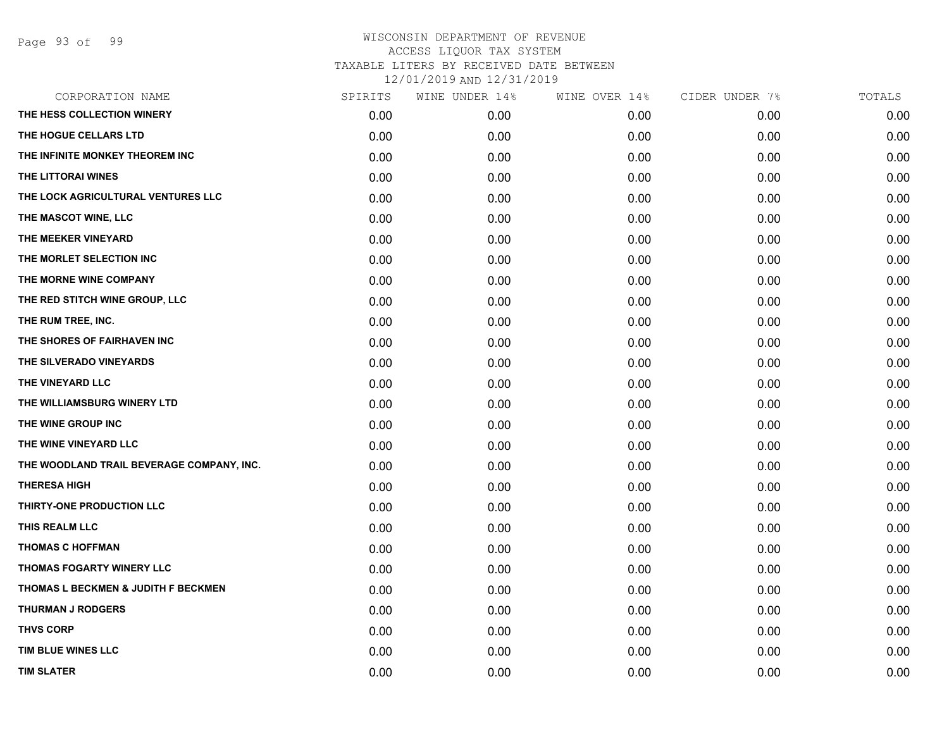| CORPORATION NAME                          | SPIRITS | WINE UNDER 14% | WINE OVER 14% | CIDER UNDER 7% | TOTALS |
|-------------------------------------------|---------|----------------|---------------|----------------|--------|
| THE HESS COLLECTION WINERY                | 0.00    | 0.00           | 0.00          | 0.00           | 0.00   |
| THE HOGUE CELLARS LTD                     | 0.00    | 0.00           | 0.00          | 0.00           | 0.00   |
| THE INFINITE MONKEY THEOREM INC           | 0.00    | 0.00           | 0.00          | 0.00           | 0.00   |
| THE LITTORAI WINES                        | 0.00    | 0.00           | 0.00          | 0.00           | 0.00   |
| THE LOCK AGRICULTURAL VENTURES LLC        | 0.00    | 0.00           | 0.00          | 0.00           | 0.00   |
| THE MASCOT WINE, LLC                      | 0.00    | 0.00           | 0.00          | 0.00           | 0.00   |
| THE MEEKER VINEYARD                       | 0.00    | 0.00           | 0.00          | 0.00           | 0.00   |
| THE MORLET SELECTION INC                  | 0.00    | 0.00           | 0.00          | 0.00           | 0.00   |
| THE MORNE WINE COMPANY                    | 0.00    | 0.00           | 0.00          | 0.00           | 0.00   |
| THE RED STITCH WINE GROUP, LLC            | 0.00    | 0.00           | 0.00          | 0.00           | 0.00   |
| THE RUM TREE, INC.                        | 0.00    | 0.00           | 0.00          | 0.00           | 0.00   |
| THE SHORES OF FAIRHAVEN INC               | 0.00    | 0.00           | 0.00          | 0.00           | 0.00   |
| THE SILVERADO VINEYARDS                   | 0.00    | 0.00           | 0.00          | 0.00           | 0.00   |
| THE VINEYARD LLC                          | 0.00    | 0.00           | 0.00          | 0.00           | 0.00   |
| THE WILLIAMSBURG WINERY LTD               | 0.00    | 0.00           | 0.00          | 0.00           | 0.00   |
| THE WINE GROUP INC                        | 0.00    | 0.00           | 0.00          | 0.00           | 0.00   |
| THE WINE VINEYARD LLC                     | 0.00    | 0.00           | 0.00          | 0.00           | 0.00   |
| THE WOODLAND TRAIL BEVERAGE COMPANY, INC. | 0.00    | 0.00           | 0.00          | 0.00           | 0.00   |
| <b>THERESA HIGH</b>                       | 0.00    | 0.00           | 0.00          | 0.00           | 0.00   |
| THIRTY-ONE PRODUCTION LLC                 | 0.00    | 0.00           | 0.00          | 0.00           | 0.00   |
| THIS REALM LLC                            | 0.00    | 0.00           | 0.00          | 0.00           | 0.00   |
| <b>THOMAS C HOFFMAN</b>                   | 0.00    | 0.00           | 0.00          | 0.00           | 0.00   |
| THOMAS FOGARTY WINERY LLC                 | 0.00    | 0.00           | 0.00          | 0.00           | 0.00   |
| THOMAS L BECKMEN & JUDITH F BECKMEN       | 0.00    | 0.00           | 0.00          | 0.00           | 0.00   |
| <b>THURMAN J RODGERS</b>                  | 0.00    | 0.00           | 0.00          | 0.00           | 0.00   |
| <b>THVS CORP</b>                          | 0.00    | 0.00           | 0.00          | 0.00           | 0.00   |
| TIM BLUE WINES LLC                        | 0.00    | 0.00           | 0.00          | 0.00           | 0.00   |
| <b>TIM SLATER</b>                         | 0.00    | 0.00           | 0.00          | 0.00           | 0.00   |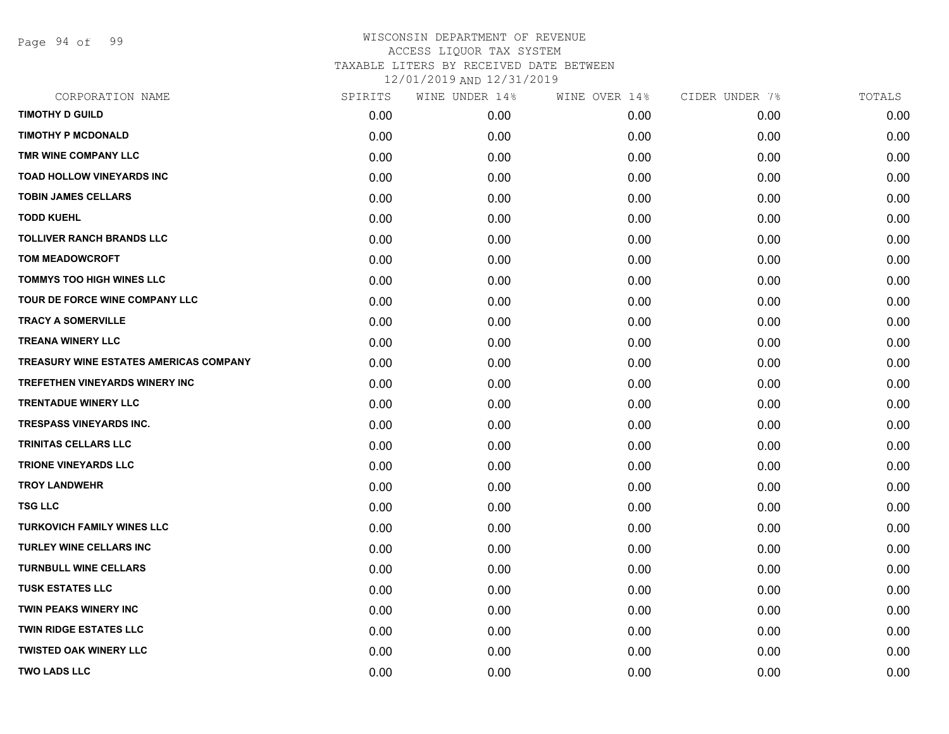Page 94 of 99

| CORPORATION NAME                       | SPIRITS | WINE UNDER 14% | WINE OVER 14% | CIDER UNDER 7% | TOTALS |
|----------------------------------------|---------|----------------|---------------|----------------|--------|
| <b>TIMOTHY D GUILD</b>                 | 0.00    | 0.00           | 0.00          | 0.00           | 0.00   |
| <b>TIMOTHY P MCDONALD</b>              | 0.00    | 0.00           | 0.00          | 0.00           | 0.00   |
| TMR WINE COMPANY LLC                   | 0.00    | 0.00           | 0.00          | 0.00           | 0.00   |
| TOAD HOLLOW VINEYARDS INC              | 0.00    | 0.00           | 0.00          | 0.00           | 0.00   |
| <b>TOBIN JAMES CELLARS</b>             | 0.00    | 0.00           | 0.00          | 0.00           | 0.00   |
| <b>TODD KUEHL</b>                      | 0.00    | 0.00           | 0.00          | 0.00           | 0.00   |
| <b>TOLLIVER RANCH BRANDS LLC</b>       | 0.00    | 0.00           | 0.00          | 0.00           | 0.00   |
| <b>TOM MEADOWCROFT</b>                 | 0.00    | 0.00           | 0.00          | 0.00           | 0.00   |
| <b>TOMMYS TOO HIGH WINES LLC</b>       | 0.00    | 0.00           | 0.00          | 0.00           | 0.00   |
| TOUR DE FORCE WINE COMPANY LLC         | 0.00    | 0.00           | 0.00          | 0.00           | 0.00   |
| <b>TRACY A SOMERVILLE</b>              | 0.00    | 0.00           | 0.00          | 0.00           | 0.00   |
| <b>TREANA WINERY LLC</b>               | 0.00    | 0.00           | 0.00          | 0.00           | 0.00   |
| TREASURY WINE ESTATES AMERICAS COMPANY | 0.00    | 0.00           | 0.00          | 0.00           | 0.00   |
| TREFETHEN VINEYARDS WINERY INC         | 0.00    | 0.00           | 0.00          | 0.00           | 0.00   |
| <b>TRENTADUE WINERY LLC</b>            | 0.00    | 0.00           | 0.00          | 0.00           | 0.00   |
| <b>TRESPASS VINEYARDS INC.</b>         | 0.00    | 0.00           | 0.00          | 0.00           | 0.00   |
| <b>TRINITAS CELLARS LLC</b>            | 0.00    | 0.00           | 0.00          | 0.00           | 0.00   |
| <b>TRIONE VINEYARDS LLC</b>            | 0.00    | 0.00           | 0.00          | 0.00           | 0.00   |
| <b>TROY LANDWEHR</b>                   | 0.00    | 0.00           | 0.00          | 0.00           | 0.00   |
| <b>TSG LLC</b>                         | 0.00    | 0.00           | 0.00          | 0.00           | 0.00   |
| <b>TURKOVICH FAMILY WINES LLC</b>      | 0.00    | 0.00           | 0.00          | 0.00           | 0.00   |
| <b>TURLEY WINE CELLARS INC</b>         | 0.00    | 0.00           | 0.00          | 0.00           | 0.00   |
| <b>TURNBULL WINE CELLARS</b>           | 0.00    | 0.00           | 0.00          | 0.00           | 0.00   |
| <b>TUSK ESTATES LLC</b>                | 0.00    | 0.00           | 0.00          | 0.00           | 0.00   |
| <b>TWIN PEAKS WINERY INC</b>           | 0.00    | 0.00           | 0.00          | 0.00           | 0.00   |
| <b>TWIN RIDGE ESTATES LLC</b>          | 0.00    | 0.00           | 0.00          | 0.00           | 0.00   |
| <b>TWISTED OAK WINERY LLC</b>          | 0.00    | 0.00           | 0.00          | 0.00           | 0.00   |
| <b>TWO LADS LLC</b>                    | 0.00    | 0.00           | 0.00          | 0.00           | 0.00   |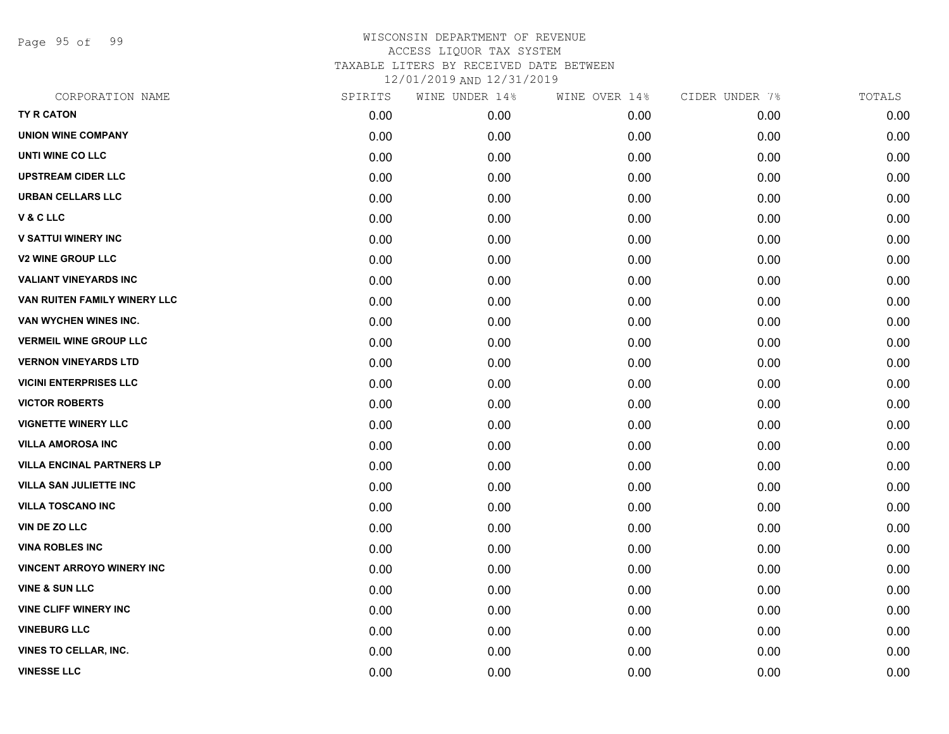Page 95 of 99

| CORPORATION NAME                 | SPIRITS | WINE UNDER 14% | WINE OVER 14% | CIDER UNDER 7% | TOTALS |
|----------------------------------|---------|----------------|---------------|----------------|--------|
| <b>TY R CATON</b>                | 0.00    | 0.00           | 0.00          | 0.00           | 0.00   |
| <b>UNION WINE COMPANY</b>        | 0.00    | 0.00           | 0.00          | 0.00           | 0.00   |
| UNTI WINE CO LLC                 | 0.00    | 0.00           | 0.00          | 0.00           | 0.00   |
| <b>UPSTREAM CIDER LLC</b>        | 0.00    | 0.00           | 0.00          | 0.00           | 0.00   |
| URBAN CELLARS LLC                | 0.00    | 0.00           | 0.00          | 0.00           | 0.00   |
| V & C LLC                        | 0.00    | 0.00           | 0.00          | 0.00           | 0.00   |
| <b>V SATTUI WINERY INC</b>       | 0.00    | 0.00           | 0.00          | 0.00           | 0.00   |
| <b>V2 WINE GROUP LLC</b>         | 0.00    | 0.00           | 0.00          | 0.00           | 0.00   |
| <b>VALIANT VINEYARDS INC</b>     | 0.00    | 0.00           | 0.00          | 0.00           | 0.00   |
| VAN RUITEN FAMILY WINERY LLC     | 0.00    | 0.00           | 0.00          | 0.00           | 0.00   |
| VAN WYCHEN WINES INC.            | 0.00    | 0.00           | 0.00          | 0.00           | 0.00   |
| <b>VERMEIL WINE GROUP LLC</b>    | 0.00    | 0.00           | 0.00          | 0.00           | 0.00   |
| <b>VERNON VINEYARDS LTD</b>      | 0.00    | 0.00           | 0.00          | 0.00           | 0.00   |
| <b>VICINI ENTERPRISES LLC</b>    | 0.00    | 0.00           | 0.00          | 0.00           | 0.00   |
| <b>VICTOR ROBERTS</b>            | 0.00    | 0.00           | 0.00          | 0.00           | 0.00   |
| <b>VIGNETTE WINERY LLC</b>       | 0.00    | 0.00           | 0.00          | 0.00           | 0.00   |
| <b>VILLA AMOROSA INC</b>         | 0.00    | 0.00           | 0.00          | 0.00           | 0.00   |
| <b>VILLA ENCINAL PARTNERS LP</b> | 0.00    | 0.00           | 0.00          | 0.00           | 0.00   |
| <b>VILLA SAN JULIETTE INC</b>    | 0.00    | 0.00           | 0.00          | 0.00           | 0.00   |
| <b>VILLA TOSCANO INC</b>         | 0.00    | 0.00           | 0.00          | 0.00           | 0.00   |
| VIN DE ZO LLC                    | 0.00    | 0.00           | 0.00          | 0.00           | 0.00   |
| <b>VINA ROBLES INC</b>           | 0.00    | 0.00           | 0.00          | 0.00           | 0.00   |
| <b>VINCENT ARROYO WINERY INC</b> | 0.00    | 0.00           | 0.00          | 0.00           | 0.00   |
| <b>VINE &amp; SUN LLC</b>        | 0.00    | 0.00           | 0.00          | 0.00           | 0.00   |
| <b>VINE CLIFF WINERY INC</b>     | 0.00    | 0.00           | 0.00          | 0.00           | 0.00   |
| <b>VINEBURG LLC</b>              | 0.00    | 0.00           | 0.00          | 0.00           | 0.00   |
| <b>VINES TO CELLAR, INC.</b>     | 0.00    | 0.00           | 0.00          | 0.00           | 0.00   |
| <b>VINESSE LLC</b>               | 0.00    | 0.00           | 0.00          | 0.00           | 0.00   |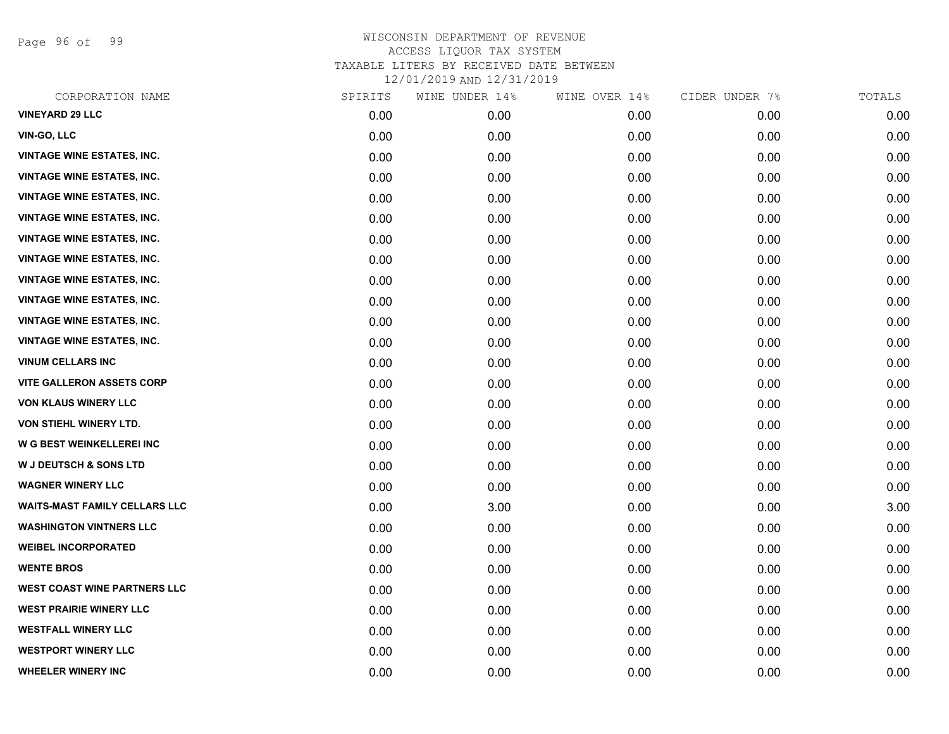Page 96 of 99

| CORPORATION NAME                     | SPIRITS | WINE UNDER 14% | WINE OVER 14% | CIDER UNDER 7% | TOTALS |
|--------------------------------------|---------|----------------|---------------|----------------|--------|
| <b>VINEYARD 29 LLC</b>               | 0.00    | 0.00           | 0.00          | 0.00           | 0.00   |
| VIN-GO, LLC                          | 0.00    | 0.00           | 0.00          | 0.00           | 0.00   |
| <b>VINTAGE WINE ESTATES, INC.</b>    | 0.00    | 0.00           | 0.00          | 0.00           | 0.00   |
| <b>VINTAGE WINE ESTATES, INC.</b>    | 0.00    | 0.00           | 0.00          | 0.00           | 0.00   |
| <b>VINTAGE WINE ESTATES, INC.</b>    | 0.00    | 0.00           | 0.00          | 0.00           | 0.00   |
| <b>VINTAGE WINE ESTATES, INC.</b>    | 0.00    | 0.00           | 0.00          | 0.00           | 0.00   |
| <b>VINTAGE WINE ESTATES, INC.</b>    | 0.00    | 0.00           | 0.00          | 0.00           | 0.00   |
| <b>VINTAGE WINE ESTATES, INC.</b>    | 0.00    | 0.00           | 0.00          | 0.00           | 0.00   |
| <b>VINTAGE WINE ESTATES, INC.</b>    | 0.00    | 0.00           | 0.00          | 0.00           | 0.00   |
| <b>VINTAGE WINE ESTATES, INC.</b>    | 0.00    | 0.00           | 0.00          | 0.00           | 0.00   |
| <b>VINTAGE WINE ESTATES, INC.</b>    | 0.00    | 0.00           | 0.00          | 0.00           | 0.00   |
| <b>VINTAGE WINE ESTATES, INC.</b>    | 0.00    | 0.00           | 0.00          | 0.00           | 0.00   |
| <b>VINUM CELLARS INC</b>             | 0.00    | 0.00           | 0.00          | 0.00           | 0.00   |
| <b>VITE GALLERON ASSETS CORP</b>     | 0.00    | 0.00           | 0.00          | 0.00           | 0.00   |
| <b>VON KLAUS WINERY LLC</b>          | 0.00    | 0.00           | 0.00          | 0.00           | 0.00   |
| VON STIEHL WINERY LTD.               | 0.00    | 0.00           | 0.00          | 0.00           | 0.00   |
| W G BEST WEINKELLEREI INC            | 0.00    | 0.00           | 0.00          | 0.00           | 0.00   |
| <b>W J DEUTSCH &amp; SONS LTD</b>    | 0.00    | 0.00           | 0.00          | 0.00           | 0.00   |
| <b>WAGNER WINERY LLC</b>             | 0.00    | 0.00           | 0.00          | 0.00           | 0.00   |
| <b>WAITS-MAST FAMILY CELLARS LLC</b> | 0.00    | 3.00           | 0.00          | 0.00           | 3.00   |
| <b>WASHINGTON VINTNERS LLC</b>       | 0.00    | 0.00           | 0.00          | 0.00           | 0.00   |
| <b>WEIBEL INCORPORATED</b>           | 0.00    | 0.00           | 0.00          | 0.00           | 0.00   |
| <b>WENTE BROS</b>                    | 0.00    | 0.00           | 0.00          | 0.00           | 0.00   |
| <b>WEST COAST WINE PARTNERS LLC</b>  | 0.00    | 0.00           | 0.00          | 0.00           | 0.00   |
| <b>WEST PRAIRIE WINERY LLC</b>       | 0.00    | 0.00           | 0.00          | 0.00           | 0.00   |
| <b>WESTFALL WINERY LLC</b>           | 0.00    | 0.00           | 0.00          | 0.00           | 0.00   |
| <b>WESTPORT WINERY LLC</b>           | 0.00    | 0.00           | 0.00          | 0.00           | 0.00   |
| <b>WHEELER WINERY INC</b>            | 0.00    | 0.00           | 0.00          | 0.00           | 0.00   |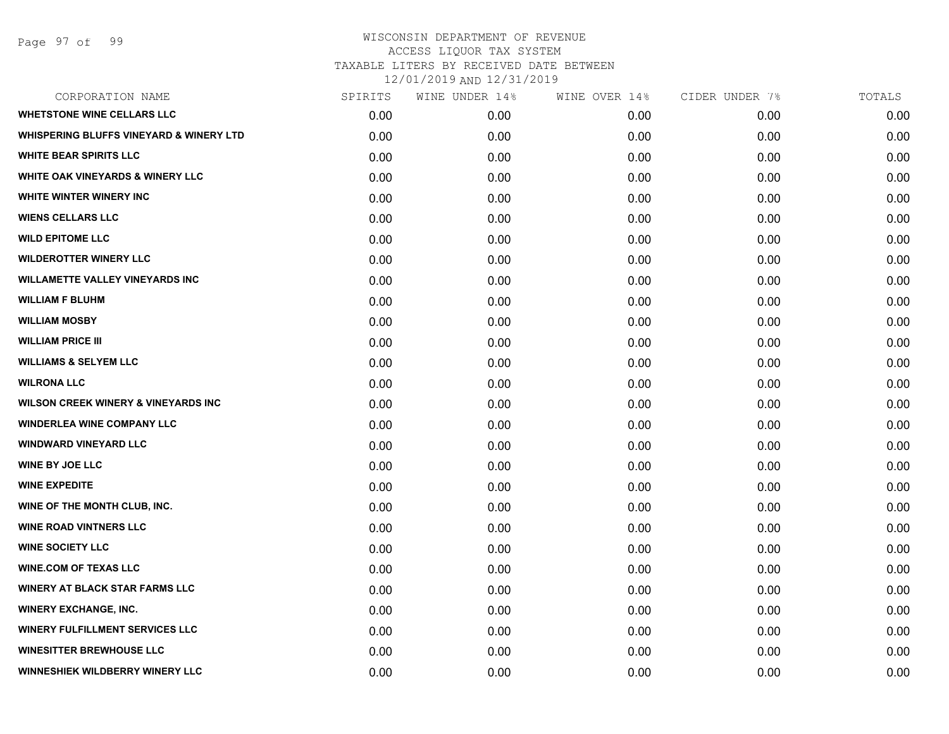| CORPORATION NAME                                   | SPIRITS | WINE UNDER 14% | WINE OVER 14% | CIDER UNDER 7% | TOTALS |
|----------------------------------------------------|---------|----------------|---------------|----------------|--------|
| <b>WHETSTONE WINE CELLARS LLC</b>                  | 0.00    | 0.00           | 0.00          | 0.00           | 0.00   |
| <b>WHISPERING BLUFFS VINEYARD &amp; WINERY LTD</b> | 0.00    | 0.00           | 0.00          | 0.00           | 0.00   |
| <b>WHITE BEAR SPIRITS LLC</b>                      | 0.00    | 0.00           | 0.00          | 0.00           | 0.00   |
| <b>WHITE OAK VINEYARDS &amp; WINERY LLC</b>        | 0.00    | 0.00           | 0.00          | 0.00           | 0.00   |
| WHITE WINTER WINERY INC                            | 0.00    | 0.00           | 0.00          | 0.00           | 0.00   |
| <b>WIENS CELLARS LLC</b>                           | 0.00    | 0.00           | 0.00          | 0.00           | 0.00   |
| <b>WILD EPITOME LLC</b>                            | 0.00    | 0.00           | 0.00          | 0.00           | 0.00   |
| <b>WILDEROTTER WINERY LLC</b>                      | 0.00    | 0.00           | 0.00          | 0.00           | 0.00   |
| <b>WILLAMETTE VALLEY VINEYARDS INC</b>             | 0.00    | 0.00           | 0.00          | 0.00           | 0.00   |
| <b>WILLIAM F BLUHM</b>                             | 0.00    | 0.00           | 0.00          | 0.00           | 0.00   |
| <b>WILLIAM MOSBY</b>                               | 0.00    | 0.00           | 0.00          | 0.00           | 0.00   |
| <b>WILLIAM PRICE III</b>                           | 0.00    | 0.00           | 0.00          | 0.00           | 0.00   |
| <b>WILLIAMS &amp; SELYEM LLC</b>                   | 0.00    | 0.00           | 0.00          | 0.00           | 0.00   |
| <b>WILRONA LLC</b>                                 | 0.00    | 0.00           | 0.00          | 0.00           | 0.00   |
| <b>WILSON CREEK WINERY &amp; VINEYARDS INC</b>     | 0.00    | 0.00           | 0.00          | 0.00           | 0.00   |
| <b>WINDERLEA WINE COMPANY LLC</b>                  | 0.00    | 0.00           | 0.00          | 0.00           | 0.00   |
| <b>WINDWARD VINEYARD LLC</b>                       | 0.00    | 0.00           | 0.00          | 0.00           | 0.00   |
| <b>WINE BY JOE LLC</b>                             | 0.00    | 0.00           | 0.00          | 0.00           | 0.00   |
| <b>WINE EXPEDITE</b>                               | 0.00    | 0.00           | 0.00          | 0.00           | 0.00   |
| WINE OF THE MONTH CLUB, INC.                       | 0.00    | 0.00           | 0.00          | 0.00           | 0.00   |
| <b>WINE ROAD VINTNERS LLC</b>                      | 0.00    | 0.00           | 0.00          | 0.00           | 0.00   |
| <b>WINE SOCIETY LLC</b>                            | 0.00    | 0.00           | 0.00          | 0.00           | 0.00   |
| <b>WINE.COM OF TEXAS LLC</b>                       | 0.00    | 0.00           | 0.00          | 0.00           | 0.00   |
| <b>WINERY AT BLACK STAR FARMS LLC</b>              | 0.00    | 0.00           | 0.00          | 0.00           | 0.00   |
| <b>WINERY EXCHANGE, INC.</b>                       | 0.00    | 0.00           | 0.00          | 0.00           | 0.00   |
| <b>WINERY FULFILLMENT SERVICES LLC</b>             | 0.00    | 0.00           | 0.00          | 0.00           | 0.00   |
| <b>WINESITTER BREWHOUSE LLC</b>                    | 0.00    | 0.00           | 0.00          | 0.00           | 0.00   |
| WINNESHIEK WILDBERRY WINERY LLC                    | 0.00    | 0.00           | 0.00          | 0.00           | 0.00   |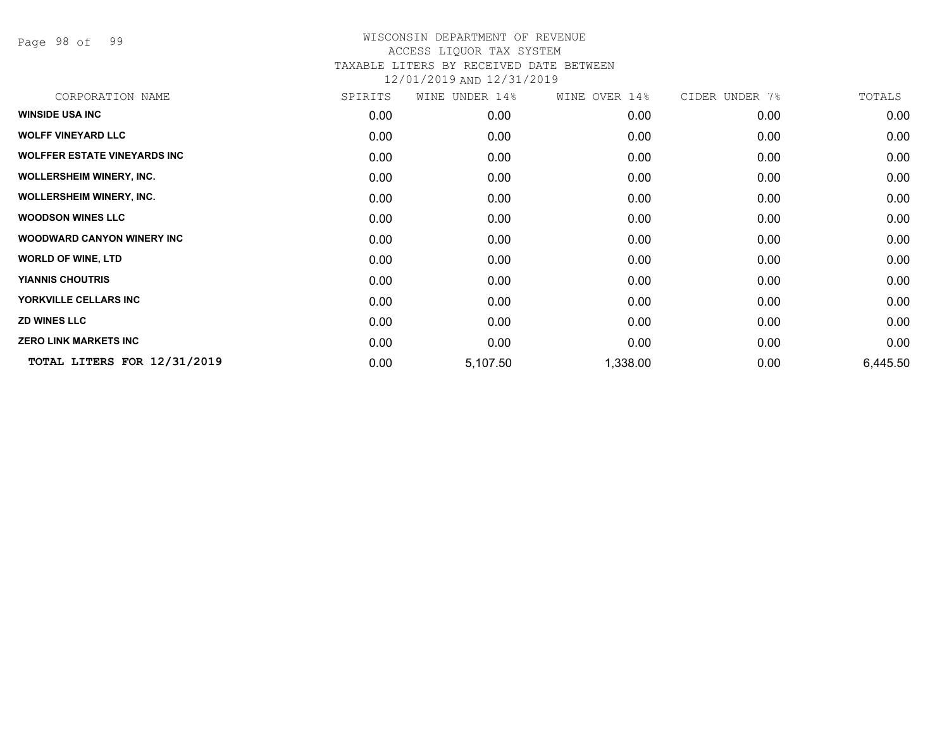Page 98 of 99

| CORPORATION NAME                    | SPIRITS | WINE UNDER 14% | WINE OVER 14% | CIDER UNDER 7% | TOTALS   |
|-------------------------------------|---------|----------------|---------------|----------------|----------|
| <b>WINSIDE USA INC</b>              | 0.00    | 0.00           | 0.00          | 0.00           | 0.00     |
| <b>WOLFF VINEYARD LLC</b>           | 0.00    | 0.00           | 0.00          | 0.00           | 0.00     |
| <b>WOLFFER ESTATE VINEYARDS INC</b> | 0.00    | 0.00           | 0.00          | 0.00           | 0.00     |
| <b>WOLLERSHEIM WINERY, INC.</b>     | 0.00    | 0.00           | 0.00          | 0.00           | 0.00     |
| <b>WOLLERSHEIM WINERY, INC.</b>     | 0.00    | 0.00           | 0.00          | 0.00           | 0.00     |
| <b>WOODSON WINES LLC</b>            | 0.00    | 0.00           | 0.00          | 0.00           | 0.00     |
| <b>WOODWARD CANYON WINERY INC</b>   | 0.00    | 0.00           | 0.00          | 0.00           | 0.00     |
| <b>WORLD OF WINE, LTD</b>           | 0.00    | 0.00           | 0.00          | 0.00           | 0.00     |
| <b>YIANNIS CHOUTRIS</b>             | 0.00    | 0.00           | 0.00          | 0.00           | 0.00     |
| YORKVILLE CELLARS INC               | 0.00    | 0.00           | 0.00          | 0.00           | 0.00     |
| <b>ZD WINES LLC</b>                 | 0.00    | 0.00           | 0.00          | 0.00           | 0.00     |
| <b>ZERO LINK MARKETS INC</b>        | 0.00    | 0.00           | 0.00          | 0.00           | 0.00     |
| TOTAL LITERS FOR 12/31/2019         | 0.00    | 5,107.50       | 1,338.00      | 0.00           | 6,445.50 |